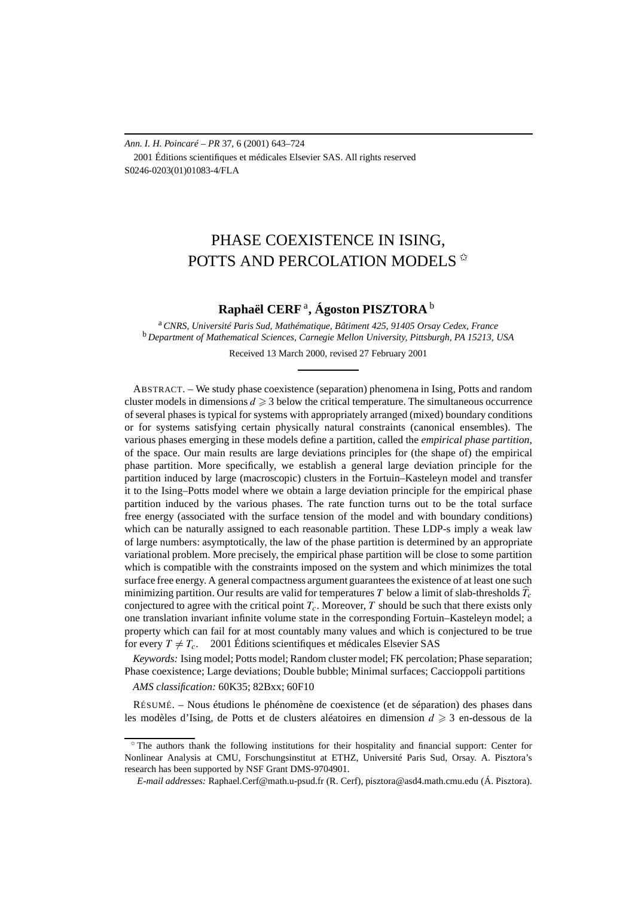*Ann. I. H. Poincaré – PR* 37, 6 (2001) 643–724 2001 Éditions scientifiques et médicales Elsevier SAS. All rights reserved S0246-0203(01)01083-4/FLA

# PHASE COEXISTENCE IN ISING, POTTS AND PERCOLATION MODELS

# **Raphaël CERF** <sup>a</sup>**, Ágoston PISZTORA** <sup>b</sup>

<sup>a</sup> *CNRS, Université Paris Sud, Mathématique, Bâtiment 425, 91405 Orsay Cedex, France* <sup>b</sup> *Department of Mathematical Sciences, Carnegie Mellon University, Pittsburgh, PA 15213, USA*

Received 13 March 2000, revised 27 February 2001

ABSTRACT. – We study phase coexistence (separation) phenomena in Ising, Potts and random cluster models in dimensions  $d \geq 3$  below the critical temperature. The simultaneous occurrence of several phases is typical for systems with appropriately arranged (mixed) boundary conditions or for systems satisfying certain physically natural constraints (canonical ensembles). The various phases emerging in these models define a partition, called the *empirical phase partition*, of the space. Our main results are large deviations principles for (the shape of) the empirical phase partition. More specifically, we establish a general large deviation principle for the partition induced by large (macroscopic) clusters in the Fortuin–Kasteleyn model and transfer it to the Ising–Potts model where we obtain a large deviation principle for the empirical phase partition induced by the various phases. The rate function turns out to be the total surface free energy (associated with the surface tension of the model and with boundary conditions) which can be naturally assigned to each reasonable partition. These LDP-s imply a weak law of large numbers: asymptotically, the law of the phase partition is determined by an appropriate variational problem. More precisely, the empirical phase partition will be close to some partition which is compatible with the constraints imposed on the system and which minimizes the total surface free energy. A general compactness argument guarantees the existence of at least one such minimizing partition. Our results are valid for temperatures *T* below a limit of slab-thresholds  $T_c$ conjectured to agree with the critical point  $T_c$ . Moreover,  $T$  should be such that there exists only one translation invariant infinite volume state in the corresponding Fortuin–Kasteleyn model; a property which can fail for at most countably many values and which is conjectured to be true for every  $T \neq T_c$ .  $\odot$  2001 Éditions scientifiques et médicales Elsevier SAS

*Keywords:* Ising model; Potts model; Random cluster model; FK percolation; Phase separation; Phase coexistence; Large deviations; Double bubble; Minimal surfaces; Caccioppoli partitions

*AMS classification:* 60K35; 82Bxx; 60F10

RÉSUMÉ. – Nous étudions le phénomène de coexistence (et de séparation) des phases dans les modèles d'Ising, de Potts et de clusters aléatoires en dimension  $d \geq 3$  en-dessous de la

<sup>✩</sup> The authors thank the following institutions for their hospitality and financial support: Center for Nonlinear Analysis at CMU, Forschungsinstitut at ETHZ, Université Paris Sud, Orsay. A. Pisztora's research has been supported by NSF Grant DMS-9704901.

*E-mail addresses:* Raphael.Cerf@math.u-psud.fr (R. Cerf), pisztora@asd4.math.cmu.edu (Á. Pisztora).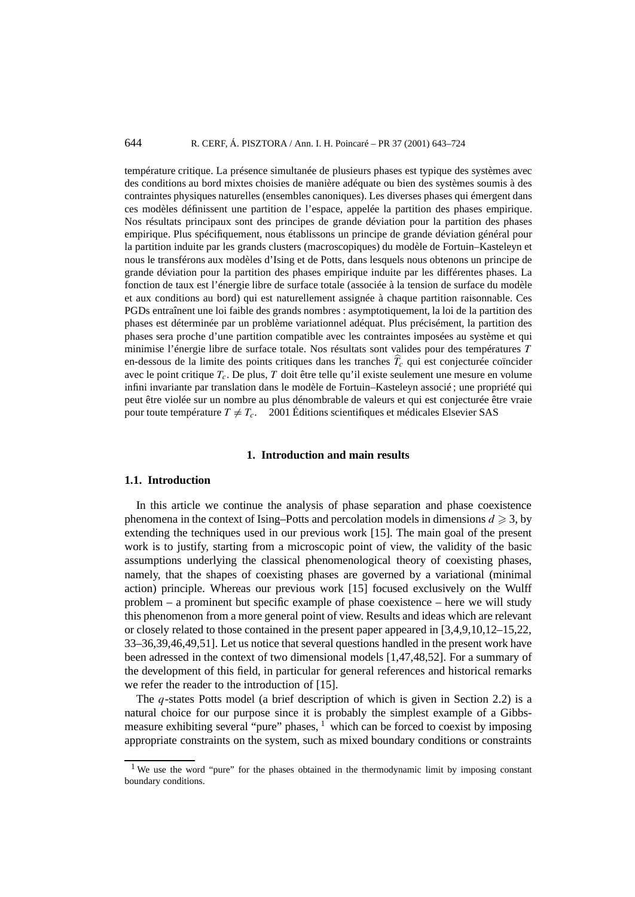température critique. La présence simultanée de plusieurs phases est typique des systèmes avec des conditions au bord mixtes choisies de manière adéquate ou bien des systèmes soumis à des contraintes physiques naturelles (ensembles canoniques). Les diverses phases qui émergent dans ces modèles définissent une partition de l'espace, appelée la partition des phases empirique. Nos résultats principaux sont des principes de grande déviation pour la partition des phases empirique. Plus spécifiquement, nous établissons un principe de grande déviation général pour la partition induite par les grands clusters (macroscopiques) du modèle de Fortuin–Kasteleyn et nous le transférons aux modèles d'Ising et de Potts, dans lesquels nous obtenons un principe de grande déviation pour la partition des phases empirique induite par les différentes phases. La fonction de taux est l'énergie libre de surface totale (associée à la tension de surface du modèle et aux conditions au bord) qui est naturellement assignée à chaque partition raisonnable. Ces PGDs entraînent une loi faible des grands nombres : asymptotiquement, la loi de la partition des phases est déterminée par un problème variationnel adéquat. Plus précisément, la partition des phases sera proche d'une partition compatible avec les contraintes imposées au système et qui minimise l'énergie libre de surface totale. Nos résultats sont valides pour des températures *T* en-dessous de la limite des points critiques dans les tranches *T <sup>c</sup>* qui est conjecturée coïncider avec le point critique *Tc*. De plus, *T* doit être telle qu'il existe seulement une mesure en volume infini invariante par translation dans le modèle de Fortuin–Kasteleyn associé ; une propriété qui peut être violée sur un nombre au plus dénombrable de valeurs et qui est conjecturée être vraie pour toute température  $T \neq T_c$ .  $\odot$  2001 Éditions scientifiques et médicales Elsevier SAS

# **1. Introduction and main results**

## **1.1. Introduction**

In this article we continue the analysis of phase separation and phase coexistence phenomena in the context of Ising–Potts and percolation models in dimensions  $d \geq 3$ , by extending the techniques used in our previous work [15]. The main goal of the present work is to justify, starting from a microscopic point of view, the validity of the basic assumptions underlying the classical phenomenological theory of coexisting phases, namely, that the shapes of coexisting phases are governed by a variational (minimal action) principle. Whereas our previous work [15] focused exclusively on the Wulff problem – a prominent but specific example of phase coexistence – here we will study this phenomenon from a more general point of view. Results and ideas which are relevant or closely related to those contained in the present paper appeared in [3,4,9,10,12–15,22, 33–36,39,46,49,51]. Let us notice that several questions handled in the present work have been adressed in the context of two dimensional models [1,47,48,52]. For a summary of the development of this field, in particular for general references and historical remarks we refer the reader to the introduction of [15].

The *q*-states Potts model (a brief description of which is given in Section 2.2) is a natural choice for our purpose since it is probably the simplest example of a Gibbsmeasure exhibiting several "pure" phases, <sup>1</sup> which can be forced to coexist by imposing appropriate constraints on the system, such as mixed boundary conditions or constraints

<sup>&</sup>lt;sup>1</sup> We use the word "pure" for the phases obtained in the thermodynamic limit by imposing constant boundary conditions.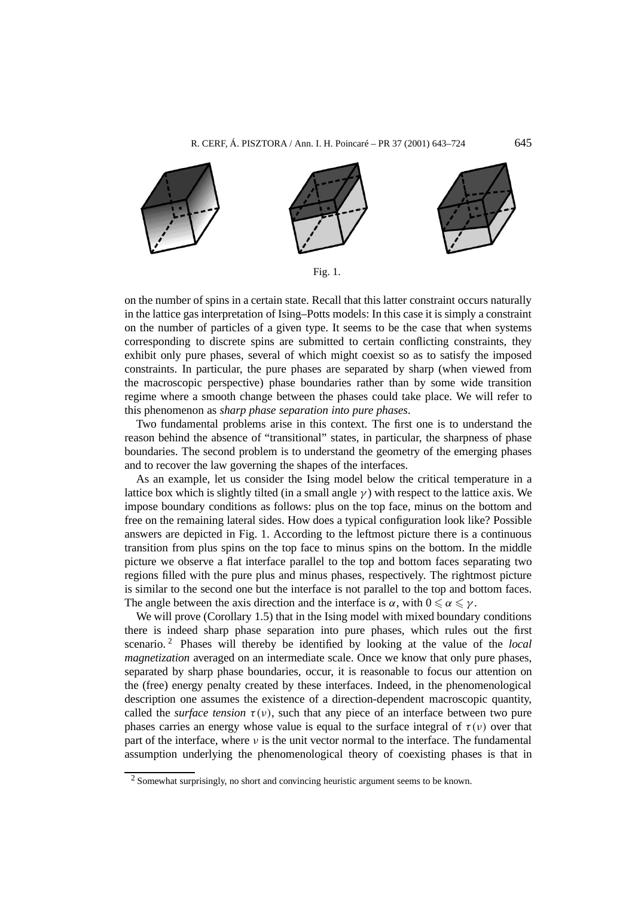

Fig. 1.

on the number of spins in a certain state. Recall that this latter constraint occurs naturally in the lattice gas interpretation of Ising–Potts models: In this case it is simply a constraint on the number of particles of a given type. It seems to be the case that when systems corresponding to discrete spins are submitted to certain conflicting constraints, they exhibit only pure phases, several of which might coexist so as to satisfy the imposed constraints. In particular, the pure phases are separated by sharp (when viewed from the macroscopic perspective) phase boundaries rather than by some wide transition regime where a smooth change between the phases could take place. We will refer to this phenomenon as *sharp phase separation into pure phases*.

Two fundamental problems arise in this context. The first one is to understand the reason behind the absence of "transitional" states, in particular, the sharpness of phase boundaries. The second problem is to understand the geometry of the emerging phases and to recover the law governing the shapes of the interfaces.

As an example, let us consider the Ising model below the critical temperature in a lattice box which is slightly tilted (in a small angle *γ* ) with respect to the lattice axis. We impose boundary conditions as follows: plus on the top face, minus on the bottom and free on the remaining lateral sides. How does a typical configuration look like? Possible answers are depicted in Fig. 1. According to the leftmost picture there is a continuous transition from plus spins on the top face to minus spins on the bottom. In the middle picture we observe a flat interface parallel to the top and bottom faces separating two regions filled with the pure plus and minus phases, respectively. The rightmost picture is similar to the second one but the interface is not parallel to the top and bottom faces. The angle between the axis direction and the interface is  $\alpha$ , with  $0 \le \alpha \le \gamma$ .

We will prove (Corollary 1.5) that in the Ising model with mixed boundary conditions there is indeed sharp phase separation into pure phases, which rules out the first scenario. <sup>2</sup> Phases will thereby be identified by looking at the value of the *local magnetization* averaged on an intermediate scale. Once we know that only pure phases, separated by sharp phase boundaries, occur, it is reasonable to focus our attention on the (free) energy penalty created by these interfaces. Indeed, in the phenomenological description one assumes the existence of a direction-dependent macroscopic quantity, called the *surface tension*  $\tau(\nu)$ , such that any piece of an interface between two pure phases carries an energy whose value is equal to the surface integral of  $\tau(\nu)$  over that part of the interface, where *ν* is the unit vector normal to the interface. The fundamental assumption underlying the phenomenological theory of coexisting phases is that in

<sup>&</sup>lt;sup>2</sup> Somewhat surprisingly, no short and convincing heuristic argument seems to be known.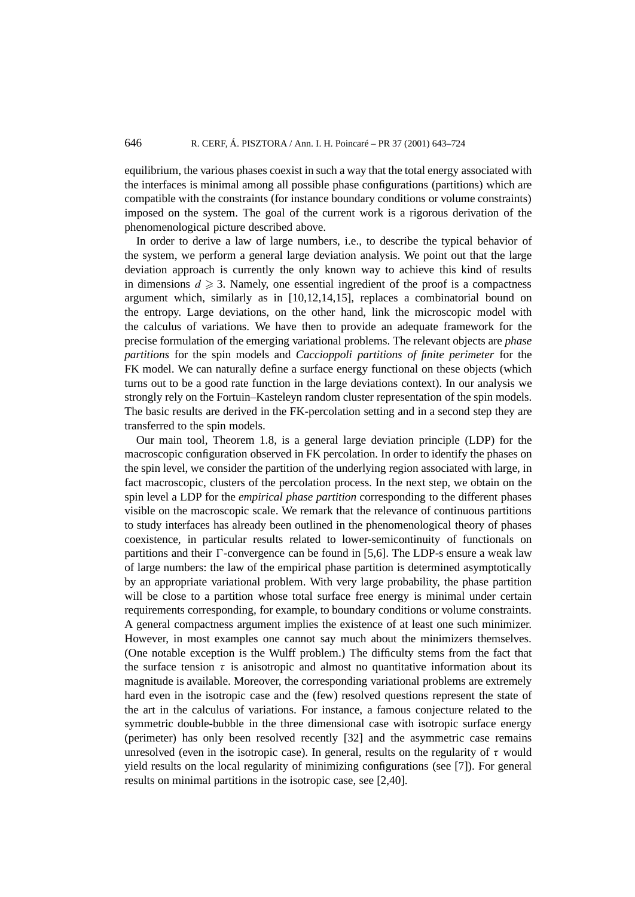equilibrium, the various phases coexist in such a way that the total energy associated with the interfaces is minimal among all possible phase configurations (partitions) which are compatible with the constraints (for instance boundary conditions or volume constraints) imposed on the system. The goal of the current work is a rigorous derivation of the phenomenological picture described above.

In order to derive a law of large numbers, i.e., to describe the typical behavior of the system, we perform a general large deviation analysis. We point out that the large deviation approach is currently the only known way to achieve this kind of results in dimensions  $d \geq 3$ . Namely, one essential ingredient of the proof is a compactness argument which, similarly as in [10,12,14,15], replaces a combinatorial bound on the entropy. Large deviations, on the other hand, link the microscopic model with the calculus of variations. We have then to provide an adequate framework for the precise formulation of the emerging variational problems. The relevant objects are *phase partitions* for the spin models and *Caccioppoli partitions of finite perimeter* for the FK model. We can naturally define a surface energy functional on these objects (which turns out to be a good rate function in the large deviations context). In our analysis we strongly rely on the Fortuin–Kasteleyn random cluster representation of the spin models. The basic results are derived in the FK-percolation setting and in a second step they are transferred to the spin models.

Our main tool, Theorem 1.8, is a general large deviation principle (LDP) for the macroscopic configuration observed in FK percolation. In order to identify the phases on the spin level, we consider the partition of the underlying region associated with large, in fact macroscopic, clusters of the percolation process. In the next step, we obtain on the spin level a LDP for the *empirical phase partition* corresponding to the different phases visible on the macroscopic scale. We remark that the relevance of continuous partitions to study interfaces has already been outlined in the phenomenological theory of phases coexistence, in particular results related to lower-semicontinuity of functionals on partitions and their  $\Gamma$ -convergence can be found in [5,6]. The LDP-s ensure a weak law of large numbers: the law of the empirical phase partition is determined asymptotically by an appropriate variational problem. With very large probability, the phase partition will be close to a partition whose total surface free energy is minimal under certain requirements corresponding, for example, to boundary conditions or volume constraints. A general compactness argument implies the existence of at least one such minimizer. However, in most examples one cannot say much about the minimizers themselves. (One notable exception is the Wulff problem.) The difficulty stems from the fact that the surface tension  $\tau$  is anisotropic and almost no quantitative information about its magnitude is available. Moreover, the corresponding variational problems are extremely hard even in the isotropic case and the (few) resolved questions represent the state of the art in the calculus of variations. For instance, a famous conjecture related to the symmetric double-bubble in the three dimensional case with isotropic surface energy (perimeter) has only been resolved recently [32] and the asymmetric case remains unresolved (even in the isotropic case). In general, results on the regularity of  $\tau$  would yield results on the local regularity of minimizing configurations (see [7]). For general results on minimal partitions in the isotropic case, see [2,40].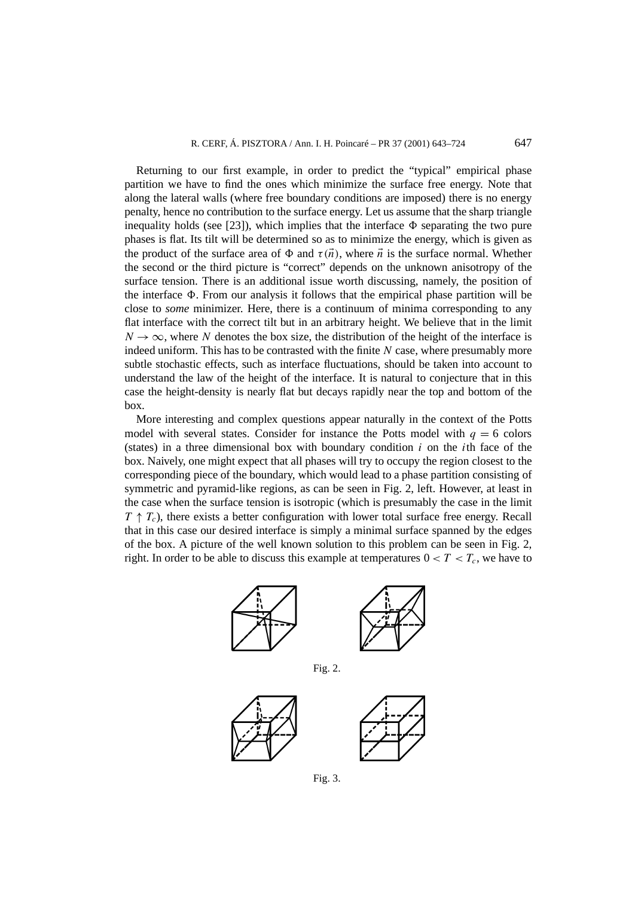Returning to our first example, in order to predict the "typical" empirical phase partition we have to find the ones which minimize the surface free energy. Note that along the lateral walls (where free boundary conditions are imposed) there is no energy penalty, hence no contribution to the surface energy. Let us assume that the sharp triangle inequality holds (see [23]), which implies that the interface  $\Phi$  separating the two pure phases is flat. Its tilt will be determined so as to minimize the energy, which is given as the product of the surface area of  $\Phi$  and  $\tau(\vec{n})$ , where  $\vec{n}$  is the surface normal. Whether the second or the third picture is "correct" depends on the unknown anisotropy of the surface tension. There is an additional issue worth discussing, namely, the position of the interface . From our analysis it follows that the empirical phase partition will be close to *some* minimizer. Here, there is a continuum of minima corresponding to any flat interface with the correct tilt but in an arbitrary height. We believe that in the limit  $N \to \infty$ , where *N* denotes the box size, the distribution of the height of the interface is indeed uniform. This has to be contrasted with the finite *N* case, where presumably more subtle stochastic effects, such as interface fluctuations, should be taken into account to understand the law of the height of the interface. It is natural to conjecture that in this case the height-density is nearly flat but decays rapidly near the top and bottom of the box.

More interesting and complex questions appear naturally in the context of the Potts model with several states. Consider for instance the Potts model with  $q = 6$  colors (states) in a three dimensional box with boundary condition *i* on the *i*th face of the box. Naively, one might expect that all phases will try to occupy the region closest to the corresponding piece of the boundary, which would lead to a phase partition consisting of symmetric and pyramid-like regions, as can be seen in Fig. 2, left. However, at least in the case when the surface tension is isotropic (which is presumably the case in the limit  $T \uparrow T_c$ ), there exists a better configuration with lower total surface free energy. Recall that in this case our desired interface is simply a minimal surface spanned by the edges of the box. A picture of the well known solution to this problem can be seen in Fig. 2, right. In order to be able to discuss this example at temperatures  $0 < T < T_c$ , we have to





Fig. 2.





Fig. 3.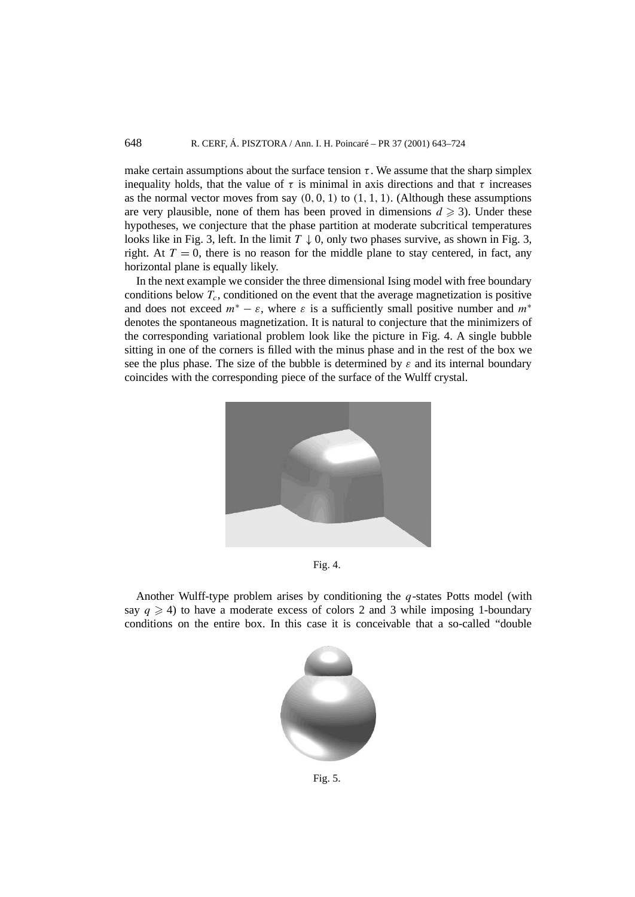make certain assumptions about the surface tension  $\tau$ . We assume that the sharp simplex inequality holds, that the value of  $\tau$  is minimal in axis directions and that  $\tau$  increases as the normal vector moves from say  $(0, 0, 1)$  to  $(1, 1, 1)$ . (Although these assumptions are very plausible, none of them has been proved in dimensions  $d \ge 3$ ). Under these hypotheses, we conjecture that the phase partition at moderate subcritical temperatures looks like in Fig. 3, left. In the limit  $T \downarrow 0$ , only two phases survive, as shown in Fig. 3, right. At  $T = 0$ , there is no reason for the middle plane to stay centered, in fact, any horizontal plane is equally likely.

In the next example we consider the three dimensional Ising model with free boundary conditions below *Tc*, conditioned on the event that the average magnetization is positive and does not exceed  $m^* - \varepsilon$ , where  $\varepsilon$  is a sufficiently small positive number and  $m^*$ denotes the spontaneous magnetization. It is natural to conjecture that the minimizers of the corresponding variational problem look like the picture in Fig. 4. A single bubble sitting in one of the corners is filled with the minus phase and in the rest of the box we see the plus phase. The size of the bubble is determined by  $\varepsilon$  and its internal boundary coincides with the corresponding piece of the surface of the Wulff crystal.



Fig. 4.

Another Wulff-type problem arises by conditioning the *q*-states Potts model (with say  $q \ge 4$ ) to have a moderate excess of colors 2 and 3 while imposing 1-boundary conditions on the entire box. In this case it is conceivable that a so-called "double

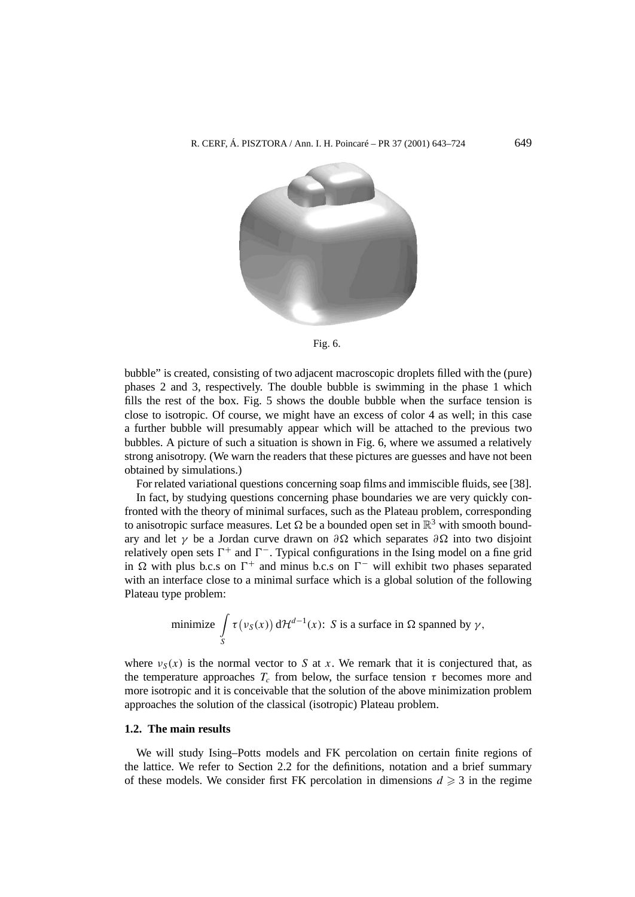



bubble" is created, consisting of two adjacent macroscopic droplets filled with the (pure) phases 2 and 3, respectively. The double bubble is swimming in the phase 1 which fills the rest of the box. Fig. 5 shows the double bubble when the surface tension is close to isotropic. Of course, we might have an excess of color 4 as well; in this case a further bubble will presumably appear which will be attached to the previous two bubbles. A picture of such a situation is shown in Fig. 6, where we assumed a relatively strong anisotropy. (We warn the readers that these pictures are guesses and have not been obtained by simulations.)

For related variational questions concerning soap films and immiscible fluids, see [38].

In fact, by studying questions concerning phase boundaries we are very quickly confronted with the theory of minimal surfaces, such as the Plateau problem, corresponding to anisotropic surface measures. Let  $\Omega$  be a bounded open set in  $\mathbb{R}^3$  with smooth boundary and let *γ* be a Jordan curve drawn on  $\partial \Omega$  which separates  $\partial \Omega$  into two disjoint relatively open sets  $\Gamma^+$  and  $\Gamma^-$ . Typical configurations in the Ising model on a fine grid in  $\Omega$  with plus b.c.s on  $\Gamma^+$  and minus b.c.s on  $\Gamma^-$  will exhibit two phases separated with an interface close to a minimal surface which is a global solution of the following Plateau type problem:

minimize 
$$
\int_{S} \tau(\nu_{S}(x)) d\mathcal{H}^{d-1}(x)
$$
: *S* is a surface in  $\Omega$  spanned by  $\gamma$ ,

where  $v_S(x)$  is the normal vector to *S* at *x*. We remark that it is conjectured that, as the temperature approaches  $T_c$  from below, the surface tension  $\tau$  becomes more and more isotropic and it is conceivable that the solution of the above minimization problem approaches the solution of the classical (isotropic) Plateau problem.

# **1.2. The main results**

We will study Ising–Potts models and FK percolation on certain finite regions of the lattice. We refer to Section 2.2 for the definitions, notation and a brief summary of these models. We consider first FK percolation in dimensions  $d \geq 3$  in the regime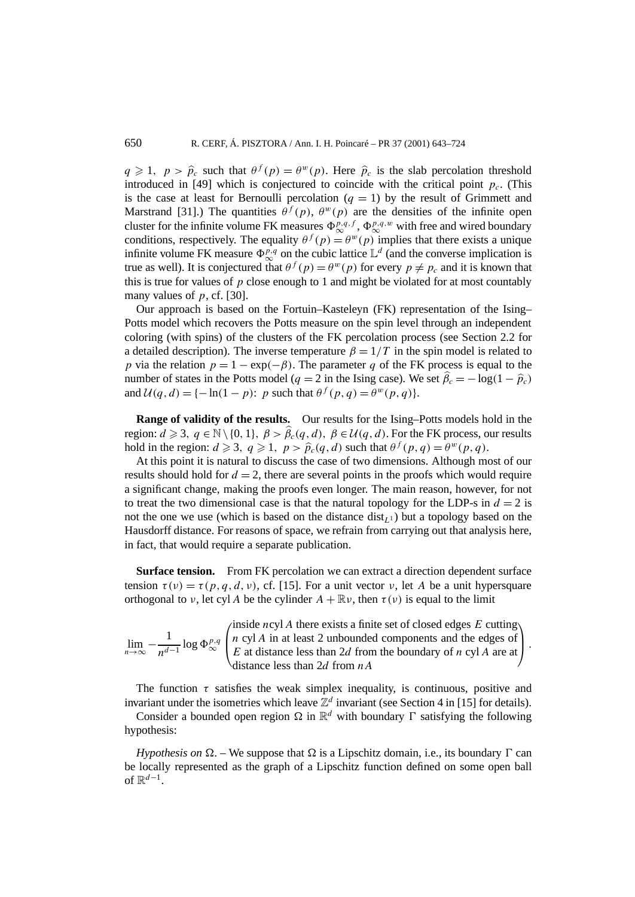$q \ge 1$ ,  $p > \hat{p}_c$  such that  $\theta^f(p) = \theta^w(p)$ . Here  $\hat{p}_c$  is the slab percolation threshold introduced in [49] which is conjectured to coincide with the critical point  $p_c$ . (This is the case at least for Bernoulli percolation  $(q = 1)$  by the result of Grimmett and Marstrand [31].) The quantities  $\theta^f(p)$ ,  $\theta^w(p)$  are the densities of the infinite open cluster for the infinite volume FK measures  $\Phi^{p,q,f}_{\infty}$ ,  $\Phi^{p,q,w}_{\infty}$  with free and wired boundary conditions, respectively. The equality  $\theta^f(p) = \theta^w(p)$  implies that there exists a unique infinite volume FK measure  $\Phi^{p,q}_{\infty}$  on the cubic lattice  $\mathbb{L}^d$  (and the converse implication is true as well). It is conjectured that  $\theta^f(p) = \theta^w(p)$  for every  $p \neq p_c$  and it is known that this is true for values of *p* close enough to 1 and might be violated for at most countably many values of  $p$ , cf. [30].

Our approach is based on the Fortuin–Kasteleyn (FK) representation of the Ising– Potts model which recovers the Potts measure on the spin level through an independent coloring (with spins) of the clusters of the FK percolation process (see Section 2.2 for a detailed description). The inverse temperature  $\beta = 1/T$  in the spin model is related to *p* via the relation  $p = 1 - \exp(-\beta)$ . The parameter *q* of the FK process is equal to the number of states in the Potts model ( $q = 2$  in the Ising case). We set  $\hat{\beta}_c = -\log(1 - \hat{p}_c)$ and  $\mathcal{U}(q, d) = \{-\ln(1 - p) : p \text{ such that } \theta^f(p, q) = \theta^w(p, q)\}.$ 

**Range of validity of the results.** Our results for the Ising–Potts models hold in the region:  $d \ge 3$ ,  $q \in \mathbb{N} \setminus \{0, 1\}$ ,  $\beta > \widehat{\beta}_c(q, d)$ ,  $\beta \in \mathcal{U}(q, d)$ . For the FK process, our results hold in the region:  $d \ge 3$ ,  $q \ge 1$ ,  $p > \hat{p}_c(q, d)$  such that  $\theta^f(p, q) = \theta^w(p, q)$ .

At this point it is natural to discuss the case of two dimensions. Although most of our results should hold for  $d = 2$ , there are several points in the proofs which would require a significant change, making the proofs even longer. The main reason, however, for not to treat the two dimensional case is that the natural topology for the LDP-s in  $d = 2$  is not the one we use (which is based on the distance  $dist_{L_1}$ ) but a topology based on the Hausdorff distance. For reasons of space, we refrain from carrying out that analysis here, in fact, that would require a separate publication.

**Surface tension.** From FK percolation we can extract a direction dependent surface tension  $\tau(\nu) = \tau(p, q, d, \nu)$ , cf. [15]. For a unit vector  $\nu$ , let *A* be a unit hypersquare orthogonal to *ν*, let cyl *A* be the cylinder  $A + \mathbb{R}v$ , then  $\tau(v)$  is equal to the limit

$$
\lim_{n\to\infty} -\frac{1}{n^{d-1}}\log \Phi^{p,q}_{\infty}
$$

inside *n*cyl*A* there exists a finite set of closed edges *E* cutting *n* cyl*A* in at least 2 unbounded components and the edges of *E* at distance less than 2*d* from the boundary of *n* cyl*A* are at distance less than 2*d* from *nA*  $\setminus$ *.*

The function  $\tau$  satisfies the weak simplex inequality, is continuous, positive and invariant under the isometries which leave  $\mathbb{Z}^d$  invariant (see Section 4 in [15] for details).

Consider a bounded open region  $\Omega$  in  $\mathbb{R}^d$  with boundary  $\Gamma$  satisfying the following hypothesis:

*Hypothesis on*  $\Omega$ . – We suppose that  $\Omega$  is a Lipschitz domain, i.e., its boundary  $\Gamma$  can be locally represented as the graph of a Lipschitz function defined on some open ball of R*d*<sup>−</sup>1.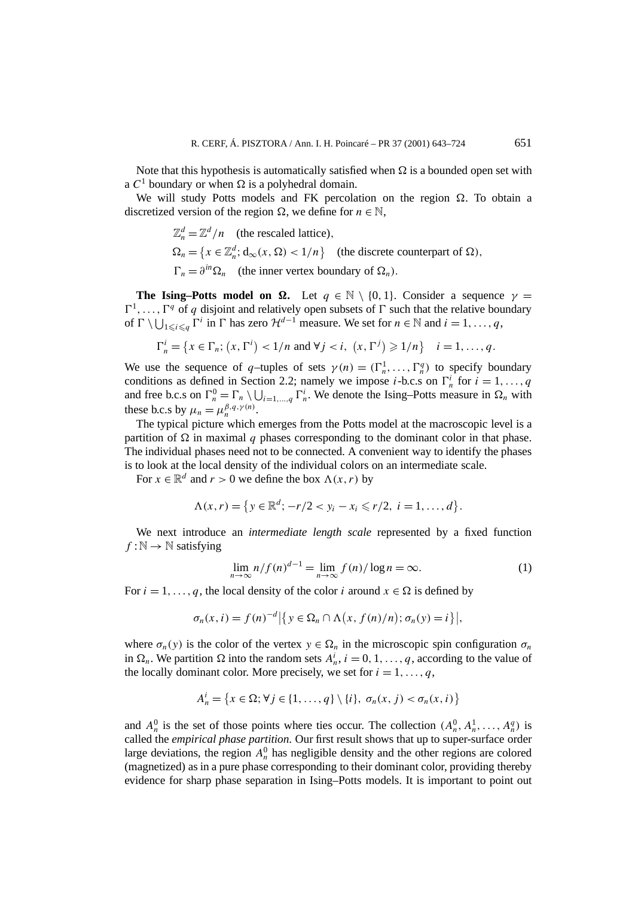Note that this hypothesis is automatically satisfied when  $\Omega$  is a bounded open set with a  $C<sup>1</sup>$  boundary or when  $\Omega$  is a polyhedral domain.

We will study Potts models and FK percolation on the region  $\Omega$ . To obtain a discretized version of the region  $\Omega$ , we define for  $n \in \mathbb{N}$ ,

$$
\mathbb{Z}_n^d = \mathbb{Z}^d / n
$$
 (the rescaled lattice),  
\n
$$
\Omega_n = \{ x \in \mathbb{Z}_n^d; d_\infty(x, \Omega) < 1/n \}
$$
 (the discrete counterpart of  $\Omega$ ),  
\n
$$
\Gamma_n = \partial^{in} \Omega_n
$$
 (the inner vertex boundary of  $\Omega_n$ ).

**The Ising–Potts model on**  $\Omega$ **.** Let  $q \in \mathbb{N} \setminus \{0, 1\}$ . Consider a sequence  $\gamma =$  $\Gamma^1, \ldots, \Gamma^q$  of *q* disjoint and relatively open subsets of  $\Gamma$  such that the relative boundary of  $\Gamma \setminus \bigcup_{1 \leq i \leq q} \Gamma^i$  in  $\Gamma$  has zero  $\mathcal{H}^{d-1}$  measure. We set for *n* ∈ N and *i* = 1, ..., *q*,

$$
\Gamma_n^i = \left\{ x \in \Gamma_n; \left( x, \Gamma^i \right) < 1/n \text{ and } \forall j < i, \left( x, \Gamma^j \right) \geqslant 1/n \right\} \quad i = 1, \dots, q.
$$

We use the sequence of *q*-tuples of sets  $\gamma(n) = (\Gamma_n^1, \dots, \Gamma_n^q)$  to specify boundary conditions as defined in Section 2.2; namely we impose *i*-b.c.s on  $\Gamma_n^i$  for  $i = 1, ..., q$ and free b.c.s on  $\Gamma_n^0 = \Gamma_n \setminus \bigcup_{i=1,\dots,q} \Gamma_n^i$ . We denote the Ising–Potts measure in  $\Omega_n$  with these b.c.s by  $\mu_n = \mu_n^{\beta, q, \gamma(n)}$ .

The typical picture which emerges from the Potts model at the macroscopic level is a partition of  $\Omega$  in maximal *q* phases corresponding to the dominant color in that phase. The individual phases need not to be connected. A convenient way to identify the phases is to look at the local density of the individual colors on an intermediate scale.

For  $x \in \mathbb{R}^d$  and  $r > 0$  we define the box  $\Lambda(x, r)$  by

$$
\Lambda(x,r) = \{ y \in \mathbb{R}^d; -r/2 < y_i - x_i \leq r/2, i = 1, ..., d \}.
$$

We next introduce an *intermediate length scale* represented by a fixed function  $f : \mathbb{N} \to \mathbb{N}$  satisfying

$$
\lim_{n \to \infty} n/f(n)^{d-1} = \lim_{n \to \infty} f(n)/\log n = \infty.
$$
 (1)

For  $i = 1, \ldots, q$ , the local density of the color  $i$  around  $x \in \Omega$  is defined by

$$
\sigma_n(x, i) = f(n)^{-d} \big| \big\{ y \in \Omega_n \cap \Lambda(x, f(n)/n); \sigma_n(y) = i \big\} \big|,
$$

where  $\sigma_n(y)$  is the color of the vertex  $y \in \Omega_n$  in the microscopic spin configuration  $\sigma_n$ in  $\Omega_n$ . We partition  $\Omega$  into the random sets  $A_n^i$ ,  $i = 0, 1, ..., q$ , according to the value of the locally dominant color. More precisely, we set for  $i = 1, \ldots, q$ ,

$$
A_n^i = \{x \in \Omega; \forall j \in \{1, \ldots, q\} \setminus \{i\}, \sigma_n(x, j) < \sigma_n(x, i)\}
$$

and  $A_n^0$  is the set of those points where ties occur. The collection  $(A_n^0, A_n^1, \ldots, A_n^q)$  is called the *empirical phase partition*. Our first result shows that up to super-surface order large deviations, the region  $A_n^0$  has negligible density and the other regions are colored (magnetized) as in a pure phase corresponding to their dominant color, providing thereby evidence for sharp phase separation in Ising–Potts models. It is important to point out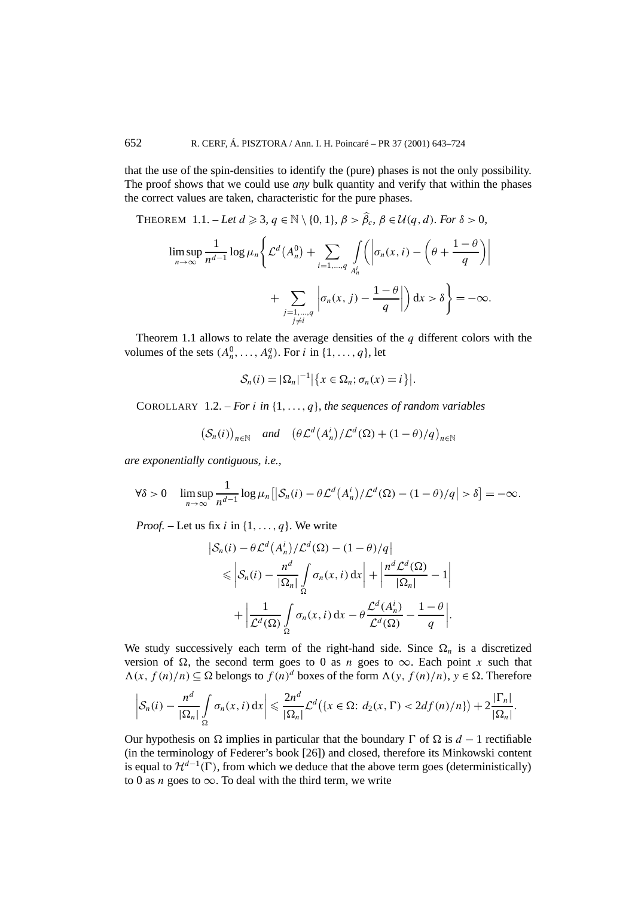that the use of the spin-densities to identify the (pure) phases is not the only possibility. The proof shows that we could use *any* bulk quantity and verify that within the phases the correct values are taken, characteristic for the pure phases.

THEOREM  $1.1.$  – Let  $d \geq 3$ ,  $q \in \mathbb{N} \setminus \{0, 1\}$ ,  $\beta > \widehat{\beta}_c$ ,  $\beta \in \mathcal{U}(q, d)$ *. For*  $\delta > 0$ ,

$$
\limsup_{n \to \infty} \frac{1}{n^{d-1}} \log \mu_n \left\{ \mathcal{L}^d(A_n^0) + \sum_{i=1,\dots,q} \int_{A_n^i} \left( \left| \sigma_n(x,i) - \left( \theta + \frac{1-\theta}{q} \right) \right| + \sum_{\substack{j=1,\dots,q \\ j \neq i}} \left| \sigma_n(x,j) - \frac{1-\theta}{q} \right| \right) dx > \delta \right\} = -\infty.
$$

Theorem 1.1 allows to relate the average densities of the *q* different colors with the volumes of the sets  $(A_n^0, \ldots, A_n^q)$ . For *i* in  $\{1, \ldots, q\}$ , let

$$
\mathcal{S}_n(i) = |\Omega_n|^{-1} \big| \big\{ x \in \Omega_n; \sigma_n(x) = i \big\} \big|.
$$

COROLLARY 1.2. – *For i in* {1*,...,q*}*, the sequences of random variables*

 $\left(\mathcal{S}_n(i)\right)_{n \in \mathbb{N}}$  and  $\left(\theta \mathcal{L}^d(A_n^i)/\mathcal{L}^d(\Omega) + (1-\theta)/q\right)_{n \in \mathbb{N}}$ 

*are exponentially contiguous, i.e.,*

$$
\forall \delta > 0 \quad \limsup_{n \to \infty} \frac{1}{n^{d-1}} \log \mu_n \left[ \left| \mathcal{S}_n(i) - \theta \mathcal{L}^d(A_n^i) / \mathcal{L}^d(\Omega) - (1 - \theta)/q \right| > \delta \right] = -\infty.
$$

*Proof. –* Let us fix *i* in {1*,...,q*}. We write

$$
\begin{split} \left| \mathcal{S}_n(i) - \theta \mathcal{L}^d \left( A_n^i \right) / \mathcal{L}^d(\Omega) - (1 - \theta) / q \right| \\ &\leqslant \left| \mathcal{S}_n(i) - \frac{n^d}{|\Omega_n|} \int_{\Omega} \sigma_n(x, i) \, dx \right| + \left| \frac{n^d \mathcal{L}^d(\Omega)}{|\Omega_n|} - 1 \right| \\ &+ \left| \frac{1}{\mathcal{L}^d(\Omega)} \int_{\Omega} \sigma_n(x, i) \, dx - \theta \frac{\mathcal{L}^d(A_n^i)}{\mathcal{L}^d(\Omega)} - \frac{1 - \theta}{q} \right|. \end{split}
$$

We study successively each term of the right-hand side. Since  $\Omega_n$  is a discretized version of  $\Omega$ , the second term goes to 0 as *n* goes to  $\infty$ . Each point *x* such that  $\Lambda(x, f(n)/n)$  ⊂ Ω belongs to  $f(n)^d$  boxes of the form  $\Lambda(y, f(n)/n)$ ,  $y \in \Omega$ . Therefore

$$
\left|\mathcal{S}_n(i)-\frac{n^d}{|\Omega_n|}\int\limits_{\Omega}\sigma_n(x,i)\,dx\right|\leqslant\frac{2n^d}{|\Omega_n|}\mathcal{L}^d\big(\{x\in\Omega\colon d_2(x,\Gamma)<2df(n)/n\}\big)+2\frac{|\Gamma_n|}{|\Omega_n|}.
$$

Our hypothesis on  $\Omega$  implies in particular that the boundary  $\Gamma$  of  $\Omega$  is *d* − 1 rectifiable (in the terminology of Federer's book [26]) and closed, therefore its Minkowski content is equal to  $\mathcal{H}^{d-1}(\Gamma)$ , from which we deduce that the above term goes (deterministically) to 0 as *n* goes to  $\infty$ . To deal with the third term, we write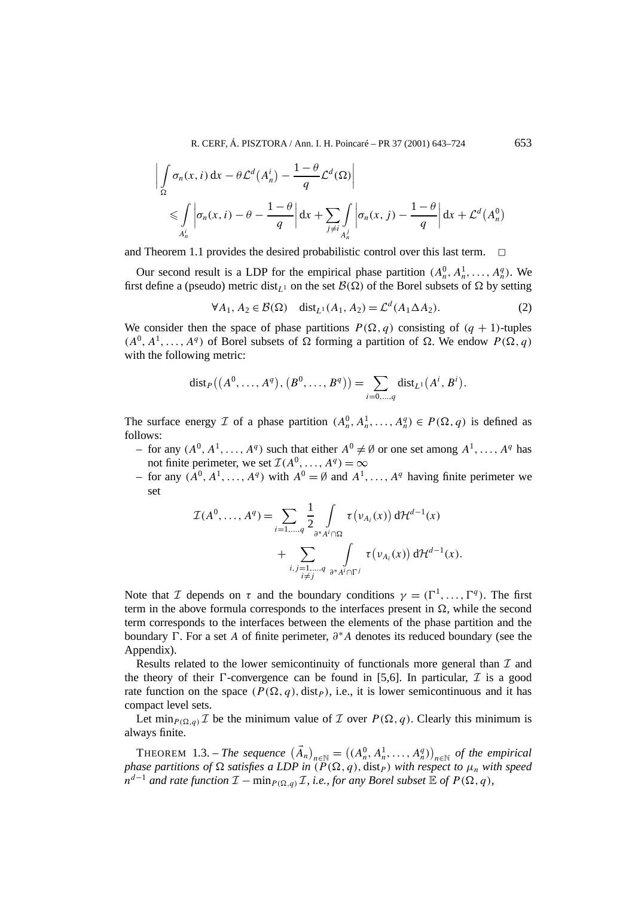R. CERF, Á. PISZTORA / Ann. I. H. Poincaré – PR 37 (2001) 643–724 653

$$
\left| \int_{\Omega} \sigma_n(x, i) dx - \theta \mathcal{L}^d(A_n^i) - \frac{1 - \theta}{q} \mathcal{L}^d(\Omega) \right|
$$
  
\$\leqslant \int\_{A\_n^i} \left| \sigma\_n(x, i) - \theta - \frac{1 - \theta}{q} \right| dx + \sum\_{j \neq i} \int\_{A\_n^j} \left| \sigma\_n(x, j) - \frac{1 - \theta}{q} \right| dx + \mathcal{L}^d(A\_n^0)\$

and Theorem 1.1 provides the desired probabilistic control over this last term.  $\Box$ 

Our second result is a LDP for the empirical phase partition  $(A_n^0, A_n^1, \ldots, A_n^q)$ . We first define a (pseudo) metric dist<sub>*L*1</sub> on the set  $\mathcal{B}(\Omega)$  of the Borel subsets of  $\Omega$  by setting

$$
\forall A_1, A_2 \in \mathcal{B}(\Omega) \quad \text{dist}_{L^1}(A_1, A_2) = \mathcal{L}^d(A_1 \Delta A_2). \tag{2}
$$

We consider then the space of phase partitions  $P(\Omega, q)$  consisting of  $(q + 1)$ -tuples  $(A^0, A^1, \ldots, A^q)$  of Borel subsets of  $\Omega$  forming a partition of  $\Omega$ . We endow  $P(\Omega, q)$ with the following metric:

$$
dist_{P}((A^{0},...,A^{q}),(B^{0},...,B^{q})) = \sum_{i=0,...,q} dist_{L^{1}}(A^{i}, B^{i}).
$$

The surface energy  $\mathcal I$  of a phase partition  $(A_n^0, A_n^1, \ldots, A_n^q) \in P(\Omega, q)$  is defined as follows:

- for any  $(A^0, A^1, \ldots, A^q)$  such that either  $A^0 \neq \emptyset$  or one set among  $A^1, \ldots, A^q$  has not finite perimeter, we set  $\mathcal{I}(A^0, \ldots, A^q) = \infty$
- for any  $(A^0, A^1, \ldots, A^q)$  with  $A^0 = \emptyset$  and  $A^1, \ldots, A^q$  having finite perimeter we set

$$
\mathcal{I}(A^0, \ldots, A^q) = \sum_{i=1,\ldots,q} \frac{1}{2} \int_{\partial^* A^i \cap \Omega} \tau(\nu_{A_i}(x)) d\mathcal{H}^{d-1}(x) \n+ \sum_{\substack{i,j=1,\ldots,q \\ i \neq j}} \int_{\partial^* A^i \cap \Gamma^j} \tau(\nu_{A_i}(x)) d\mathcal{H}^{d-1}(x).
$$

Note that *I* depends on  $\tau$  and the boundary conditions  $\gamma = (\Gamma^1, \dots, \Gamma^q)$ . The first term in the above formula corresponds to the interfaces present in  $\Omega$ , while the second term corresponds to the interfaces between the elements of the phase partition and the boundary . For a set *A* of finite perimeter, *∂*<sup>∗</sup>*A* denotes its reduced boundary (see the Appendix).

Results related to the lower semicontinuity of functionals more general than  $\mathcal I$  and the theory of their  $\Gamma$ -convergence can be found in [5,6]. In particular,  $\mathcal I$  is a good rate function on the space  $(P(\Omega, q), \text{dist}_P)$ , i.e., it is lower semicontinuous and it has compact level sets.

Let min<sub>*P*( $\Omega$ ,*a*)</sub> *I* be the minimum value of *I* over *P*( $\Omega$ ,*q*). Clearly this minimum is always finite.

THEOREM 1.3. – *The sequence*  $(\vec{A}_n)_{n \in \mathbb{N}} = ((A_n^0, A_n^1, \ldots, A_n^q))_{n \in \mathbb{N}}$  of the empirical *phase partitions of*  $\Omega$  *satisfies a LDP in*  $(\overline{P}(\Omega, q), \text{dist}_P)$  *with respect to*  $\mu_n$  *with speed n*<sup>*d*−1</sup> *and rate function*  $\mathcal{I}$  − min<sub>*P*( $\Omega$ ,*q*)</sub> $\mathcal{I}$ *, i.e., for any Borel subset*  $\mathbb{E}$  *of*  $P(\Omega, q)$ *,*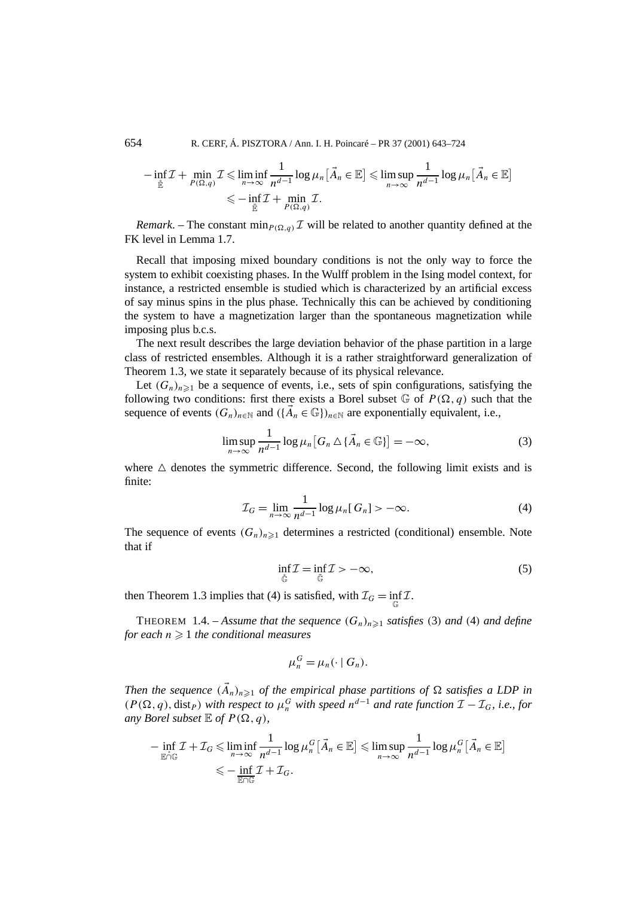654 R. CERF, Á. PISZTORA / Ann. I. H. Poincaré – PR 37 (2001) 643–724

$$
-\inf_{\mathbb{E}} \mathcal{I} + \min_{P(\Omega,q)} \mathcal{I} \leq \liminf_{n \to \infty} \frac{1}{n^{d-1}} \log \mu_n \left[ \vec{A}_n \in \mathbb{E} \right] \leq \limsup_{n \to \infty} \frac{1}{n^{d-1}} \log \mu_n \left[ \vec{A}_n \in \mathbb{E} \right]
$$
  

$$
\leq -\inf_{\mathbb{E}} \mathcal{I} + \min_{P(\Omega,q)} \mathcal{I}.
$$

*Remark*. – The constant  $\min_{P(\Omega, q)} \mathcal{I}$  will be related to another quantity defined at the FK level in Lemma 1.7.

Recall that imposing mixed boundary conditions is not the only way to force the system to exhibit coexisting phases. In the Wulff problem in the Ising model context, for instance, a restricted ensemble is studied which is characterized by an artificial excess of say minus spins in the plus phase. Technically this can be achieved by conditioning the system to have a magnetization larger than the spontaneous magnetization while imposing plus b.c.s.

The next result describes the large deviation behavior of the phase partition in a large class of restricted ensembles. Although it is a rather straightforward generalization of Theorem 1.3, we state it separately because of its physical relevance.

Let  $(G_n)_{n\geq 1}$  be a sequence of events, i.e., sets of spin configurations, satisfying the following two conditions: first there exists a Borel subset  $\mathbb{G}$  of  $P(\Omega, q)$  such that the sequence of events  $(G_n)_{n\in\mathbb{N}}$  and  $(\{A_n \in \mathbb{G}\})_{n\in\mathbb{N}}$  are exponentially equivalent, i.e.,

$$
\limsup_{n \to \infty} \frac{1}{n^{d-1}} \log \mu_n \big[ G_n \, \Delta \{ \vec{A}_n \in \mathbb{G} \} \big] = -\infty, \tag{3}
$$

where  $\triangle$  denotes the symmetric difference. Second, the following limit exists and is finite:

$$
\mathcal{I}_G = \lim_{n \to \infty} \frac{1}{n^{d-1}} \log \mu_n[G_n] > -\infty.
$$
 (4)

The sequence of events  $(G_n)_{n\geq 1}$  determines a restricted (conditional) ensemble. Note that if

$$
\inf_{\hat{\mathbb{G}}} \mathcal{I} = \inf_{\bar{\mathbb{G}}} \mathcal{I} > -\infty,\tag{5}
$$

then Theorem 1.3 implies that (4) is satisfied, with  $\mathcal{I}_G = \inf_G \mathcal{I}$ .

**THEOREM** 1.4. – Assume that the sequence  $(G_n)_{n\geq 1}$  satisfies (3) and (4) and define *for each*  $n \geq 1$  *the conditional measures* 

$$
\mu_n^G = \mu_n(\cdot \mid G_n).
$$

Then the sequence  $(\vec{A}_n)_{n\geqslant 1}$  of the empirical phase partitions of  $\Omega$  satisfies a LDP in  $(P(\Omega, q), \text{dist}_P)$  *with respect to*  $\mu_n^G$  *with speed*  $n^{d-1}$  *and rate function*  $\mathcal{I} - \mathcal{I}_G$ *, i.e., for any Borel subset*  $E$  *of*  $P(\Omega, q)$ *,* 

$$
-\inf_{\mathbb{E}\cap\mathbb{G}}\mathcal{I}+\mathcal{I}_G\leqslant \liminf_{n\to\infty}\frac{1}{n^{d-1}}\log\mu_n^G\left[\vec{A}_n\in\mathbb{E}\right]\leqslant \limsup_{n\to\infty}\frac{1}{n^{d-1}}\log\mu_n^G\left[\vec{A}_n\in\mathbb{E}\right]
$$

$$
\leqslant -\inf_{\mathbb{E}\cap\mathbb{G}}\mathcal{I}+\mathcal{I}_G.
$$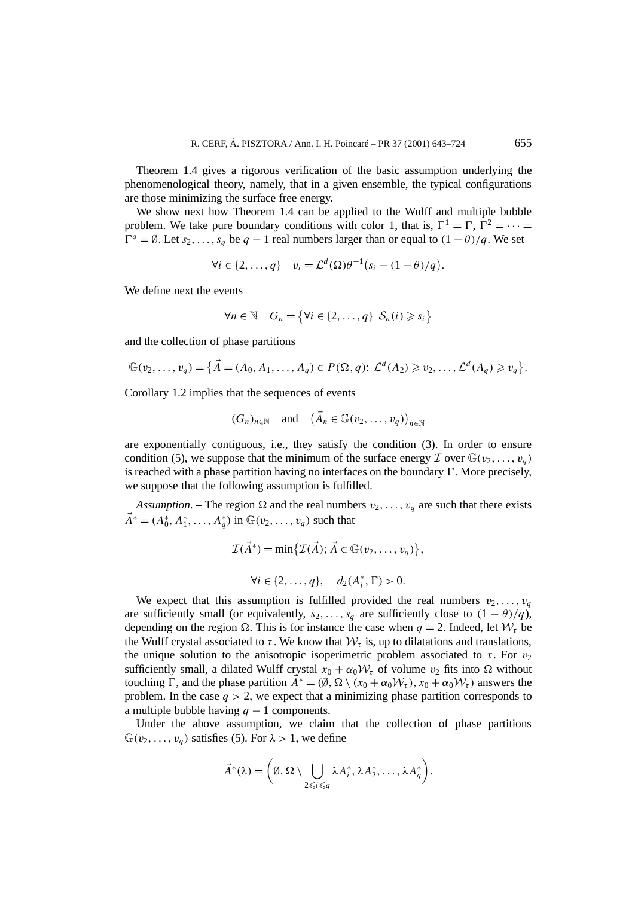Theorem 1.4 gives a rigorous verification of the basic assumption underlying the phenomenological theory, namely, that in a given ensemble, the typical configurations are those minimizing the surface free energy.

We show next how Theorem 1.4 can be applied to the Wulff and multiple bubble problem. We take pure boundary conditions with color 1, that is,  $\Gamma^1 = \Gamma$ ,  $\Gamma^2 = \cdots =$  $\Gamma$ <sup>*q*</sup> = Ø. Let *s*<sub>2</sub>,...,*s<sub>a</sub>* be *q* − 1 real numbers larger than or equal to  $(1 - \theta)/q$ . We set

$$
\forall i \in \{2,\ldots,q\} \quad v_i = \mathcal{L}^d(\Omega) \theta^{-1} (s_i - (1-\theta)/q).
$$

We define next the events

$$
\forall n \in \mathbb{N} \quad G_n = \{ \forall i \in \{2, \ldots, q\} \; S_n(i) \geq s_i \}
$$

and the collection of phase partitions

$$
\mathbb{G}(v_2, ..., v_q) = \{ \vec{A} = (A_0, A_1, ..., A_q) \in P(\Omega, q): \mathcal{L}^d(A_2) \geq v_2, ..., \mathcal{L}^d(A_q) \geq v_q \}.
$$

Corollary 1.2 implies that the sequences of events

$$
(G_n)_{n \in \mathbb{N}}
$$
 and  $(\vec{A}_n \in \mathbb{G}(v_2, \ldots, v_q))_{n \in \mathbb{N}}$ 

are exponentially contiguous, i.e., they satisfy the condition (3). In order to ensure condition (5), we suppose that the minimum of the surface energy  $\mathcal{I}$  over  $\mathbb{G}(v_2, \ldots, v_a)$ is reached with a phase partition having no interfaces on the boundary  $\Gamma$ . More precisely, we suppose that the following assumption is fulfilled.

*Assumption.* – The region  $\Omega$  and the real numbers  $v_2, \ldots, v_q$  are such that there exists  $\vec{A}^* = (A_0^*, A_1^*, \ldots, A_q^*)$  in  $\mathbb{G}(v_2, \ldots, v_q)$  such that

$$
\mathcal{I}(\vec{A}^*) = \min\{\mathcal{I}(\vec{A}); \vec{A} \in \mathbb{G}(v_2, \ldots, v_q)\},\
$$

$$
\forall i \in \{2,\ldots,q\}, \quad d_2(A_i^*,\Gamma) > 0.
$$

We expect that this assumption is fulfilled provided the real numbers  $v_2, \ldots, v_q$ are sufficiently small (or equivalently,  $s_2, \ldots, s_q$  are sufficiently close to  $(1 - \theta)/q$ ), depending on the region  $\Omega$ . This is for instance the case when  $q = 2$ . Indeed, let  $\mathcal{W}_{\tau}$  be the Wulff crystal associated to  $\tau$ . We know that  $W_{\tau}$  is, up to dilatations and translations, the unique solution to the anisotropic isoperimetric problem associated to  $\tau$ . For  $v_2$ sufficiently small, a dilated Wulff crystal  $x_0 + \alpha_0 \mathcal{W}_\tau$  of volume  $v_2$  fits into  $\Omega$  without touching  $\Gamma$ , and the phase partition  $\vec{A}^* = (\emptyset, \Omega \setminus (x_0 + \alpha_0 \mathcal{W}_\tau), x_0 + \alpha_0 \mathcal{W}_\tau)$  answers the problem. In the case  $q > 2$ , we expect that a minimizing phase partition corresponds to a multiple bubble having *q* − 1 components.

Under the above assumption, we claim that the collection of phase partitions  $\mathbb{G}(v_2,\ldots,v_q)$  satisfies (5). For  $\lambda > 1$ , we define

$$
\vec{A}^*(\lambda) = \left(\emptyset, \Omega \setminus \bigcup_{2 \leq i \leq q} \lambda A_i^*, \lambda A_2^*, \ldots, \lambda A_q^*\right).
$$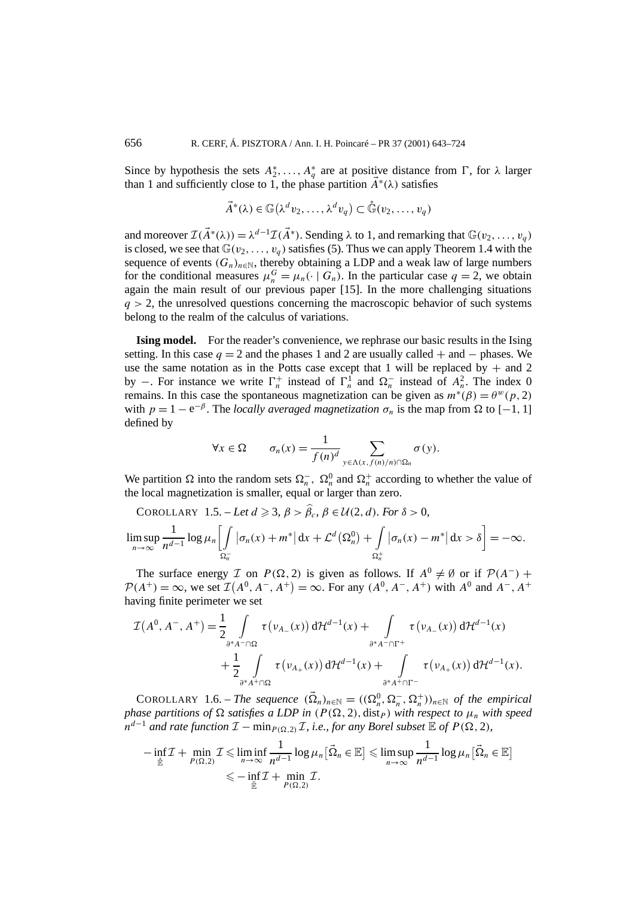Since by hypothesis the sets  $A_2^*, \ldots, A_q^*$  are at positive distance from  $\Gamma$ , for  $\lambda$  larger than 1 and sufficiently close to 1, the phase partition  $A^*(\lambda)$  satisfies

$$
\vec{A}^*(\lambda) \in \mathbb{G}(\lambda^d v_2, \dots, \lambda^d v_q) \subset \mathring{\mathbb{G}}(v_2, \dots, v_q)
$$

and moreover  $\mathcal{I}(\vec{A}^*(\lambda)) = \lambda^{d-1}\mathcal{I}(\vec{A}^*)$ . Sending  $\lambda$  to 1, and remarking that  $\mathbb{G}(v_2, \ldots, v_q)$ is closed, we see that  $\mathbb{G}(v_2,\ldots,v_q)$  satisfies (5). Thus we can apply Theorem 1.4 with the sequence of events  $(G_n)_{n\in\mathbb{N}}$ , thereby obtaining a LDP and a weak law of large numbers for the conditional measures  $\mu_n^G = \mu_n(\cdot \mid G_n)$ . In the particular case  $q = 2$ , we obtain again the main result of our previous paper [15]. In the more challenging situations  $q > 2$ , the unresolved questions concerning the macroscopic behavior of such systems belong to the realm of the calculus of variations.

**Ising model.** For the reader's convenience, we rephrase our basic results in the Ising setting. In this case  $q = 2$  and the phases 1 and 2 are usually called  $+$  and  $-$  phases. We use the same notation as in the Potts case except that  $1$  will be replaced by  $+$  and  $2$ by –. For instance we write  $\Gamma_n^+$  instead of  $\Gamma_n^1$  and  $\Omega_n^-$  instead of  $A_n^2$ . The index 0 remains. In this case the spontaneous magnetization can be given as  $m^*(\beta) = \theta^w(p, 2)$ with  $p = 1 - e^{-\beta}$ . The *locally averaged magnetization*  $\sigma_n$  is the map from  $\Omega$  to [-1, 1] defined by

$$
\forall x \in \Omega \qquad \sigma_n(x) = \frac{1}{f(n)^d} \sum_{y \in \Lambda(x, f(n)/n) \cap \Omega_n} \sigma(y).
$$

We partition  $\Omega$  into the random sets  $\Omega_n^-$ ,  $\Omega_n^0$  and  $\Omega_n^+$  according to whether the value of the local magnetization is smaller, equal or larger than zero.

COROLLARY 1.5. – Let 
$$
d \ge 3
$$
,  $\beta > \hat{\beta}_c$ ,  $\beta \in \mathcal{U}(2, d)$ . For  $\delta > 0$ ,  
\n
$$
\limsup_{n \to \infty} \frac{1}{n^{d-1}} \log \mu_n \left[ \int_{\Omega_n} |\sigma_n(x) + m^*| \, dx + \mathcal{L}^d(\Omega_n^0) + \int_{\Omega_n^+} |\sigma_n(x) - m^*| \, dx > \delta \right] = -\infty.
$$

The surface energy  $\mathcal I$  on  $P(\Omega, 2)$  is given as follows. If  $A^0 \neq \emptyset$  or if  $\mathcal P(A^-)$  +  $P(A^+) = \infty$ , we set  $\mathcal{I}(A^0, A^-, A^+) = \infty$ . For any  $(A^0, A^-, A^+)$  with  $A^0$  and  $A^-, A^+$ having finite perimeter we set

$$
\mathcal{I}(A^{0}, A^{-}, A^{+}) = \frac{1}{2} \int_{\partial^{*} A^{-} \cap \Omega} \tau(\nu_{A_{-}}(x)) d\mathcal{H}^{d-1}(x) + \int_{\partial^{*} A^{-} \cap \Gamma^{+}} \tau(\nu_{A_{-}}(x)) d\mathcal{H}^{d-1}(x) + \frac{1}{2} \int_{\partial^{*} A^{+} \cap \Omega} \tau(\nu_{A_{+}}(x)) d\mathcal{H}^{d-1}(x) + \int_{\partial^{*} A^{+} \cap \Gamma^{-}} \tau(\nu_{A_{+}}(x)) d\mathcal{H}^{d-1}(x).
$$

COROLLARY 1.6. – *The sequence*  $(\vec{\Omega}_n)_{n \in \mathbb{N}} = ((\Omega_n^0, \Omega_n^-, \Omega_n^+))_{n \in \mathbb{N}}$  of the empirical *phase partitions of*  $\Omega$  *satisfies a LDP in*  $(P(\Omega, 2), \text{dist}_P)$  *with respect to*  $\mu_n$  *with speed*  $n^{d-1}$  *and rate function*  $\mathcal{I} - \min_{P(\Omega, 2)} \mathcal{I}$ *, i.e., for any Borel subset*  $\mathbb{E}$  *of*  $P(\Omega, 2)$ *,* 

$$
-\inf_{\mathbb{E}} \mathcal{I} + \min_{P(\Omega,2)} \mathcal{I} \leq \liminf_{n \to \infty} \frac{1}{n^{d-1}} \log \mu_n \left[ \vec{\Omega}_n \in \mathbb{E} \right] \leq \limsup_{n \to \infty} \frac{1}{n^{d-1}} \log \mu_n \left[ \vec{\Omega}_n \in \mathbb{E} \right]
$$
  

$$
\leq -\inf_{\mathbb{E}} \mathcal{I} + \min_{P(\Omega,2)} \mathcal{I}.
$$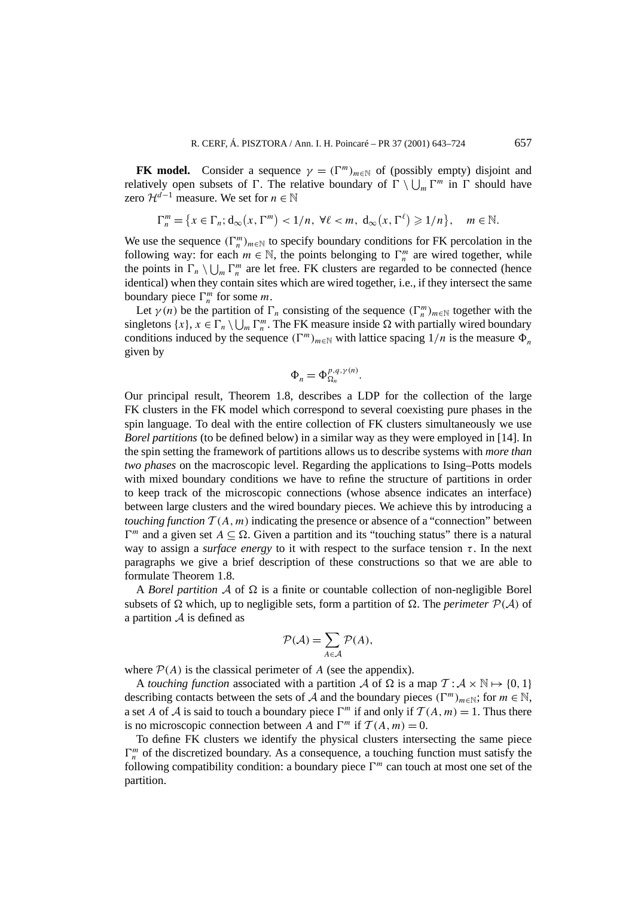**FK model.** Consider a sequence  $\gamma = (\Gamma^m)_{m \in \mathbb{N}}$  of (possibly empty) disjoint and relatively open subsets of  $\Gamma$ . The relative boundary of  $\Gamma \setminus \bigcup_m \Gamma^m$  in  $\Gamma$  should have zero  $\mathcal{H}^{d-1}$  measure. We set for  $n \in \mathbb{N}$ 

$$
\Gamma_n^m = \{ x \in \Gamma_n; d_\infty(x, \Gamma^m) < 1/n, \ \forall \ell < m, \ d_\infty(x, \Gamma^\ell) \geqslant 1/n \}, \quad m \in \mathbb{N}.
$$

We use the sequence  $(\Gamma_n^m)_{m \in \mathbb{N}}$  to specify boundary conditions for FK percolation in the following way: for each  $m \in \mathbb{N}$ , the points belonging to  $\Gamma_n^m$  are wired together, while the points in  $\Gamma_n \setminus \bigcup_m \Gamma_m^m$  are let free. FK clusters are regarded to be connected (hence identical) when they contain sites which are wired together, i.e., if they intersect the same boundary piece  $\Gamma_n^m$  for some *m*.

Let  $\gamma(n)$  be the partition of  $\Gamma_n$  consisting of the sequence  $(\Gamma_n^m)_{m \in \mathbb{N}}$  together with the singletons  $\{x\}$ ,  $x \in \Gamma_n \setminus \bigcup_m \Gamma_m^m$ . The FK measure inside  $\Omega$  with partially wired boundary conditions induced by the sequence  $(\Gamma^m)_{m \in \mathbb{N}}$  with lattice spacing  $1/n$  is the measure  $\Phi_n$ given by

$$
\Phi_n = \Phi_{\Omega_n}^{p,q,\gamma(n)}.
$$

Our principal result, Theorem 1.8, describes a LDP for the collection of the large FK clusters in the FK model which correspond to several coexisting pure phases in the spin language. To deal with the entire collection of FK clusters simultaneously we use *Borel partitions* (to be defined below) in a similar way as they were employed in [14]. In the spin setting the framework of partitions allows us to describe systems with *more than two phases* on the macroscopic level. Regarding the applications to Ising–Potts models with mixed boundary conditions we have to refine the structure of partitions in order to keep track of the microscopic connections (whose absence indicates an interface) between large clusters and the wired boundary pieces. We achieve this by introducing a *touching function*  $T(A, m)$  indicating the presence or absence of a "connection" between  $\Gamma^m$  and a given set  $A \subseteq \Omega$ . Given a partition and its "touching status" there is a natural way to assign a *surface energy* to it with respect to the surface tension  $\tau$ . In the next paragraphs we give a brief description of these constructions so that we are able to formulate Theorem 1.8.

A *Borel partition*  $\mathcal A$  of  $\Omega$  is a finite or countable collection of non-negligible Borel subsets of  $\Omega$  which, up to negligible sets, form a partition of  $\Omega$ . The *perimeter*  $\mathcal{P}(\mathcal{A})$  of a partition  $A$  is defined as

$$
\mathcal{P}(\mathcal{A}) = \sum_{A \in \mathcal{A}} \mathcal{P}(A),
$$

where  $P(A)$  is the classical perimeter of  $A$  (see the appendix).

A *touching function* associated with a partition A of  $\Omega$  is a map  $T : A \times \mathbb{N} \mapsto \{0, 1\}$ describing contacts between the sets of A and the boundary pieces  $(\Gamma^m)_{m \in \mathbb{N}}$ ; for  $m \in \mathbb{N}$ , a set *A* of *A* is said to touch a boundary piece  $\Gamma^m$  if and only if  $\mathcal{T}(A, m) = 1$ . Thus there is no microscopic connection between *A* and  $\Gamma^m$  if  $\mathcal{T}(A, m) = 0$ .

To define FK clusters we identify the physical clusters intersecting the same piece  $\Gamma_n^m$  of the discretized boundary. As a consequence, a touching function must satisfy the following compatibility condition: a boundary piece  $\Gamma^m$  can touch at most one set of the partition.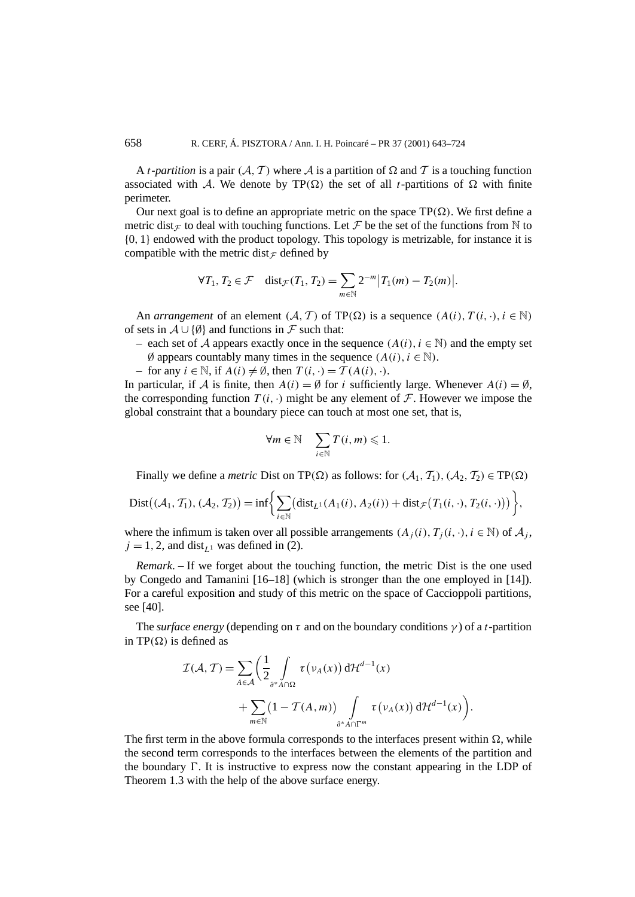A *t*-partition is a pair  $(A, T)$  where A is a partition of  $\Omega$  and T is a touching function associated with A. We denote by TP( $\Omega$ ) the set of all *t*-partitions of  $\Omega$  with finite perimeter.

Our next goal is to define an appropriate metric on the space  $TP(\Omega)$ . We first define a metric dist<sub>F</sub> to deal with touching functions. Let F be the set of the functions from N to {0*,* 1} endowed with the product topology. This topology is metrizable, for instance it is compatible with the metric dist  $\epsilon$  defined by

$$
\forall T_1, T_2 \in \mathcal{F} \quad \text{dist}_{\mathcal{F}}(T_1, T_2) = \sum_{m \in \mathbb{N}} 2^{-m} |T_1(m) - T_2(m)|.
$$

An *arrangement* of an element  $(A, T)$  of TP $(\Omega)$  is a sequence  $(A(i), T(i, \cdot), i \in \mathbb{N})$ of sets in  $\mathcal{A} \cup {\emptyset}$  and functions in  $\mathcal{F}$  such that:

– each set of A appears exactly once in the sequence  $(A(i), i \in \mathbb{N})$  and the empty set

- $\emptyset$  appears countably many times in the sequence *(A(i), i* ∈ <sup>N</sup>).
- for any *i* ∈  $\mathbb N$ , if *A(i)*  $\neq \emptyset$ , then *T(i, ·)* = *T(A(i), ·).*

In particular, if A is finite, then  $A(i) = \emptyset$  for *i* sufficiently large. Whenever  $A(i) = \emptyset$ , the corresponding function  $T(i, \cdot)$  might be any element of  $\mathcal F$ . However we impose the global constraint that a boundary piece can touch at most one set, that is,

$$
\forall m \in \mathbb{N} \quad \sum_{i \in \mathbb{N}} T(i, m) \leq 1.
$$

Finally we define a *metric* Dist on TP( $\Omega$ ) as follows: for  $(A_1, T_1)$ ,  $(A_2, T_2) \in TP(\Omega)$ 

$$
Dist((\mathcal{A}_1, \mathcal{T}_1), (\mathcal{A}_2, \mathcal{T}_2)) = inf \bigg\{ \sum_{i \in \mathbb{N}} (dist_{L^1}(A_1(i), A_2(i)) + dist_{\mathcal{F}}(T_1(i, \cdot), T_2(i, \cdot))) \bigg\},
$$

where the infimum is taken over all possible arrangements  $(A_i(i), T_i(i, \cdot), i \in \mathbb{N})$  of  $A_i$ ,  $j = 1, 2$ , and dist<sub>*L*1</sub> was defined in (2).

*Remark*. – If we forget about the touching function, the metric Dist is the one used by Congedo and Tamanini [16–18] (which is stronger than the one employed in [14]). For a careful exposition and study of this metric on the space of Caccioppoli partitions, see [40].

The *surface energy* (depending on *τ* and on the boundary conditions *γ* ) of a *t*-partition in  $TP(\Omega)$  is defined as

$$
\mathcal{I}(\mathcal{A}, \mathcal{T}) = \sum_{A \in \mathcal{A}} \left( \frac{1}{2} \int_{\partial^* A \cap \Omega} \tau(\nu_A(x)) d\mathcal{H}^{d-1}(x) + \sum_{m \in \mathbb{N}} (1 - \mathcal{T}(A, m)) \int_{\partial^* A \cap \Gamma^m} \tau(\nu_A(x)) d\mathcal{H}^{d-1}(x) \right).
$$

The first term in the above formula corresponds to the interfaces present within  $\Omega$ , while the second term corresponds to the interfaces between the elements of the partition and the boundary  $\Gamma$ . It is instructive to express now the constant appearing in the LDP of Theorem 1.3 with the help of the above surface energy.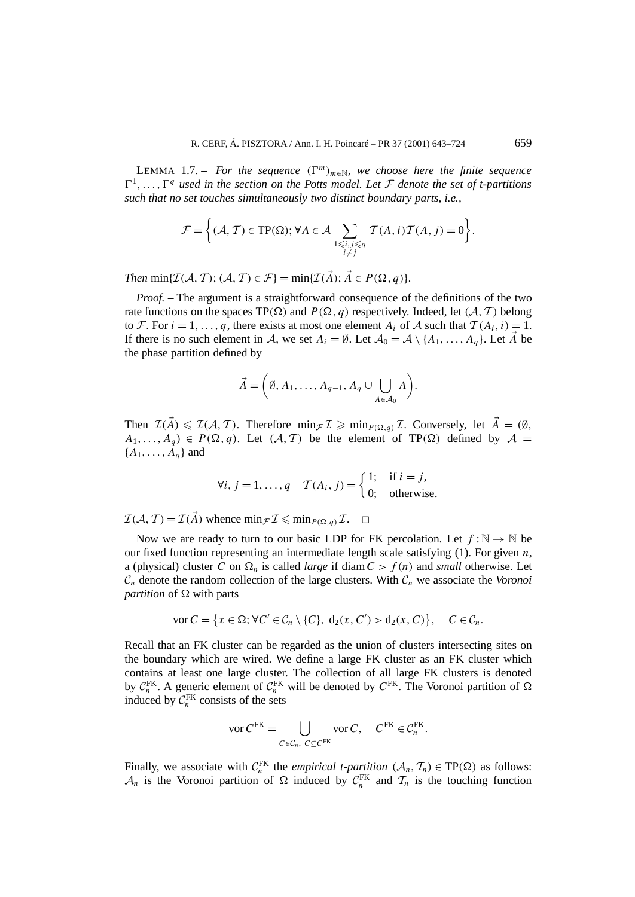LEMMA 1.7. – *For the sequence*  $(\Gamma^m)_{m \in \mathbb{N}}$ *, we choose here the finite sequence*  $\Gamma^1, \ldots, \Gamma^q$  used in the section on the Potts model. Let F denote the set of *t*-partitions *such that no set touches simultaneously two distinct boundary parts, i.e.,*

$$
\mathcal{F} = \left\{ (\mathcal{A}, \mathcal{T}) \in \mathrm{TP}(\Omega); \forall A \in \mathcal{A} \sum_{\substack{1 \leq i,j \leq q \\ i \neq j}} \mathcal{T}(A, i) \mathcal{T}(A, j) = 0 \right\}.
$$

*Then* min{ $I(A, T)$ ;  $(A, T) \in F$ } = min{ $I(\vec{A})$ ;  $\vec{A} \in P(\Omega, q)$ }.

*Proof. –* The argument is a straightforward consequence of the definitions of the two rate functions on the spaces TP( $\Omega$ ) and  $P(\Omega, q)$  respectively. Indeed, let  $(\mathcal{A}, \mathcal{T})$  belong to F. For  $i = 1, \ldots, q$ , there exists at most one element  $A_i$  of A such that  $T(A_i, i) = 1$ . If there is no such element in A, we set  $A_i = \emptyset$ . Let  $A_0 = A \setminus \{A_1, \ldots, A_q\}$ . Let A be the phase partition defined by

$$
\vec{A} = \left(\emptyset, A_1, \dots, A_{q-1}, A_q \cup \bigcup_{A \in \mathcal{A}_0} A\right).
$$

Then  $\mathcal{I}(\vec{A}) \leq \mathcal{I}(\mathcal{A}, \mathcal{T})$ . Therefore  $\min_{\mathcal{F}} \mathcal{I} \geqslant \min_{P(\Omega, q)} \mathcal{I}$ . Conversely, let  $\vec{A} = (\emptyset, \mathcal{I})$  $A_1, \ldots, A_q$   $\in$   $P(\Omega, q)$ . Let  $(A, \mathcal{T})$  be the element of TP $(\Omega)$  defined by  $\mathcal{A} =$  ${A_1, \ldots, A_q}$  and

$$
\forall i, j = 1, \dots, q \quad \mathcal{T}(A_i, j) = \begin{cases} 1; & \text{if } i = j, \\ 0; & \text{otherwise.} \end{cases}
$$

 $\mathcal{I}(\mathcal{A}, \mathcal{T}) = \mathcal{I}(\vec{\mathcal{A}})$  whence  $\min_{\mathcal{F}} \mathcal{I} \leqslant \min_{P(\Omega, q)} \mathcal{I}$ .  $\Box$ 

Now we are ready to turn to our basic LDP for FK percolation. Let  $f : \mathbb{N} \to \mathbb{N}$  be our fixed function representing an intermediate length scale satisfying (1). For given *n*, a (physical) cluster *C* on  $\Omega_n$  is called *large* if diam  $C > f(n)$  and *small* otherwise. Let  $C_n$  denote the random collection of the large clusters. With  $C_n$  we associate the *Voronoi partition* of  $\Omega$  with parts

$$
\text{vor } C = \{x \in \Omega; \forall C' \in C_n \setminus \{C\}, \ d_2(x, C') > d_2(x, C)\}, \quad C \in C_n.
$$

Recall that an FK cluster can be regarded as the union of clusters intersecting sites on the boundary which are wired. We define a large FK cluster as an FK cluster which contains at least one large cluster. The collection of all large FK clusters is denoted by  $C_n^{\text{FK}}$ . A generic element of  $C_n^{\text{FK}}$  will be denoted by  $C^{\text{FK}}$ . The Voronoi partition of  $\Omega$ induced by  $C_n^{\text{FK}}$  consists of the sets

$$
\operatorname{vor} C^{\text{FK}} = \bigcup_{C \in \mathcal{C}_n, \ C \subseteq C^{\text{FK}}} \operatorname{vor} C, \quad C^{\text{FK}} \in \mathcal{C}_n^{\text{FK}}.
$$

Finally, we associate with  $C_n^{\text{FK}}$  the *empirical t-partition*  $(A_n, \mathcal{T}_n) \in \text{TP}(\Omega)$  as follows:  $A_n$  is the Voronoi partition of  $\Omega$  induced by  $C_n^{\text{FK}}$  and  $T_n$  is the touching function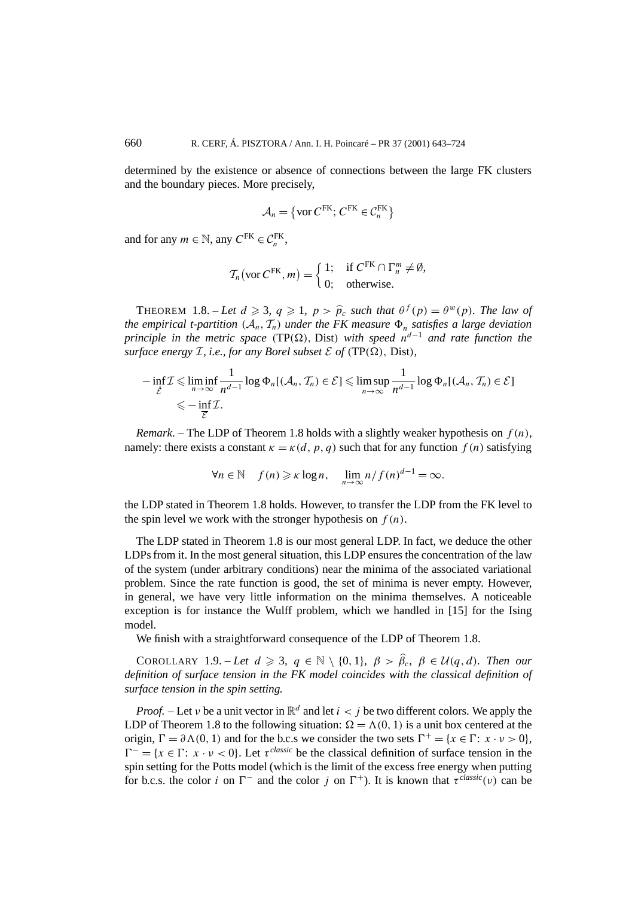determined by the existence or absence of connections between the large FK clusters and the boundary pieces. More precisely,

$$
\mathcal{A}_n = \{ \text{vor } C^{\text{FK}}; C^{\text{FK}} \in \mathcal{C}_n^{\text{FK}} \}
$$

and for any  $m \in \mathbb{N}$ , any  $C^{FK} \in C_n^{FK}$ ,

$$
\mathcal{T}_n(\text{vor } C^{\text{FK}}, m) = \begin{cases} 1; & \text{if } C^{\text{FK}} \cap \Gamma_n^m \neq \emptyset, \\ 0; & \text{otherwise.} \end{cases}
$$

THEOREM 1.8. – Let  $d \ge 3$ ,  $q \ge 1$ ,  $p > \hat{p}_c$  such that  $\theta^f(p) = \theta^w(p)$ . The law of *the empirical t-partition*  $(A_n, T_n)$  *under the FK measure*  $\Phi_n$  *satisfies a large deviation principle in the metric space* ( $TP(\Omega)$ , Dist) *with speed*  $n^{d-1}$  *and rate function the surface energy*  $I$ *, i.e., for any Borel subset*  $\mathcal{E}$  *of* (TP( $\Omega$ ), Dist)*,* 

$$
-\inf_{\hat{\mathcal{E}}} \mathcal{I} \leq \liminf_{n \to \infty} \frac{1}{n^{d-1}} \log \Phi_n[(\mathcal{A}_n, \mathcal{T}_n) \in \mathcal{E}] \leq \limsup_{n \to \infty} \frac{1}{n^{d-1}} \log \Phi_n[(\mathcal{A}_n, \mathcal{T}_n) \in \mathcal{E}]
$$
  

$$
\leq -\inf_{\overline{\mathcal{E}}} \mathcal{I}.
$$

*Remark*. – The LDP of Theorem 1.8 holds with a slightly weaker hypothesis on *f (n)*, namely: there exists a constant  $\kappa = \kappa(d, p, q)$  such that for any function  $f(n)$  satisfying

$$
\forall n \in \mathbb{N} \quad f(n) \geqslant \kappa \log n, \quad \lim_{n \to \infty} \frac{n}{f(n)^{d-1}} = \infty.
$$

the LDP stated in Theorem 1.8 holds. However, to transfer the LDP from the FK level to the spin level we work with the stronger hypothesis on  $f(n)$ .

The LDP stated in Theorem 1.8 is our most general LDP. In fact, we deduce the other LDPs from it. In the most general situation, this LDP ensures the concentration of the law of the system (under arbitrary conditions) near the minima of the associated variational problem. Since the rate function is good, the set of minima is never empty. However, in general, we have very little information on the minima themselves. A noticeable exception is for instance the Wulff problem, which we handled in [15] for the Ising model.

We finish with a straightforward consequence of the LDP of Theorem 1.8.

COROLLARY 1.9. – *Let*  $d \geq 3$ ,  $q \in \mathbb{N} \setminus \{0, 1\}$ ,  $\beta > \widehat{\beta}_c$ ,  $\beta \in \mathcal{U}(q, d)$ *. Then our definition of surface tension in the FK model coincides with the classical definition of surface tension in the spin setting.*

*Proof.* – Let *v* be a unit vector in  $\mathbb{R}^d$  and let  $i < j$  be two different colors. We apply the LDP of Theorem 1.8 to the following situation:  $\Omega = \Lambda(0, 1)$  is a unit box centered at the origin,  $\Gamma = \partial \Lambda(0, 1)$  and for the b.c.s we consider the two sets  $\Gamma^+ = \{x \in \Gamma : x \cdot \nu > 0\}$ ,  $\Gamma^{-} = \{x \in \Gamma : x \cdot v < 0\}$ . Let  $\tau^{classic}$  be the classical definition of surface tension in the spin setting for the Potts model (which is the limit of the excess free energy when putting for b.c.s. the color *i* on  $\Gamma^-$  and the color *j* on  $\Gamma^+$ ). It is known that  $\tau^{classic}(\nu)$  can be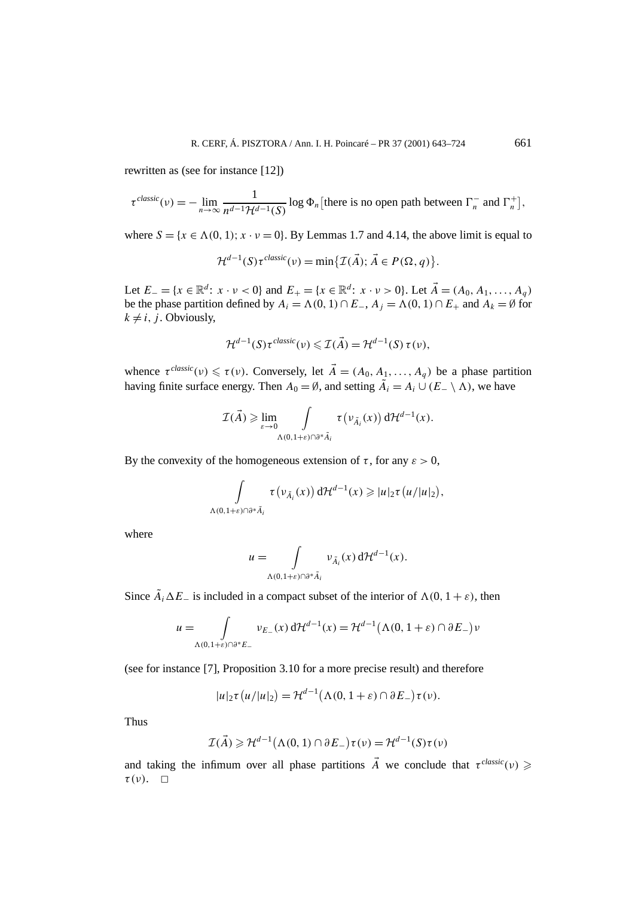rewritten as (see for instance [12])

$$
\tau^{classic}(\nu) = -\lim_{n \to \infty} \frac{1}{n^{d-1} \mathcal{H}^{d-1}(S)} \log \Phi_n \left[ \text{there is no open path between } \Gamma_n^- \text{ and } \Gamma_n^+ \right],
$$

where  $S = \{x \in \Lambda(0, 1); x \cdot v = 0\}$ . By Lemmas 1.7 and 4.14, the above limit is equal to

$$
\mathcal{H}^{d-1}(S)\tau^{classic}(\nu) = \min\{\mathcal{I}(\vec{A}); \vec{A} \in P(\Omega, q)\}.
$$

Let  $E_{-} = \{x \in \mathbb{R}^{d} : x \cdot v < 0\}$  and  $E_{+} = \{x \in \mathbb{R}^{d} : x \cdot v > 0\}$ . Let  $\vec{A} = (A_0, A_1, \dots, A_q)$ be the phase partition defined by  $A_i = \Lambda(0, 1) \cap E_-, A_j = \Lambda(0, 1) \cap E_+$  and  $A_k = \emptyset$  for  $k \neq i$ , *j*. Obviously,

$$
\mathcal{H}^{d-1}(S)\tau^{classic}(\nu) \leqslant \mathcal{I}(\vec{A}) = \mathcal{H}^{d-1}(S)\,\tau(\nu),
$$

whence  $\tau^{classic}(\nu) \leq \tau(\nu)$ . Conversely, let  $\vec{A} = (A_0, A_1, \ldots, A_q)$  be a phase partition having finite surface energy. Then  $A_0 = \emptyset$ , and setting  $\tilde{A}_i = A_i \cup (E_-\setminus \Lambda)$ , we have

$$
\mathcal{I}(\vec{A}) \geq \lim_{\varepsilon \to 0} \int\limits_{\Lambda(0,1+\varepsilon) \cap \partial^* \tilde{A}_i} \tau(\nu_{\tilde{A}_i}(x)) d\mathcal{H}^{d-1}(x).
$$

By the convexity of the homogeneous extension of  $\tau$ , for any  $\varepsilon > 0$ ,

$$
\int_{\Lambda(0,1+\varepsilon)\cap\partial^*\tilde{A}_i}\tau(\nu_{\tilde{A}_i}(x))\,\mathrm{d}\mathcal{H}^{d-1}(x)\geqslant|u|_2\tau(u/|u|_2),
$$

where

$$
u = \int\limits_{\Lambda(0,1+\varepsilon)\cap\partial^*\tilde{A}_i} \nu_{\tilde{A}_i}(x) d\mathcal{H}^{d-1}(x).
$$

Since  $\tilde{A}_i \Delta E_-\$  is included in a compact subset of the interior of  $\Lambda(0, 1 + \varepsilon)$ , then

$$
u = \int_{\Lambda(0,1+\varepsilon)\cap\partial^*E_{-}} \nu_{E_{-}}(x) d\mathcal{H}^{d-1}(x) = \mathcal{H}^{d-1}(\Lambda(0,1+\varepsilon)\cap\partial E_{-})\nu
$$

(see for instance [7], Proposition 3.10 for a more precise result) and therefore

$$
|u|_2\tau(u/|u|_2)=\mathcal{H}^{d-1}(\Lambda(0,1+\varepsilon)\cap\partial E_-)\tau(v).
$$

Thus

$$
\mathcal{I}(\vec{A}) \geqslant \mathcal{H}^{d-1}(\Lambda(0,1) \cap \partial E_{-})\tau(\nu) = \mathcal{H}^{d-1}(S)\tau(\nu)
$$

and taking the infimum over all phase partitions  $\vec{A}$  we conclude that  $\tau^{classic}(\nu) \geq$  $\tau(\nu)$ .  $\Box$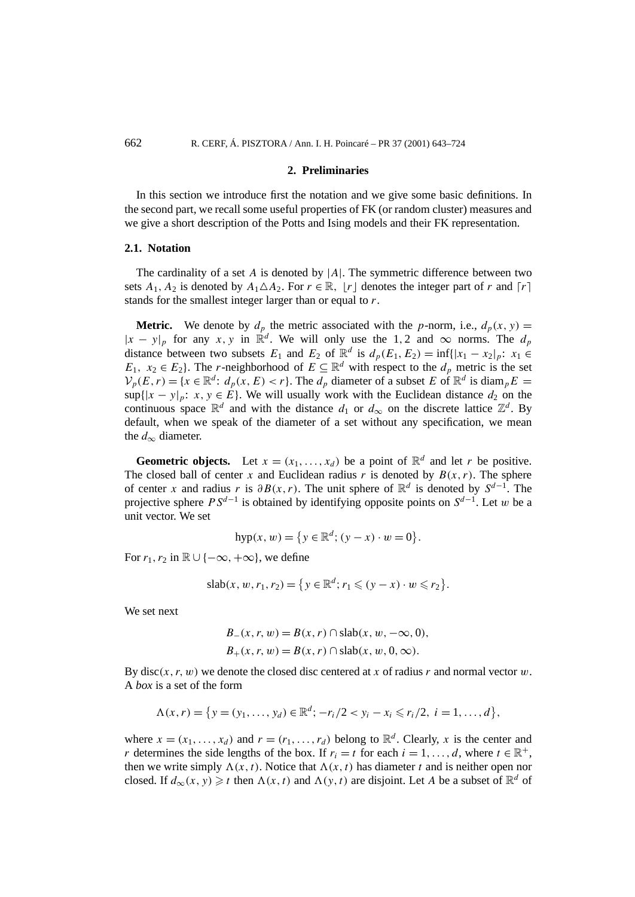#### **2. Preliminaries**

In this section we introduce first the notation and we give some basic definitions. In the second part, we recall some useful properties of FK (or random cluster) measures and we give a short description of the Potts and Ising models and their FK representation.

### **2.1. Notation**

The cardinality of a set *A* is denoted by |*A*|. The symmetric difference between two sets  $A_1, A_2$  is denoted by  $A_1 \triangle A_2$ . For  $r \in \mathbb{R}$ ,  $|r|$  denotes the integer part of *r* and  $[r]$ stands for the smallest integer larger than or equal to *r*.

**Metric.** We denote by  $d_p$  the metric associated with the *p*-norm, i.e.,  $d_p(x, y) =$  $|x - y|_p$  for any *x*, *y* in  $\mathbb{R}^d$ . We will only use the 1, 2 and  $\infty$  norms. The  $d_p$ distance between two subsets  $E_1$  and  $E_2$  of  $\mathbb{R}^d$  is  $d_p(E_1, E_2) = \inf\{|x_1 - x_2|_p : x_1 \in$  $E_1, x_2 \in E_2$ . The *r*-neighborhood of  $E \subseteq \mathbb{R}^d$  with respect to the  $d_p$  metric is the set  $V_p(E, r) = \{x \in \mathbb{R}^d : d_p(x, E) < r\}$ . The  $d_p$  diameter of a subset *E* of  $\mathbb{R}^d$  is diam<sub>p</sub> $E =$  $\sup\{|x - y|_p: x, y \in E\}$ . We will usually work with the Euclidean distance  $d_2$  on the continuous space  $\mathbb{R}^d$  and with the distance *d*<sub>1</sub> or *d*<sub>∞</sub> on the discrete lattice  $\mathbb{Z}^d$ . By default, when we speak of the diameter of a set without any specification, we mean the  $d_{\infty}$  diameter.

**Geometric objects.** Let  $x = (x_1, \ldots, x_d)$  be a point of  $\mathbb{R}^d$  and let *r* be positive. The closed ball of center x and Euclidean radius r is denoted by  $B(x, r)$ . The sphere of center *x* and radius *r* is *∂B(x, r)*. The unit sphere of R*<sup>d</sup>* is denoted by *S<sup>d</sup>*<sup>−</sup>1. The projective sphere  $PS^{d-1}$  is obtained by identifying opposite points on  $S^{d-1}$ . Let *w* be a unit vector. We set

hyp*(x, w)* = *y* ∈ R*<sup>d</sup>* ;*(y* − *x)* · *w* = 0 *.*

For  $r_1, r_2$  in  $\mathbb{R} \cup \{-\infty, +\infty\}$ , we define

$$
slab(x, w, r_1, r_2) = \{y \in \mathbb{R}^d; r_1 \leqslant (y - x) \cdot w \leqslant r_2\}.
$$

We set next

$$
B_{-}(x, r, w) = B(x, r) \cap \text{slab}(x, w, -\infty, 0),
$$
  

$$
B_{+}(x, r, w) = B(x, r) \cap \text{slab}(x, w, 0, \infty).
$$

By disc*(x, r, w)* we denote the closed disc centered at *x* of radius *r* and normal vector *w*. A *box* is a set of the form

$$
\Lambda(x,r) = \{ y = (y_1,\ldots,y_d) \in \mathbb{R}^d; -r_i/2 < y_i - x_i \leq r_i/2, i = 1,\ldots,d \},\
$$

where  $x = (x_1, \ldots, x_d)$  and  $r = (r_1, \ldots, r_d)$  belong to  $\mathbb{R}^d$ . Clearly, x is the center and *r* determines the side lengths of the box. If  $r_i = t$  for each  $i = 1, ..., d$ , where  $t \in \mathbb{R}^+$ , then we write simply  $\Lambda(x, t)$ . Notice that  $\Lambda(x, t)$  has diameter *t* and is neither open nor closed. If  $d_{\infty}(x, y) \ge t$  then  $\Lambda(x, t)$  and  $\Lambda(y, t)$  are disjoint. Let A be a subset of  $\mathbb{R}^d$  of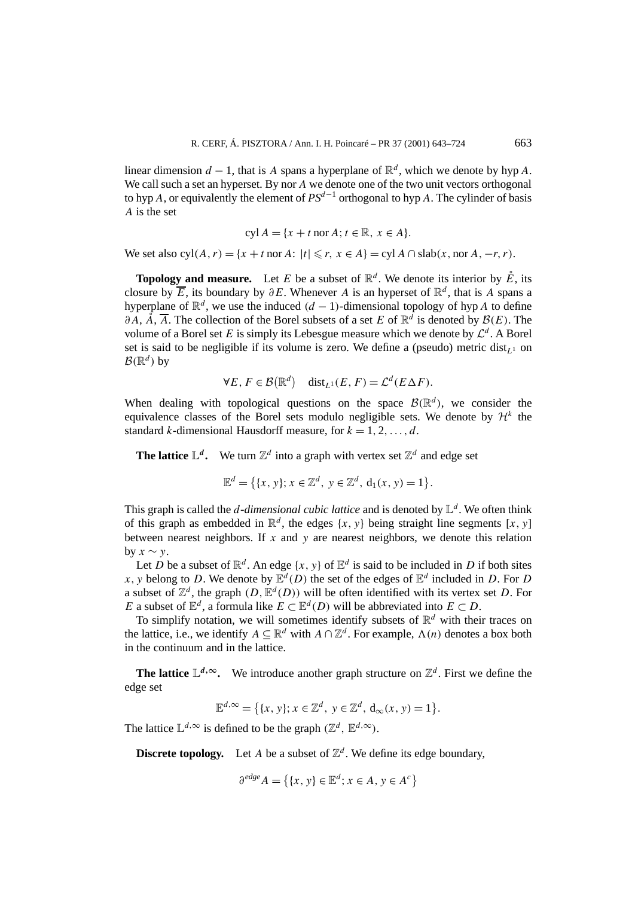linear dimension  $d - 1$ , that is *A* spans a hyperplane of  $\mathbb{R}^d$ , which we denote by hyp *A*. We call such a set an hyperset. By nor *A* we denote one of the two unit vectors orthogonal to hyp *A*, or equivalently the element of  $PS^{d-1}$  orthogonal to hyp *A*. The cylinder of basis *A* is the set

$$
\text{cyl } A = \{x + t \text{ nor } A; t \in \mathbb{R}, x \in A\}.
$$

We set also  $cyl(A, r) = \{x + t \text{ nor } A : |t| \leq r, x \in A\} = cyl A \cap slab(x, \text{ nor } A, -r, r).$ 

**Topology and measure.** Let *E* be a subset of  $\mathbb{R}^d$ . We denote its interior by  $\mathring{E}$ , its closure by  $\overline{E}$ , its boundary by  $\partial E$ . Whenever *A* is an hyperset of  $\mathbb{R}^d$ , that is *A* spans a hyperplane of  $\mathbb{R}^d$ , we use the induced  $(d-1)$ -dimensional topology of hyp *A* to define *∂A*, *A*<sup>*, A*</sub><sup>*A*</sup>, *A*<sup>*I*</sup>. The collection of the Borel subsets of a set *E* of  $\mathbb{R}^d$  is denoted by *B*(*E*). The</sup> volume of a Borel set E is simply its Lebesgue measure which we denote by  $\mathcal{L}^d$ . A Borel set is said to be negligible if its volume is zero. We define a (pseudo) metric dist<sub> $L_1$ 1</sub> on  $\mathcal{B}(\mathbb{R}^d)$  by

$$
\forall E, F \in \mathcal{B}(\mathbb{R}^d) \quad \text{dist}_{L^1}(E, F) = \mathcal{L}^d(E \Delta F).
$$

When dealing with topological questions on the space  $\mathcal{B}(\mathbb{R}^d)$ , we consider the equivalence classes of the Borel sets modulo negligible sets. We denote by  $\mathcal{H}^k$  the standard *k*-dimensional Hausdorff measure, for  $k = 1, 2, \ldots, d$ .

**The lattice**  $\mathbb{L}^d$ . We turn  $\mathbb{Z}^d$  into a graph with vertex set  $\mathbb{Z}^d$  and edge set

$$
\mathbb{E}^{d} = \{ \{x, y\}; x \in \mathbb{Z}^{d}, y \in \mathbb{Z}^{d}, d_{1}(x, y) = 1 \}.
$$

This graph is called the *d*-*dimensional cubic lattice* and is denoted by  $\mathbb{L}^d$ . We often think of this graph as embedded in  $\mathbb{R}^d$ , the edges  $\{x, y\}$  being straight line segments  $[x, y]$ between nearest neighbors. If *x* and *y* are nearest neighbors, we denote this relation by  $x \sim y$ .

Let *D* be a subset of  $\mathbb{R}^d$ . An edge  $\{x, y\}$  of  $\mathbb{E}^d$  is said to be included in *D* if both sites *x*, *y* belong to *D*. We denote by  $\mathbb{E}^d(D)$  the set of the edges of  $\mathbb{E}^d$  included in *D*. For *D* a subset of  $\mathbb{Z}^d$ , the graph  $(D, \mathbb{E}^d(D))$  will be often identified with its vertex set *D*. For *E* a subset of  $\mathbb{E}^d$ , a formula like  $E \subset \mathbb{E}^d(D)$  will be abbreviated into  $E \subset D$ .

To simplify notation, we will sometimes identify subsets of  $\mathbb{R}^d$  with their traces on the lattice, i.e., we identify  $A \subseteq \mathbb{R}^d$  with  $A \cap \mathbb{Z}^d$ . For example,  $\Lambda(n)$  denotes a box both in the continuum and in the lattice.

**The lattice**  $\mathbb{L}^{d,\infty}$ . We introduce another graph structure on  $\mathbb{Z}^d$ . First we define the edge set

$$
\mathbb{E}^{d,\infty} = \left\{ \{x, y\}; x \in \mathbb{Z}^d, y \in \mathbb{Z}^d, d_{\infty}(x, y) = 1 \right\}.
$$

The lattice  $\mathbb{L}^{d,\infty}$  is defined to be the graph  $(\mathbb{Z}^d, \mathbb{E}^{d,\infty})$ .

**Discrete topology.** Let *A* be a subset of  $\mathbb{Z}^d$ . We define its edge boundary,

$$
\partial^{edge} A = \{ \{x, y\} \in \mathbb{E}^d; x \in A, y \in A^c \}
$$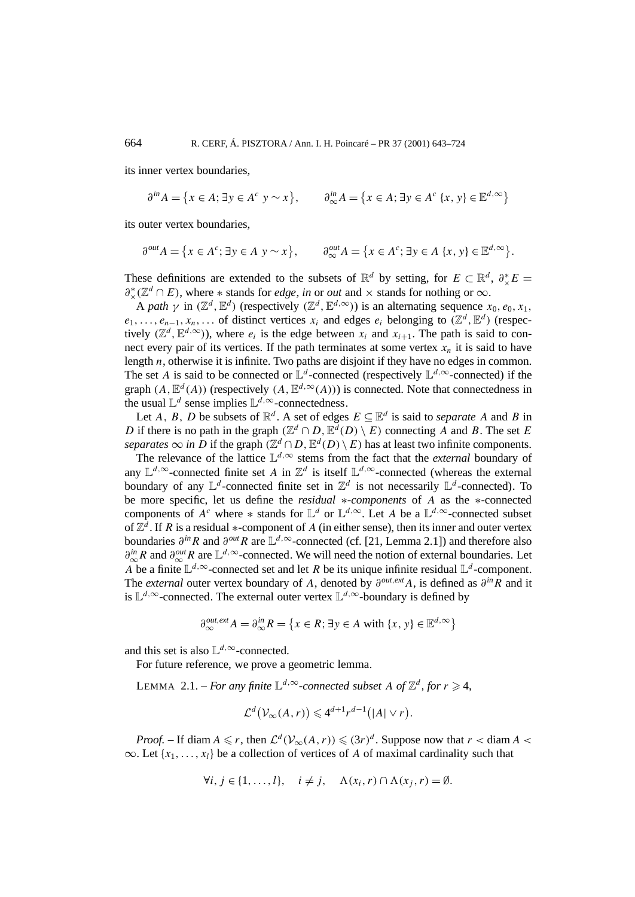its inner vertex boundaries,

$$
\partial^{in} A = \{ x \in A; \exists y \in A^c \ y \sim x \}, \qquad \partial^{in}_{\infty} A = \{ x \in A; \exists y \in A^c \ {x, y \in \mathbb{E}^{d, \infty} \}
$$

its outer vertex boundaries,

$$
\partial^{out} A = \{ x \in A^c; \exists y \in A \ y \sim x \}, \qquad \partial^{out}_{\infty} A = \{ x \in A^c; \exists y \in A \ \{x, y\} \in \mathbb{E}^{d, \infty} \}.
$$

These definitions are extended to the subsets of  $\mathbb{R}^d$  by setting, for  $E \subset \mathbb{R}^d$ ,  $\partial_x^* E =$ *∂*<sup>∗</sup><sub> $\times$ </sub> ( $\mathbb{Z}$ <sup>*d*</sup> ∩ *E*), where  $*$  stands for *edge*, *in* or *out* and  $\times$  stands for nothing or ∞.

A path  $\gamma$  in  $(\mathbb{Z}^d, \mathbb{E}^d)$  (respectively  $(\mathbb{Z}^d, \mathbb{E}^{d, \infty})$ ) is an alternating sequence  $x_0, e_0, x_1$ ,  $e_1, \ldots, e_{n-1}, x_n, \ldots$  of distinct vertices  $x_i$  and edges  $e_i$  belonging to  $(\mathbb{Z}^d, \mathbb{E}^d)$  (respectively  $(\mathbb{Z}^d, \mathbb{E}^{d,\infty})$ ), where  $e_i$  is the edge between  $x_i$  and  $x_{i+1}$ . The path is said to connect every pair of its vertices. If the path terminates at some vertex  $x_n$  it is said to have length *n*, otherwise it is infinite. Two paths are disjoint if they have no edges in common. The set *A* is said to be connected or  $\mathbb{L}^d$ -connected (respectively  $\mathbb{L}^d$ , $\infty$ -connected) if the graph  $(A, \mathbb{E}^d(A))$  (respectively  $(A, \mathbb{E}^{d, \infty}(A))$ ) is connected. Note that connectedness in the usual  $\mathbb{L}^d$  sense implies  $\mathbb{L}^{d,\infty}$ -connectedness.

Let *A*, *B*, *D* be subsets of  $\mathbb{R}^d$ . A set of edges  $E \subseteq \mathbb{E}^d$  is said to *separate A* and *B* in *D* if there is no path in the graph  $(\mathbb{Z}^d \cap D, \mathbb{E}^d(D) \setminus E)$  connecting *A* and *B*. The set *E separates*  $\infty$  *in D* if the graph  $(\mathbb{Z}^d \cap D, \mathbb{E}^d(D) \setminus E)$  has at least two infinite components.

The relevance of the lattice  $\mathbb{L}^{d,\infty}$  stems from the fact that the *external* boundary of any  $\mathbb{L}^{d,\infty}$ -connected finite set *A* in  $\mathbb{Z}^d$  is itself  $\mathbb{L}^{d,\infty}$ -connected (whereas the external boundary of any  $\mathbb{L}^d$ -connected finite set in  $\mathbb{Z}^d$  is not necessarily  $\mathbb{L}^d$ -connected). To be more specific, let us define the *residual* ∗*-components* of *A* as the ∗-connected components of  $A^c$  where  $*$  stands for  $\mathbb{L}^d$  or  $\mathbb{L}^{d,\infty}$ . Let *A* be a  $\mathbb{L}^{d,\infty}$ -connected subset of  $\mathbb{Z}^d$ . If *R* is a residual  $*$ -component of *A* (in either sense), then its inner and outer vertex boundaries *∂inR* and *∂outR* are L*d ,*<sup>∞</sup>-connected (cf. [21, Lemma 2.1]) and therefore also *∂*<sup>*in*</sup></sup>∞*R* and  $\partial_{\infty}^{\omega u}R$  are  $\mathbb{L}^{d,\infty}$ -connected. We will need the notion of external boundaries. Let *A* be a finite  $\mathbb{L}^{d,\infty}$ -connected set and let *R* be its unique infinite residual  $\mathbb{L}^{d}$ -component. The *external* outer vertex boundary of *A*, denoted by *∂out,extA*, is defined as *∂inR* and it is  $\mathbb{L}^{d,\infty}$ -connected. The external outer vertex  $\mathbb{L}^{d,\infty}$ -boundary is defined by

$$
\partial_{\infty}^{out,ext} A = \partial_{\infty}^{in} R = \{x \in R; \exists y \in A \text{ with } \{x, y\} \in \mathbb{E}^{d, \infty}\}
$$

and this set is also  $\mathbb{L}^{d,\infty}$ -connected.

For future reference, we prove a geometric lemma.

LEMMA 2.1. – *For any finite*  $\mathbb{L}^{d,\infty}$ -connected subset A of  $\mathbb{Z}^d$ , for  $r \geq 4$ ,

$$
\mathcal{L}^d(\mathcal{V}_{\infty}(A,r)) \leqslant 4^{d+1}r^{d-1}(|A| \vee r).
$$

*Proof.* – If diam  $A \le r$ , then  $\mathcal{L}^d$   $(\mathcal{V}_\infty(A, r)) \le (3r)^d$ . Suppose now that  $r <$  diam  $A <$  $\infty$ . Let  $\{x_1, \ldots, x_l\}$  be a collection of vertices of *A* of maximal cardinality such that

 $\forall i, j \in \{1, \ldots, l\}, \quad i \neq j, \quad \Lambda(x_i, r) \cap \Lambda(x_i, r) = \emptyset.$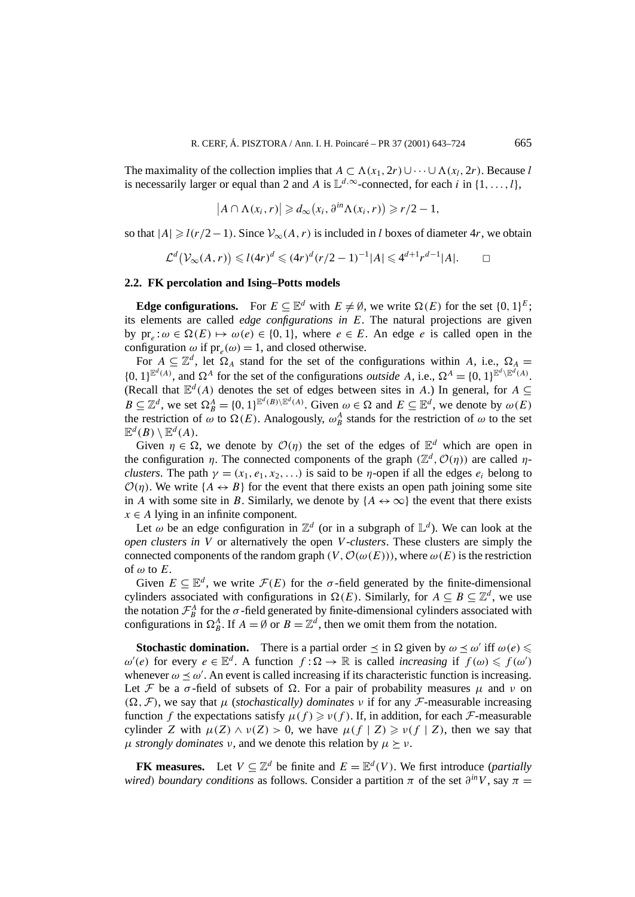The maximality of the collection implies that  $A \subset \Lambda(x_1, 2r) \cup \cdots \cup \Lambda(x_l, 2r)$ . Because *l* is necessarily larger or equal than 2 and *A* is  $\mathbb{L}^{d,\infty}$ -connected, for each *i* in  $\{1,\ldots,l\}$ ,

$$
|A \cap \Lambda(x_i,r)| \geq d_{\infty}(x_i,\partial^{in}\Lambda(x_i,r)) \geqslant r/2-1,
$$

so that  $|A| \ge l(r/2-1)$ . Since  $\mathcal{V}_{\infty}(A, r)$  is included in *l* boxes of diameter 4*r*, we obtain

$$
\mathcal{L}^d\big(\mathcal{V}_{\infty}(A,r)\big) \leqslant l(4r)^d \leqslant (4r)^d (r/2-1)^{-1} |A| \leqslant 4^{d+1} r^{d-1} |A|.
$$

#### **2.2. FK percolation and Ising–Potts models**

**Edge configurations.** For  $E \subseteq \mathbb{E}^d$  with  $E \neq \emptyset$ , we write  $\Omega(E)$  for the set  $\{0, 1\}^E$ ; its elements are called *edge configurations in E*. The natural projections are given by  $pr_e : \omega \in \Omega(E) \mapsto \omega(e) \in \{0, 1\}$ , where  $e \in E$ . An edge *e* is called open in the configuration  $\omega$  if  $pr_e(\omega) = 1$ , and closed otherwise.

For  $A \subseteq \mathbb{Z}^d$ , let  $\Omega_A$  stand for the set of the configurations within *A*, i.e.,  $\Omega_A =$  $\{0, 1\}^{\mathbb{E}^d(A)}$ , and  $\Omega^A$  for the set of the configurations *outside A*, i.e.,  $\Omega^A = \{0, 1\}^{\mathbb{E}^d \setminus \mathbb{E}^d(A)}$ . (Recall that  $\mathbb{E}^d(A)$  denotes the set of edges between sites in *A*.) In general, for  $A \subseteq$  $B \subseteq \mathbb{Z}^d$ , we set  $\Omega^A_B = \{0, 1\}^{\mathbb{E}^d(B) \setminus \mathbb{E}^d(A)}$ . Given  $\omega \in \Omega$  and  $E \subseteq \mathbb{E}^d$ , we denote by  $\omega(E)$ the restriction of  $\omega$  to  $\Omega(E)$ . Analogously,  $\omega_B^A$  stands for the restriction of  $\omega$  to the set  $\mathbb{E}^d(B) \setminus \mathbb{E}^d(A)$ .

Given  $\eta \in \Omega$ , we denote by  $\mathcal{O}(\eta)$  the set of the edges of  $\mathbb{E}^d$  which are open in the configuration *η*. The connected components of the graph  $(\mathbb{Z}^d, \mathcal{O}(\eta))$  are called *ηclusters*. The path  $\gamma = (x_1, e_1, x_2, ...)$  is said to be *η*-open if all the edges  $e_i$  belong to  $\mathcal{O}(\eta)$ . We write  $\{A \leftrightarrow B\}$  for the event that there exists an open path joining some site in *A* with some site in *B*. Similarly, we denote by  $\{A \leftrightarrow \infty\}$  the event that there exists  $x \in A$  lying in an infinite component.

Let  $\omega$  be an edge configuration in  $\mathbb{Z}^d$  (or in a subgraph of  $\mathbb{L}^d$ ). We can look at the *open clusters in V* or alternatively the open *V* -*clusters*. These clusters are simply the connected components of the random graph  $(V, \mathcal{O}(\omega(E)))$ , where  $\omega(E)$  is the restriction of  $\omega$  to  $E$ .

Given  $E \subseteq \mathbb{E}^d$ , we write  $\mathcal{F}(E)$  for the *σ*-field generated by the finite-dimensional cylinders associated with configurations in  $\Omega(E)$ . Similarly, for  $A \subseteq B \subseteq \mathbb{Z}^d$ , we use the notation  $\mathcal{F}_{B}^{A}$  for the  $\sigma$ -field generated by finite-dimensional cylinders associated with configurations in  $\Omega_B^A$ . If  $A = \emptyset$  or  $B = \mathbb{Z}^d$ , then we omit them from the notation.

**Stochastic domination.** There is a partial order  $\leq$  in  $\Omega$  given by  $\omega \leq \omega'$  iff  $\omega(e) \leq$  $\omega'(e)$  for every  $e \in \mathbb{E}^d$ . A function  $f : \Omega \to \mathbb{R}$  is called *increasing* if  $f(\omega) \leq f(\omega')$ whenever  $\omega \leq \omega'$ . An event is called increasing if its characteristic function is increasing. Let F be a  $\sigma$ -field of subsets of  $\Omega$ . For a pair of probability measures  $\mu$  and  $\nu$  on  $(\Omega, \mathcal{F})$ , we say that *µ* (*stochastically*) *dominates v* if for any *F*-measurable increasing function *f* the expectations satisfy  $\mu(f) \geq \nu(f)$ . If, in addition, for each *F*-measurable cylinder *Z* with  $\mu(Z) \wedge \nu(Z) > 0$ , we have  $\mu(f | Z) \geq \nu(f | Z)$ , then we say that *μ strongly dominates ν*, and we denote this relation by  $\mu \geq \nu$ .

**FK measures.** Let  $V \subseteq \mathbb{Z}^d$  be finite and  $E = \mathbb{E}^d(V)$ . We first introduce (*partially wired) boundary conditions* as follows. Consider a partition  $\pi$  of the set  $\partial^{in}V$ , say  $\pi =$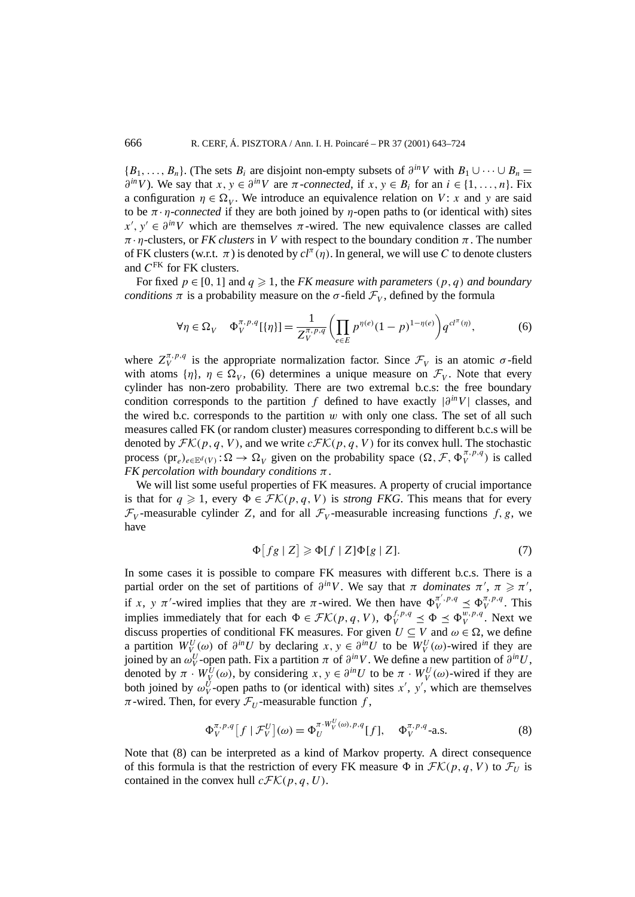${B_1, \ldots, B_n}$ . (The sets *B<sub>i</sub>* are disjoint non-empty subsets of  $\partial^{in}V$  with  $B_1 \cup \cdots \cup B_n =$  $\partial^{in}V$ ). We say that *x, y* ∈  $\partial^{in}V$  are *π-connected*, if *x, y* ∈ *B<sub>i</sub>* for an *i* ∈ {1,...,*n*}. Fix a configuration  $\eta \in \Omega_V$ . We introduce an equivalence relation on *V*: *x* and *y* are said to be  $\pi \cdot \eta$ -connected if they are both joined by  $\eta$ -open paths to (or identical with) sites  $x', y' \in \partial^{in} V$  which are themselves  $\pi$ -wired. The new equivalence classes are called *π*· *η*-clusters, or *FK clusters* in *V* with respect to the boundary condition *π*. The number of FK clusters (w.r.t.  $\pi$ ) is denoted by  $cl^{\pi}(\eta)$ . In general, we will use C to denote clusters and *C*FK for FK clusters.

For fixed  $p \in [0, 1]$  and  $q \ge 1$ , the *FK measure with parameters*  $(p, q)$  *and boundary conditions*  $\pi$  is a probability measure on the *σ*-field  $\mathcal{F}_V$ , defined by the formula

$$
\forall \eta \in \Omega_V \quad \Phi_V^{\pi, p, q}[\{\eta\}] = \frac{1}{Z_V^{\pi, p, q}} \left( \prod_{e \in E} p^{\eta(e)} (1 - p)^{1 - \eta(e)} \right) q^{cl^{\pi}(\eta)},\tag{6}
$$

where  $Z_V^{\pi,p,q}$  is the appropriate normalization factor. Since  $\mathcal{F}_V$  is an atomic  $\sigma$ -field with atoms  $\{\eta\}$ ,  $\eta \in \Omega_V$ , (6) determines a unique measure on  $\mathcal{F}_V$ . Note that every cylinder has non-zero probability. There are two extremal b.c.s: the free boundary condition corresponds to the partition *f* defined to have exactly  $|\partial^{in}V|$  classes, and the wired b.c. corresponds to the partition  $w$  with only one class. The set of all such measures called FK (or random cluster) measures corresponding to different b.c.s will be denoted by  $\mathcal{FK}(p, q, V)$ , and we write  $c\mathcal{FK}(p, q, V)$  for its convex hull. The stochastic process  $(\text{pr}_e)_{e \in \mathbb{E}^d(V)} : \Omega \to \Omega_V$  given on the probability space  $(\Omega, \mathcal{F}, \Phi_V^{\pi, p, q})$  is called *FK percolation with boundary conditions π*.

We will list some useful properties of FK measures. A property of crucial importance is that for  $q \ge 1$ , every  $\Phi \in \mathcal{FK}(p, q, V)$  is *strong FKG*. This means that for every  $\mathcal{F}_V$ -measurable cylinder *Z*, and for all  $\mathcal{F}_V$ -measurable increasing functions *f*, *g*, we have

$$
\Phi[fg \mid Z] \geqslant \Phi[f \mid Z] \Phi[g \mid Z].\tag{7}
$$

In some cases it is possible to compare FK measures with different b.c.s. There is a partial order on the set of partitions of  $\partial^{in}V$ . We say that *π dominates*  $\pi'$ ,  $\pi \geq \pi'$ , if *x*, *y*  $\pi'$ -wired implies that they are  $\pi$ -wired. We then have  $\Phi_V^{\pi',p,q} \preceq \Phi_V^{\pi,p,q}$ . This implies immediately that for each  $\Phi \in \mathcal{FK}(p,q,V)$ ,  $\Phi_V^{f,p,q} \preceq \Phi \preceq \Phi_V^{w,p,q}$ . Next we discuss properties of conditional FK measures. For given  $U \subseteq V$  and  $\omega \in \Omega$ , we define a partition  $W_V^U(\omega)$  of  $\partial^{i} U$  by declaring  $x, y \in \partial^{i} U$  to be  $W_V^U(\omega)$ -wired if they are joined by an  $\omega_V^U$ -open path. Fix a partition  $\pi$  of  $\partial^{in}V$ . We define a new partition of  $\partial^{in}U$ , denoted by  $\pi \cdot W_V^U(\omega)$ , by considering  $x, y \in \partial^{in} U$  to be  $\pi \cdot W_V^U(\omega)$ -wired if they are both joined by  $\omega_V^U$ -open paths to (or identical with) sites x', y', which are themselves  $\pi$ -wired. Then, for every  $\mathcal{F}_{U}$ -measurable function  $f$ ,

$$
\Phi_V^{\pi, p, q}[f \mid \mathcal{F}_V^U](\omega) = \Phi_U^{\pi \cdot W_V^U(\omega), p, q}[f], \quad \Phi_V^{\pi, p, q}
$$
-a.s. (8)

Note that (8) can be interpreted as a kind of Markov property. A direct consequence of this formula is that the restriction of every FK measure  $\Phi$  in  $\mathcal{FK}(p,q,V)$  to  $\mathcal{F}_U$  is contained in the convex hull  $c$ FK $(p, q, U)$ .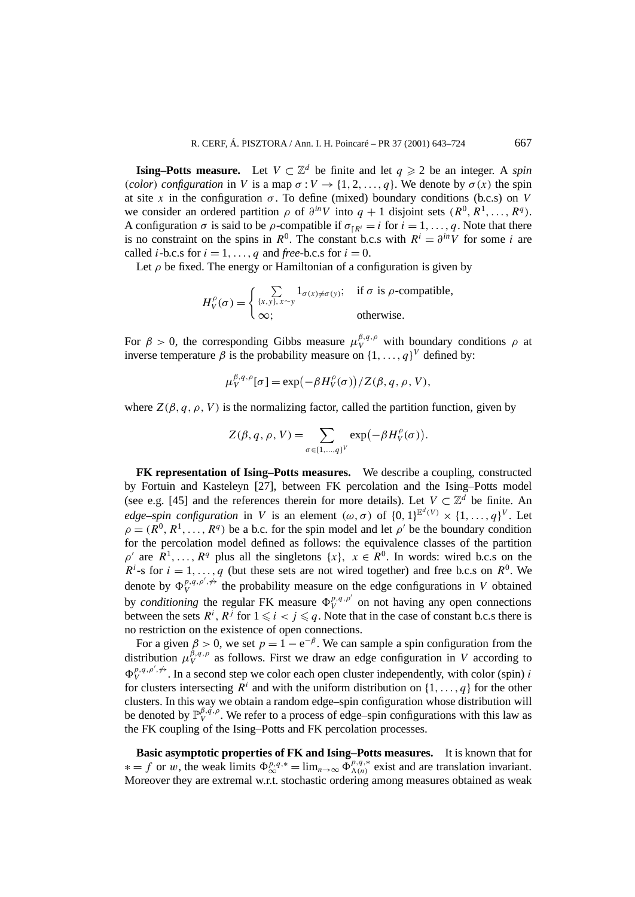**Ising–Potts measure.** Let  $V \subset \mathbb{Z}^d$  be finite and let  $q \geq 2$  be an integer. A *spin (color) configuration* in *V* is a map  $\sigma: V \to \{1, 2, ..., q\}$ . We denote by  $\sigma(x)$  the spin at site *x* in the configuration  $\sigma$ . To define (mixed) boundary conditions (b.c.s) on *V* we consider an ordered partition  $\rho$  of  $\partial^{in}V$  into  $q + 1$  disjoint sets  $(R^0, R^1, \ldots, R^q)$ . A configuration  $\sigma$  is said to be  $\rho$ -compatible if  $\sigma_{\lceil R^i \rceil} = i$  for  $i = 1, \ldots, q$ . Note that there is no constraint on the spins in  $R^0$ . The constant b.c.s with  $R^i = \partial^{in} V$  for some *i* are called *i*-b.c.s for  $i = 1, \ldots, q$  and *free*-b.c.s for  $i = 0$ .

Let  $\rho$  be fixed. The energy or Hamiltonian of a configuration is given by

$$
H_V^{\rho}(\sigma) = \begin{cases} \sum_{\{x,y\},x \sim y} 1_{\sigma(x) \neq \sigma(y)}; & \text{if } \sigma \text{ is } \rho\text{-compatible,} \\ \infty; & \text{otherwise.} \end{cases}
$$

For  $\beta > 0$ , the corresponding Gibbs measure  $\mu_V^{\beta,q,\rho}$  with boundary conditions  $\rho$  at inverse temperature *β* is the probability measure on  $\{1, \ldots, q\}^V$  defined by:

$$
\mu_V^{\beta,q,\rho}[\sigma] = \exp(-\beta H_V^{\rho}(\sigma))/Z(\beta,q,\rho,V),
$$

where  $Z(\beta, q, \rho, V)$  is the normalizing factor, called the partition function, given by

$$
Z(\beta, q, \rho, V) = \sum_{\sigma \in \{1, \dots, q\}^V} \exp(-\beta H_V^{\rho}(\sigma)).
$$

**FK representation of Ising–Potts measures.** We describe a coupling, constructed by Fortuin and Kasteleyn [27], between FK percolation and the Ising–Potts model (see e.g. [45] and the references therein for more details). Let  $V \subset \mathbb{Z}^d$  be finite. An *edge–spin configuration* in *V* is an element  $(\omega, \sigma)$  of  $\{0, 1\}^{\mathbb{E}^d(V)} \times \{1, ..., q\}^V$ . Let  $\rho = (R^0, R^1, \ldots, R^q)$  be a b.c. for the spin model and let  $\rho'$  be the boundary condition for the percolation model defined as follows: the equivalence classes of the partition  $\rho'$  are  $R^1, \ldots, R^q$  plus all the singletons  $\{x\}$ ,  $x \in R^0$ . In words: wired b.c.s on the  $R^i$ -s for  $i = 1, ..., q$  (but these sets are not wired together) and free b.c.s on  $R^0$ . We denote by  $\Phi_V^{p,q,p',\nleftrightarrow}$  the probability measure on the edge configurations in *V* obtained by *conditioning* the regular FK measure  $\Phi_V^{p,q,\rho'}$  on not having any open connections between the sets  $R^i$ ,  $R^j$  for  $1 \leq i < j \leq q$ . Note that in the case of constant b.c.s there is no restriction on the existence of open connections.

For a given  $\beta > 0$ , we set  $p = 1 - e^{-\beta}$ . We can sample a spin configuration from the distribution  $\mu_V^{\beta,q,\rho}$  as follows. First we draw an edge configuration in *V* according to  $\Phi_V^{p,q,\rho',\nleftrightarrow}$ . In a second step we color each open cluster independently, with color (spin) *i* for clusters intersecting  $\overline{R}$ <sup>*i*</sup> and with the uniform distribution on  $\{1, \ldots, q\}$  for the other clusters. In this way we obtain a random edge–spin configuration whose distribution will be denoted by  $\mathbb{P}_{V}^{\beta,q,\rho}$ . We refer to a process of edge–spin configurations with this law as the FK coupling of the Ising–Potts and FK percolation processes.

**Basic asymptotic properties of FK and Ising–Potts measures.** It is known that for  $* = f$  or *w*, the weak limits  $\Phi_{\infty}^{p,q,*} = \lim_{n \to \infty} \Phi_{\Lambda(n)}^{p,q,*}$  exist and are translation invariant. Moreover they are extremal w.r.t. stochastic ordering among measures obtained as weak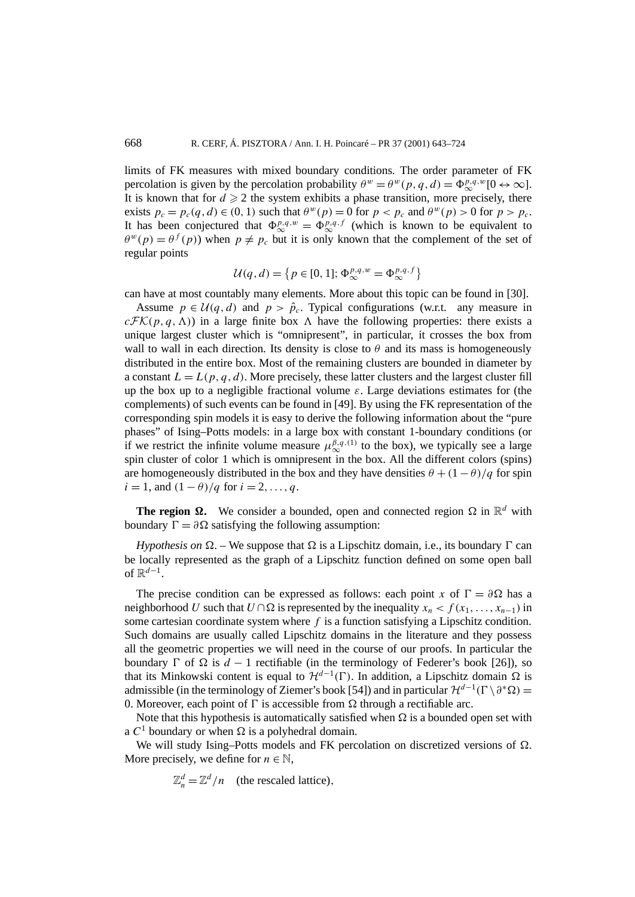limits of FK measures with mixed boundary conditions. The order parameter of FK percolation is given by the percolation probability  $\theta^w = \theta^w(p, q, d) = \Phi_{\infty}^{p,q,w}[0 \leftrightarrow \infty]$ . It is known that for  $d \ge 2$  the system exhibits a phase transition, more precisely, there exists  $p_c = p_c(q, d) \in (0, 1)$  such that  $\theta^w(p) = 0$  for  $p < p_c$  and  $\theta^w(p) > 0$  for  $p > p_c$ . It has been conjectured that  $\Phi^{p,q,w}_{\infty} = \Phi^{p,q,f}_{\infty}$  (which is known to be equivalent to  $\theta^w(p) = \theta^f(p)$  when  $p \neq p_c$  but it is only known that the complement of the set of regular points

$$
\mathcal{U}(q,d) = \{ p \in [0,1]; \Phi_{\infty}^{p,q,w} = \Phi_{\infty}^{p,q,f} \}
$$

can have at most countably many elements. More about this topic can be found in [30].

Assume  $p \in \mathcal{U}(q, d)$  and  $p > \hat{p}_c$ . Typical configurations (w.r.t. any measure in  $c$ FK(p, q,  $\Lambda$ )) in a large finite box  $\Lambda$  have the following properties: there exists a unique largest cluster which is "omnipresent", in particular, it crosses the box from wall to wall in each direction. Its density is close to  $\theta$  and its mass is homogeneously distributed in the entire box. Most of the remaining clusters are bounded in diameter by a constant  $L = L(p, q, d)$ . More precisely, these latter clusters and the largest cluster fill up the box up to a negligible fractional volume *ε*. Large deviations estimates for (the complements) of such events can be found in [49]. By using the FK representation of the corresponding spin models it is easy to derive the following information about the "pure phases" of Ising–Potts models: in a large box with constant 1-boundary conditions (or if we restrict the infinite volume measure  $\mu_{\infty}^{\beta,q,(1)}$  to the box), we typically see a large spin cluster of color 1 which is omnipresent in the box. All the different colors (spins) are homogeneously distributed in the box and they have densities  $\theta + (1 - \theta)/q$  for spin  $i = 1$ , and  $(1 - \theta)/q$  for  $i = 2, ..., q$ .

**The region**  $\Omega$ **.** We consider a bounded, open and connected region  $\Omega$  in  $\mathbb{R}^d$  with boundary  $\Gamma = \partial \Omega$  satisfying the following assumption:

*Hypothesis on*  $\Omega$ . – We suppose that  $\Omega$  is a Lipschitz domain, i.e., its boundary  $\Gamma$  can be locally represented as the graph of a Lipschitz function defined on some open ball of  $ℝ^{d-1}$ .

The precise condition can be expressed as follows: each point *x* of  $\Gamma = \partial \Omega$  has a neighborhood *U* such that  $U \cap \Omega$  is represented by the inequality  $x_n < f(x_1, \ldots, x_{n-1})$  in some cartesian coordinate system where *f* is a function satisfying a Lipschitz condition. Such domains are usually called Lipschitz domains in the literature and they possess all the geometric properties we will need in the course of our proofs. In particular the boundary  $\Gamma$  of  $\Omega$  is *d* − 1 rectifiable (in the terminology of Federer's book [26]), so that its Minkowski content is equal to  $\mathcal{H}^{d-1}(\Gamma)$ . In addition, a Lipschitz domain  $\Omega$  is admissible (in the terminology of Ziemer's book [54]) and in particular  $\mathcal{H}^{d-1}(\Gamma \setminus \partial^* \Omega) =$ 0. Moreover, each point of  $\Gamma$  is accessible from  $\Omega$  through a rectifiable arc.

Note that this hypothesis is automatically satisfied when  $\Omega$  is a bounded open set with a  $C<sup>1</sup>$  boundary or when  $\Omega$  is a polyhedral domain.

We will study Ising–Potts models and FK percolation on discretized versions of  $\Omega$ . More precisely, we define for  $n \in \mathbb{N}$ ,

 $\mathbb{Z}_n^d = \mathbb{Z}^d / n$  (the rescaled lattice),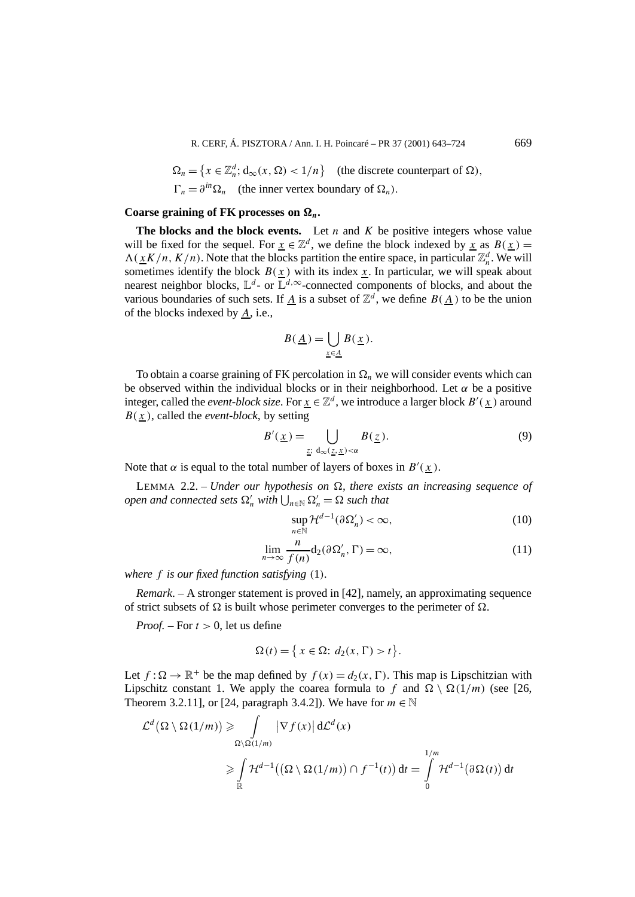$$
\Omega_n = \{ x \in \mathbb{Z}_n^d; d_\infty(x, \Omega) < 1/n \} \quad \text{(the discrete counterpart of } \Omega),
$$
\n
$$
\Gamma_n = \partial^{in} \Omega_n \quad \text{(the inner vertex boundary of } \Omega_n).
$$

# Coarse graining of FK processes on  $\Omega_n$ .

**The blocks and the block events.** Let *n* and *K* be positive integers whose value will be fixed for the sequel. For  $x \in \mathbb{Z}^d$ , we define the block indexed by *x* as  $B(x) =$  $\Lambda(\underline{x}K/n, K/n)$ . Note that the blocks partition the entire space, in particular  $\mathbb{Z}_n^d$ . We will sometimes identify the block  $B(x)$  with its index x. In particular, we will speak about nearest neighbor blocks,  $\mathbb{L}^d$ - or  $\mathbb{L}^d$ , $\infty$ -connected components of blocks, and about the various boundaries of such sets. If <u>*A*</u> is a subset of  $\mathbb{Z}^d$ , we define  $B(\underline{A})$  to be the union of the blocks indexed by *A*, i.e.,

$$
B(\underline{A}) = \bigcup_{\underline{x} \in \underline{A}} B(\underline{x}).
$$

To obtain a coarse graining of FK percolation in  $\Omega_n$  we will consider events which can be observed within the individual blocks or in their neighborhood. Let  $\alpha$  be a positive integer, called the *event-block size*. For  $\underline{x} \in \mathbb{Z}^d$ , we introduce a larger block  $B'(\underline{x})$  around  $B(x)$ , called the *event-block*, by setting

$$
B'(\underline{x}) = \bigcup_{\underline{z}:\ d_{\infty}(\underline{z},\underline{x}) < \alpha} B(\underline{z}).
$$
\n(9)

Note that  $\alpha$  is equal to the total number of layers of boxes in  $B'(\underline{x})$ .

LEMMA 2.2. – *Under our hypothesis on*  $\Omega$ , there exists an increasing sequence of *open and connected sets*  $\Omega'_n$  *with*  $\bigcup_{n \in \mathbb{N}} \Omega'_n = \Omega$  *such that* 

$$
\sup_{n \in \mathbb{N}} \mathcal{H}^{d-1}(\partial \Omega'_n) < \infty,\tag{10}
$$

$$
\lim_{n \to \infty} \frac{n}{f(n)} \mathbf{d}_2(\partial \Omega'_n, \Gamma) = \infty,
$$
\n(11)

*where f is our fixed function satisfying (*1*).*

*Remark*. – A stronger statement is proved in [42], namely, an approximating sequence of strict subsets of  $\Omega$  is built whose perimeter converges to the perimeter of  $\Omega$ .

*Proof. –* For *t >* 0, let us define

$$
\Omega(t) = \{ x \in \Omega : d_2(x, \Gamma) > t \}.
$$

Let  $f : \Omega \to \mathbb{R}^+$  be the map defined by  $f(x) = d_2(x, \Gamma)$ . This map is Lipschitzian with Lipschitz constant 1. We apply the coarea formula to f and  $\Omega \setminus \Omega(1/m)$  (see [26, Theorem 3.2.11], or [24, paragraph 3.4.2]). We have for  $m \in \mathbb{N}$ 

$$
\mathcal{L}^d(\Omega \setminus \Omega(1/m)) \ge \int_{\Omega \setminus \Omega(1/m)} |\nabla f(x)| d\mathcal{L}^d(x)
$$
  
\n
$$
\ge \int_{\mathbb{R}} \mathcal{H}^{d-1}((\Omega \setminus \Omega(1/m)) \cap f^{-1}(t)) dt = \int_{0}^{1/m} \mathcal{H}^{d-1}(\partial \Omega(t)) dt
$$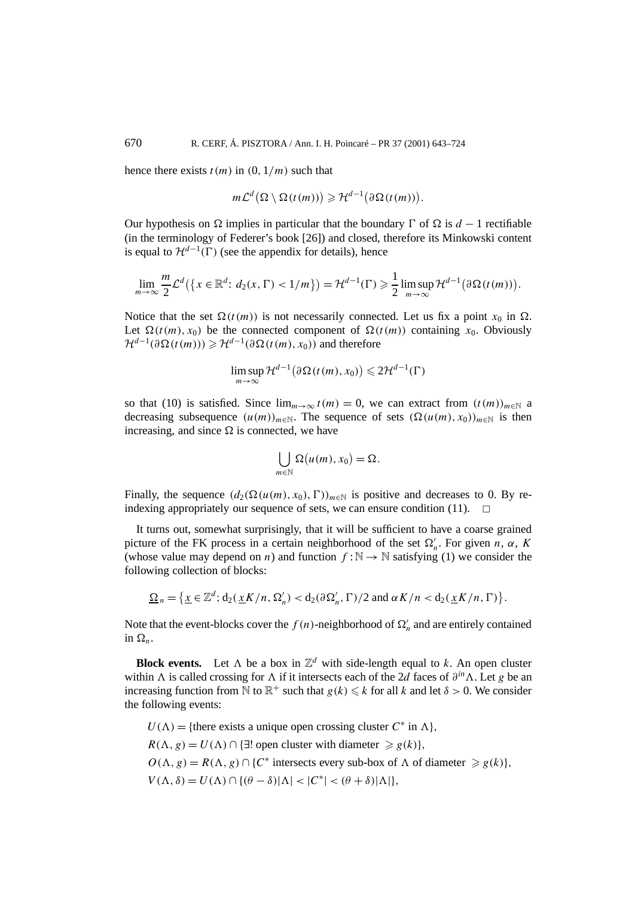hence there exists  $t(m)$  in  $(0, 1/m)$  such that

$$
m\mathcal{L}^d\big(\Omega\setminus\Omega(t(m))\big)\geqslant\mathcal{H}^{d-1}\big(\partial\Omega(t(m))\big).
$$

Our hypothesis on  $\Omega$  implies in particular that the boundary  $\Gamma$  of  $\Omega$  is *d* − 1 rectifiable (in the terminology of Federer's book [26]) and closed, therefore its Minkowski content is equal to  $\mathcal{H}^{d-1}(\Gamma)$  (see the appendix for details), hence

$$
\lim_{m\to\infty}\frac{m}{2}\mathcal{L}^d\big(\big\{x\in\mathbb{R}^d\colon d_2(x,\Gamma)<1/m\big\}\big)=\mathcal{H}^{d-1}(\Gamma)\geqslant\frac{1}{2}\limsup_{m\to\infty}\mathcal{H}^{d-1}\big(\partial\Omega(t(m))\big).
$$

Notice that the set  $\Omega(t(m))$  is not necessarily connected. Let us fix a point  $x_0$  in  $\Omega$ . Let  $\Omega(t(m), x_0)$  be the connected component of  $\Omega(t(m))$  containing  $x_0$ . Obviously  $\mathcal{H}^{d-1}(\partial \Omega(t(m))) \geq \mathcal{H}^{d-1}(\partial \Omega(t(m), x_0))$  and therefore

$$
\limsup_{m\to\infty} \mathcal{H}^{d-1}(\partial \Omega(t(m),x_0)) \leq 2\mathcal{H}^{d-1}(\Gamma)
$$

so that (10) is satisfied. Since  $\lim_{m\to\infty} t(m) = 0$ , we can extract from  $(t(m))_{m\in\mathbb{N}}$  a decreasing subsequence  $(u(m))_{m\in\mathbb{N}}$ . The sequence of sets  $(\Omega(u(m), x_0))_{m\in\mathbb{N}}$  is then increasing, and since  $\Omega$  is connected, we have

$$
\bigcup_{m\in\mathbb{N}}\Omega(u(m),x_0)=\Omega.
$$

Finally, the sequence  $(d_2(\Omega(u(m), x_0), \Gamma))_{m \in \mathbb{N}}$  is positive and decreases to 0. By reindexing appropriately our sequence of sets, we can ensure condition (11).  $\Box$ 

It turns out, somewhat surprisingly, that it will be sufficient to have a coarse grained picture of the FK process in a certain neighborhood of the set  $\Omega'_n$ . For given *n*, *α*, *K* (whose value may depend on *n*) and function  $f : \mathbb{N} \to \mathbb{N}$  satisfying (1) we consider the following collection of blocks:

$$
\underline{\Omega}_n = \{ \underline{x} \in \mathbb{Z}^d; d_2(\underline{x}K/n, \Omega'_n) < d_2(\partial \Omega'_n, \Gamma)/2 \text{ and } \alpha K/n < d_2(\underline{x}K/n, \Gamma) \}.
$$

Note that the event-blocks cover the  $f(n)$ -neighborhood of  $\Omega'_n$  and are entirely contained in  $\Omega_n$ .

**Block events.** Let  $\Lambda$  be a box in  $\mathbb{Z}^d$  with side-length equal to *k*. An open cluster within  $\Lambda$  is called crossing for  $\Lambda$  if it intersects each of the 2*d* faces of  $\partial^{in}\Lambda$ . Let *g* be an increasing function from  $\mathbb N$  to  $\mathbb R^+$  such that  $g(k) \leq k$  for all  $k$  and let  $\delta > 0$ . We consider the following events:

 $U(\Lambda) =$ {there exists a unique open crossing cluster  $C^*$  in  $\Lambda$ }*,*  $R(\Lambda, g) = U(\Lambda) \cap \{\exists!$  open cluster with diameter  $\geq g(k)\},$  $O(\Lambda, g) = R(\Lambda, g) \cap \{C^*$  intersects every sub-box of  $\Lambda$  of diameter  $\geq g(k)$ }  $V(\Lambda, \delta) = U(\Lambda) \cap \{(\theta - \delta) | \Lambda | < |C^*| < (\theta + \delta) |\Lambda| \},\$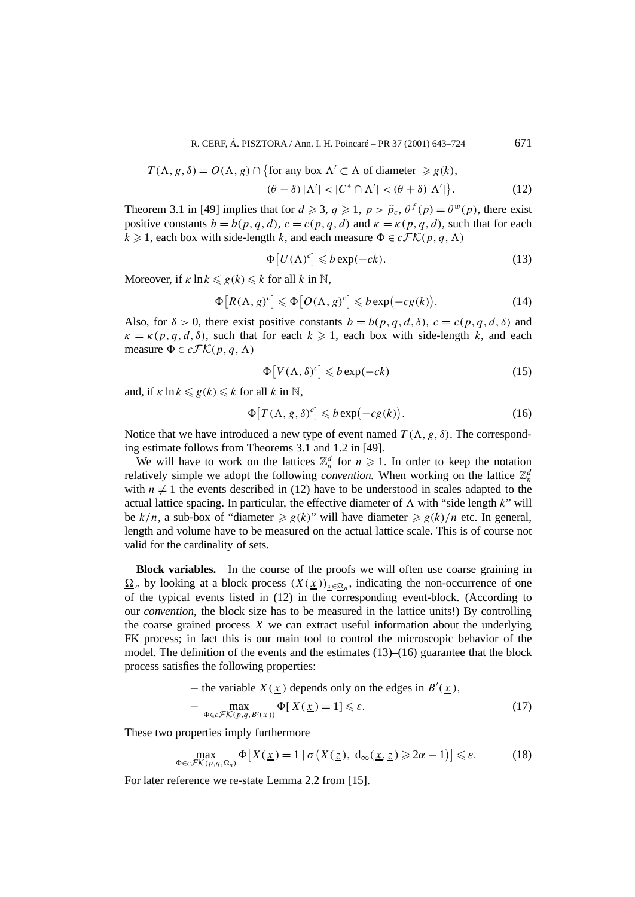$$
T(\Lambda, g, \delta) = O(\Lambda, g) \cap \{ \text{for any box } \Lambda' \subset \Lambda \text{ of diameter } \geq g(k), (\theta - \delta) |\Lambda'| < |C^* \cap \Lambda'| < (\theta + \delta) |\Lambda'| \}.
$$
 (12)

Theorem 3.1 in [49] implies that for  $d \ge 3$ ,  $q \ge 1$ ,  $p > \hat{p}_c$ ,  $\theta^f(p) = \theta^w(p)$ , there exist positive constants  $b = b(p, q, d)$ ,  $c = c(p, q, d)$  and  $\kappa = \kappa(p, q, d)$ , such that for each  $k \ge 1$ , each box with side-length *k*, and each measure  $\Phi \in c \mathcal{F} \mathcal{K}(p, q, \Lambda)$ 

$$
\Phi[U(\Lambda)^c] \leqslant b \exp(-ck). \tag{13}
$$

Moreover, if  $\kappa \ln k \leq g(k) \leq k$  for all  $k$  in  $\mathbb{N}$ ,

$$
\Phi[R(\Lambda, g)^c] \leq \Phi[O(\Lambda, g)^c] \leq b \exp(-cg(k)). \tag{14}
$$

Also, for  $\delta > 0$ , there exist positive constants  $b = b(p, q, d, \delta)$ ,  $c = c(p, q, d, \delta)$  and  $\kappa = \kappa(p, q, d, \delta)$ , such that for each  $k \geq 1$ , each box with side-length k, and each measure  $\Phi \in c \mathcal{F} \mathcal{K}(p, q, \Lambda)$ 

$$
\Phi[V(\Lambda, \delta)^c] \leqslant b \exp(-ck) \tag{15}
$$

and, if  $\kappa \ln k \leq g(k) \leq k$  for all  $k$  in  $\mathbb{N}$ ,

$$
\Phi[T(\Lambda, g, \delta)^c] \leqslant b \exp(-cg(k)).\tag{16}
$$

Notice that we have introduced a new type of event named  $T(\Lambda, g, \delta)$ . The corresponding estimate follows from Theorems 3.1 and 1.2 in [49].

We will have to work on the lattices  $\mathbb{Z}_n^d$  for  $n \geq 1$ . In order to keep the notation relatively simple we adopt the following *convention*. When working on the lattice  $\mathbb{Z}_n^d$ with  $n \neq 1$  the events described in (12) have to be understood in scales adapted to the actual lattice spacing. In particular, the effective diameter of  $\Lambda$  with "side length  $k$ " will be  $k/n$ , a sub-box of "diameter  $\ge g(k)$ " will have diameter  $\ge g(k)/n$  etc. In general, length and volume have to be measured on the actual lattice scale. This is of course not valid for the cardinality of sets.

**Block variables.** In the course of the proofs we will often use coarse graining in  $\underline{\Omega}_n$  by looking at a block process  $(X(\underline{x}))_{x \in \Omega_n}$ , indicating the non-occurrence of one of the typical events listed in (12) in the corresponding event-block. (According to our *convention*, the block size has to be measured in the lattice units!) By controlling the coarse grained process *X* we can extract useful information about the underlying FK process; in fact this is our main tool to control the microscopic behavior of the model. The definition of the events and the estimates  $(13)$ – $(16)$  guarantee that the block process satisfies the following properties:

– the variable 
$$
X(\underline{x})
$$
 depends only on the edges in  $B'(\underline{x})$ ,

$$
-\max_{\Phi \in c\mathcal{FK}(p,q,B'(\underline{x}))} \Phi[X(\underline{x})=1] \leq \varepsilon. \tag{17}
$$

These two properties imply furthermore

$$
\max_{\Phi \in c\mathcal{FK}(p,q,\Omega_n)} \Phi\big[X(\underline{x}) = 1 \mid \sigma\big(X(\underline{z}),\,d_\infty(\underline{x},\underline{z}) \geqslant 2\alpha - 1\big)\big] \leqslant \varepsilon. \tag{18}
$$

For later reference we re-state Lemma 2.2 from [15].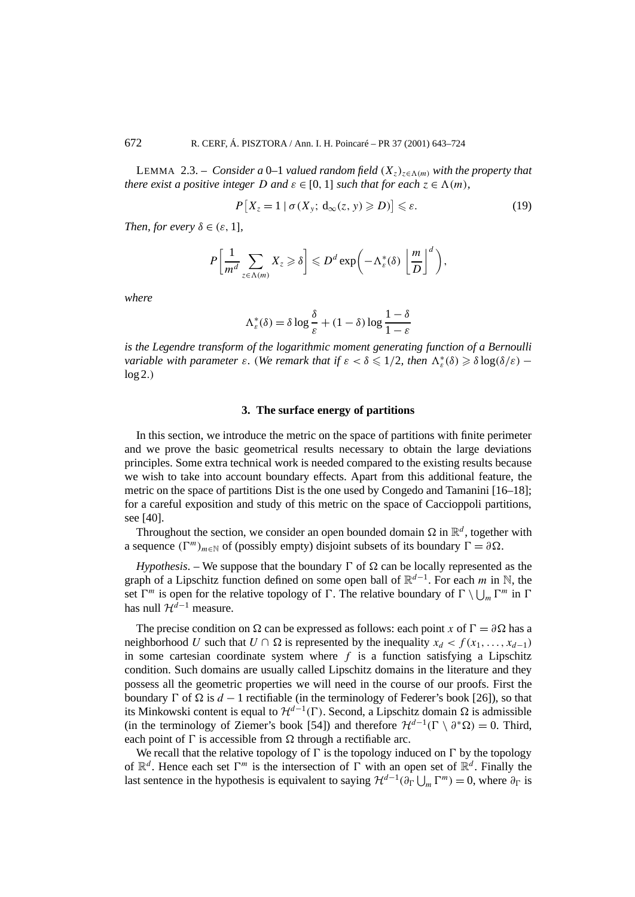LEMMA 2.3. – *Consider a* 0–1 *valued random field*  $(X_z)_{z \in \Lambda(m)}$  *with the property that there exist a positive integer D and*  $\varepsilon \in [0, 1]$  *such that for each*  $z \in \Lambda(m)$ *,* 

$$
P\left[X_{z}=1 \mid \sigma(X_{y}; d_{\infty}(z, y) \geqslant D)\right] \leqslant \varepsilon. \tag{19}
$$

*Then, for every*  $\delta \in (\varepsilon, 1]$ *,* 

$$
P\left[\frac{1}{m^d}\sum_{z\in\Lambda(m)}X_z\geqslant\delta\right]\leqslant D^d\exp\bigg(-\Lambda_{\varepsilon}^*(\delta)\left\lfloor\frac{m}{D}\right\rfloor^d\bigg),
$$

*where*

$$
\Lambda_{\varepsilon}^*(\delta) = \delta \log \frac{\delta}{\varepsilon} + (1 - \delta) \log \frac{1 - \delta}{1 - \varepsilon}
$$

*is the Legendre transform of the logarithmic moment generating function of a Bernoulli variable with parameter*  $\varepsilon$ *.* (We remark that if  $\varepsilon < \delta \leq 1/2$ , then  $\Lambda_{\varepsilon}^*(\delta) \geq \delta \log(\delta/\varepsilon)$  – log 2*.)*

# **3. The surface energy of partitions**

In this section, we introduce the metric on the space of partitions with finite perimeter and we prove the basic geometrical results necessary to obtain the large deviations principles. Some extra technical work is needed compared to the existing results because we wish to take into account boundary effects. Apart from this additional feature, the metric on the space of partitions Dist is the one used by Congedo and Tamanini [16–18]; for a careful exposition and study of this metric on the space of Caccioppoli partitions, see [40].

Throughout the section, we consider an open bounded domain  $\Omega$  in  $\mathbb{R}^d$ , together with a sequence  $(\Gamma^m)_{m\in\mathbb{N}}$  of (possibly empty) disjoint subsets of its boundary  $\Gamma = \partial \Omega$ .

*Hypothesis.* – We suppose that the boundary  $\Gamma$  of  $\Omega$  can be locally represented as the graph of a Lipschitz function defined on some open ball of R*d*<sup>−</sup>1. For each *m* in N, the set  $\Gamma^m$  is open for the relative topology of  $\Gamma$ . The relative boundary of  $\Gamma \setminus \bigcup_m \Gamma^m$  in  $\Gamma$ has null <sup>H</sup>*<sup>d</sup>*−<sup>1</sup> measure.

The precise condition on  $\Omega$  can be expressed as follows: each point *x* of  $\Gamma = \partial \Omega$  has a neighborhood *U* such that  $U \cap \Omega$  is represented by the inequality  $x_d < f(x_1, \ldots, x_{d-1})$ in some cartesian coordinate system where  $f$  is a function satisfying a Lipschitz condition. Such domains are usually called Lipschitz domains in the literature and they possess all the geometric properties we will need in the course of our proofs. First the boundary  $\Gamma$  of  $\Omega$  is *d* − 1 rectifiable (in the terminology of Federer's book [26]), so that its Minkowski content is equal to  $\mathcal{H}^{d-1}(\Gamma)$ . Second, a Lipschitz domain  $\Omega$  is admissible (in the terminology of Ziemer's book [54]) and therefore  $\mathcal{H}^{d-1}(\Gamma \setminus \partial^* \Omega) = 0$ . Third, each point of  $\Gamma$  is accessible from  $\Omega$  through a rectifiable arc.

We recall that the relative topology of  $\Gamma$  is the topology induced on  $\Gamma$  by the topology of  $\mathbb{R}^d$ . Hence each set  $\Gamma^m$  is the intersection of  $\Gamma$  with an open set of  $\mathbb{R}^d$ . Finally the last sentence in the hypothesis is equivalent to saying  $\mathcal{H}^{d-1}(\partial_{\Gamma} \bigcup_m \Gamma^m) = 0$ , where  $\partial_{\Gamma}$  is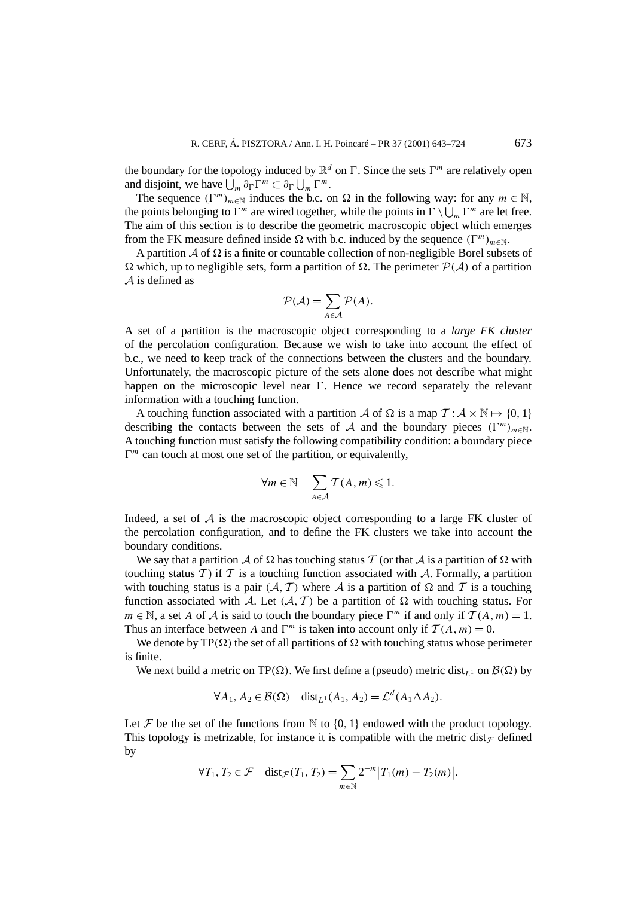the boundary for the topology induced by  $\mathbb{R}^d$  on  $\Gamma$ . Since the sets  $\Gamma^m$  are relatively open and disjoint, we have  $\bigcup_m \partial_{\Gamma} \Gamma^m \subset \partial_{\Gamma} \bigcup_m \Gamma^m$ .

The sequence  $(\Gamma^m)_{m \in \mathbb{N}}$  induces the b.c. on  $\Omega$  in the following way: for any  $m \in \mathbb{N}$ , the points belonging to  $\Gamma^m$  are wired together, while the points in  $\Gamma \setminus \bigcup_m \Gamma^m$  are let free. The aim of this section is to describe the geometric macroscopic object which emerges from the FK measure defined inside  $\Omega$  with b.c. induced by the sequence  $(\Gamma^m)_{m \in \mathbb{N}}$ .

A partition  $A$  of  $\Omega$  is a finite or countable collection of non-negligible Borel subsets of  $\Omega$  which, up to negligible sets, form a partition of  $\Omega$ . The perimeter  $\mathcal{P}(\mathcal{A})$  of a partition A is defined as

$$
\mathcal{P}(\mathcal{A}) = \sum_{A \in \mathcal{A}} \mathcal{P}(A).
$$

A set of a partition is the macroscopic object corresponding to a *large FK cluster* of the percolation configuration. Because we wish to take into account the effect of b.c., we need to keep track of the connections between the clusters and the boundary. Unfortunately, the macroscopic picture of the sets alone does not describe what might happen on the microscopic level near  $\Gamma$ . Hence we record separately the relevant information with a touching function.

A touching function associated with a partition A of  $\Omega$  is a map  $T : A \times \mathbb{N} \mapsto \{0, 1\}$ describing the contacts between the sets of A and the boundary pieces  $(\Gamma^m)_{m \in \mathbb{N}}$ . A touching function must satisfy the following compatibility condition: a boundary piece  $\Gamma^m$  can touch at most one set of the partition, or equivalently,

$$
\forall m \in \mathbb{N} \quad \sum_{A \in \mathcal{A}} \mathcal{T}(A, m) \leq 1.
$$

Indeed, a set of  $A$  is the macroscopic object corresponding to a large FK cluster of the percolation configuration, and to define the FK clusters we take into account the boundary conditions.

We say that a partition A of  $\Omega$  has touching status T (or that A is a partition of  $\Omega$  with touching status T) if T is a touching function associated with A. Formally, a partition with touching status is a pair  $(A, \mathcal{T})$  where  $\mathcal A$  is a partition of  $\Omega$  and  $\mathcal T$  is a touching function associated with A. Let  $(A, \mathcal{T})$  be a partition of  $\Omega$  with touching status. For *m*  $\in$  *N*, a set *A* of *A* is said to touch the boundary piece  $\Gamma^m$  if and only if  $\mathcal{T}(A, m) = 1$ . Thus an interface between *A* and  $\Gamma^m$  is taken into account only if  $\mathcal{T}(A, m) = 0$ .

We denote by  $TP(\Omega)$  the set of all partitions of  $\Omega$  with touching status whose perimeter is finite.

We next build a metric on TP( $\Omega$ ). We first define a (pseudo) metric dist<sub>L1</sub> on  $\mathcal{B}(\Omega)$  by

$$
\forall A_1, A_2 \in \mathcal{B}(\Omega) \quad \text{dist}_{L^1}(A_1, A_2) = \mathcal{L}^d(A_1 \Delta A_2).
$$

Let F be the set of the functions from  $\mathbb N$  to  $\{0, 1\}$  endowed with the product topology. This topology is metrizable, for instance it is compatible with the metric dist  $\tau$  defined by

$$
\forall T_1, T_2 \in \mathcal{F} \quad \text{dist}_{\mathcal{F}}(T_1, T_2) = \sum_{m \in \mathbb{N}} 2^{-m} |T_1(m) - T_2(m)|.
$$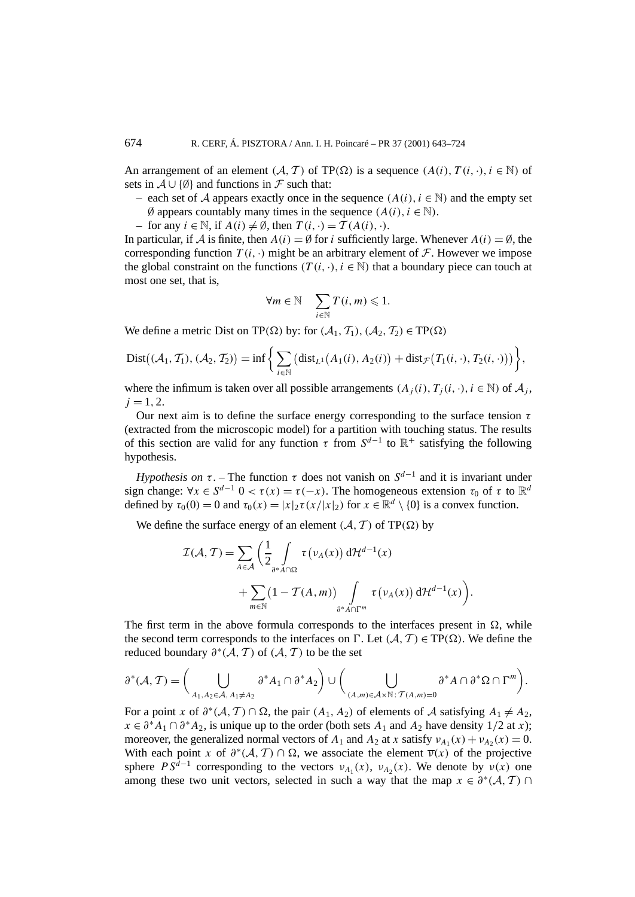An arrangement of an element  $(A, \mathcal{T})$  of TP $(\Omega)$  is a sequence  $(A(i), T(i, \cdot), i \in \mathbb{N})$  of sets in  $\mathcal{A} \cup {\emptyset}$  and functions in  $\mathcal{F}$  such that:

- each set of A appears exactly once in the sequence  $(A(i), i \in \mathbb{N})$  and the empty set  $\emptyset$  appears countably many times in the sequence *(A(i), i* ∈ <sup>N</sup>).
- for any *i* ∈  $\mathbb{N}$ , if *A*(*i*)  $\neq$  Ø, then *T*(*i*, ·) = *T*(*A*(*i*), ·).

In particular, if A is finite, then  $A(i) = \emptyset$  for *i* sufficiently large. Whenever  $A(i) = \emptyset$ , the corresponding function  $T(i, \cdot)$  might be an arbitrary element of  $\mathcal F$ . However we impose the global constraint on the functions  $(T(i, \cdot), i \in \mathbb{N})$  that a boundary piece can touch at most one set, that is,

$$
\forall m \in \mathbb{N} \quad \sum_{i \in \mathbb{N}} T(i, m) \leq 1.
$$

We define a metric Dist on TP( $\Omega$ ) by: for  $(A_1, T_1), (A_2, T_2) \in \text{TP}(\Omega)$ 

$$
Dist((\mathcal{A}_1, \mathcal{T}_1), (\mathcal{A}_2, \mathcal{T}_2)) = inf \left\{ \sum_{i \in \mathbb{N}} (dist_{L^1}(A_1(i), A_2(i)) + dist_{\mathcal{F}}(T_1(i, \cdot), T_2(i, \cdot))) \right\},\
$$

where the infimum is taken over all possible arrangements  $(A_i(i), T_i(i, \cdot), i \in \mathbb{N})$  of  $A_i$ ,  $j = 1, 2.$ 

Our next aim is to define the surface energy corresponding to the surface tension  $\tau$ (extracted from the microscopic model) for a partition with touching status. The results of this section are valid for any function  $\tau$  from  $S^{d-1}$  to  $\mathbb{R}^+$  satisfying the following hypothesis.

*Hypothesis on*  $\tau$ . – The function  $\tau$  does not vanish on  $S^{d-1}$  and it is invariant under sign change:  $\forall x \in S^{d-1}$   $0 < \tau(x) = \tau(-x)$ . The homogeneous extension  $\tau_0$  of  $\tau$  to  $\mathbb{R}^d$ defined by  $\tau_0(0) = 0$  and  $\tau_0(x) = |x|_2 \tau(x/|x|_2)$  for  $x \in \mathbb{R}^d \setminus \{0\}$  is a convex function.

We define the surface energy of an element  $(A, T)$  of TP $(\Omega)$  by

$$
\mathcal{I}(\mathcal{A}, \mathcal{T}) = \sum_{A \in \mathcal{A}} \left( \frac{1}{2} \int_{\partial^* A \cap \Omega} \tau(\nu_A(x)) d\mathcal{H}^{d-1}(x) + \sum_{m \in \mathbb{N}} (1 - \mathcal{T}(A, m)) \int_{\partial^* A \cap \Gamma^m} \tau(\nu_A(x)) d\mathcal{H}^{d-1}(x) \right).
$$

The first term in the above formula corresponds to the interfaces present in  $\Omega$ , while the second term corresponds to the interfaces on  $\Gamma$ . Let  $(A, \mathcal{T}) \in \mathrm{TP}(\Omega)$ . We define the reduced boundary  $\partial^*(\mathcal{A}, \mathcal{T})$  of  $(\mathcal{A}, \mathcal{T})$  to be the set

$$
\partial^*(\mathcal{A}, \mathcal{T}) = \bigg( \bigcup_{A_1, A_2 \in \mathcal{A}, A_1 \neq A_2} \partial^* A_1 \cap \partial^* A_2 \bigg) \cup \bigg( \bigcup_{(A,m) \in \mathcal{A} \times \mathbb{N} : \mathcal{T}(A,m) = 0} \partial^* A \cap \partial^* \Omega \cap \Gamma^m \bigg).
$$

For a point *x* of  $\partial^*(A, \mathcal{T}) \cap \Omega$ , the pair  $(A_1, A_2)$  of elements of A satisfying  $A_1 \neq A_2$ ,  $x \in \partial^* A_1 \cap \partial^* A_2$ , is unique up to the order (both sets  $A_1$  and  $A_2$  have density 1/2 at *x*); moreover, the generalized normal vectors of  $A_1$  and  $A_2$  at *x* satisfy  $v_{A_1}(x) + v_{A_2}(x) = 0$ . With each point *x* of  $\partial^*(A, \mathcal{T}) \cap \Omega$ , we associate the element  $\overline{\nu}(x)$  of the projective sphere  $PS^{\hat{d}-1}$  corresponding to the vectors  $v_{A_1}(x)$ ,  $v_{A_2}(x)$ . We denote by  $v(x)$  one among these two unit vectors, selected in such a way that the map  $x \in \partial^*(A, \mathcal{T})$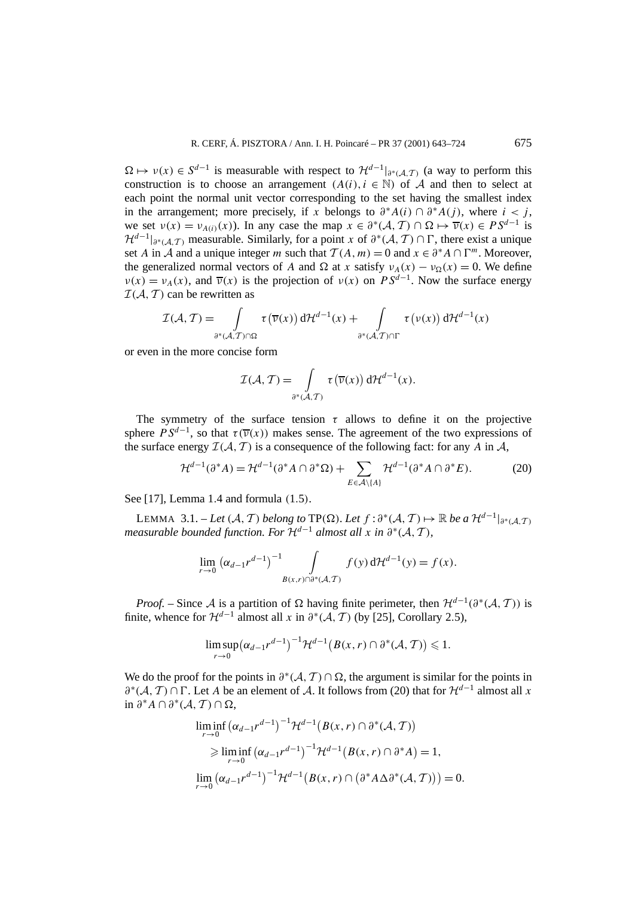$\Omega$  → *ν*(*x*) ∈ *S<sup>d-1</sup>* is measurable with respect to  $\mathcal{H}^{d-1}|_{\partial^*(\mathcal{A},\mathcal{T})}$  (a way to perform this construction is to choose an arrangement  $(A(i), i \in \mathbb{N})$  of A and then to select at each point the normal unit vector corresponding to the set having the smallest index in the arrangement; more precisely, if *x* belongs to  $\partial^* A(i) \cap \partial^* A(j)$ , where  $i < j$ , we set  $v(x) = v_{A(i)}(x)$ . In any case the map  $x \in \partial^*(A, \mathcal{T}) \cap \Omega \mapsto \overline{v}(x) \in PS^{d-1}$  is *H*<sup>d−1</sup> $|_{\partial^*(A,T)}$  measurable. Similarly, for a point *x* of  $\partial^*(A,T) \cap \Gamma$ , there exist a unique set *A* in  $\overrightarrow{A}$  and a unique integer *m* such that  $\mathcal{T}(A, m) = 0$  and  $x \in \partial^* A \cap \Gamma^m$ . Moreover, the generalized normal vectors of *A* and  $\Omega$  at *x* satisfy  $v_A(x) - v_\Omega(x) = 0$ . We define  $\nu(x) = v_A(x)$ , and  $\overline{\nu}(x)$  is the projection of  $\nu(x)$  on  $PS^{d-1}$ . Now the surface energy  $I(A, T)$  can be rewritten as

$$
\mathcal{I}(\mathcal{A}, \mathcal{T}) = \int_{\partial^*(\mathcal{A}, \mathcal{T}) \cap \Omega} \tau(\overline{\nu}(x)) d\mathcal{H}^{d-1}(x) + \int_{\partial^*(\mathcal{A}, \mathcal{T}) \cap \Gamma} \tau(\nu(x)) d\mathcal{H}^{d-1}(x)
$$

or even in the more concise form

$$
\mathcal{I}(\mathcal{A}, \mathcal{T}) = \int_{\partial^*(\mathcal{A}, \mathcal{T})} \tau(\overline{\nu}(x)) d\mathcal{H}^{d-1}(x).
$$

The symmetry of the surface tension  $\tau$  allows to define it on the projective sphere  $PS^{d-1}$ , so that  $\tau(\overline{\nu}(x))$  makes sense. The agreement of the two expressions of the surface energy  $\mathcal{I}(\mathcal{A}, \mathcal{T})$  is a consequence of the following fact: for any  $\hat{A}$  in  $\mathcal{A}$ ,

$$
\mathcal{H}^{d-1}(\partial^* A) = \mathcal{H}^{d-1}(\partial^* A \cap \partial^* \Omega) + \sum_{E \in \mathcal{A} \setminus \{A\}} \mathcal{H}^{d-1}(\partial^* A \cap \partial^* E). \tag{20}
$$

See [17], Lemma 1*.*4 and formula *(*1*.*5*)*.

LEMMA 3.1. – *Let*  $(A, \mathcal{T})$  *belong to* TP $(\Omega)$ *. Let*  $f : \partial^*(A, \mathcal{T}) \mapsto \mathbb{R}$  *be a*  $\mathcal{H}^{d-1}|_{\partial^*(A, \mathcal{T})}$ *measurable bounded function. For* <sup>H</sup>*<sup>d</sup>*−<sup>1</sup> *almost all <sup>x</sup> in <sup>∂</sup>*<sup>∗</sup>*(*A*,* <sup>T</sup> *),*

$$
\lim_{r \to 0} \left( \alpha_{d-1} r^{d-1} \right)^{-1} \int\limits_{B(x,r) \cap \partial^*(\mathcal{A}, \mathcal{T})} f(y) \, d\mathcal{H}^{d-1}(y) = f(x).
$$

*Proof.* – Since A is a partition of  $\Omega$  having finite perimeter, then  $\mathcal{H}^{d-1}(\partial^*(\mathcal{A}, \mathcal{T}))$  is finite, whence for  $\mathcal{H}^{d-1}$  almost all *x* in  $\partial^*(\mathcal{A}, \mathcal{T})$  (by [25], Corollary 2.5),

$$
\limsup_{r\to 0} (\alpha_{d-1}r^{d-1})^{-1}\mathcal{H}^{d-1}(B(x,r)\cap\partial^*(\mathcal{A},\mathcal{T}))\leq 1.
$$

We do the proof for the points in  $\partial^*(A, \mathcal{T}) \cap \Omega$ , the argument is similar for the points in  $∂$ <sup>∗</sup>( $A$ ,  $T$ ) ∩  $Γ$ . Let *A* be an element of  $A$ . It follows from (20) that for  $H^{d-1}$  almost all *x*  $\overline{\partial}$ <sup>\*</sup> $A \cap \partial$ <sup>\*</sup> $(A, \mathcal{T}) \cap \Omega$ ,

$$
\liminf_{r \to 0} (\alpha_{d-1} r^{d-1})^{-1} \mathcal{H}^{d-1}(B(x, r) \cap \partial^*(A, T))
$$
  
\n
$$
\geq \liminf_{r \to 0} (\alpha_{d-1} r^{d-1})^{-1} \mathcal{H}^{d-1}(B(x, r) \cap \partial^* A) = 1,
$$
  
\n
$$
\lim_{r \to 0} (\alpha_{d-1} r^{d-1})^{-1} \mathcal{H}^{d-1}(B(x, r) \cap (\partial^* A \Delta \partial^*(A, T))) = 0.
$$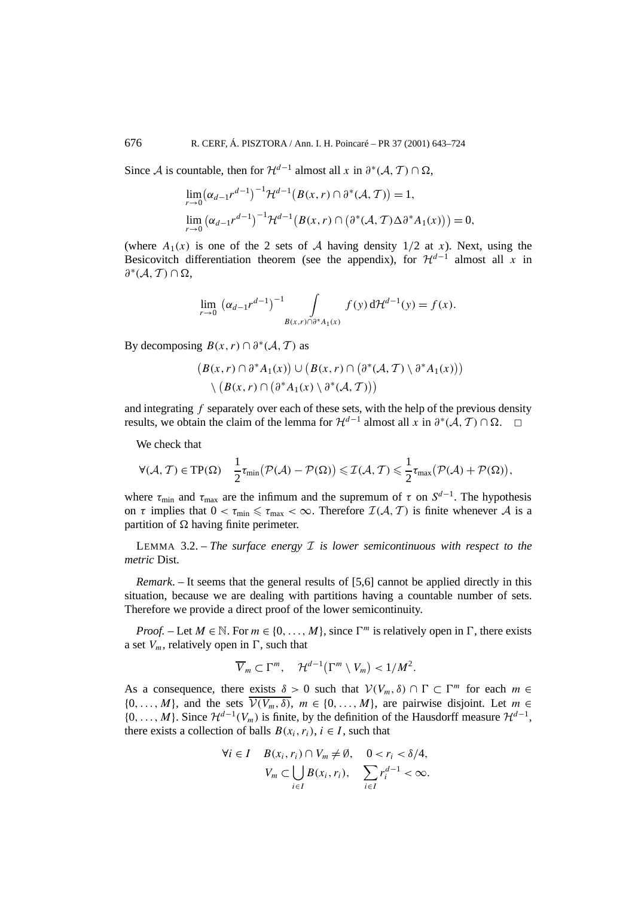Since A is countable, then for  $\mathcal{H}^{d-1}$  almost all *x* in  $\partial^*(\mathcal{A}, \mathcal{T}) \cap \Omega$ ,

$$
\lim_{r \to 0} (\alpha_{d-1} r^{d-1})^{-1} \mathcal{H}^{d-1}(B(x, r) \cap \partial^*(A, T)) = 1,
$$
  

$$
\lim_{r \to 0} (\alpha_{d-1} r^{d-1})^{-1} \mathcal{H}^{d-1}(B(x, r) \cap (\partial^*(A, T) \Delta \partial^* A_1(x))) = 0,
$$

(where  $A_1(x)$  is one of the 2 sets of A having density  $1/2$  at *x*). Next, using the Besicovitch differentiation theorem (see the appendix), for  $\mathcal{H}^{d-1}$  almost all *x* in  $∂$ <sup>∗</sup>(*A*, *T*) ∩ Ω,

$$
\lim_{r \to 0} \left( \alpha_{d-1} r^{d-1} \right)^{-1} \int_{B(x,r) \cap \partial^* A_1(x)} f(y) d\mathcal{H}^{d-1}(y) = f(x).
$$

By decomposing  $B(x, r) \cap \partial^*(A, T)$  as

$$
(B(x,r) \cap \partial^* A_1(x)) \cup (B(x,r) \cap (\partial^* (A,T) \setminus \partial^* A_1(x)))
$$
  
 
$$
\setminus (B(x,r) \cap (\partial^* A_1(x) \setminus \partial^* (A,T)))
$$

and integrating *f* separately over each of these sets, with the help of the previous density results, we obtain the claim of the lemma for  $\mathcal{H}^{d-1}$  almost all *x* in  $\partial^*(\mathcal{A}, \mathcal{T}) \cap \Omega$ . □

We check that

$$
\forall (\mathcal{A}, \mathcal{T}) \in TP(\Omega) \quad \frac{1}{2} \tau_{min} \big( \mathcal{P}(\mathcal{A}) - \mathcal{P}(\Omega) \big) \leqslant \mathcal{I}(\mathcal{A}, \mathcal{T}) \leqslant \frac{1}{2} \tau_{max} \big( \mathcal{P}(\mathcal{A}) + \mathcal{P}(\Omega) \big),
$$

where  $\tau_{\text{min}}$  and  $\tau_{\text{max}}$  are the infimum and the supremum of  $\tau$  on  $S^{d-1}$ . The hypothesis on  $\tau$  implies that  $0 < \tau_{\text{min}} \le \tau_{\text{max}} < \infty$ . Therefore  $\mathcal{I}(\mathcal{A}, \mathcal{T})$  is finite whenever  $\mathcal{A}$  is a partition of  $\Omega$  having finite perimeter.

LEMMA 3.2. – *The surface energy* I *is lower semicontinuous with respect to the metric* Dist*.*

*Remark*. – It seems that the general results of [5,6] cannot be applied directly in this situation, because we are dealing with partitions having a countable number of sets. Therefore we provide a direct proof of the lower semicontinuity.

*Proof.* – Let  $M \in \mathbb{N}$ . For  $m \in \{0, ..., M\}$ , since  $\Gamma^m$  is relatively open in  $\Gamma$ , there exists a set  $V_m$ , relatively open in  $\Gamma$ , such that

$$
\overline{V}_m\subset\Gamma^m,\quad \mathcal{H}^{d-1}\big(\Gamma^m\setminus V_m\big)<1/M^2.
$$

As a consequence, there exists  $\delta > 0$  such that  $V(V_m, \delta) \cap \Gamma \subset \Gamma^m$  for each  $m \in$  $\{0,\ldots,M\}$ , and the sets  $\overline{V(V_m,\delta)}$ ,  $m \in \{0,\ldots,M\}$ , are pairwise disjoint. Let  $m \in$  $\{0, \ldots, M\}$ . Since  $\mathcal{H}^{d-1}(V_m)$  is finite, by the definition of the Hausdorff measure  $\mathcal{H}^{d-1}$ , there exists a collection of balls  $B(x_i, r_i)$ ,  $i \in I$ , such that

$$
\forall i \in I \quad B(x_i, r_i) \cap V_m \neq \emptyset, \quad 0 < r_i < \delta/4, \\
V_m \subset \bigcup_{i \in I} B(x_i, r_i), \quad \sum_{i \in I} r_i^{d-1} < \infty.
$$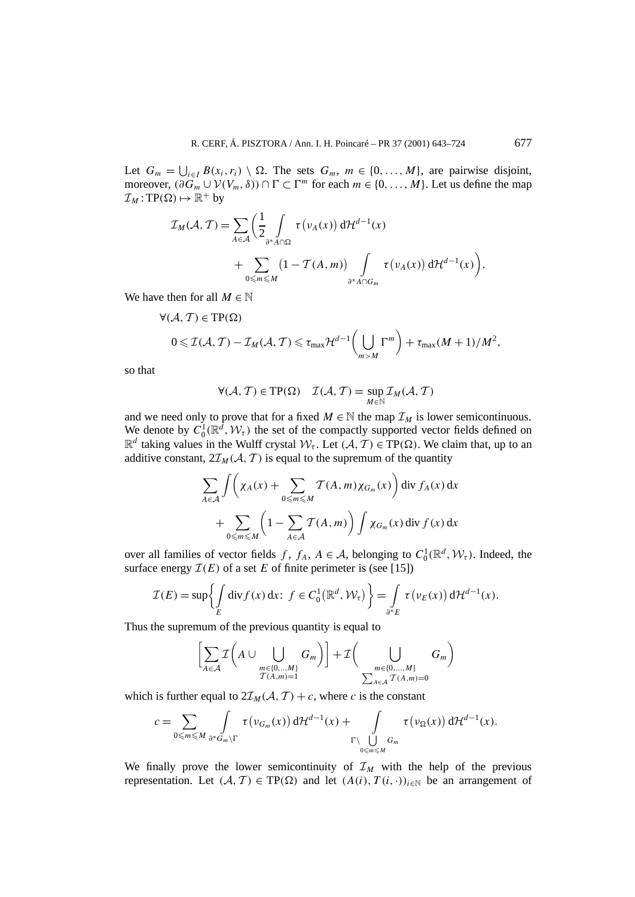Let  $G_m = \bigcup_{i \in I} B(x_i, r_i) \setminus \Omega$ . The sets  $G_m$ ,  $m \in \{0, ..., M\}$ , are pairwise disjoint, moreover,  $(\partial G_m \cup V(V_m, \delta))$  ∩ Γ ⊂ Γ<sup>*m*</sup> for each *m* ∈ {0, ..., *M*}. Let us define the map  $\mathcal{I}_M$ : TP( $\Omega$ )  $\mapsto \mathbb{R}^+$  by

$$
\mathcal{I}_M(\mathcal{A}, \mathcal{T}) = \sum_{A \in \mathcal{A}} \left( \frac{1}{2} \int_{\partial^* A \cap \Omega} \tau \left( \nu_A(x) \right) d\mathcal{H}^{d-1}(x) + \sum_{0 \le m \le M} \left( 1 - \mathcal{T}(A, m) \right) \int_{\partial^* A \cap G_m} \tau \left( \nu_A(x) \right) d\mathcal{H}^{d-1}(x) \right).
$$

We have then for all  $M \in \mathbb{N}$ 

$$
\forall (\mathcal{A}, \mathcal{T}) \in \mathrm{TP}(\Omega)
$$
  

$$
0 \leq \mathcal{I}(\mathcal{A}, \mathcal{T}) - \mathcal{I}_M(\mathcal{A}, \mathcal{T}) \leq \tau_{\max} \mathcal{H}^{d-1} \left( \bigcup_{m > M} \Gamma^m \right) + \tau_{\max} (M + 1) / M^2,
$$

so that

$$
\forall (\mathcal{A}, \mathcal{T}) \in \mathrm{TP}(\Omega) \quad \mathcal{I}(\mathcal{A}, \mathcal{T}) = \sup_{M \in \mathbb{N}} \mathcal{I}_M(\mathcal{A}, \mathcal{T})
$$

and we need only to prove that for a fixed  $M \in \mathbb{N}$  the map  $\mathcal{I}_M$  is lower semicontinuous. We denote by  $C_0^1(\mathbb{R}^d, \mathcal{W}_\tau)$  the set of the compactly supported vector fields defined on  $\mathbb{R}^d$  taking values in the Wulff crystal  $W_τ$ . Let  $(A, T) ∈ TP(Ω)$ . We claim that, up to an additive constant,  $2\mathcal{I}_{M}(\mathcal{A}, \mathcal{T})$  is equal to the supremum of the quantity

$$
\sum_{A \in \mathcal{A}} \int \left( \chi_A(x) + \sum_{0 \le m \le M} \mathcal{T}(A, m) \chi_{G_m}(x) \right) \operatorname{div} f_A(x) dx
$$

$$
+ \sum_{0 \le m \le M} \left( 1 - \sum_{A \in \mathcal{A}} \mathcal{T}(A, m) \right) \int \chi_{G_m}(x) \operatorname{div} f(x) dx
$$

over all families of vector fields *f*, *f<sub>A</sub>*, *A*  $\in$  *A*, belonging to  $C_0^1(\mathbb{R}^d, \mathcal{W}_\tau)$ . Indeed, the surface energy  $\mathcal{I}(E)$  of a set *E* of finite perimeter is (see [15])

$$
\mathcal{I}(E) = \sup \left\{ \int\limits_E \text{div} f(x) \, dx \colon f \in C_0^1(\mathbb{R}^d, \mathcal{W}_\tau) \right\} = \int\limits_{\partial^* E} \tau \left( \nu_E(x) \right) d\mathcal{H}^{d-1}(x).
$$

Thus the supremum of the previous quantity is equal to

$$
\left[\sum_{A\in\mathcal{A}}\mathcal{I}\left(A\cup\bigcup_{\substack{m\in\{0,\ldots,M\}\\T(A,m)=1}}G_m\right)\right]+\mathcal{I}\left(\bigcup_{\substack{m\in\{0,\ldots,M\}\\D_{A\in\mathcal{A}}T(A,m)=0}}G_m\right)
$$

which is further equal to  $2\mathcal{I}_M(\mathcal{A}, \mathcal{T}) + c$ , where *c* is the constant

$$
c = \sum_{0 \leqslant m \leqslant M} \int\limits_{\partial^* G_m \backslash \Gamma} \tau \left( \nu_{G_m}(x) \right) d\mathcal{H}^{d-1}(x) + \int\limits_{\Gamma \backslash \bigcup\limits_{0 \leqslant m \leqslant M} G_m} \tau \left( \nu_{\Omega}(x) \right) d\mathcal{H}^{d-1}(x).
$$

We finally prove the lower semicontinuity of  $\mathcal{I}_M$  with the help of the previous representation. Let  $(A, \mathcal{T}) \in \text{TP}(\Omega)$  and let  $(A(i), T(i, \cdot))_{i \in \mathbb{N}}$  be an arrangement of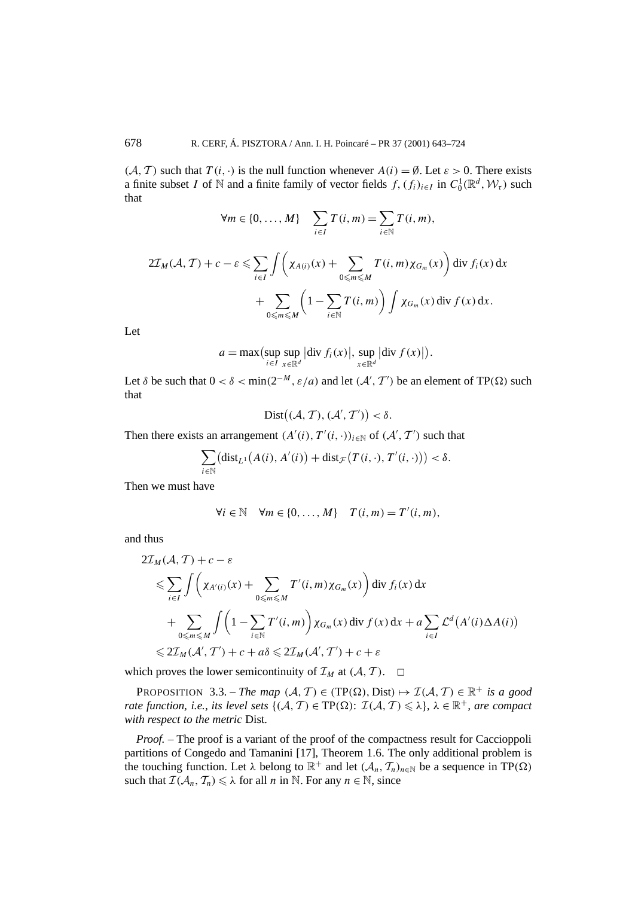$(A, T)$  such that  $T(i, \cdot)$  is the null function whenever  $A(i) = \emptyset$ . Let  $\varepsilon > 0$ . There exists a finite subset *I* of  $N$  and a finite family of vector fields  $f, (f_i)_{i \in I}$  in  $C_0^1(\mathbb{R}^d, \mathcal{W}_\tau)$  such that

$$
\forall m \in \{0, ..., M\} \quad \sum_{i \in I} T(i, m) = \sum_{i \in \mathbb{N}} T(i, m),
$$
  

$$
2\mathcal{I}_M(\mathcal{A}, \mathcal{T}) + c - \varepsilon \leq \sum_{i \in I} \int \left(\chi_{A(i)}(x) + \sum_{0 \leq m \leq M} T(i, m) \chi_{G_m}(x)\right) \operatorname{div} f_i(x) dx
$$
  

$$
+ \sum_{0 \leq m \leq M} \left(1 - \sum_{i \in \mathbb{N}} T(i, m)\right) \int \chi_{G_m}(x) \operatorname{div} f(x) dx.
$$

Let

$$
a = \max \left( \sup_{i \in I} \sup_{x \in \mathbb{R}^d} |\text{div } f_i(x)|, \sup_{x \in \mathbb{R}^d} |\text{div } f(x)| \right).
$$

Let  $\delta$  be such that  $0 < \delta < \min(2^{-M}, \varepsilon/a)$  and let  $(\mathcal{A}', \mathcal{T}')$  be an element of TP( $\Omega$ ) such that

 $Dist((\mathcal{A}, \mathcal{T}), (\mathcal{A}', \mathcal{T}')) < \delta.$ 

Then there exists an arrangement  $(A'(i), T'(i, \cdot))_{i \in \mathbb{N}}$  of  $(A', T')$  such that

$$
\sum_{i\in\mathbb{N}}\big(\mathrm{dist}_{L^1}\big(A(i),A'(i)\big)+\mathrm{dist}_{\mathcal{F}}\big(T(i,\cdot),T'(i,\cdot)\big)\big)<\delta.
$$

Then we must have

$$
\forall i \in \mathbb{N} \quad \forall m \in \{0, \ldots, M\} \quad T(i,m) = T'(i,m),
$$

and thus

$$
2\mathcal{I}_M(\mathcal{A}, \mathcal{T}) + c - \varepsilon
$$
  
\n
$$
\leqslant \sum_{i \in I} \int \left( \chi_{A'(i)}(x) + \sum_{0 \leqslant m \leqslant M} T'(i, m) \chi_{G_m}(x) \right) \operatorname{div} f_i(x) dx
$$
  
\n
$$
+ \sum_{0 \leqslant m \leqslant M} \int \left( 1 - \sum_{i \in \mathbb{N}} T'(i, m) \right) \chi_{G_m}(x) \operatorname{div} f(x) dx + a \sum_{i \in I} \mathcal{L}^d \left( A'(i) \Delta A(i) \right)
$$
  
\n
$$
\leqslant 2\mathcal{I}_M(\mathcal{A}', \mathcal{T}') + c + a\delta \leqslant 2\mathcal{I}_M(\mathcal{A}', \mathcal{T}') + c + \varepsilon
$$

which proves the lower semicontinuity of  $\mathcal{I}_M$  at  $(\mathcal{A}, \mathcal{T})$ .  $\Box$ 

PROPOSITION 3.3. – *The map*  $(A, \mathcal{T}) \in (TP(\Omega), Dist) \mapsto \mathcal{I}(A, \mathcal{T}) \in \mathbb{R}^+$  *is a good rate function, i.e., its level sets*  $\{(\mathcal{A}, \mathcal{T}) \in \mathrm{TP}(\Omega): \mathcal{I}(\mathcal{A}, \mathcal{T}) \leq \lambda\}, \lambda \in \mathbb{R}^+$ *, are compact with respect to the metric* Dist*.*

*Proof.* – The proof is a variant of the proof of the compactness result for Caccioppoli partitions of Congedo and Tamanini [17], Theorem 1*.*6. The only additional problem is the touching function. Let  $\lambda$  belong to  $\mathbb{R}^+$  and let  $(\mathcal{A}_n, \mathcal{T}_n)_{n \in \mathbb{N}}$  be a sequence in TP( $\Omega$ ) such that  $\mathcal{I}(\mathcal{A}_n, \mathcal{T}_n) \le \lambda$  for all *n* in  $\mathbb{N}$ . For any  $n \in \mathbb{N}$ , since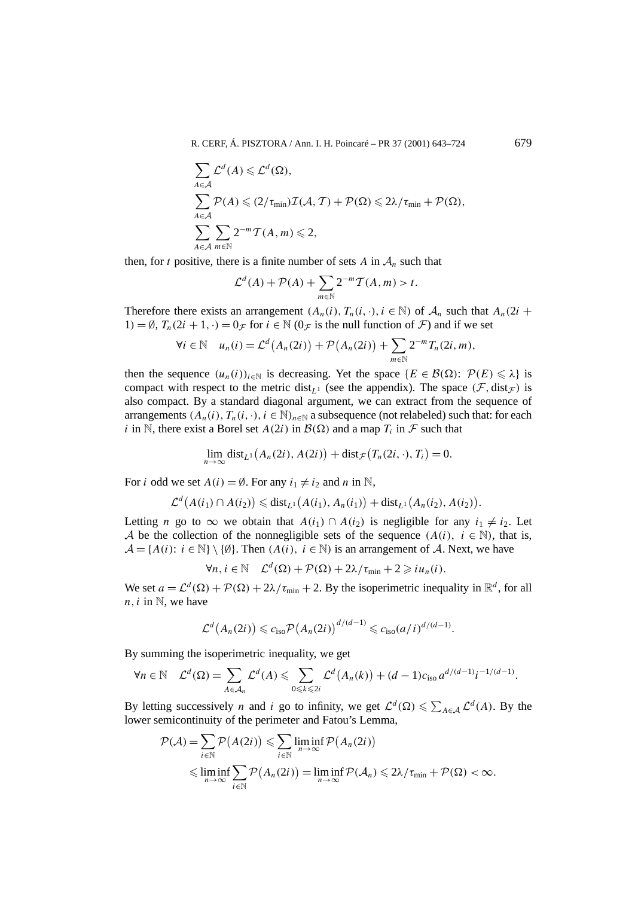R. CERF, Á. PISZTORA / Ann. I. H. Poincaré – PR 37 (2001) 643–724 679

$$
\sum_{A \in \mathcal{A}} \mathcal{L}^d(A) \leq \mathcal{L}^d(\Omega),
$$
\n
$$
\sum_{A \in \mathcal{A}} \mathcal{P}(A) \leq (2/\tau_{\min}) \mathcal{I}(\mathcal{A}, \mathcal{T}) + \mathcal{P}(\Omega) \leq 2\lambda/\tau_{\min} + \mathcal{P}(\Omega),
$$
\n
$$
\sum_{A \in \mathcal{A}} \sum_{m \in \mathbb{N}} 2^{-m} \mathcal{T}(A, m) \leq 2,
$$

then, for *t* positive, there is a finite number of sets *A* in  $A_n$  such that

$$
\mathcal{L}^d(A) + \mathcal{P}(A) + \sum_{m \in \mathbb{N}} 2^{-m} \mathcal{T}(A, m) > t.
$$

Therefore there exists an arrangement  $(A_n(i), T_n(i, \cdot), i \in \mathbb{N})$  of  $A_n$  such that  $A_n(2i +$ 1) =  $\emptyset$ ,  $T_n(2i + 1, \cdot) = 0$  for  $i \in \mathbb{N}$  ( $0$  f is the null function of F) and if we set

$$
\forall i \in \mathbb{N} \quad u_n(i) = \mathcal{L}^d(A_n(2i)) + \mathcal{P}(A_n(2i)) + \sum_{m \in \mathbb{N}} 2^{-m} T_n(2i, m),
$$

then the sequence  $(u_n(i))_{i\in\mathbb{N}}$  is decreasing. Yet the space  $\{E \in \mathcal{B}(\Omega): \mathcal{P}(E) \le \lambda\}$  is compact with respect to the metric dist<sub>*L*1</sub> (see the appendix). The space  $(F, dist_F)$  is also compact. By a standard diagonal argument, we can extract from the sequence of arrangements  $(A_n(i), T_n(i, \cdot), i \in \mathbb{N})_{n \in \mathbb{N}}$  a subsequence (not relabeled) such that: for each *i* in N, there exist a Borel set  $A(2i)$  in  $B(\Omega)$  and a map  $T_i$  in  $\mathcal F$  such that

$$
\lim_{n\to\infty} dist_{L^1}(A_n(2i), A(2i)) + dist_{\mathcal{F}}(T_n(2i, \cdot), T_i) = 0.
$$

For *i* odd we set  $A(i) = \emptyset$ . For any  $i_1 \neq i_2$  and *n* in N,

$$
\mathcal{L}^d(A(i_1) \cap A(i_2)) \leq \text{dist}_{L^1}(A(i_1), A_n(i_1)) + \text{dist}_{L^1}(A_n(i_2), A(i_2)).
$$

Letting *n* go to  $\infty$  we obtain that  $A(i_1) \cap A(i_2)$  is negligible for any  $i_1 \neq i_2$ . Let A be the collection of the nonnegligible sets of the sequence  $(A(i), i \in \mathbb{N})$ , that is,  $A = \{A(i): i \in \mathbb{N}\}\setminus\{\emptyset\}$ . Then  $(A(i), i \in \mathbb{N})$  is an arrangement of A. Next, we have

$$
\forall n, i \in \mathbb{N} \quad \mathcal{L}^d(\Omega) + \mathcal{P}(\Omega) + 2\lambda/\tau_{\min} + 2 \geq i u_n(i).
$$

We set  $a = \mathcal{L}^d(\Omega) + \mathcal{P}(\Omega) + 2\lambda/\tau_{\min} + 2$ . By the isoperimetric inequality in  $\mathbb{R}^d$ , for all  $n, i$  in  $\mathbb{N}$ , we have

$$
\mathcal{L}^d(A_n(2i)) \leqslant c_{\text{iso}} \mathcal{P}(A_n(2i))^{d/(d-1)} \leqslant c_{\text{iso}}(a/i)^{d/(d-1)}.
$$

By summing the isoperimetric inequality, we get

$$
\forall n \in \mathbb{N} \quad \mathcal{L}^d(\Omega) = \sum_{A \in \mathcal{A}_n} \mathcal{L}^d(A) \leqslant \sum_{0 \leqslant k \leqslant 2i} \mathcal{L}^d(A_n(k)) + (d-1)c_{\text{iso}} a^{d/(d-1)} i^{-1/(d-1)}.
$$

By letting successively *n* and *i* go to infinity, we get  $\mathcal{L}^d(\Omega) \leq \sum_{A \in \mathcal{A}} \mathcal{L}^d(A)$ . By the lower semicontinuity of the perimeter and Fatou's Lemma,

$$
\mathcal{P}(\mathcal{A}) = \sum_{i \in \mathbb{N}} \mathcal{P}(A(2i)) \leq \sum_{i \in \mathbb{N}} \liminf_{n \to \infty} \mathcal{P}(A_n(2i))
$$
  

$$
\leq \liminf_{n \to \infty} \sum_{i \in \mathbb{N}} \mathcal{P}(A_n(2i)) = \liminf_{n \to \infty} \mathcal{P}(\mathcal{A}_n) \leq 2\lambda / \tau_{\min} + \mathcal{P}(\Omega) < \infty.
$$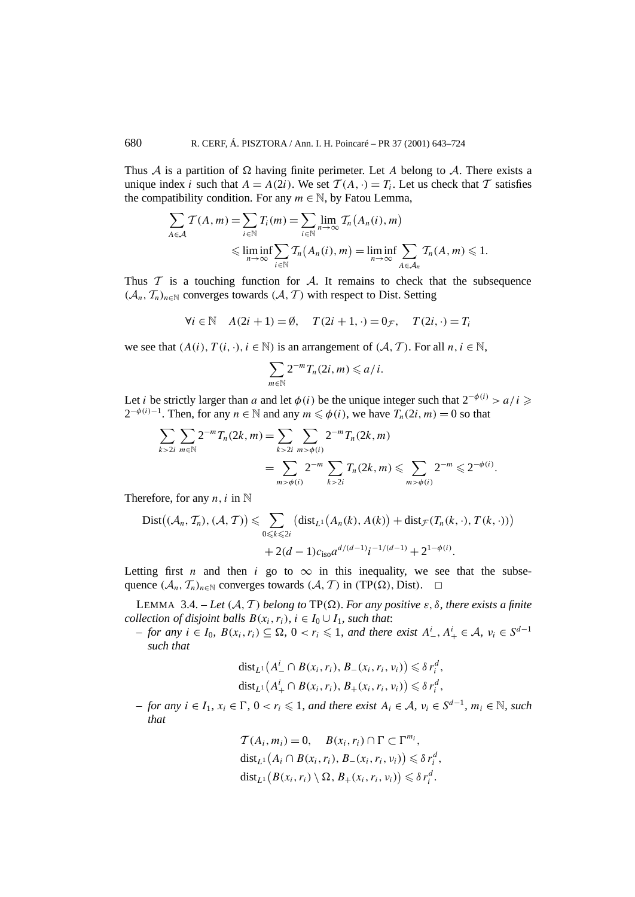Thus  $A$  is a partition of  $\Omega$  having finite perimeter. Let A belong to  $A$ . There exists a unique index *i* such that  $A = A(2i)$ . We set  $T(A, \cdot) = T_i$ . Let us check that T satisfies the compatibility condition. For any  $m \in \mathbb{N}$ , by Fatou Lemma,

$$
\sum_{A \in \mathcal{A}} \mathcal{T}(A, m) = \sum_{i \in \mathbb{N}} T_i(m) = \sum_{i \in \mathbb{N}} \lim_{n \to \infty} \mathcal{T}_n(A_n(i), m)
$$
  
\$\leqslant \liminf\_{n \to \infty} \sum\_{i \in \mathbb{N}} \mathcal{T}\_n(A\_n(i), m) = \liminf\_{n \to \infty} \sum\_{A \in \mathcal{A}\_n} \mathcal{T}\_n(A, m) \leqslant 1.

Thus  $T$  is a touching function for  $A$ . It remains to check that the subsequence  $(A_n, T_n)_{n \in \mathbb{N}}$  converges towards  $(A, T)$  with respect to Dist. Setting

$$
\forall i \in \mathbb{N} \quad A(2i+1) = \emptyset, \quad T(2i+1, \cdot) = 0_{\mathcal{F}}, \quad T(2i, \cdot) = T_i
$$

we see that  $(A(i), T(i, \cdot), i \in \mathbb{N})$  is an arrangement of  $(A, \mathcal{T})$ . For all  $n, i \in \mathbb{N}$ ,

$$
\sum_{m\in\mathbb{N}}2^{-m}T_n(2i,m)\leqslant a/i.
$$

Let *i* be strictly larger than *a* and let  $\phi(i)$  be the unique integer such that  $2^{-\phi(i)} > a/i \geq$  $2^{-\phi(i)-1}$ . Then, for any *n* ∈ N and any *m* ≤  $\phi(i)$ , we have  $T_n(2i, m) = 0$  so that

$$
\sum_{k>2i} \sum_{m\in\mathbb{N}} 2^{-m} T_n(2k, m) = \sum_{k>2i} \sum_{m>\phi(i)} 2^{-m} T_n(2k, m)
$$
  
= 
$$
\sum_{m>\phi(i)} 2^{-m} \sum_{k>2i} T_n(2k, m) \leq \sum_{m>\phi(i)} 2^{-m} \leq 2^{-\phi(i)}.
$$

Therefore, for any  $n, i$  in  $\mathbb N$ 

Dist
$$
((A_n, T_n), (A, T)) \le \sum_{0 \le k \le 2i} (dist_{L^1}(A_n(k), A(k)) + dist_{\mathcal{F}}(T_n(k, \cdot), T(k, \cdot)))
$$
  
  $+ 2(d - 1)c_{iso}a^{d/(d-1)}i^{-1/(d-1)} + 2^{1-\phi(i)}$ .

Letting first *n* and then *i* go to  $\infty$  in this inequality, we see that the subsequence  $(A_n, \mathcal{T}_n)_{n \in \mathbb{N}}$  converges towards  $(A, \mathcal{T})$  in  $(\text{TP}(\Omega), \text{Dist})$ .  $\Box$ 

**LEMMA** 3.4. – Let  $(A, T)$  belong to  $TP(\Omega)$ . For any positive  $\varepsilon$ ,  $\delta$ , there exists a finite *collection of disjoint balls*  $B(x_i, r_i)$ *,*  $i \in I_0 \cup I_1$ *<i>, such that*:

 $-$  *for any*  $i \in I_0$ ,  $B(x_i, r_i) \subseteq \Omega$ ,  $0 < r_i \leq 1$ , and there exist  $A^i_-, A^i_+ \in \mathcal{A}$ ,  $v_i \in S^{d-1}$ *such that*

$$
\text{dist}_{L^1}\big(A^i_-\cap B(x_i,r_i),\,B_-(x_i,r_i,\nu_i)\big)\leq \delta\,r_i^d,
$$
  

$$
\text{dist}_{L^1}\big(A^i_+\cap B(x_i,r_i),\,B_+(x_i,r_i,\nu_i)\big)\leq \delta\,r_i^d,
$$

 $-$  *for any*  $i \in I_1$ ,  $x_i \in \Gamma$ ,  $0 < r_i \leq 1$ , and there exist  $A_i \in \mathcal{A}$ ,  $v_i \in S^{d-1}$ ,  $m_i \in \mathbb{N}$ , such *that*

$$
T(A_i, m_i) = 0, \quad B(x_i, r_i) \cap \Gamma \subset \Gamma^{m_i},
$$
  
dist<sub>L<sup>1</sup></sub> $(A_i \cap B(x_i, r_i), B_{(x_i, r_i, v_i)}) \leq \delta r_i^d,$   
dist<sub>L<sup>1</sup></sub> $(B(x_i, r_i) \setminus \Omega, B_{+}(x_i, r_i, v_i)) \leq \delta r_i^d.$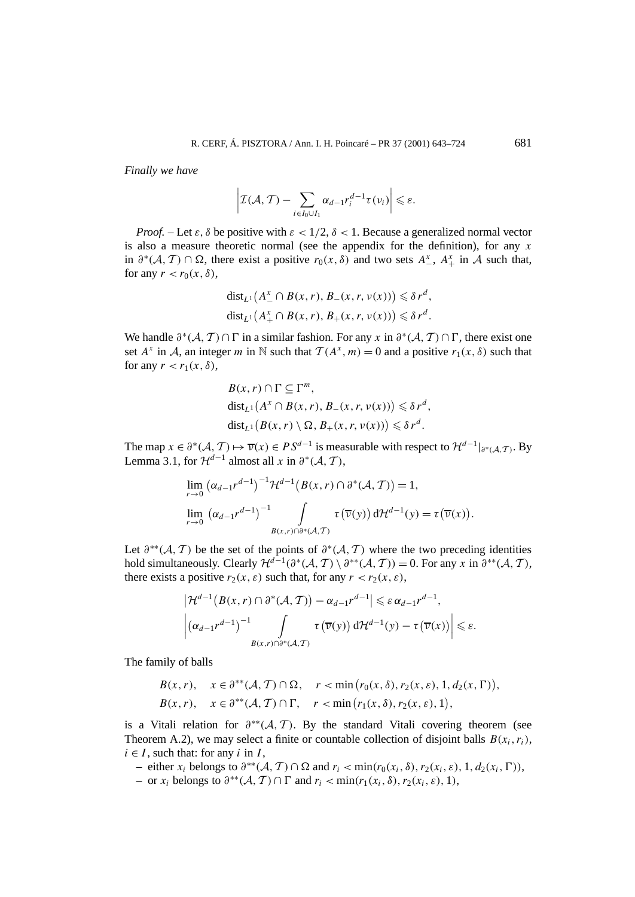*Finally we have*

$$
\left|\mathcal{I}(\mathcal{A},\mathcal{T})-\sum_{i\in I_0\cup I_1}\alpha_{d-1}r_i^{d-1}\tau(v_i)\right|\leq \varepsilon.
$$

*Proof.* – Let  $\varepsilon$ ,  $\delta$  be positive with  $\varepsilon$  < 1/2,  $\delta$  < 1. Because a generalized normal vector is also a measure theoretic normal (see the appendix for the definition), for any *x* in  $\partial^*(A, T) \cap \Omega$ , there exist a positive  $r_0(x, \delta)$  and two sets  $A^x_-, A^x_+$  in A such that, for any  $r < r_0(x, \delta)$ ,

$$
\text{dist}_{L^1}\big(A_-^x \cap B(x,r), B_-(x,r,\nu(x))\big) \leq \delta r^d,
$$
  

$$
\text{dist}_{L^1}\big(A_+^x \cap B(x,r), B_+(x,r,\nu(x))\big) \leq \delta r^d.
$$

We handle  $\partial^*(\mathcal{A}, \mathcal{T}) \cap \Gamma$  in a similar fashion. For any x in  $\partial^*(\mathcal{A}, \mathcal{T}) \cap \Gamma$ , there exist one set  $A^x$  in A, an integer m in N such that  $T(A^x, m) = 0$  and a positive  $r_1(x, \delta)$  such that for any  $r < r_1(x, \delta)$ ,

$$
B(x, r) \cap \Gamma \subseteq \Gamma^m,
$$
  
dist<sub>L<sup>1</sup></sub> $(A^x \cap B(x, r), B_-(x, r, v(x))) \le \delta r^d,$   
dist<sub>L<sup>1</sup></sub> $(B(x, r) \setminus \Omega, B_+(x, r, v(x))) \le \delta r^d.$ 

The map  $x \in \partial^*(\mathcal{A}, \mathcal{T}) \mapsto \overline{\nu}(x) \in PS^{d-1}$  is measurable with respect to  $\mathcal{H}^{d-1}|_{\partial^*(\mathcal{A}, \mathcal{T})}$ . By Lemma 3.1, for  $\mathcal{H}^{d-1}$  almost all *x* in  $\partial^*(\mathcal{A}, \mathcal{T})$ ,

$$
\lim_{r \to 0} (\alpha_{d-1} r^{d-1})^{-1} \mathcal{H}^{d-1}(B(x, r) \cap \partial^*(A, T)) = 1,
$$
  

$$
\lim_{r \to 0} (\alpha_{d-1} r^{d-1})^{-1} \int_{B(x, r) \cap \partial^*(A, T)} \tau(\overline{\nu}(y)) d\mathcal{H}^{d-1}(y) = \tau(\overline{\nu}(x)).
$$

Let  $\partial^{**}(A, \mathcal{T})$  be the set of the points of  $\partial^{*}(A, \mathcal{T})$  where the two preceding identities hold simultaneously. Clearly  $\mathcal{H}^{d-1}(\partial^*(\mathcal{A}, \mathcal{T}) \setminus \partial^{**}(\mathcal{A}, \mathcal{T})) = 0$ . For any *x* in  $\partial^{**}(\mathcal{A}, \mathcal{T})$ , there exists a positive  $r_2(x, \varepsilon)$  such that, for any  $r < r_2(x, \varepsilon)$ ,

$$
\left|\mathcal{H}^{d-1}(B(x,r)\cap\partial^*(\mathcal{A},\mathcal{T}))-\alpha_{d-1}r^{d-1}\right|\leqslant \varepsilon \alpha_{d-1}r^{d-1},
$$

$$
\left|(\alpha_{d-1}r^{d-1})^{-1}\int\limits_{B(x,r)\cap\partial^*(\mathcal{A},\mathcal{T})}\tau(\overline{\nu}(y))\,d\mathcal{H}^{d-1}(y)-\tau(\overline{\nu}(x))\right|\leqslant \varepsilon.
$$

The family of balls

$$
B(x, r), \quad x \in \partial^{**}(\mathcal{A}, \mathcal{T}) \cap \Omega, \quad r < \min(r_0(x, \delta), r_2(x, \varepsilon), 1, d_2(x, \Gamma)),
$$
  

$$
B(x, r), \quad x \in \partial^{**}(\mathcal{A}, \mathcal{T}) \cap \Gamma, \quad r < \min(r_1(x, \delta), r_2(x, \varepsilon), 1),
$$

is a Vitali relation for  $\partial^{**}(A, \mathcal{T})$ . By the standard Vitali covering theorem (see Theorem A.2), we may select a finite or countable collection of disjoint balls  $B(x_i, r_i)$ ,  $i \in I$ , such that: for any *i* in *I*,

- $-$  either *x<sub>i</sub>* belongs to  $∂^{**}(A, T) ∩ Ω$  and  $r_i$  < min( $r_0(x_i, δ)$ ,  $r_2(x_i, ε)$ , 1,  $d_2(x_i, Γ)$ ),
- $-$  or *x<sub>i</sub>* belongs to  $∂^{**}(A, T) ∩ Γ$  and  $r_i$  < min $(r_1(x_i, δ), r_2(x_i, ε), 1)$ ,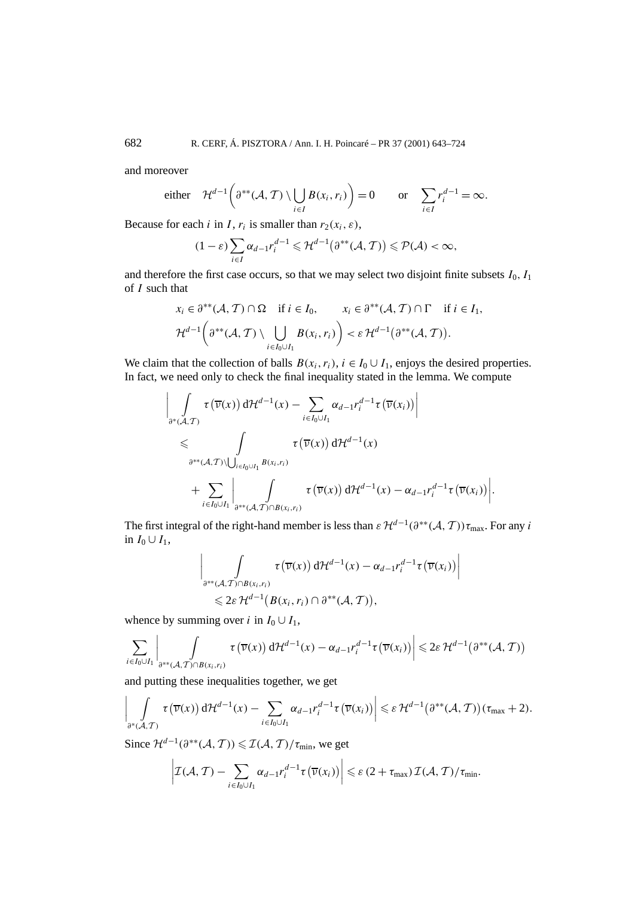and moreover

either 
$$
\mathcal{H}^{d-1}\left(\partial^{**}(\mathcal{A}, \mathcal{T}) \setminus \bigcup_{i \in I} B(x_i, r_i)\right) = 0
$$
 or  $\sum_{i \in I} r_i^{d-1} = \infty$ .

Because for each *i* in *I*,  $r_i$  is smaller than  $r_2(x_i, \varepsilon)$ ,

$$
(1-\varepsilon)\sum_{i\in I}\alpha_{d-1}r_i^{d-1}\leqslant \mathcal{H}^{d-1}(\partial^{**}(\mathcal{A},\mathcal{T}))\leqslant \mathcal{P}(\mathcal{A})<\infty,
$$

and therefore the first case occurs, so that we may select two disjoint finite subsets  $I_0$ ,  $I_1$ of *I* such that

$$
x_i \in \partial^{**}(\mathcal{A}, \mathcal{T}) \cap \Omega \quad \text{if } i \in I_0, \qquad x_i \in \partial^{**}(\mathcal{A}, \mathcal{T}) \cap \Gamma \quad \text{if } i \in I_1, \n\mathcal{H}^{d-1}\left(\partial^{**}(\mathcal{A}, \mathcal{T}) \setminus \bigcup_{i \in I_0 \cup I_1} B(x_i, r_i)\right) < \varepsilon \mathcal{H}^{d-1}\left(\partial^{**}(\mathcal{A}, \mathcal{T})\right).
$$

We claim that the collection of balls  $B(x_i, r_i)$ ,  $i \in I_0 \cup I_1$ , enjoys the desired properties. In fact, we need only to check the final inequality stated in the lemma. We compute

$$
\left| \int_{\partial^*(A,T)} \tau(\overline{\nu}(x)) d\mathcal{H}^{d-1}(x) - \sum_{i \in I_0 \cup I_1} \alpha_{d-1} r_i^{d-1} \tau(\overline{\nu}(x_i)) \right|
$$
  
\$\leqslant \int \tau(\overline{\nu}(x)) d\mathcal{H}^{d-1}(x)\$  

$$
\partial^{**}(A,T) \setminus \bigcup_{i \in I_0 \cup I_1} B(x_i,r_i)
$$
  
\$+\sum\_{i \in I\_0 \cup I\_1} \left| \int\_{\partial^{\*\*}(A,T) \cap B(x\_i,r\_i)} \tau(\overline{\nu}(x)) d\mathcal{H}^{d-1}(x) - \alpha\_{d-1} r\_i^{d-1} \tau(\overline{\nu}(x\_i)) \right|\$.

The first integral of the right-hand member is less than  $\varepsilon \mathcal{H}^{d-1}(\partial^{**}(\mathcal{A}, \mathcal{T}))\tau_{\text{max}}$ . For any *i* in  $I_0 \cup I_1$ ,

$$
\left| \int_{\partial^{**}(A,T) \cap B(x_i,r_i)} \tau(\overline{\nu}(x)) d\mathcal{H}^{d-1}(x) - \alpha_{d-1} r_i^{d-1} \tau(\overline{\nu}(x_i)) \right|
$$
  
\$\leq 2\varepsilon \mathcal{H}^{d-1}(B(x\_i,r\_i) \cap \partial^{\*\*}(A,T)),

whence by summing over *i* in  $I_0 \cup I_1$ ,

$$
\sum_{i\in I_0\cup I_1}\left|\int_{\partial^{**}(\mathcal{A},\mathcal{T})\cap B(x_i,r_i)}\tau(\overline{\nu}(x))\,\mathrm{d}\mathcal{H}^{d-1}(x)-\alpha_{d-1}r_i^{d-1}\tau(\overline{\nu}(x_i))\right|\leqslant 2\varepsilon\,\mathcal{H}^{d-1}\big(\partial^{**}(\mathcal{A},\mathcal{T})\big)
$$

and putting these inequalities together, we get

$$
\left|\int\limits_{\partial^*(\mathcal{A},\mathcal{T})}\tau(\overline{\nu}(x))\,d\mathcal{H}^{d-1}(x)-\sum_{i\in I_0\cup I_1}\alpha_{d-1}r_i^{d-1}\tau(\overline{\nu}(x_i))\right|\leq \varepsilon\,\mathcal{H}^{d-1}(\partial^{**}(\mathcal{A},\mathcal{T}))(\tau_{\max}+2).
$$

Since  $\mathcal{H}^{d-1}(\partial^{**}(\mathcal{A}, \mathcal{T})) \leq \mathcal{I}(\mathcal{A}, \mathcal{T})/\tau_{\min}$ , we get

$$
\left|\mathcal{I}(\mathcal{A},\mathcal{T})-\sum_{i\in I_0\cup I_1}\alpha_{d-1}r_i^{d-1}\tau(\overline{\nu}(x_i))\right|\leqslant \varepsilon(2+\tau_{\max})\,\mathcal{I}(\mathcal{A},\mathcal{T})/\tau_{\min}.
$$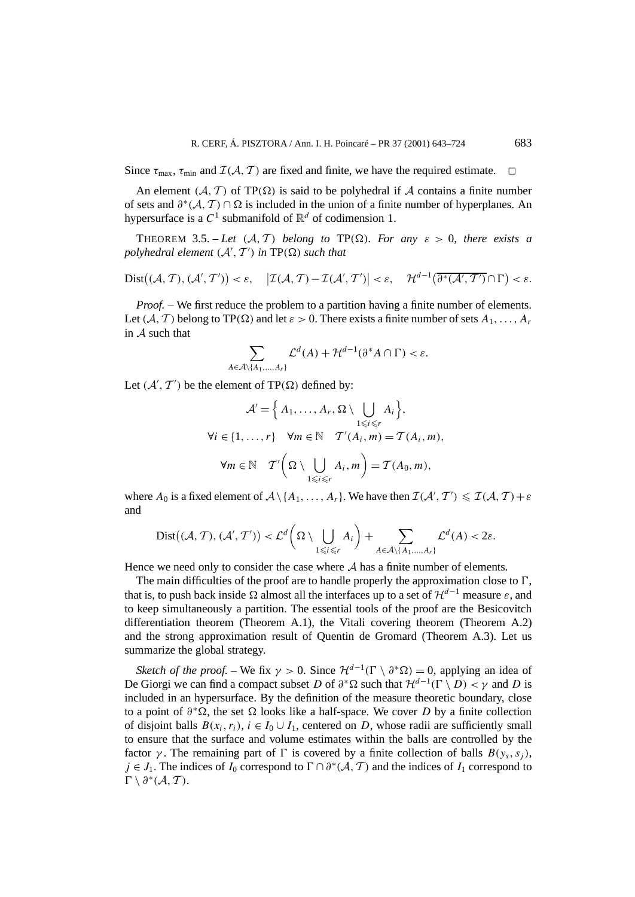Since  $\tau_{\text{max}}$ ,  $\tau_{\text{min}}$  and  $\mathcal{I}(\mathcal{A}, \mathcal{T})$  are fixed and finite, we have the required estimate.  $\Box$ 

An element  $(A, \mathcal{T})$  of TP $(\Omega)$  is said to be polyhedral if A contains a finite number of sets and *<sup>∂</sup>*<sup>∗</sup>*(*A*,* <sup>T</sup> *)* <sup>∩</sup> is included in the union of a finite number of hyperplanes. An hypersurface is a  $C^1$  submanifold of  $\mathbb{R}^d$  of codimension 1.

THEOREM 3.5. – Let  $(A, T)$  belong to TP $(\Omega)$ *. For any*  $\varepsilon > 0$ *, there exists a*  $polyhedral$  *element*  $(A', T')$  *in*  $TP(\Omega)$  *such that* 

 $\text{Dist}((\mathcal{A}, \mathcal{T}), (\mathcal{A}', \mathcal{T}')) < \varepsilon, \quad |\mathcal{I}(\mathcal{A}, \mathcal{T}) - \mathcal{I}(\mathcal{A}', \mathcal{T}')| < \varepsilon, \quad \mathcal{H}^{d-1}(\overline{\partial^*(\mathcal{A}', \mathcal{T}')}\cap \Gamma) < \varepsilon.$ 

*Proof.* – We first reduce the problem to a partition having a finite number of elements. Let  $(A, \mathcal{T})$  belong to TP $(\Omega)$  and let  $\varepsilon > 0$ . There exists a finite number of sets  $A_1, \ldots, A_r$ in A such that

$$
\sum_{A\in\mathcal{A}\backslash\{A_1,\ldots,A_r\}}\mathcal{L}^d(A)+\mathcal{H}^{d-1}(\partial^*A\cap\Gamma)<\varepsilon.
$$

Let  $(A', T')$  be the element of  $TP(\Omega)$  defined by:

$$
\mathcal{A}' = \Big\{ A_1, \dots, A_r, \Omega \setminus \bigcup_{1 \le i \le r} A_i \Big\},\
$$
  
\n
$$
\forall i \in \{1, \dots, r\} \quad \forall m \in \mathbb{N} \quad \mathcal{T}'(A_i, m) = \mathcal{T}(A_i, m),\
$$
  
\n
$$
\forall m \in \mathbb{N} \quad \mathcal{T}'\Big(\Omega \setminus \bigcup_{1 \le i \le r} A_i, m\Big) = \mathcal{T}(A_0, m),\
$$

where  $A_0$  is a fixed element of  $A \setminus \{A_1, \ldots, A_r\}$ . We have then  $\mathcal{I}(\mathcal{A}', \mathcal{T}') \leq \mathcal{I}(\mathcal{A}, \mathcal{T}) + \varepsilon$ and

$$
Dist((\mathcal{A}, \mathcal{T}), (\mathcal{A}', \mathcal{T}')) < \mathcal{L}^d\left(\Omega \setminus \bigcup_{1 \leq i \leq r} A_i\right) + \sum_{A \in \mathcal{A} \setminus \{A_1, \dots, A_r\}} \mathcal{L}^d(A) < 2\varepsilon.
$$

Hence we need only to consider the case where  $A$  has a finite number of elements.

The main difficulties of the proof are to handle properly the approximation close to  $\Gamma$ , that is, to push back inside  $\Omega$  almost all the interfaces up to a set of  $\mathcal{H}^{d-1}$  measure  $\varepsilon$ , and to keep simultaneously a partition. The essential tools of the proof are the Besicovitch differentiation theorem (Theorem A.1), the Vitali covering theorem (Theorem A.2) and the strong approximation result of Quentin de Gromard (Theorem A.3). Let us summarize the global strategy.

*Sketch of the proof.* – We fix  $\gamma > 0$ . Since  $\mathcal{H}^{d-1}(\Gamma \setminus \partial^* \Omega) = 0$ , applying an idea of De Giorgi we can find a compact subset *D* of  $\partial^* \Omega$  such that  $\mathcal{H}^{d-1}(\Gamma \setminus D) < \gamma$  and *D* is included in an hypersurface. By the definition of the measure theoretic boundary, close to a point of  $\partial^* \Omega$ , the set  $\Omega$  looks like a half-space. We cover *D* by a finite collection of disjoint balls  $B(x_i, r_i)$ ,  $i \in I_0 \cup I_1$ , centered on *D*, whose radii are sufficiently small to ensure that the surface and volume estimates within the balls are controlled by the factor *γ*. The remaining part of  $\Gamma$  is covered by a finite collection of balls  $B(y_s, s_i)$ , *j* ∈ *J*<sub>1</sub>. The indices of *I*<sub>0</sub> correspond to  $\Gamma \cap \partial^*(A, \mathcal{T})$  and the indices of *I*<sub>1</sub> correspond to  $\Gamma$  *∖* $\partial$ <sup>\*</sup>( $\mathcal{A}, \mathcal{T}$ ).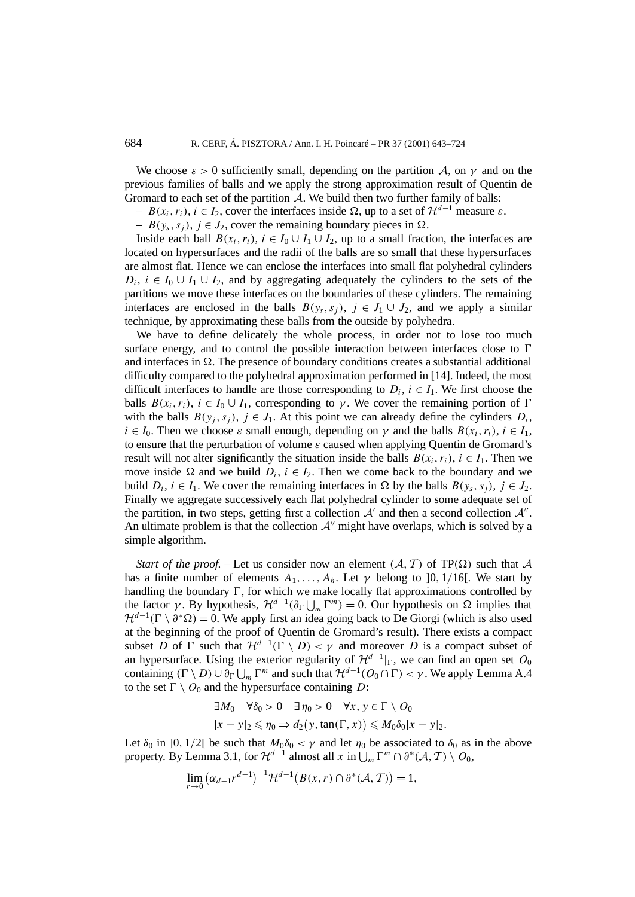We choose  $\varepsilon > 0$  sufficiently small, depending on the partition A, on  $\gamma$  and on the previous families of balls and we apply the strong approximation result of Quentin de Gromard to each set of the partition  $\overline{A}$ . We build then two further family of balls:

- $B(x_i, r_i)$ , *i* ∈ *I*<sub>2</sub>, cover the interfaces inside Ω, up to a set of  $\mathcal{H}^{d-1}$  measure *ε*.
- $B(y_s, s_j)$ ,  $j \in J_2$ , cover the remaining boundary pieces in  $\Omega$ .

Inside each ball  $B(x_i, r_i)$ ,  $i \in I_0 \cup I_1 \cup I_2$ , up to a small fraction, the interfaces are located on hypersurfaces and the radii of the balls are so small that these hypersurfaces are almost flat. Hence we can enclose the interfaces into small flat polyhedral cylinders  $D_i$ ,  $i \in I_0 \cup I_1 \cup I_2$ , and by aggregating adequately the cylinders to the sets of the partitions we move these interfaces on the boundaries of these cylinders. The remaining interfaces are enclosed in the balls  $B(y_s, s_j)$ ,  $j \in J_1 \cup J_2$ , and we apply a similar technique, by approximating these balls from the outside by polyhedra.

We have to define delicately the whole process, in order not to lose too much surface energy, and to control the possible interaction between interfaces close to  $\Gamma$ and interfaces in  $\Omega$ . The presence of boundary conditions creates a substantial additional difficulty compared to the polyhedral approximation performed in [14]. Indeed, the most difficult interfaces to handle are those corresponding to  $D_i$ ,  $i \in I_1$ . We first choose the balls  $B(x_i, r_i)$ ,  $i \in I_0 \cup I_1$ , corresponding to *γ*. We cover the remaining portion of  $\Gamma$ with the balls  $B(y_i, s_i)$ ,  $j \in J_1$ . At this point we can already define the cylinders  $D_i$ ,  $i \in I_0$ . Then we choose  $\varepsilon$  small enough, depending on  $\gamma$  and the balls  $B(x_i, r_i)$ ,  $i \in I_1$ , to ensure that the perturbation of volume *ε* caused when applying Quentin de Gromard's result will not alter significantly the situation inside the balls  $B(x_i, r_i)$ ,  $i \in I_1$ . Then we move inside  $\Omega$  and we build  $D_i$ ,  $i \in I_2$ . Then we come back to the boundary and we build  $D_i$ ,  $i \in I_1$ . We cover the remaining interfaces in  $\Omega$  by the balls  $B(y_s, s_i)$ ,  $j \in J_2$ . Finally we aggregate successively each flat polyhedral cylinder to some adequate set of the partition, in two steps, getting first a collection  $A'$  and then a second collection  $A''$ . An ultimate problem is that the collection  $A<sup>n</sup>$  might have overlaps, which is solved by a simple algorithm.

*Start of the proof.* – Let us consider now an element  $(A, \mathcal{T})$  of TP $(\Omega)$  such that A has a finite number of elements  $A_1, \ldots, A_h$ . Let  $\gamma$  belong to ]0, 1/16[. We start by handling the boundary  $\Gamma$ , for which we make locally flat approximations controlled by the factor *γ*. By hypothesis,  $\mathcal{H}^{d-1}(\partial_{\Gamma} \bigcup_m \Gamma^m) = 0$ . Our hypothesis on  $\Omega$  implies that  $\mathcal{H}^{d-1}(\Gamma \setminus \partial^* \Omega) = 0$ . We apply first an idea going back to De Giorgi (which is also used at the beginning of the proof of Quentin de Gromard's result). There exists a compact subset *D* of  $\Gamma$  such that  $\mathcal{H}^{d-1}(\Gamma \setminus D) < \gamma$  and moreover *D* is a compact subset of an hypersurface. Using the exterior regularity of  $\mathcal{H}^{d-1}|_{\Gamma}$ , we can find an open set  $O_0$ containing  $(\Gamma \setminus D) \cup \partial_{\Gamma} \bigcup_{m} \Gamma^{m}$  and such that  $\mathcal{H}^{d-1}(O_0 \cap \Gamma) < \gamma$ . We apply Lemma A.4 to the set  $\Gamma \setminus O_0$  and the hypersurface containing *D*:

$$
\exists M_0 \quad \forall \delta_0 > 0 \quad \exists \eta_0 > 0 \quad \forall x, y \in \Gamma \setminus O_0
$$
  

$$
|x - y|_2 \leq \eta_0 \Rightarrow d_2(y, \tan(\Gamma, x)) \leq M_0 \delta_0 |x - y|_2.
$$

Let  $\delta_0$  in ]0, 1/2[ be such that  $M_0\delta_0 < \gamma$  and let  $\eta_0$  be associated to  $\delta_0$  as in the above property. By Lemma 3.1, for  $\mathcal{H}^{d-1}$  almost all *x* in  $\bigcup_m \Gamma^m \cap \partial^*(\mathcal{A}, \mathcal{T}) \setminus O_0$ ,

$$
\lim_{r \to 0} (\alpha_{d-1} r^{d-1})^{-1} \mathcal{H}^{d-1}(B(x,r) \cap \partial^*(\mathcal{A}, \mathcal{T})) = 1,
$$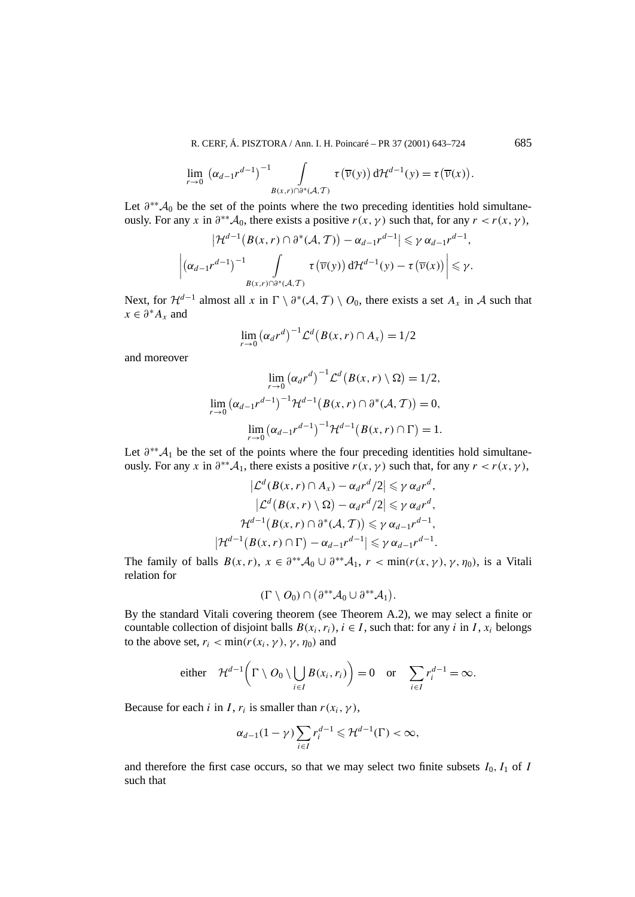R. CERF, Á. PISZTORA / Ann. I. H. Poincaré – PR 37 (2001) 643–724 685

$$
\lim_{r \to 0} \left( \alpha_{d-1} r^{d-1} \right)^{-1} \int\limits_{B(x,r) \cap \partial^*(\mathcal{A}, \mathcal{T})} \tau \left( \overline{\nu}(y) \right) d\mathcal{H}^{d-1}(y) = \tau \left( \overline{\nu}(x) \right).
$$

Let  $\partial^{**}A_0$  be the set of the points where the two preceding identities hold simultaneously. For any *x* in  $\partial^{**}A_0$ , there exists a positive  $r(x, y)$  such that, for any  $r < r(x, y)$ ,

$$
\left|\mathcal{H}^{d-1}(B(x,r)\cap\partial^*(\mathcal{A},\mathcal{T}))-\alpha_{d-1}r^{d-1}\right|\leqslant\gamma\alpha_{d-1}r^{d-1},
$$

$$
\left|(\alpha_{d-1}r^{d-1})^{-1}\int\limits_{B(x,r)\cap\partial^*(\mathcal{A},\mathcal{T})}\tau(\overline{\nu}(y))\,d\mathcal{H}^{d-1}(y)-\tau(\overline{\nu}(x))\right|\leqslant\gamma.
$$

Next, for  $\mathcal{H}^{d-1}$  almost all *x* in  $\Gamma \setminus \partial^*(\mathcal{A}, \mathcal{T}) \setminus O_0$ , there exists a set  $A_x$  in  $\mathcal{A}$  such that  $x \in \partial^* A_x$  and

$$
\lim_{r \to 0} \left( \alpha_d r^d \right)^{-1} \mathcal{L}^d \big( B(x, r) \cap A_x \big) = 1/2
$$

and moreover

$$
\lim_{r \to 0} (\alpha_d r^d)^{-1} \mathcal{L}^d (B(x, r) \setminus \Omega) = 1/2,
$$
  

$$
\lim_{r \to 0} (\alpha_{d-1} r^{d-1})^{-1} \mathcal{H}^{d-1} (B(x, r) \cap \partial^* (\mathcal{A}, \mathcal{T})) = 0,
$$
  

$$
\lim_{r \to 0} (\alpha_{d-1} r^{d-1})^{-1} \mathcal{H}^{d-1} (B(x, r) \cap \Gamma) = 1.
$$

Let  $\partial^* A_1$  be the set of the points where the four preceding identities hold simultaneously. For any *x* in  $\partial^{**}A_1$ , there exists a positive  $r(x, y)$  such that, for any  $r < r(x, y)$ ,

$$
\left| \mathcal{L}^d(B(x, r) \cap A_x) - \alpha_d r^d / 2 \right| \leq \gamma \alpha_d r^d,
$$
  

$$
\left| \mathcal{L}^d(B(x, r) \setminus \Omega) - \alpha_d r^d / 2 \right| \leq \gamma \alpha_d r^d,
$$
  

$$
\mathcal{H}^{d-1}(B(x, r) \cap \partial^*(A, T)) \leq \gamma \alpha_{d-1} r^{d-1},
$$
  

$$
\left| \mathcal{H}^{d-1}(B(x, r) \cap \Gamma) - \alpha_{d-1} r^{d-1} \right| \leq \gamma \alpha_{d-1} r^{d-1}.
$$

The family of balls  $B(x, r)$ ,  $x \in \partial^{**}A_0 \cup \partial^{**}A_1$ ,  $r < \min(r(x, \gamma), \gamma, \eta_0)$ , is a Vitali relation for

$$
(\Gamma \setminus O_0) \cap \big( \partial^{**} \mathcal{A}_0 \cup \partial^{**} \mathcal{A}_1 \big).
$$

By the standard Vitali covering theorem (see Theorem A.2), we may select a finite or countable collection of disjoint balls  $B(x_i, r_i)$ ,  $i \in I$ , such that: for any *i* in *I*,  $x_i$  belongs to the above set,  $r_i < \min(r(x_i, \gamma), \gamma, \eta_0)$  and

either 
$$
\mathcal{H}^{d-1}\left(\Gamma \setminus O_0 \setminus \bigcup_{i \in I} B(x_i, r_i)\right) = 0
$$
 or  $\sum_{i \in I} r_i^{d-1} = \infty$ .

Because for each *i* in *I*,  $r_i$  is smaller than  $r(x_i, \gamma)$ ,

$$
\alpha_{d-1}(1-\gamma)\sum_{i\in I}r_i^{d-1}\leq \mathcal{H}^{d-1}(\Gamma)<\infty,
$$

and therefore the first case occurs, so that we may select two finite subsets  $I_0$ ,  $I_1$  of  $I$ such that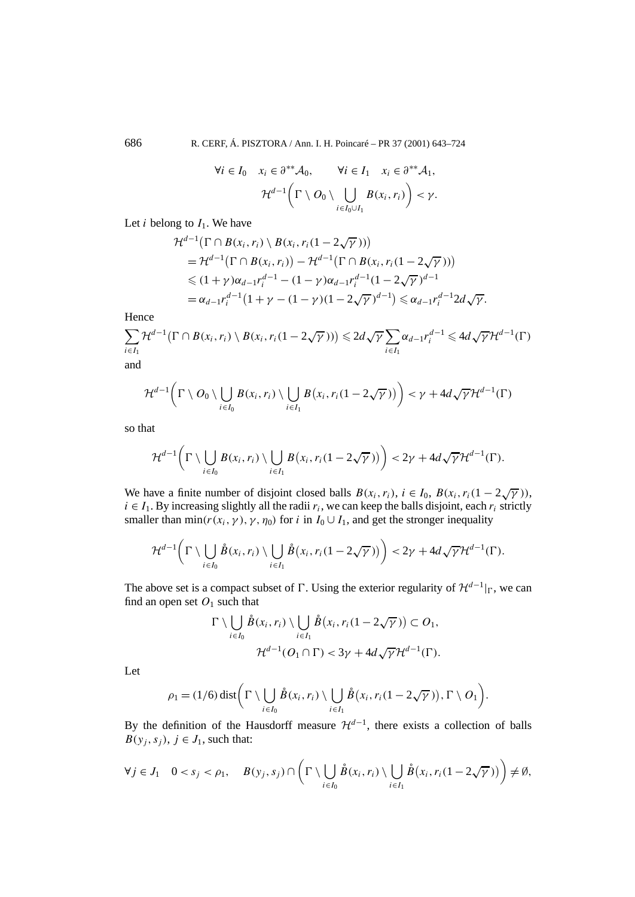686 R. CERF, Á. PISZTORA / Ann. I. H. Poincaré – PR 37 (2001) 643–724

$$
\forall i \in I_0 \quad x_i \in \partial^{**} A_0, \qquad \forall i \in I_1 \quad x_i \in \partial^{**} A_1,
$$

$$
\mathcal{H}^{d-1}\bigg(\Gamma \setminus O_0 \setminus \bigcup_{i \in I_0 \cup I_1} B(x_i, r_i)\bigg) < \gamma.
$$

Let  $i$  belong to  $I_1$ . We have

$$
\mathcal{H}^{d-1}\big(\Gamma \cap B(x_i, r_i) \setminus B(x_i, r_i(1 - 2\sqrt{\gamma}))\big)
$$
\n
$$
= \mathcal{H}^{d-1}\big(\Gamma \cap B(x_i, r_i)\big) - \mathcal{H}^{d-1}\big(\Gamma \cap B(x_i, r_i(1 - 2\sqrt{\gamma}))\big)
$$
\n
$$
\leq (1 + \gamma)\alpha_{d-1}r_i^{d-1} - (1 - \gamma)\alpha_{d-1}r_i^{d-1}(1 - 2\sqrt{\gamma})^{d-1}
$$
\n
$$
= \alpha_{d-1}r_i^{d-1}\big(1 + \gamma - (1 - \gamma)(1 - 2\sqrt{\gamma})^{d-1}\big) \leq \alpha_{d-1}r_i^{d-1}2d\sqrt{\gamma}.
$$

Hence

 $\sum$ *i*∈*I*<sup>1</sup>  $\mathcal{H}^{d-1}(\Gamma \cap B(x_i, r_i) \setminus B(x_i, r_i(1 - 2\sqrt{\gamma}))) \leq 2d\sqrt{\gamma} \sum$ *i*∈*I*<sup>1</sup>  $\alpha_{d-1} r_i^{d-1} \leqslant 4d\sqrt{\gamma} \mathcal{H}^{d-1}(\Gamma)$ 

and

$$
\mathcal{H}^{d-1}\bigg(\Gamma\setminus O_0\setminus \bigcup_{i\in I_0}B(x_i,r_i)\setminus \bigcup_{i\in I_1}B(x_i,r_i(1-2\sqrt{\gamma}))\bigg)<\gamma+4d\sqrt{\gamma}\mathcal{H}^{d-1}(\Gamma)
$$

so that

$$
\mathcal{H}^{d-1}\bigg(\Gamma \setminus \bigcup_{i \in I_0} B(x_i,r_i) \setminus \bigcup_{i \in I_1} B(x_i,r_i(1-2\sqrt{\gamma}))\bigg) < 2\gamma + 4d\sqrt{\gamma}\mathcal{H}^{d-1}(\Gamma).
$$

We have a finite number of disjoint closed balls  $B(x_i, r_i)$ ,  $i \in I_0$ ,  $B(x_i, r_i(1 - 2\sqrt{\gamma}))$ ,  $i \in I_1$ . By increasing slightly all the radii  $r_i$ , we can keep the balls disjoint, each  $r_i$  strictly smaller than  $min(r(x_i, \gamma), \gamma, \eta_0)$  for *i* in  $I_0 \cup I_1$ , and get the stronger inequality

$$
\mathcal{H}^{d-1}\bigg(\Gamma\setminus\bigcup_{i\in I_0}\mathring{B}(x_i,r_i)\setminus\bigcup_{i\in I_1}\mathring{B}(x_i,r_i(1-2\sqrt{\gamma}))\bigg)<2\gamma+4d\sqrt{\gamma}\mathcal{H}^{d-1}(\Gamma).
$$

The above set is a compact subset of  $\Gamma$ . Using the exterior regularity of  $\mathcal{H}^{d-1}|_{\Gamma}$ , we can find an open set  $O_1$  such that

$$
\Gamma \setminus \bigcup_{i \in I_0} \mathring{B}(x_i, r_i) \setminus \bigcup_{i \in I_1} \mathring{B}(x_i, r_i(1 - 2\sqrt{\gamma})) \subset O_1,
$$
  

$$
\mathcal{H}^{d-1}(O_1 \cap \Gamma) < 3\gamma + 4d\sqrt{\gamma}\mathcal{H}^{d-1}(\Gamma).
$$

Let

$$
\rho_1 = (1/6) \text{ dist}\bigg(\Gamma \setminus \bigcup_{i \in I_0} \mathring{B}(x_i, r_i) \setminus \bigcup_{i \in I_1} \mathring{B}(x_i, r_i(1 - 2\sqrt{\gamma})), \Gamma \setminus O_1\bigg).
$$

By the definition of the Hausdorff measure  $\mathcal{H}^{d-1}$ , there exists a collection of balls  $B(y_i, s_j)$ ,  $j \in J_1$ , such that:

$$
\forall j \in J_1 \quad 0 < s_j < \rho_1, \quad B(y_j, s_j) \cap \left( \Gamma \setminus \bigcup_{i \in I_0} \mathring{B}(x_i, r_i) \setminus \bigcup_{i \in I_1} \mathring{B}(x_i, r_i(1 - 2\sqrt{\gamma})) \right) \neq \emptyset,
$$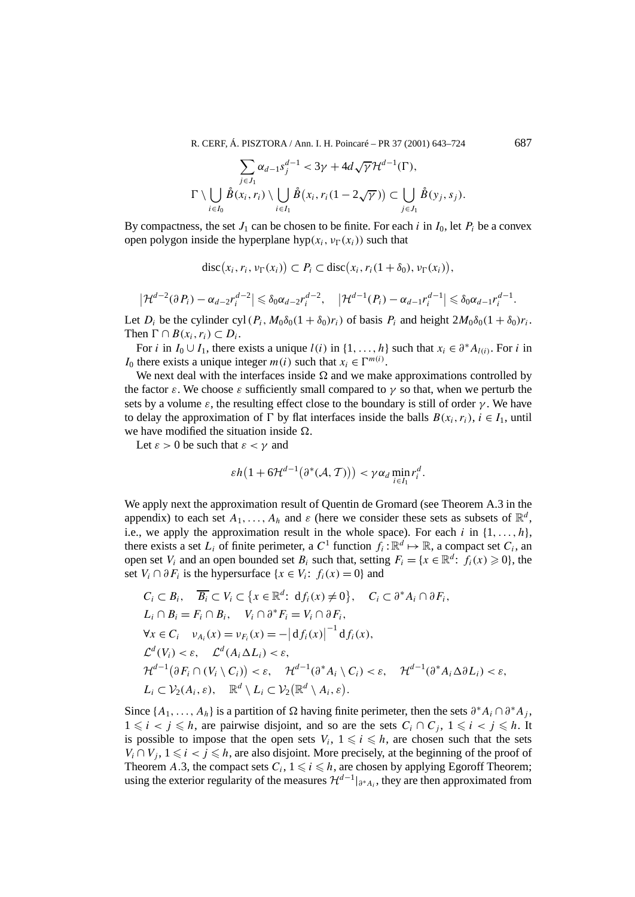R. CERF, Á. PISZTORA / Ann. I. H. Poincaré – PR 37 (2001) 643–724 687

$$
\sum_{j\in J_1} \alpha_{d-1} s_j^{d-1} < 3\gamma + 4d\sqrt{\gamma} \mathcal{H}^{d-1}(\Gamma),
$$
\n
$$
\Gamma \setminus \bigcup_{i\in I_0} \mathring{B}(x_i, r_i) \setminus \bigcup_{i\in I_1} \mathring{B}(x_i, r_i(1 - 2\sqrt{\gamma})) \subset \bigcup_{j\in J_1} \mathring{B}(y_j, s_j).
$$

By compactness, the set  $J_1$  can be chosen to be finite. For each *i* in  $I_0$ , let  $P_i$  be a convex open polygon inside the hyperplane  $hyp(x_i, v_\Gamma(x_i))$  such that

 $\operatorname{disc}(x_i, r_i, \nu_{\Gamma}(x_i)) \subset P_i \subset \operatorname{disc}(x_i, r_i(1 + \delta_0), \nu_{\Gamma}(x_i)),$ 

$$
\left|\mathcal{H}^{d-2}(\partial P_i) - \alpha_{d-2}r_i^{d-2}\right| \leq \delta_0 \alpha_{d-2}r_i^{d-2}, \quad \left|\mathcal{H}^{d-1}(P_i) - \alpha_{d-1}r_i^{d-1}\right| \leq \delta_0 \alpha_{d-1}r_i^{d-1}.
$$

Let *D<sub>i</sub>* be the cylinder cyl $(P_i, M_0\delta_0(1 + \delta_0)r_i)$  of basis  $P_i$  and height  $2M_0\delta_0(1 + \delta_0)r_i$ . Then  $\Gamma \cap B(x_i, r_i) \subset D_i$ .

For *i* in  $I_0 \cup I_1$ , there exists a unique  $l(i)$  in  $\{1, \ldots, h\}$  such that  $x_i \in \partial^* A_{l(i)}$ . For *i* in *I*<sub>0</sub> there exists a unique integer *m*(*i*) such that  $x_i \in \Gamma^{m(i)}$ .

We next deal with the interfaces inside  $\Omega$  and we make approximations controlled by the factor  $\varepsilon$ . We choose  $\varepsilon$  sufficiently small compared to  $\gamma$  so that, when we perturb the sets by a volume  $\varepsilon$ , the resulting effect close to the boundary is still of order  $\gamma$ . We have to delay the approximation of  $\Gamma$  by flat interfaces inside the balls  $B(x_i, r_i)$ ,  $i \in I_1$ , until we have modified the situation inside  $\Omega$ .

Let  $\varepsilon > 0$  be such that  $\varepsilon < \gamma$  and

$$
\varepsilon h\big(1+6\mathcal{H}^{d-1}\big(\partial^*(\mathcal{A},\mathcal{T})\big)\big)<\gamma\alpha_d\min_{i\in I_1}r_i^d.
$$

We apply next the approximation result of Quentin de Gromard (see Theorem A.3 in the appendix) to each set  $A_1, \ldots, A_h$  and  $\varepsilon$  (here we consider these sets as subsets of  $\mathbb{R}^d$ , i.e., we apply the approximation result in the whole space). For each  $i$  in  $\{1, \ldots, h\}$ , there exists a set  $L_i$  of finite perimeter, a  $C^1$  function  $f_i : \mathbb{R}^d \mapsto \mathbb{R}$ , a compact set  $C_i$ , an open set *V<sub>i</sub>* and an open bounded set *B<sub>i</sub>* such that, setting  $F_i = \{x \in \mathbb{R}^d : f_i(x) \ge 0\}$ , the set *V<sub>i</sub>* ∩  $\partial F_i$  is the hypersurface {*x* ∈ *V<sub>i</sub>*: *f<sub>i</sub>*(*x*) = 0} and

$$
C_i \subset B_i, \quad \overline{B_i} \subset V_i \subset \{x \in \mathbb{R}^d: df_i(x) \neq 0\}, \quad C_i \subset \partial^* A_i \cap \partial F_i,
$$
  
\n
$$
L_i \cap B_i = F_i \cap B_i, \quad V_i \cap \partial^* F_i = V_i \cap \partial F_i,
$$
  
\n
$$
\forall x \in C_i \quad \nu_{A_i}(x) = \nu_{F_i}(x) = -|\mathrm{d} f_i(x)|^{-1} \mathrm{d} f_i(x),
$$
  
\n
$$
\mathcal{L}^d(V_i) < \varepsilon, \quad \mathcal{L}^d(A_i \Delta L_i) < \varepsilon,
$$
  
\n
$$
\mathcal{H}^{d-1}(\partial F_i \cap (V_i \setminus C_i)) < \varepsilon, \quad \mathcal{H}^{d-1}(\partial^* A_i \setminus C_i) < \varepsilon, \quad \mathcal{H}^{d-1}(\partial^* A_i \Delta \partial L_i) <
$$
  
\n
$$
L_i \subset \mathcal{V}_2(A_i, \varepsilon), \quad \mathbb{R}^d \setminus L_i \subset \mathcal{V}_2(\mathbb{R}^d \setminus A_i, \varepsilon).
$$

Since  $\{A_1, \ldots, A_h\}$  is a partition of  $\Omega$  having finite perimeter, then the sets  $\partial^* A_i \cap \partial^* A_j$ ,  $1 \leq i < j \leq h$ , are pairwise disjoint, and so are the sets  $C_i \cap C_j$ ,  $1 \leq i < j \leq h$ . It is possible to impose that the open sets  $V_i$ ,  $1 \leq i \leq h$ , are chosen such that the sets  $V_i \cap V_j$ ,  $1 \leq i < j \leq h$ , are also disjoint. More precisely, at the beginning of the proof of Theorem *A.3*, the compact sets  $C_i$ ,  $1 \leq i \leq h$ , are chosen by applying Egoroff Theorem; using the exterior regularity of the measures  $\mathcal{H}^{d-1}|_{\partial^* A_i}$ , they are then approximated from

*Ai+∂Li) < ε,*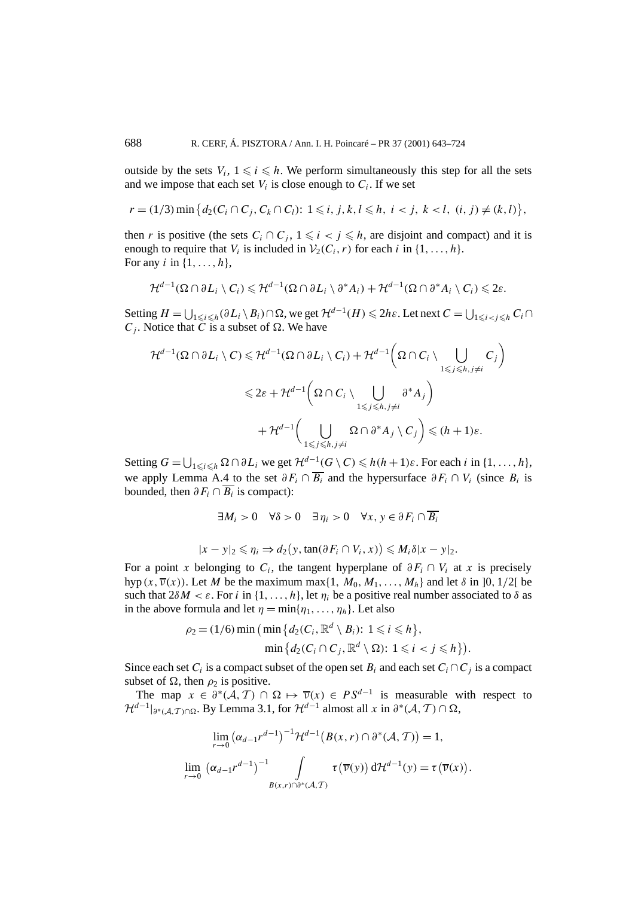outside by the sets  $V_i$ ,  $1 \leq i \leq h$ . We perform simultaneously this step for all the sets and we impose that each set  $V_i$  is close enough to  $C_i$ . If we set

$$
r = (1/3) \min \big\{ d_2(C_i \cap C_j, C_k \cap C_l) : 1 \leq i, j, k, l \leq h, i < j, k < l, (i, j) \neq (k, l) \big\},\
$$

then *r* is positive (the sets  $C_i \cap C_j$ ,  $1 \leq i < j \leq h$ , are disjoint and compact) and it is enough to require that  $V_i$  is included in  $V_2(C_i, r)$  for each *i* in  $\{1, \ldots, h\}$ . For any *i* in  $\{1, \ldots, h\}$ ,

$$
\mathcal{H}^{d-1}(\Omega \cap \partial L_i \setminus C_i) \leq \mathcal{H}^{d-1}(\Omega \cap \partial L_i \setminus \partial^* A_i) + \mathcal{H}^{d-1}(\Omega \cap \partial^* A_i \setminus C_i) \leq 2\varepsilon.
$$

Setting  $H = \bigcup_{1 \leq i \leq h} (\partial L_i \setminus B_i) \cap \Omega$ , we get  $\mathcal{H}^{d-1}(H) \leq 2h\varepsilon$ . Let next  $C = \bigcup_{1 \leq i < j \leq h} C_i \cap$  $C_i$ . Notice that  $\hat{C}$  is a subset of  $\Omega$ . We have

$$
\mathcal{H}^{d-1}(\Omega \cap \partial L_i \setminus C) \leq \mathcal{H}^{d-1}(\Omega \cap \partial L_i \setminus C_i) + \mathcal{H}^{d-1}(\Omega \cap C_i \setminus \bigcup_{1 \leq j \leq h, j \neq i} C_j)
$$
  

$$
\leq 2\varepsilon + \mathcal{H}^{d-1}(\Omega \cap C_i \setminus \bigcup_{1 \leq j \leq h, j \neq i} \partial^* A_j)
$$
  

$$
+ \mathcal{H}^{d-1}(\bigcup_{1 \leq j \leq h, j \neq i} \Omega \cap \partial^* A_j \setminus C_j) \leq (h+1)\varepsilon.
$$

Setting  $G = \bigcup_{1 \leq i \leq h} \Omega \cap \partial L_i$  we get  $\mathcal{H}^{d-1}(G \setminus C) \leq h(h+1)\varepsilon$ . For each *i* in  $\{1, \ldots, h\}$ , we apply Lemma A.4 to the set  $\partial F_i \cap \overline{B_i}$  and the hypersurface  $\partial F_i \cap V_i$  (since  $B_i$  is bounded, then  $\partial F_i \cap \overline{B_i}$  is compact):

$$
\exists M_i > 0 \quad \forall \delta > 0 \quad \exists \eta_i > 0 \quad \forall x, \, y \in \partial F_i \cap \overline{B_i}
$$
\n
$$
|x - y|_2 \leq \eta_i \Rightarrow d_2\big(y, \tan(\partial F_i \cap V_i, x)\big) \leq M_i \delta |x - y|_2.
$$

For a point *x* belonging to  $C_i$ , the tangent hyperplane of  $\partial F_i \cap V_i$  at *x* is precisely hyp  $(x, \overline{v}(x))$ . Let *M* be the maximum max $\{1, M_0, M_1, \ldots, M_h\}$  and let  $\delta$  in  $\{0, 1/2\}$  be such that  $2\delta M < \varepsilon$ . For *i* in  $\{1, \ldots, h\}$ , let  $\eta_i$  be a positive real number associated to  $\delta$  as in the above formula and let  $\eta = \min\{\eta_1, \ldots, \eta_h\}$ . Let also

$$
\rho_2 = (1/6) \min \left( \min \{ d_2(C_i, \mathbb{R}^d \setminus B_i) : 1 \leq i \leq h \}, \min \{ d_2(C_i \cap C_j, \mathbb{R}^d \setminus \Omega) : 1 \leq i < j \leq h \} \right).
$$

Since each set  $C_i$  is a compact subset of the open set  $B_i$  and each set  $C_i \cap C_j$  is a compact subset of  $\Omega$ , then  $\rho_2$  is positive.

The map  $x \in \partial^*(A, \mathcal{T}) \cap \Omega \mapsto \overline{\nu}(x) \in PS^{d-1}$  is measurable with respect to  $\mathcal{H}^{d-1}|_{\partial^*(\mathcal{A},\mathcal{T})\cap\Omega}$ . By Lemma 3.1, for  $\mathcal{H}^{d-1}$  almost all *x* in  $\partial^*(\mathcal{A},\mathcal{T})\cap\Omega$ ,

$$
\lim_{r \to 0} \left( \alpha_{d-1} r^{d-1} \right)^{-1} \mathcal{H}^{d-1} \left( B(x, r) \cap \partial^*(A, T) \right) = 1,
$$
  

$$
\lim_{r \to 0} \left( \alpha_{d-1} r^{d-1} \right)^{-1} \int_{B(x, r) \cap \partial^*(A, T)} \tau \left( \overline{\nu}(y) \right) d\mathcal{H}^{d-1}(y) = \tau \left( \overline{\nu}(x) \right).
$$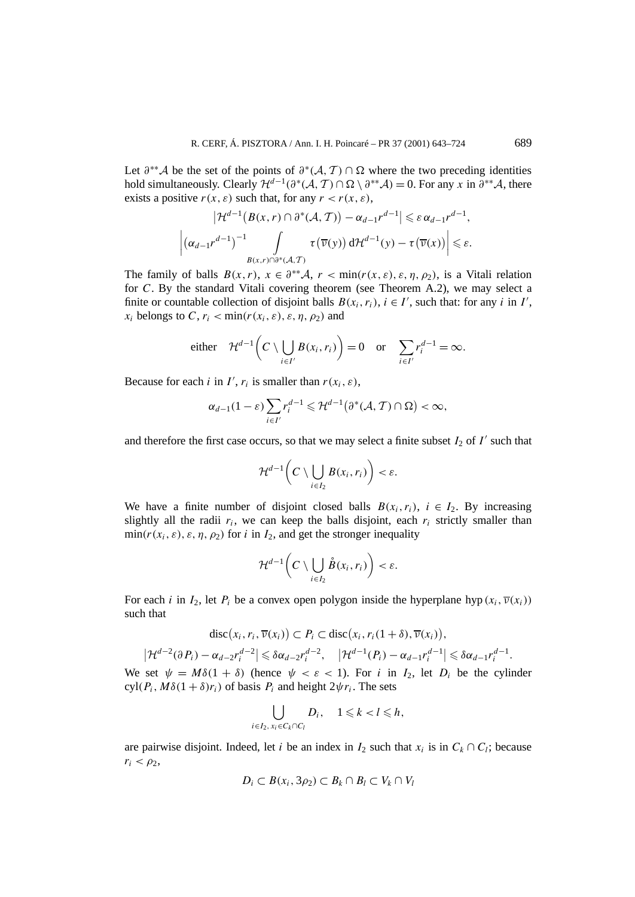Let  $\partial^* A$  be the set of the points of  $\partial^* (A, \mathcal{T}) \cap \Omega$  where the two preceding identities hold simultaneously. Clearly  $\mathcal{H}^{d-1}(\partial^*(\mathcal{A}, \mathcal{T}) \cap \Omega \setminus \partial^{**}\mathcal{A}) = 0$ . For any *x* in  $\partial^{**}\mathcal{A}$ , there exists a positive  $r(x, \varepsilon)$  such that, for any  $r < r(x, \varepsilon)$ ,

$$
\left|\mathcal{H}^{d-1}(B(x,r)\cap\partial^*(\mathcal{A},\mathcal{T}))-\alpha_{d-1}r^{d-1}\right|\leqslant \varepsilon \alpha_{d-1}r^{d-1},
$$

$$
\left|(\alpha_{d-1}r^{d-1})^{-1}\int\limits_{B(x,r)\cap\partial^*(\mathcal{A},\mathcal{T})}\tau(\overline{\nu}(y))\,d\mathcal{H}^{d-1}(y)-\tau(\overline{\nu}(x))\right|\leqslant \varepsilon.
$$

The family of balls  $B(x, r)$ ,  $x \in \partial^{**}A$ ,  $r < \min(r(x, \varepsilon), \varepsilon, \eta, \rho_2)$ , is a Vitali relation for *C*. By the standard Vitali covering theorem (see Theorem A.2), we may select a finite or countable collection of disjoint balls  $B(x_i, r_i)$ ,  $i \in I'$ , such that: for any *i* in *I'*, *x<sub>i</sub>* belongs to *C*,  $r_i < min(r(x_i, \varepsilon), \varepsilon, \eta, \rho_2)$  and

either 
$$
\mathcal{H}^{d-1}\left(C \setminus \bigcup_{i \in I'} B(x_i, r_i)\right) = 0
$$
 or  $\sum_{i \in I'} r_i^{d-1} = \infty$ .

Because for each *i* in *I'*,  $r_i$  is smaller than  $r(x_i, \varepsilon)$ ,

$$
\alpha_{d-1}(1-\varepsilon)\sum_{i\in I'}r_i^{d-1}\leqslant \mathcal{H}^{d-1}\big(\partial^*(\mathcal{A},\mathcal{T})\cap\Omega\big)<\infty,
$$

and therefore the first case occurs, so that we may select a finite subset  $I_2$  of  $I'$  such that

$$
\mathcal{H}^{d-1}\bigg(C\setminus\bigcup_{i\in I_2}B(x_i,r_i)\bigg)<\varepsilon.
$$

We have a finite number of disjoint closed balls  $B(x_i, r_i)$ ,  $i \in I_2$ . By increasing slightly all the radii  $r_i$ , we can keep the balls disjoint, each  $r_i$  strictly smaller than  $min(r(x_i, \varepsilon), \varepsilon, \eta, \rho_2)$  for *i* in  $I_2$ , and get the stronger inequality

$$
\mathcal{H}^{d-1}\bigg(C\setminus\bigcup_{i\in I_2}\mathring{B}(x_i,r_i)\bigg)<\varepsilon.
$$

For each *i* in  $I_2$ , let  $P_i$  be a convex open polygon inside the hyperplane hyp $(x_i, \overline{v}(x_i))$ such that

$$
\operatorname{disc}(x_i, r_i, \overline{\nu}(x_i)) \subset P_i \subset \operatorname{disc}(x_i, r_i(1+\delta), \overline{\nu}(x_i)),
$$
  

$$
|\mathcal{H}^{d-2}(\partial P_i) - \alpha_{d-2} r_i^{d-2}| \leq \delta \alpha_{d-2} r_i^{d-2}, \quad |\mathcal{H}^{d-1}(P_i) - \alpha_{d-1} r_i^{d-1}| \leq \delta \alpha_{d-1} r_i^{d-1}.
$$

We set  $\psi = M\delta(1+\delta)$  (hence  $\psi < \varepsilon < 1$ ). For *i* in  $I_2$ , let  $D_i$  be the cylinder  $\text{cyl}(P_i, M\delta(1+\delta)r_i)$  of basis  $P_i$  and height  $2\psi r_i$ . The sets

$$
\bigcup_{i\in I_2,\,x_i\in C_k\cap C_l}D_i,\quad 1\leqslant k
$$

are pairwise disjoint. Indeed, let *i* be an index in  $I_2$  such that  $x_i$  is in  $C_k \cap C_l$ ; because  $r_i < \rho_2$ ,

$$
D_i \subset B(x_i, 3\rho_2) \subset B_k \cap B_l \subset V_k \cap V_l
$$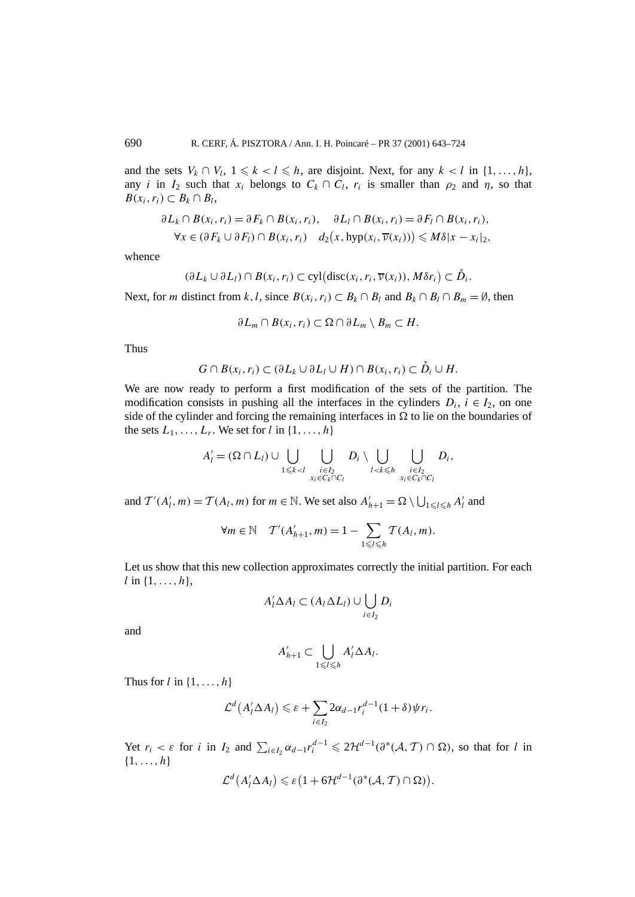and the sets  $V_k \cap V_l$ ,  $1 \leq k < l \leq h$ , are disjoint. Next, for any  $k < l$  in  $\{1, \ldots, h\}$ , any *i* in  $I_2$  such that  $x_i$  belongs to  $C_k \cap C_l$ ,  $r_i$  is smaller than  $\rho_2$  and  $\eta$ , so that  $B(x_i, r_i)$  ⊂  $B_k$  ∩  $B_l$ ,

$$
\partial L_k \cap B(x_i, r_i) = \partial F_k \cap B(x_i, r_i), \quad \partial L_l \cap B(x_i, r_i) = \partial F_l \cap B(x_i, r_i),
$$
  

$$
\forall x \in (\partial F_k \cup \partial F_l) \cap B(x_i, r_i) \quad d_2(x, \text{hyp}(x_i, \overline{v}(x_i))) \le M\delta |x - x_i|_2,
$$

whence

$$
(\partial L_k \cup \partial L_l) \cap B(x_i, r_i) \subset \text{cyl}\big(\text{disc}(x_i, r_i, \overline{\nu}(x_i)), M \delta r_i\big) \subset \mathring{D}_i.
$$

Next, for *m* distinct from *k*, *l*, since  $B(x_i, r_i) \subset B_k \cap B_l$  and  $B_k \cap B_l \cap B_m = \emptyset$ , then

$$
\partial L_m \cap B(x_i, r_i) \subset \Omega \cap \partial L_m \setminus B_m \subset H.
$$

Thus

$$
G \cap B(x_i, r_i) \subset (\partial L_k \cup \partial L_l \cup H) \cap B(x_i, r_i) \subset \mathring{D}_i \cup H.
$$

We are now ready to perform a first modification of the sets of the partition. The modification consists in pushing all the interfaces in the cylinders  $D_i$ ,  $i \in I_2$ , on one side of the cylinder and forcing the remaining interfaces in  $\Omega$  to lie on the boundaries of the sets  $L_1, \ldots, L_r$ . We set for *l* in  $\{1, \ldots, h\}$ 

$$
A'_{l} = (\Omega \cap L_{l}) \cup \bigcup_{1 \leq k < l} \bigcup_{\substack{i \in I_{2} \\ x_{i} \in C_{k} \cap C_{l}}} D_{i} \setminus \bigcup_{l < k \leq h} \bigcup_{\substack{i \in I_{2} \\ x_{i} \in C_{k} \cap C_{l}}} D_{i},
$$

and  $T'(A'_l, m) = T(A_l, m)$  for  $m \in \mathbb{N}$ . We set also  $A'_{h+1} = \Omega \setminus \bigcup_{1 \leq l \leq h} A'_l$  and

$$
\forall m \in \mathbb{N} \quad T'(A'_{h+1}, m) = 1 - \sum_{1 \leq l \leq h} T(A_l, m).
$$

Let us show that this new collection approximates correctly the initial partition. For each *l* in {1*,...,h*},

$$
A'_l \Delta A_l \subset (A_l \Delta L_l) \cup \bigcup_{i \in I_2} D_i
$$

and

$$
A'_{h+1} \subset \bigcup_{1 \leq l \leq h} A'_l \Delta A_l.
$$

Thus for *l* in {1*,...,h*}

$$
\mathcal{L}^d(A'_l\Delta A_l)\leqslant \varepsilon+\sum_{i\in I_2}2\alpha_{d-1}r_i^{d-1}(1+\delta)\psi r_i.
$$

Yet  $r_i < \varepsilon$  for *i* in  $I_2$  and  $\sum_{i \in I_2} \alpha_{d-1} r_i^{d-1} \leq 2\mathcal{H}^{d-1}(\partial^*(\mathcal{A}, \mathcal{T}) \cap \Omega)$ , so that for *l* in {1*,...,h*}

$$
\mathcal{L}^d(A'_l \Delta A_l) \leq \varepsilon \big(1 + 6\mathcal{H}^{d-1}(\partial^*(\mathcal{A}, \mathcal{T}) \cap \Omega)\big).
$$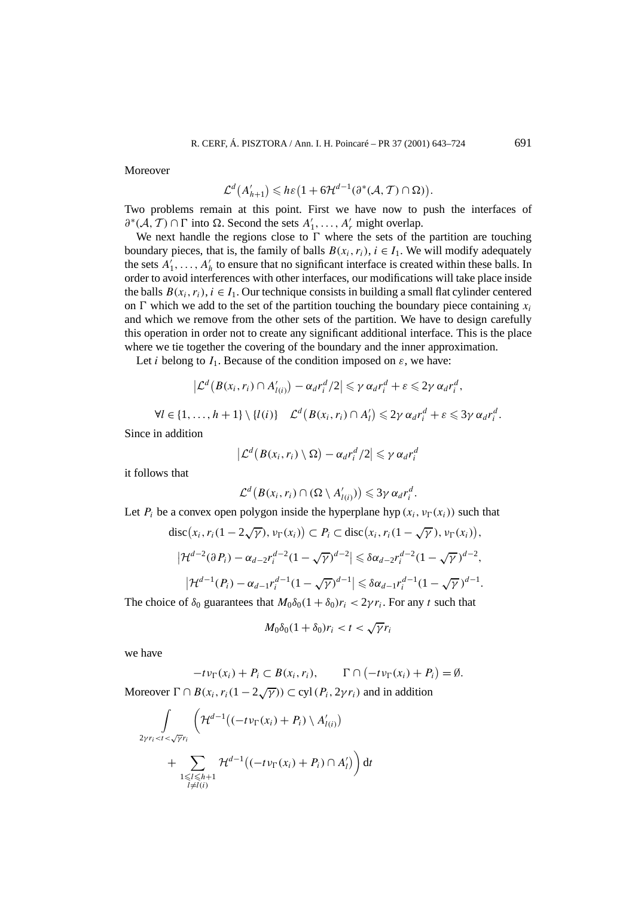Moreover

$$
\mathcal{L}^d(A'_{h+1}) \leqslant h\varepsilon \big(1 + 6\mathcal{H}^{d-1}(\partial^*(\mathcal{A}, \mathcal{T}) \cap \Omega)\big).
$$

Two problems remain at this point. First we have now to push the interfaces of  $\partial^*(A, T) \cap \Gamma$  into  $\Omega$ . Second the sets  $A'_1, \ldots, A'_r$  might overlap.

We next handle the regions close to  $\Gamma$  where the sets of the partition are touching boundary pieces, that is, the family of balls  $B(x_i, r_i)$ ,  $i \in I_1$ . We will modify adequately the sets  $A'_1, \ldots, A'_h$  to ensure that no significant interface is created within these balls. In order to avoid interferences with other interfaces, our modifications will take place inside the balls  $B(x_i, r_i)$ ,  $i \in I_1$ . Our technique consists in building a small flat cylinder centered on  $\Gamma$  which we add to the set of the partition touching the boundary piece containing  $x_i$ and which we remove from the other sets of the partition. We have to design carefully this operation in order not to create any significant additional interface. This is the place where we tie together the covering of the boundary and the inner approximation.

Let *i* belong to  $I_1$ . Because of the condition imposed on  $\varepsilon$ , we have:

$$
\left|\mathcal{L}^d(B(x_i,r_i)\cap A'_{l(i)})-\alpha_d r_i^d/2\right|\leq \gamma\,\alpha_d r_i^d+\varepsilon\leq 2\gamma\,\alpha_d r_i^d,
$$

$$
\forall l \in \{1,\ldots,h+1\} \setminus \{l(i)\} \quad \mathcal{L}^d\big(B(x_i,r_i)\cap A'_l\big) \leq 2\gamma \alpha_d r_i^d + \varepsilon \leq 3\gamma \alpha_d r_i^d.
$$

Since in addition

$$
\left|\mathcal{L}^d\big(B(x_i,r_i)\setminus\Omega\big)-\alpha_d r_i^d/2\right|\leqslant \gamma\,\alpha_d r_i^d
$$

it follows that

$$
\mathcal{L}^d\big(B(x_i,r_i)\cap(\Omega\setminus A'_{l(i)})\big)\leqslant 3\gamma\,\alpha_d r_i^d.
$$

Let  $P_i$  be a convex open polygon inside the hyperplane hyp  $(x_i, v_{\Gamma}(x_i))$  such that

$$
\operatorname{disc}(x_i, r_i(1 - 2\sqrt{\gamma}), v_{\Gamma}(x_i)) \subset P_i \subset \operatorname{disc}(x_i, r_i(1 - \sqrt{\gamma}), v_{\Gamma}(x_i)),
$$
  

$$
|\mathcal{H}^{d-2}(\partial P_i) - \alpha_{d-2} r_i^{d-2} (1 - \sqrt{\gamma})^{d-2}| \leq \delta \alpha_{d-2} r_i^{d-2} (1 - \sqrt{\gamma})^{d-2},
$$
  

$$
|\mathcal{H}^{d-1}(P_i) - \alpha_{d-1} r_i^{d-1} (1 - \sqrt{\gamma})^{d-1}| \leq \delta \alpha_{d-1} r_i^{d-1} (1 - \sqrt{\gamma})^{d-1}.
$$

The choice of  $\delta_0$  guarantees that  $M_0\delta_0(1+\delta_0)r_i < 2\gamma r_i$ . For any *t* such that

$$
M_0 \delta_0 (1 + \delta_0) r_i < t < \sqrt{\gamma} r_i
$$

we have

$$
-t\nu_{\Gamma}(x_i)+P_i\subset B(x_i,r_i),\qquad \Gamma\cap(-t\nu_{\Gamma}(x_i)+P_i)=\emptyset.
$$

Moreover  $\Gamma \cap B(x_i, r_i(1 - 2\sqrt{\gamma})) \subset \text{cyl}(P_i, 2\gamma r_i)$  and in addition

$$
\int_{2\gamma r_i < t < \sqrt{\gamma} r_i} \left( \mathcal{H}^{d-1} \left( (-t \nu_{\Gamma}(x_i) + P_i) \setminus A'_{l(i)} \right) + \sum_{\substack{1 \leq l \leq h+1 \\ l \neq l(i)}} \mathcal{H}^{d-1} \left( (-t \nu_{\Gamma}(x_i) + P_i) \cap A'_l \right) \right) dt
$$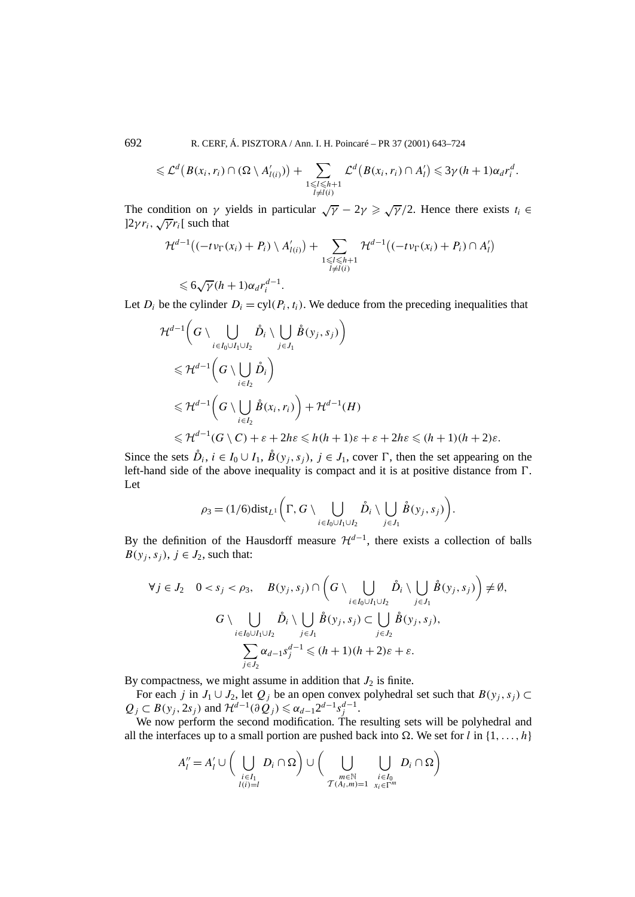692 R. CERF, Á. PISZTORA / Ann. I. H. Poincaré – PR 37 (2001) 643–724

$$
\leqslant \mathcal{L}^d\big(B(x_i,r_i)\cap(\Omega\setminus A'_{l(i)})\big)+\sum_{\substack{1\leqslant l\leqslant h+1\\l\neq l(i)}}\mathcal{L}^d\big(B(x_i,r_i)\cap A'_{l}\big)\leqslant 3\gamma(h+1)\alpha_d r_i^d.
$$

The condition on *γ* yields in particular  $\sqrt{\gamma} - 2\gamma \ge \sqrt{\gamma}/2$ . Hence there exists  $t_i \in$ The condition on  $\gamma$  y<br> $]2\gamma r_i, \sqrt{\gamma} r_i[$  such that

$$
\mathcal{H}^{d-1}\big((-t\nu_{\Gamma}(x_i) + P_i) \setminus A'_{l(i)}\big) + \sum_{\substack{1 \leq l \leq h+1 \\ l \neq l(i)}} \mathcal{H}^{d-1}\big((-t\nu_{\Gamma}(x_i) + P_i) \cap A'_{l}\big) \leq \delta\sqrt{\gamma}(h+1)\alpha_d r_i^{d-1}.
$$

Let  $D_i$  be the cylinder  $D_i = \text{cyl}(P_i, t_i)$ . We deduce from the preceding inequalities that

$$
\mathcal{H}^{d-1}\Big(G \setminus \bigcup_{i \in I_0 \cup I_1 \cup I_2} \mathring{D}_i \setminus \bigcup_{j \in J_1} \mathring{B}(y_j, s_j)\Big)
$$
  
\$\leqslant \mathcal{H}^{d-1}\Big(G \setminus \bigcup\_{i \in I\_2} \mathring{D}\_i\Big)\$  
\$\leqslant \mathcal{H}^{d-1}\Big(G \setminus \bigcup\_{i \in I\_2} \mathring{B}(x\_i, r\_i)\Big) + \mathcal{H}^{d-1}(H)\$  
\$\leqslant \mathcal{H}^{d-1}(G \setminus C) + \varepsilon + 2h\varepsilon \leqslant h(h+1)\varepsilon + \varepsilon + 2h\varepsilon \leqslant (h+1)(h+2)\varepsilon\$.

Since the sets  $\hat{D}_i$ ,  $i \in I_0 \cup I_1$ ,  $\hat{B}(y_i, s_i)$ ,  $j \in J_1$ , cover  $\Gamma$ , then the set appearing on the left-hand side of the above inequality is compact and it is at positive distance from  $\Gamma$ . Let

$$
\rho_3 = (1/6)\mathrm{dist}_{L^1}\bigg(\Gamma, G \setminus \bigcup_{i \in I_0 \cup I_1 \cup I_2} \mathring{D}_i \setminus \bigcup_{j \in J_1} \mathring{B}(y_j, s_j)\bigg).
$$

By the definition of the Hausdorff measure  $\mathcal{H}^{d-1}$ , there exists a collection of balls  $B(y_i, s_j)$ ,  $j \in J_2$ , such that:

$$
\forall j \in J_2 \quad 0 < s_j < \rho_3, \quad B(y_j, s_j) \cap \left( G \setminus \bigcup_{i \in I_0 \cup I_1 \cup I_2} \mathring{D}_i \setminus \bigcup_{j \in J_1} \mathring{B}(y_j, s_j) \right) \neq \emptyset,
$$
\n
$$
G \setminus \bigcup_{i \in I_0 \cup I_1 \cup I_2} \mathring{D}_i \setminus \bigcup_{j \in J_1} \mathring{B}(y_j, s_j) \subset \bigcup_{j \in J_2} \mathring{B}(y_j, s_j),
$$
\n
$$
\sum_{j \in J_2} \alpha_{d-1} s_j^{d-1} \leq (h+1)(h+2)\varepsilon + \varepsilon.
$$

By compactness, we might assume in addition that  $J_2$  is finite.

For each *j* in  $J_1 \cup J_2$ , let  $Q_j$  be an open convex polyhedral set such that  $B(y_j, s_j) \subset$  $Q_j \subset B(y_j, 2s_j)$  and  $\mathcal{H}^{d-1}(\partial Q_j) \leq \alpha_{d-1} 2^{d-1} s_j^{d-1}$ .

We now perform the second modification. The resulting sets will be polyhedral and all the interfaces up to a small portion are pushed back into  $\Omega$ . We set for *l* in  $\{1, \ldots, h\}$ 

$$
A''_l = A'_l \cup \Big( \bigcup_{\substack{i \in I_1 \\ l(i) = l}} D_i \cap \Omega \Big) \cup \Big( \bigcup_{\substack{m \in \mathbb{N} \\ T(A_l, m) = 1}} \bigcup_{\substack{i \in I_0 \\ x_i \in \Gamma^m}} D_i \cap \Omega \Big)
$$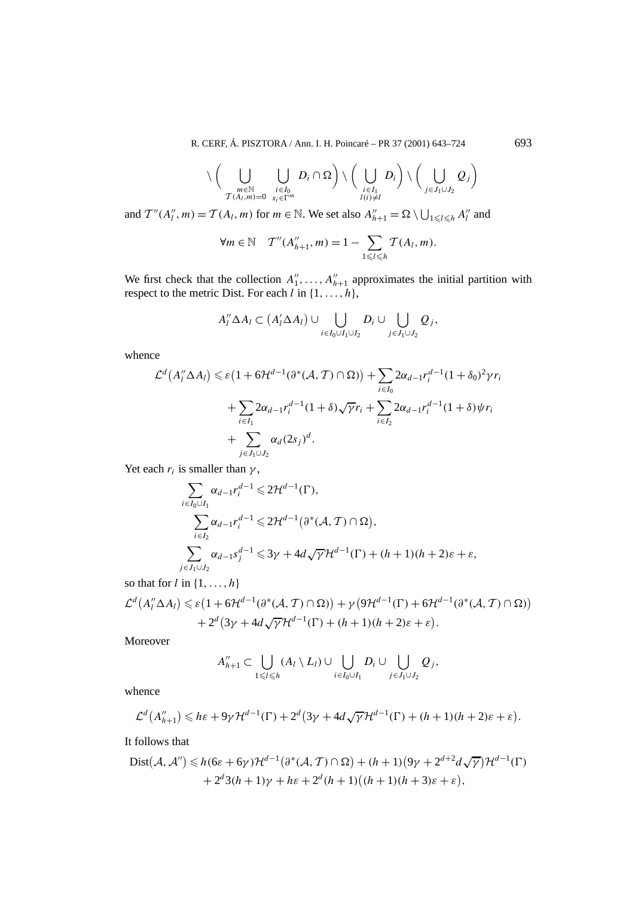R. CERF, Á. PISZTORA / Ann. I. H. Poincaré – PR 37 (2001) 643–724 693

$$
\setminus \Big(\bigcup_{\substack{m\in\mathbb{N}\\ T(A_l,m)=0}} \bigcup_{\substack{i\in I_0\\ x_i\in\Gamma^m}} D_i\cap\Omega\Big) \setminus \Big(\bigcup_{\substack{i\in I_1\\ l(i)\neq l}} D_i\Big) \setminus \Big(\bigcup_{j\in J_1\cup J_2} Q_j\Big)
$$

and  $T''(A''_l, m) = T(A_l, m)$  for  $m \in \mathbb{N}$ . We set also  $A''_{h+1} = \Omega \setminus \bigcup_{1 \leq l \leq h} A''_l$  and

$$
\forall m \in \mathbb{N} \quad T''(A''_{h+1}, m) = 1 - \sum_{1 \leq l \leq h} T(A_l, m).
$$

We first check that the collection  $A''_1, \ldots, A''_{h+1}$  approximates the initial partition with respect to the metric Dist. For each  $l$  in  $\{1, \ldots, h\}$ ,

$$
A''_l \Delta A_l \subset (A'_l \Delta A_l) \cup \bigcup_{i \in I_0 \cup I_1 \cup I_2} D_i \cup \bigcup_{j \in J_1 \cup J_2} Q_j,
$$

whence

$$
\mathcal{L}^{d}(A''_{l}\Delta A_{l}) \leq \varepsilon (1 + 6\mathcal{H}^{d-1}(\partial^{*}(\mathcal{A}, \mathcal{T}) \cap \Omega)) + \sum_{i \in I_{0}} 2\alpha_{d-1} r_{i}^{d-1} (1 + \delta_{0})^{2} \gamma r_{i} \n+ \sum_{i \in I_{1}} 2\alpha_{d-1} r_{i}^{d-1} (1 + \delta) \sqrt{\gamma} r_{i} + \sum_{i \in I_{2}} 2\alpha_{d-1} r_{i}^{d-1} (1 + \delta) \psi r_{i} \n+ \sum_{j \in J_{1} \cup J_{2}} \alpha_{d} (2s_{j})^{d}.
$$

Yet each  $r_i$  is smaller than  $\gamma$ ,

$$
\sum_{i \in I_0 \cup I_1} \alpha_{d-1} r_i^{d-1} \leq 2\mathcal{H}^{d-1}(\Gamma),
$$
\n
$$
\sum_{i \in I_2} \alpha_{d-1} r_i^{d-1} \leq 2\mathcal{H}^{d-1}(\partial^*(\mathcal{A}, \mathcal{I}) \cap \Omega),
$$
\n
$$
\sum_{j \in J_1 \cup J_2} \alpha_{d-1} s_j^{d-1} \leq 3\gamma + 4d\sqrt{\gamma} \mathcal{H}^{d-1}(\Gamma) + (h+1)(h+2)\varepsilon + \varepsilon,
$$

so that for *l* in {1*,...,h*}

$$
\mathcal{L}^d(A_l''\Delta A_l) \leq \varepsilon \left(1 + 6\mathcal{H}^{d-1}(\partial^*(\mathcal{A}, \mathcal{T}) \cap \Omega)\right) + \gamma \left(9\mathcal{H}^{d-1}(\Gamma) + 6\mathcal{H}^{d-1}(\partial^*(\mathcal{A}, \mathcal{T}) \cap \Omega)\right) + 2^d \left(3\gamma + 4d\sqrt{\gamma}\mathcal{H}^{d-1}(\Gamma) + (h+1)(h+2)\varepsilon + \varepsilon\right).
$$

Moreover

$$
A''_{h+1} \subset \bigcup_{1 \leq l \leq h} (A_l \setminus L_l) \cup \bigcup_{i \in I_0 \cup I_1} D_i \cup \bigcup_{j \in J_1 \cup J_2} Q_j,
$$

whence

$$
\mathcal{L}^d(A''_{h+1}) \leqslant h\varepsilon + 9\gamma \mathcal{H}^{d-1}(\Gamma) + 2^d \left(3\gamma + 4d\sqrt{\gamma}\mathcal{H}^{d-1}(\Gamma) + (h+1)(h+2)\varepsilon + \varepsilon\right).
$$

It follows that

$$
Dist(\mathcal{A}, \mathcal{A}'') \leq h(6\varepsilon + 6\gamma)\mathcal{H}^{d-1}(\partial^*(\mathcal{A}, \mathcal{T}) \cap \Omega) + (h+1)(9\gamma + 2^{d+2}d\sqrt{\gamma})\mathcal{H}^{d-1}(\Gamma) + 2^d 3(h+1)\gamma + h\varepsilon + 2^d (h+1)((h+1)(h+3)\varepsilon + \varepsilon),
$$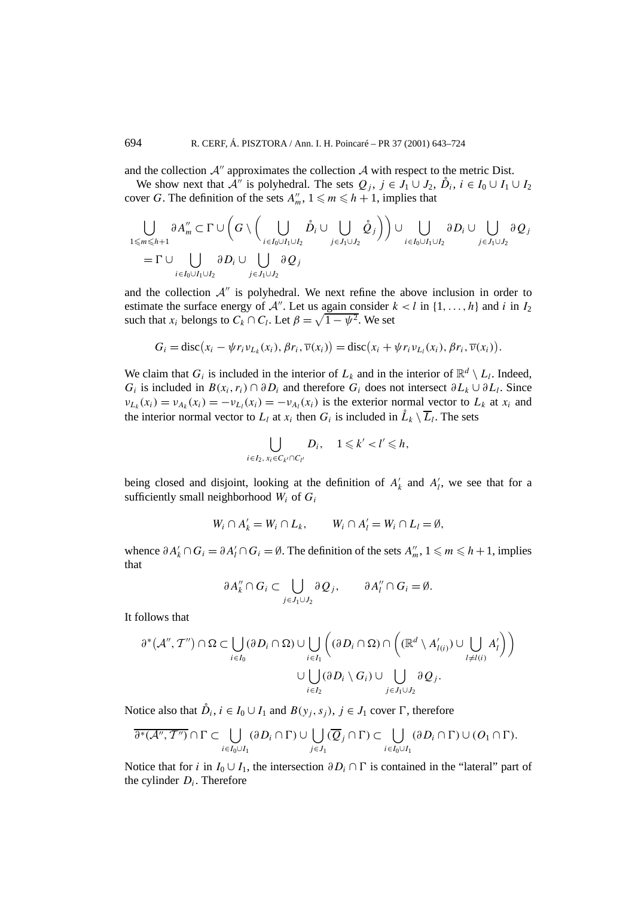and the collection  $A''$  approximates the collection  $A$  with respect to the metric Dist.

We show next that  $\mathcal{A}''$  is polyhedral. The sets  $Q_i$ ,  $j \in J_1 \cup J_2$ ,  $\mathring{D}_i$ ,  $i \in I_0 \cup I_1 \cup I_2$ cover *G*. The definition of the sets  $A''_m$ ,  $1 \le m \le h + 1$ , implies that

$$
\bigcup_{1 \leq m \leq h+1} \partial A''_m \subset \Gamma \cup \left( G \setminus \left( \bigcup_{i \in I_0 \cup I_1 \cup I_2} \mathring{D}_i \cup \bigcup_{j \in J_1 \cup J_2} \mathring{Q}_j \right) \right) \cup \bigcup_{i \in I_0 \cup I_1 \cup I_2} \partial D_i \cup \bigcup_{j \in J_1 \cup J_2} \partial Q_j
$$
\n
$$
= \Gamma \cup \bigcup_{i \in I_0 \cup I_1 \cup I_2} \partial D_i \cup \bigcup_{j \in J_1 \cup J_2} \partial Q_j
$$

and the collection  $A''$  is polyhedral. We next refine the above inclusion in order to estimate the surface energy of  $A''$ . Let us again consider  $k < l$  in  $\{1, \ldots, h\}$  and *i* in  $I_2$ such that *x<sub>i</sub>* belongs to  $C_k \cap C_l$ . Let  $\beta = \sqrt{1 - \psi^2}$ . We set

$$
G_i = \text{disc}(x_i - \psi r_i \nu_{L_k}(x_i), \beta r_i, \overline{\nu}(x_i)) = \text{disc}(x_i + \psi r_i \nu_{L_l}(x_i), \beta r_i, \overline{\nu}(x_i)).
$$

We claim that  $G_i$  is included in the interior of  $L_k$  and in the interior of  $\mathbb{R}^d \setminus L_l$ . Indeed, *G<sub>i</sub>* is included in *B*( $x_i, r_i$ ) ∩  $\partial D_i$  and therefore  $G_i$  does not intersect  $\partial L_k \cup \partial L_l$ . Since  $\nu_{L_k}(x_i) = \nu_{A_k}(x_i) = -\nu_{L_l}(x_i) = -\nu_{A_l}(x_i)$  is the exterior normal vector to  $L_k$  at  $x_i$  and the interior normal vector to  $L_l$  at  $x_i$  then  $G_i$  is included in  $\mathring{L}_k \setminus \overline{L}_l$ . The sets

$$
\bigcup_{i\in I_2,\,x_i\in C_{k'}\cap C_{l'}}D_i,\quad 1\leqslant k'< l'\leqslant h,
$$

being closed and disjoint, looking at the definition of  $A'_{k}$  and  $A'_{l}$ , we see that for a sufficiently small neighborhood *Wi* of *Gi*

$$
W_i \cap A'_k = W_i \cap L_k, \qquad W_i \cap A'_l = W_i \cap L_l = \emptyset,
$$

whence  $\partial A'_k \cap G_i = \partial A'_l \cap G_i = \emptyset$ . The definition of the sets  $A''_m$ ,  $1 \le m \le h + 1$ , implies that

$$
\partial A_k'' \cap G_i \subset \bigcup_{j \in J_1 \cup J_2} \partial Q_j, \qquad \partial A_l'' \cap G_i = \emptyset.
$$

It follows that

$$
\partial^*(\mathcal{A}'', \mathcal{T}'') \cap \Omega \subset \bigcup_{i \in I_0} (\partial D_i \cap \Omega) \cup \bigcup_{i \in I_1} \left( (\partial D_i \cap \Omega) \cap \left( (\mathbb{R}^d \setminus A'_{l(i)}) \cup \bigcup_{l \neq l(i)} A'_l \right) \right)
$$

$$
\cup \bigcup_{i \in I_2} (\partial D_i \setminus G_i) \cup \bigcup_{j \in J_1 \cup J_2} \partial Q_j.
$$

Notice also that  $\hat{D}_i$ ,  $i \in I_0 \cup I_1$  and  $B(y_i, s_i)$ ,  $j \in J_1$  cover  $\Gamma$ , therefore

$$
\overline{\partial^*(\mathcal{A}'',\mathcal{T}'')} \cap \Gamma \subset \bigcup_{i \in I_0 \cup I_1} (\partial D_i \cap \Gamma) \cup \bigcup_{j \in J_1} (\overline{Q}_j \cap \Gamma) \subset \bigcup_{i \in I_0 \cup I_1} (\partial D_i \cap \Gamma) \cup (O_1 \cap \Gamma).
$$

Notice that for *i* in  $I_0 \cup I_1$ , the intersection  $\partial D_i \cap \Gamma$  is contained in the "lateral" part of the cylinder *Di*. Therefore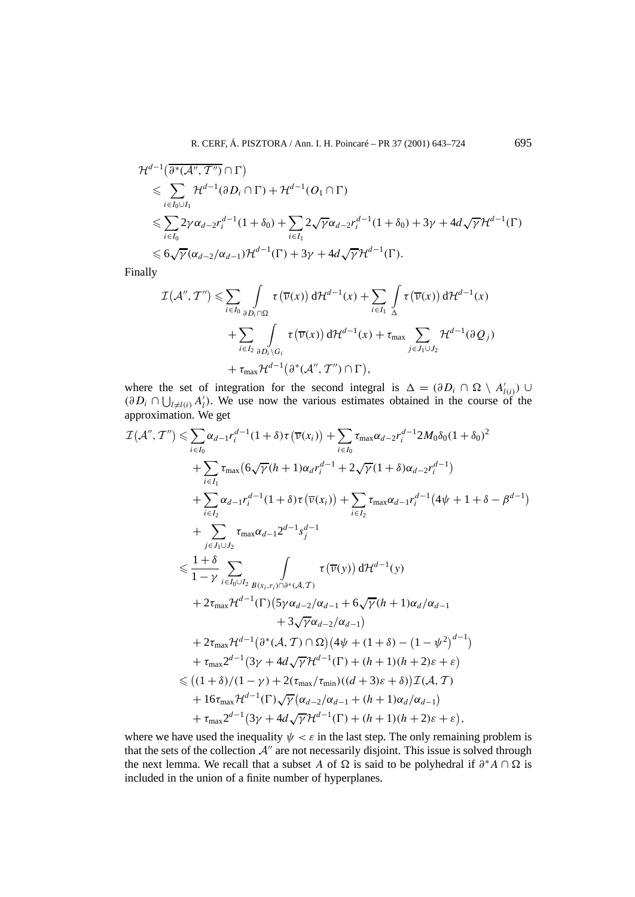$$
\mathcal{H}^{d-1}(\overline{\partial^*(\mathcal{A}'',\mathcal{T}'')}\cap \Gamma)
$$
  
\$\leqslant \sum\_{i\in I\_0\cup I\_1} \mathcal{H}^{d-1}(\partial D\_i \cap \Gamma) + \mathcal{H}^{d-1}(O\_1 \cap \Gamma)\$  
\$\leqslant \sum\_{i\in I\_0} 2\gamma\alpha\_{d-2}r\_i^{d-1}(1+\delta\_0) + \sum\_{i\in I\_1} 2\sqrt{\gamma}\alpha\_{d-2}r\_i^{d-1}(1+\delta\_0) + 3\gamma + 4d\sqrt{\gamma}\mathcal{H}^{d-1}(\Gamma)\$  
\$\leqslant 6\sqrt{\gamma}(\alpha\_{d-2}/\alpha\_{d-1})\mathcal{H}^{d-1}(\Gamma) + 3\gamma + 4d\sqrt{\gamma}\mathcal{H}^{d-1}(\Gamma).

Finally

$$
\mathcal{I}(\mathcal{A}'',\mathcal{T}'') \leqslant \sum_{i \in I_0} \int_{\partial D_i \cap \Omega} \tau(\overline{\nu}(x)) d\mathcal{H}^{d-1}(x) + \sum_{i \in I_1} \int_{\Delta} \tau(\overline{\nu}(x)) d\mathcal{H}^{d-1}(x) \n+ \sum_{i \in I_2} \int_{\partial D_i \setminus G_i} \tau(\overline{\nu}(x)) d\mathcal{H}^{d-1}(x) + \tau_{\max} \sum_{j \in J_1 \cup J_2} \mathcal{H}^{d-1}(\partial Q_j) \n+ \tau_{\max} \mathcal{H}^{d-1}(\partial^*(\mathcal{A}'',\mathcal{T}'') \cap \Gamma),
$$

where the set of integration for the second integral is  $\Delta = (\partial D_i \cap \Omega \setminus A'_{(i)})$  ∪  $(\partial D_i \cap \bigcup_{l \neq l(i)} A'_l)$ . We use now the various estimates obtained in the course of the approximation. We get

$$
\mathcal{I}(\mathcal{A}'', \mathcal{T}'') \leq \sum_{i \in I_0} \alpha_{d-1} r_i^{d-1} (1 + \delta) \tau (\overline{\nu}(x_i)) + \sum_{i \in I_0} \tau_{\max} \alpha_{d-2} r_i^{d-1} 2M_0 \delta_0 (1 + \delta_0)^2 \n+ \sum_{i \in I_1} \tau_{\max} (6\sqrt{\gamma}(h+1) \alpha_d r_i^{d-1} + 2\sqrt{\gamma}(1+\delta) \alpha_{d-2} r_i^{d-1}) \n+ \sum_{i \in I_2} \alpha_{d-1} r_i^{d-1} (1 + \delta) \tau (\overline{\nu}(x_i)) + \sum_{i \in I_2} \tau_{\max} \alpha_{d-1} r_i^{d-1} (4\psi + 1 + \delta - \beta^{d-1}) \n+ \sum_{i \in I_1 \cup J_2} \tau_{\max} \alpha_{d-1} 2^{d-1} s_j^{d-1} \n\leq \frac{1+\delta}{1-\gamma} \sum_{i \in I_0 \cup I_2} \int_{B(x_i, r_i) \cap \partial^*(\mathcal{A}, \mathcal{T})} \tau (\overline{\nu}(y)) d\mathcal{H}^{d-1}(y) \n+ 2\tau_{\max} \mathcal{H}^{d-1}(\Gamma) (5\gamma \alpha_{d-2}/\alpha_{d-1} + 6\sqrt{\gamma}(h+1) \alpha_d/\alpha_{d-1} \n+ 3\sqrt{\gamma} \alpha_{d-2}/\alpha_{d-1}) \n+ 2\tau_{\max} \mathcal{H}^{d-1} (3\gamma + 4d\sqrt{\gamma}\mathcal{H}^{d-1}(\Gamma) + (h+1)(h+2)\varepsilon + \varepsilon) \n\leq (1+\delta)/(1-\gamma) + 2(\tau_{\max}/\tau_{\min})((d+3)\varepsilon + \delta)) \mathcal{I}(\mathcal{A}, \mathcal{T}) \n+ 16\tau_{\max} \mathcal{H}^{d-1}(\Gamma) \sqrt{\gamma} (\alpha_{d-2}/\alpha_{d-1} + (h+1) \alpha_d/\alpha_{d-1}) \n+ \tau_{\max} 2^{d-1} (3\gamma + 4d\sqrt{\gamma}\mathcal{H}^{d-1}(\Gamma) + (h+1)(h+2)\varepsilon + \varepsilon),
$$

where we have used the inequality  $\psi < \varepsilon$  in the last step. The only remaining problem is that the sets of the collection  $A''$  are not necessarily disjoint. This issue is solved through the next lemma. We recall that a subset *A* of  $\Omega$  is said to be polyhedral if  $\partial^* A \cap \Omega$  is included in the union of a finite number of hyperplanes.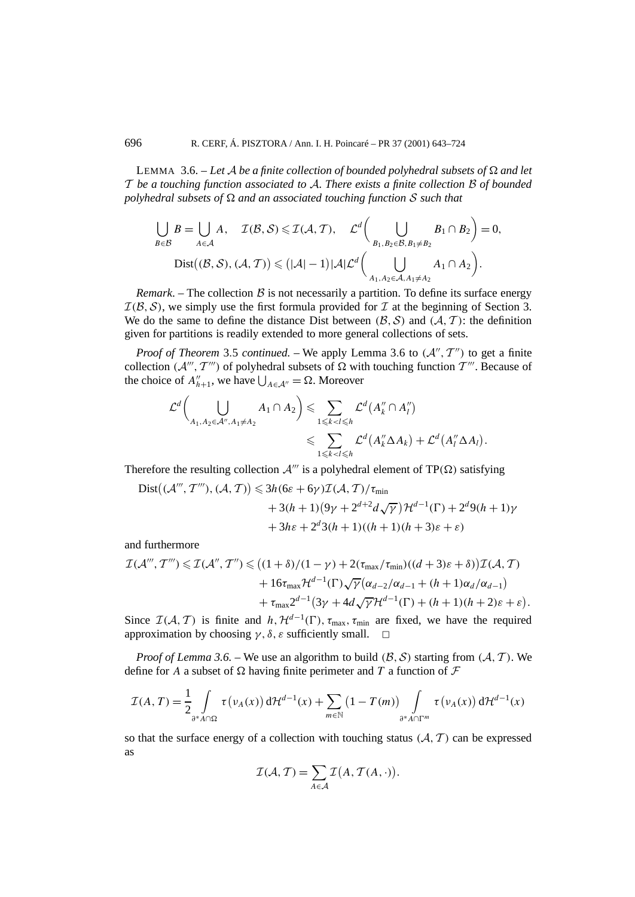LEMMA 3.6. – Let A be a finite collection of bounded polyhedral subsets of  $\Omega$  and let T *be a touching function associated to* A*. There exists a finite collection* B *of bounded*  $polyhedral$  *subsets of*  $\Omega$  *and an associated touching function*  $S$  *such that* 

$$
\bigcup_{B \in \mathcal{B}} B = \bigcup_{A \in \mathcal{A}} A, \quad \mathcal{I}(\mathcal{B}, \mathcal{S}) \leq \mathcal{I}(\mathcal{A}, \mathcal{T}), \quad \mathcal{L}^d \bigg( \bigcup_{B_1, B_2 \in \mathcal{B}, B_1 \neq B_2} B_1 \cap B_2 \bigg) = 0,
$$
  
Dist $((\mathcal{B}, \mathcal{S}), (\mathcal{A}, \mathcal{T})) \leq (|\mathcal{A}| - 1) |\mathcal{A}| \mathcal{L}^d \bigg( \bigcup_{A_1, A_2 \in \mathcal{A}, A_1 \neq A_2} A_1 \cap A_2 \bigg).$ 

*Remark.* – The collection  $\beta$  is not necessarily a partition. To define its surface energy  $\mathcal{I}(\mathcal{B}, \mathcal{S})$ , we simply use the first formula provided for  $\mathcal I$  at the beginning of Section 3. We do the same to define the distance Dist between  $(\mathcal{B}, \mathcal{S})$  and  $(\mathcal{A}, \mathcal{T})$ : the definition given for partitions is readily extended to more general collections of sets.

*Proof of Theorem* 3.5 *continued.* – We apply Lemma 3.6 to  $(A'', T'')$  to get a finite collection  $(A''', T''')$  of polyhedral subsets of  $\Omega$  with touching function  $T'''$ . Because of the choice of  $A''_{h+1}$ , we have  $\bigcup_{A \in \mathcal{A}''} = \Omega$ . Moreover

$$
\mathcal{L}^d \bigg( \bigcup_{A_1, A_2 \in \mathcal{A}^{\prime\prime}, A_1 \neq A_2} A_1 \cap A_2 \bigg) \leqslant \sum_{1 \leqslant k < l \leqslant h} \mathcal{L}^d \big( A_k^{\prime\prime} \cap A_l^{\prime\prime} \big) \\
\leqslant \sum_{1 \leqslant k < l \leqslant h} \mathcal{L}^d \big( A_k^{\prime\prime} \Delta A_k \big) + \mathcal{L}^d \big( A_l^{\prime\prime} \Delta A_l \big).
$$

Therefore the resulting collection  $\mathcal{A}^{\prime\prime\prime}$  is a polyhedral element of TP( $\Omega$ ) satisfying

$$
Dist((\mathcal{A}''', \mathcal{T}'''), (\mathcal{A}, \mathcal{T})) \le 3h(6\varepsilon + 6\gamma)\mathcal{I}(\mathcal{A}, \mathcal{T})/\tau_{\min}
$$
  
+ 3(h+1)(9\gamma + 2^{d+2}d\sqrt{\gamma})\mathcal{H}^{d-1}(\Gamma) + 2^d 9(h+1)\gamma  
+ 3h\varepsilon + 2^d 3(h+1)((h+1)(h+3)\varepsilon + \varepsilon)

and furthermore

$$
\mathcal{I}(\mathcal{A}''',\mathcal{T}''')\leqslant\mathcal{I}(\mathcal{A}'',\mathcal{T}'')\leqslant\big((1+\delta)/(1-\gamma)+2(\tau_{\max}/\tau_{\min})((d+3)\varepsilon+\delta)\big)\mathcal{I}(\mathcal{A},\mathcal{T})+\n+16\tau_{\max}\mathcal{H}^{d-1}(\Gamma)\sqrt{\gamma}(\alpha_{d-2}/\alpha_{d-1}+(h+1)\alpha_d/\alpha_{d-1})\n+ \tau_{\max}2^{d-1}(3\gamma+4d\sqrt{\gamma}\mathcal{H}^{d-1}(\Gamma)+(h+1)(h+2)\varepsilon+\varepsilon).
$$

Since  $\mathcal{I}(\mathcal{A}, \mathcal{T})$  is finite and  $h, \mathcal{H}^{d-1}(\Gamma)$ ,  $\tau_{\text{max}}$ ,  $\tau_{\text{min}}$  are fixed, we have the required approximation by choosing  $\gamma$ ,  $\delta$ ,  $\varepsilon$  sufficiently small.  $\Box$ 

*Proof of Lemma 3.6.* – We use an algorithm to build  $(B, S)$  starting from  $(A, T)$ . We define for *A* a subset of  $\Omega$  having finite perimeter and *T* a function of  $\mathcal F$ 

$$
\mathcal{I}(A, T) = \frac{1}{2} \int_{\partial^* A \cap \Omega} \tau(\nu_A(x)) d\mathcal{H}^{d-1}(x) + \sum_{m \in \mathbb{N}} (1 - T(m)) \int_{\partial^* A \cap \Gamma^m} \tau(\nu_A(x)) d\mathcal{H}^{d-1}(x)
$$

so that the surface energy of a collection with touching status  $(A, T)$  can be expressed as

$$
\mathcal{I}(\mathcal{A}, \mathcal{T}) = \sum_{A \in \mathcal{A}} \mathcal{I}(A, \mathcal{T}(A, \cdot))
$$

*.*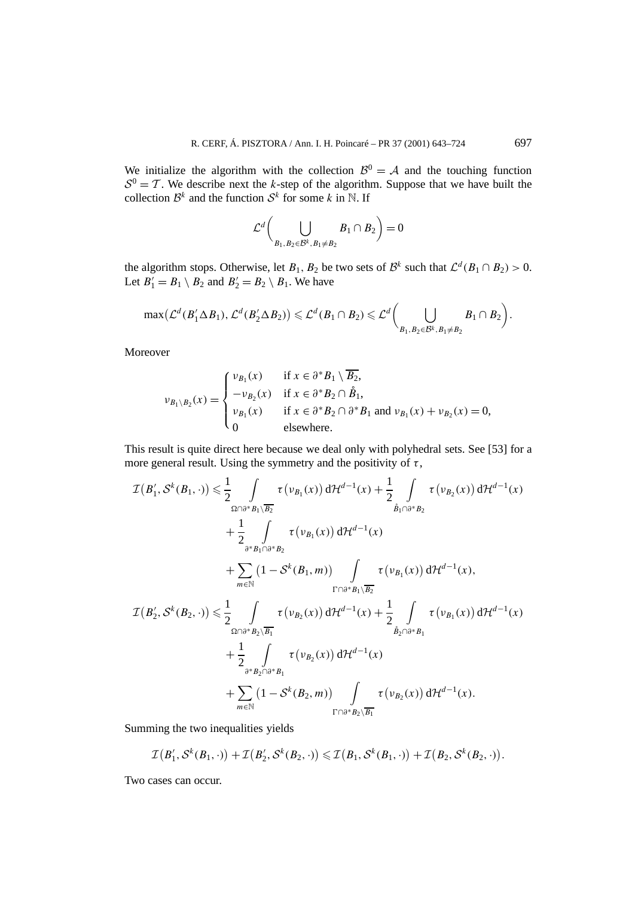We initialize the algorithm with the collection  $B^0 = A$  and the touching function  $S^0 = T$ . We describe next the *k*-step of the algorithm. Suppose that we have built the collection  $\mathcal{B}^k$  and the function  $\mathcal{S}^k$  for some k in N. If

$$
\mathcal{L}^d\bigg(\bigcup_{B_1,B_2\in\mathcal{B}^k,B_1\neq B_2}B_1\cap B_2\bigg)=0
$$

the algorithm stops. Otherwise, let  $B_1$ ,  $B_2$  be two sets of  $\mathcal{B}^k$  such that  $\mathcal{L}^d(B_1 \cap B_2) > 0$ . Let  $B'_1 = B_1 \setminus B_2$  and  $B'_2 = B_2 \setminus B_1$ . We have

$$
\max(\mathcal{L}^d(B'_1 \Delta B_1), \mathcal{L}^d(B'_2 \Delta B_2)) \leq \mathcal{L}^d(B_1 \cap B_2) \leq \mathcal{L}^d\bigg(\bigcup_{B_1, B_2 \in \mathcal{B}^k, B_1 \neq B_2} B_1 \cap B_2\bigg).
$$

Moreover

$$
\nu_{B_1 \setminus B_2}(x) = \begin{cases} \nu_{B_1}(x) & \text{if } x \in \partial^* B_1 \setminus \overline{B_2}, \\ -\nu_{B_2}(x) & \text{if } x \in \partial^* B_2 \cap \mathring{B_1}, \\ \nu_{B_1}(x) & \text{if } x \in \partial^* B_2 \cap \partial^* B_1 \text{ and } \nu_{B_1}(x) + \nu_{B_2}(x) = 0, \\ 0 & \text{elsewhere.} \end{cases}
$$

This result is quite direct here because we deal only with polyhedral sets. See [53] for a more general result. Using the symmetry and the positivity of  $\tau$ ,

$$
\mathcal{I}(B'_1, \mathcal{S}^k(B_1, \cdot)) \leq \frac{1}{2} \int_{\Omega \cap \partial^* B_1 \setminus \overline{B_2}} \tau(\nu_{B_1}(x)) d\mathcal{H}^{d-1}(x) + \frac{1}{2} \int_{\hat{B}_1 \cap \partial^* B_2} \tau(\nu_{B_2}(x)) d\mathcal{H}^{d-1}(x)
$$
\n
$$
+ \frac{1}{2} \int_{\partial^* B_1 \cap \partial^* B_2} \tau(\nu_{B_1}(x)) d\mathcal{H}^{d-1}(x)
$$
\n
$$
+ \sum_{m \in \mathbb{N}} (1 - \mathcal{S}^k(B_1, m)) \int_{\Gamma \cap \partial^* B_1 \setminus \overline{B_2}} \tau(\nu_{B_1}(x)) d\mathcal{H}^{d-1}(x),
$$
\n
$$
\mathcal{I}(B'_2, \mathcal{S}^k(B_2, \cdot)) \leq \frac{1}{2} \int_{\Omega \cap \partial^* B_2 \setminus \overline{B_1}} \tau(\nu_{B_2}(x)) d\mathcal{H}^{d-1}(x) + \frac{1}{2} \int_{\hat{B}_2 \cap \partial^* B_1} \tau(\nu_{B_1}(x)) d\mathcal{H}^{d-1}(x)
$$
\n
$$
+ \frac{1}{2} \int_{\partial^* B_2 \cap \partial^* B_1} \tau(\nu_{B_2}(x)) d\mathcal{H}^{d-1}(x)
$$
\n
$$
+ \sum_{m \in \mathbb{N}} (1 - \mathcal{S}^k(B_2, m)) \int_{\Gamma \cap \partial^* B_2 \setminus \overline{B_1}} \tau(\nu_{B_2}(x)) d\mathcal{H}^{d-1}(x).
$$

Summing the two inequalities yields

$$
\mathcal{I}(B'_1, \mathcal{S}^k(B_1, \cdot)) + \mathcal{I}(B'_2, \mathcal{S}^k(B_2, \cdot)) \leq \mathcal{I}(B_1, \mathcal{S}^k(B_1, \cdot)) + \mathcal{I}(B_2, \mathcal{S}^k(B_2, \cdot)).
$$

Two cases can occur.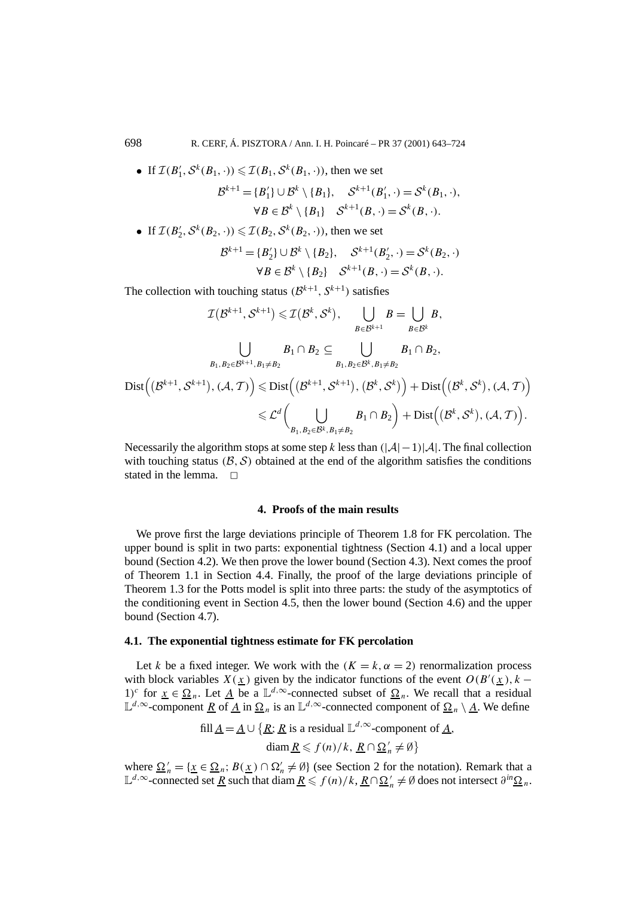\n- \n If 
$$
\mathcal{I}(B'_1, \mathcal{S}^k(B_1, \cdot)) \leq \mathcal{I}(B_1, \mathcal{S}^k(B_1, \cdot))
$$
, then we set\n  $\mathcal{B}^{k+1} = \{B'_1\} \cup \mathcal{B}^k \setminus \{B_1\}, \quad \mathcal{S}^{k+1}(B'_1, \cdot) = \mathcal{S}^k(B_1, \cdot),$ \n $\forall B \in \mathcal{B}^k \setminus \{B_1\} \quad \mathcal{S}^{k+1}(B, \cdot) = \mathcal{S}^k(B, \cdot).$ \n
\n- \n If  $\mathcal{I}(B'_1, \mathcal{S}^k(B_2, \cdot)) \leq \mathcal{I}(B_2, \mathcal{S}^k(B_2, \cdot))$  then we set\n
\n

• If  $\mathcal{I}(B_2', \mathcal{S}^k(B_2, \cdot)) \le \mathcal{I}(B_2, \mathcal{S}^k(B_2, \cdot))$ , then we set  $\mathcal{B}^{k+1} = \{B'_2\} \cup \mathcal{B}^k \setminus \{B_2\}, \quad \mathcal{S}^{k+1}(B'_2, \cdot) = \mathcal{S}^k(B_2, \cdot)$  $\forall B \in \mathcal{B}^k \setminus \{B_2\} \quad \mathcal{S}^{k+1}(B,\cdot) = \mathcal{S}^k(B,\cdot).$ 

The collection with touching status  $(B^{k+1}, S^{k+1})$  satisfies

$$
\mathcal{I}(\mathcal{B}^{k+1},\mathcal{S}^{k+1}) \leqslant \mathcal{I}(\mathcal{B}^{k},\mathcal{S}^{k}), \qquad \bigcup_{B \in \mathcal{B}^{k+1}} B = \bigcup_{B \in \mathcal{B}^{k}} B,
$$
\n
$$
\bigcup_{B_1, B_2 \in \mathcal{B}^{k+1}, B_1 \neq B_2} B_1 \cap B_2 \subseteq \bigcup_{B_1, B_2 \in \mathcal{B}^{k}, B_1 \neq B_2} B_1 \cap B_2,
$$
\n
$$
\text{Dist}\Big((\mathcal{B}^{k+1}, \mathcal{S}^{k+1}), (\mathcal{A}, \mathcal{T})\Big) \leqslant \text{Dist}\Big((\mathcal{B}^{k+1}, \mathcal{S}^{k+1}), (\mathcal{B}^{k}, \mathcal{S}^{k})\Big) + \text{Dist}\Big((\mathcal{B}^{k}, \mathcal{S}^{k}), (\mathcal{A}, \mathcal{T})\Big)
$$
\n
$$
\leqslant \mathcal{L}^d \Big(\bigcup_{B_1, B_2 \in \mathcal{B}^{k}, B_1 \neq B_2} B_1 \cap B_2 \Big) + \text{Dist}\Big((\mathcal{B}^{k}, \mathcal{S}^{k}), (\mathcal{A}, \mathcal{T})\Big).
$$

Necessarily the algorithm stops at some step *k* less than  $(|A| - 1)|A|$ . The final collection with touching status  $(\beta, \mathcal{S})$  obtained at the end of the algorithm satisfies the conditions stated in the lemma.  $\Box$ 

## **4. Proofs of the main results**

We prove first the large deviations principle of Theorem 1.8 for FK percolation. The upper bound is split in two parts: exponential tightness (Section 4.1) and a local upper bound (Section 4.2). We then prove the lower bound (Section 4.3). Next comes the proof of Theorem 1.1 in Section 4.4. Finally, the proof of the large deviations principle of Theorem 1.3 for the Potts model is split into three parts: the study of the asymptotics of the conditioning event in Section 4.5, then the lower bound (Section 4.6) and the upper bound (Section 4.7).

## **4.1. The exponential tightness estimate for FK percolation**

Let *k* be a fixed integer. We work with the  $(K = k, \alpha = 2)$  renormalization process with block variables  $X(\underline{x})$  given by the indicator functions of the event  $O(B'(\underline{x}), k -$ 1)<sup>*c*</sup> for  $\underline{x} \in \underline{\Omega}_n$ . Let <u>A</u> be a  $\mathbb{L}^{d,\infty}$ -connected subset of  $\underline{\Omega}_n$ . We recall that a residual  $\mathbb{L}^{d,\infty}$ -component <u>R</u> of <u>A</u> in <u>Ω</u><sub>n</sub> is an  $\mathbb{L}^{d,\infty}$ -connected component of <u>Ω</u><sub>n</sub> \ <u>A</u>. We define

fill 
$$
\underline{A} = \underline{A} \cup \{\underline{R}; \underline{R} \text{ is a residual } \mathbb{L}^{d, \infty} \text{-component of } \underline{A},
$$

diam  $\underline{R} \leqslant f(n)/k$ ,  $\underline{R} \cap \underline{\Omega}'_n \neq \emptyset$ 

where  $\Omega'_n = \{ \underline{x} \in \Omega_n : B(\underline{x}) \cap \Omega'_n \neq \emptyset \}$  (see Section 2 for the notation). Remark that a  $\mathbb{L}^{d,\infty}$ -connected set <u>R</u> such that diam  $\underline{R}$  ≤  $f(n)/k$ ,  $\underline{R} \cap \Omega'_n$  ≠ Ø does not intersect  $\partial^{in}\Omega_n$ .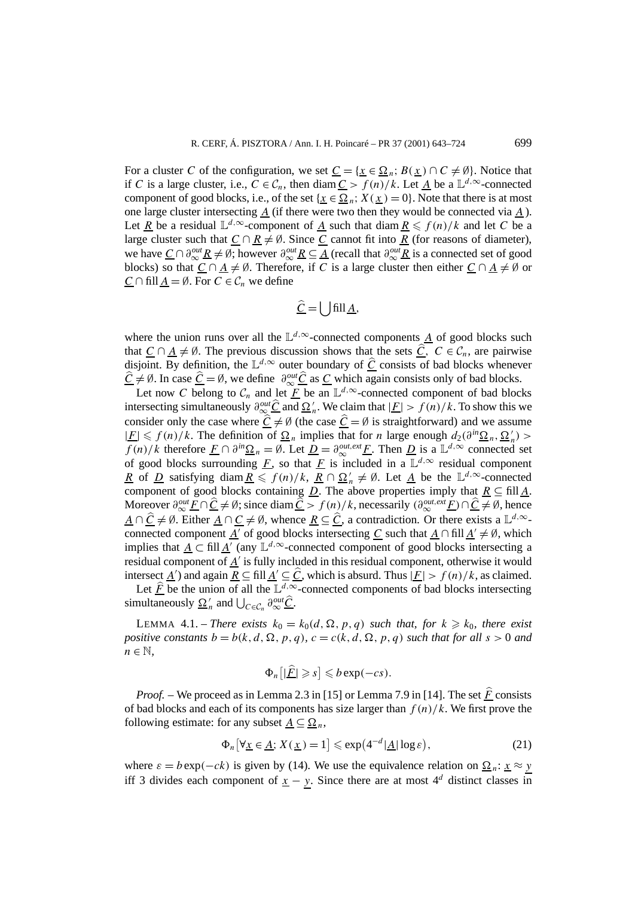For a cluster *C* of the configuration, we set  $\underline{C} = \{ \underline{x} \in \underline{\Omega}_n : B(\underline{x}) \cap C \neq \emptyset \}$ . Notice that if *C* is a large cluster, i.e.,  $C \in \mathcal{C}_n$ , then diam  $C > f(n)/k$ . Let  $\underline{A}$  be a  $\mathbb{L}^{d,\infty}$ -connected component of good blocks, i.e., of the set  $\{x \in \Omega_n : X(x) = 0\}$ . Note that there is at most one large cluster intersecting *A* (if there were two then they would be connected via *A* ). Let <u>R</u> be a residual  $\mathbb{L}^{d,\infty}$ -component of <u>A</u> such that diam  $R \leq f(n)/k$  and let C be a large cluster such that  $C \cap R \neq \emptyset$ . Since *C* cannot fit into *R* (for reasons of diameter), we have *C* ∩ *∂out* <sup>∞</sup> *R* = ∅; however *∂out* <sup>∞</sup> *R* ⊆ *A* (recall that *∂out* <sup>∞</sup> *R* is a connected set of good blocks) so that  $\underline{C} \cap \underline{A} \neq \emptyset$ . Therefore, if *C* is a large cluster then either  $\underline{C} \cap \underline{A} \neq \emptyset$  or *C* ∩ fill *A* =  $\emptyset$ . For *C* ∈  $C_n$  we define

$$
\underline{\widehat{C}} = \bigcup \text{fill} \underline{A},
$$

where the union runs over all the  $\mathbb{L}^{d,\infty}$ -connected components <u>A</u> of good blocks such that  $\underline{C} \cap \underline{A} \neq \emptyset$ . The previous discussion shows that the sets  $\hat{C}$ ,  $C \in \mathcal{C}_n$ , are pairwise disjoint. By definition, the  $\mathbb{L}^{d,\infty}$  outer boundary of  $\hat{C}$  consists of bad blocks whenever  $\hat{C} \neq \emptyset$ . In case  $\hat{C} = \emptyset$ , we define  $\frac{\partial^{out} \hat{C}}{\partial S}$  as  $C$  which again consists only of bad blocks.

Let now *C* belong to  $C_n$  and let  $\overline{F}$  be an  $\mathbb{L}^d$ , $\infty$ -connected component of bad blocks intersecting simultaneously  $\partial_{\infty}^{out} \hat{C}$  and  $\Omega'_n$ . We claim that  $|E| > f(n)/k$ . To show this we consider only the case where  $\hat{C} \neq \emptyset$  (the case  $\hat{C} = \emptyset$  is straightforward) and we assume  $|F| \le f(n)/k$ . The definition of  $\Omega_n$  implies that for *n* large enough  $d_2(\partial^{in}\Omega_n, \Omega'_n)$ *f* (*n*)/*k* therefore  $\underline{F} \cap \partial^{in} \underline{\Omega}_n = \emptyset$ . Let  $\underline{D} = \partial^{out,ext}_{\infty} \underline{F}$ . Then  $\underline{D}$  is a  $\mathbb{L}^{d,\infty}$  connected set of good blocks surrounding <u>F</u>, so that <u>F</u> is included in a  $\mathbb{L}^{d,\infty}$  residual component *R* of *D* satisfying diam  $R \le f(n)/k$ ,  $R \cap \Omega'_n \neq \emptyset$ . Let  $\underline{A}$  be the  $\mathbb{L}^{d,\infty}$ -connected component of good blocks containing *D*. The above properties imply that  $\underline{R} \subseteq \text{fill } \underline{A}$ . Moreover  $\partial_{\infty}^{out} E \cap \hat{C} \neq \emptyset$ ; since diam $\hat{C} > f(n)/k$ , necessarily  $(\partial_{\infty}^{out, ext} E) \cap \hat{C} \neq \emptyset$ , hence  $A \cap \hat{C} \neq \emptyset$ . Either  $A \cap C \neq \emptyset$ , whence  $R \subseteq \hat{C}$ , a contradiction. Or there exists a  $\mathbb{L}^{d, \infty}$ connected component  $\underline{A}$  of good blocks intersecting  $\underline{C}$  such that  $\underline{A} \cap \text{fill } \underline{A}' \neq \emptyset$ , which implies that  $\underline{A} \subset \text{fill } \underline{A}'$  (any  $\mathbb{L}^{d,\infty}$ -connected component of good blocks intersecting a residual component of  $\underline{A}$ <sup>'</sup> is fully included in this residual component, otherwise it would intersect <u>*A*</u><sup> $\prime$ </sup>) and again  $\underline{R} \subseteq \widehat{\text{fill }A'} \subseteq \widehat{C}$ , which is absurd. Thus  $|\underline{F}| > f(n)/k$ , as claimed.

Let  $\hat{F}$  be the union of all the  $\mathbb{L}^{d,\infty}$ -connected components of bad blocks intersecting simultaneously  $\Omega'_n$  and  $\bigcup_{C \in C_n} \partial_{\infty}^{out} \hat{C}$ .

LEMMA 4.1. – *There exists*  $k_0 = k_0(d, \Omega, p, q)$  *such that, for*  $k \ge k_0$ *, there exist positive constants*  $b = b(k, d, \Omega, p, q)$ ,  $c = c(k, d, \Omega, p, q)$  *such that for all*  $s > 0$  *and*  $n \in \mathbb{N}$ ,

$$
\Phi_n\big[|\widehat{F}| \geqslant s] \leqslant b \exp(-cs).
$$

*Proof.* – We proceed as in Lemma 2.3 in [15] or Lemma 7.9 in [14]. The set  $\hat{F}$  consists of bad blocks and each of its components has size larger than *f (n)/k*. We first prove the following estimate: for any subset  $\underline{A} \subseteq \underline{\Omega}_n$ ,

$$
\Phi_n\left[\forall \underline{x} \in \underline{A}; X(\underline{x}) = 1\right] \leqslant \exp\left(4^{-d} |\underline{A}| \log \varepsilon\right),\tag{21}
$$

where  $\varepsilon = b \exp(-ck)$  is given by (14). We use the equivalence relation on  $\Omega_n: \underline{x} \approx y$ iff 3 divides each component of  $x - y$ . Since there are at most 4<sup>*d*</sup> distinct classes in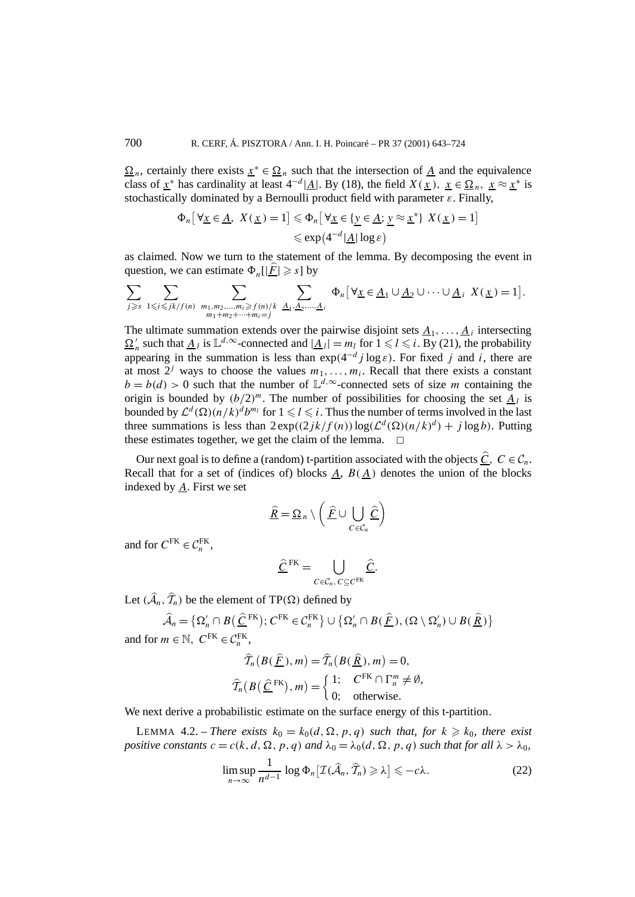$\Omega_n$ , certainly there exists  $x^* \in \Omega_n$  such that the intersection of  $\Lambda$  and the equivalence class of *x*<sup>\*</sup> has cardinality at least  $4^{-d}$  |<u>*A*</u>|. By (18), the field *X(x)*,  $x \in \Omega_n$ ,  $x \approx x^*$  is stochastically dominated by a Bernoulli product field with parameter  $\varepsilon$ . Finally,

$$
\Phi_n\left[\forall \underline{x} \in \underline{A}, \ X(\underline{x}) = 1\right] \leq \Phi_n\left[\forall \underline{x} \in \{\underline{y} \in \underline{A}; \ \underline{y} \approx \underline{x}^*\} \ X(\underline{x}) = 1\right]
$$
  

$$
\leq \exp\left(4^{-d} |\underline{A}| \log \varepsilon\right)
$$

as claimed. Now we turn to the statement of the lemma. By decomposing the event in question, we can estimate  $\Phi_n[|\hat{F}| \geq s]$  by

$$
\sum_{j\geqslant s}\sum_{1\leqslant i\leqslant jk/f(n)}\sum_{\substack{m_1,m_2,\ldots,m_i\geqslant f(n)/k\\m_1+m_2+\cdots+m_i=j}}\sum_{\underline{A}_1,\underline{A}_2,\ldots,\underline{A}_i}\Phi_n\big[\forall \underline{x}\in \underline{A}_1\cup \underline{A}_2\cup\cdots\cup \underline{A}_i\ X(\underline{x})=1\big].
$$

The ultimate summation extends over the pairwise disjoint sets  $\underline{A}_1, \ldots, \underline{A}_i$  intersecting  $\underline{\Omega}'_n$  such that  $\underline{A}_l$  is  $\mathbb{L}^{d,\infty}$ -connected and  $|\underline{A}_l| = m_l$  for  $1 \le l \le i$ . By (21), the probability appearing in the summation is less than  $exp(4^{-d} j \log \varepsilon)$ . For fixed *j* and *i*, there are at most  $2^j$  ways to choose the values  $m_1, \ldots, m_i$ . Recall that there exists a constant  $b = b(d) > 0$  such that the number of  $\mathbb{L}^{d,\infty}$ -connected sets of size *m* containing the origin is bounded by  $(b/2)^m$ . The number of possibilities for choosing the set  $\overline{A}_l$  is bounded by  $\mathcal{L}^d(\Omega)(n/k)^d b^{m_l}$  for  $1 \leq l \leq i$ . Thus the number of terms involved in the last three summations is less than  $2 \exp((2jk/f(n))\log(\mathcal{L}^d(\Omega)(n/k)^d) + j \log b)$ . Putting these estimates together, we get the claim of the lemma. these estimates together, we get the claim of the lemma.

Our next goal is to define a (random) t-partition associated with the objects  $\hat{C}$ ,  $C \in \mathcal{C}_n$ . Recall that for a set of (indices of) blocks  $\underline{A}$ ,  $B(\underline{A})$  denotes the union of the blocks indexed by *A*. First we set

$$
\underline{\widehat{R}} = \underline{\Omega}_n \setminus \left( \underline{\widehat{F}} \cup \bigcup_{C \in \mathcal{C}_n} \underline{\widehat{C}} \right)
$$

and for  $C^{FK} \in C_n^{FK}$ ,

$$
\widehat{\underline{C}}^{\text{FK}} = \bigcup_{C \in \mathcal{C}_n, \ C \subseteq C^{\text{FK}}} \widehat{\underline{C}}.
$$

Let  $(\widehat{A}_n, \widehat{T}_n)$  be the element of TP( $\Omega$ ) defined by

 $\widehat{\mathcal{A}}_n = \left\{ \Omega'_n \cap B(\widehat{\underline{C}}^{\text{FK}}); C^{\text{FK}} \in C_n^{\text{FK}} \right\} \cup \left\{ \Omega'_n \cap B(\widehat{\underline{F}}), (\Omega \setminus \Omega'_n) \cup B(\widehat{\underline{R}}) \right\}$ and for  $m \in \mathbb{N}$ ,  $C^{FK} \in C_n^{FK}$ ,

$$
\widehat{T}_n(B(\widehat{E}), m) = \widehat{T}_n(B(\widehat{R}), m) = 0,
$$
  

$$
\widehat{T}_n(B(\widehat{C}^{FK}), m) = \begin{cases} 1; & C^{FK} \cap \Gamma_n^m \neq \emptyset, \\ 0; & \text{otherwise.} \end{cases}
$$

We next derive a probabilistic estimate on the surface energy of this t-partition.

LEMMA 4.2. – *There exists*  $k_0 = k_0(d, \Omega, p, q)$  *such that, for*  $k \geq k_0$ *, there exist positive constants*  $c = c(k, d, \Omega, p, q)$  *and*  $\lambda_0 = \lambda_0(d, \Omega, p, q)$  *such that for all*  $\lambda > \lambda_0$ *,* 

$$
\limsup_{n \to \infty} \frac{1}{n^{d-1}} \log \Phi_n \left[ \mathcal{I}(\hat{\mathcal{A}}_n, \hat{\mathcal{T}}_n) \geq \lambda \right] \leq -c\lambda. \tag{22}
$$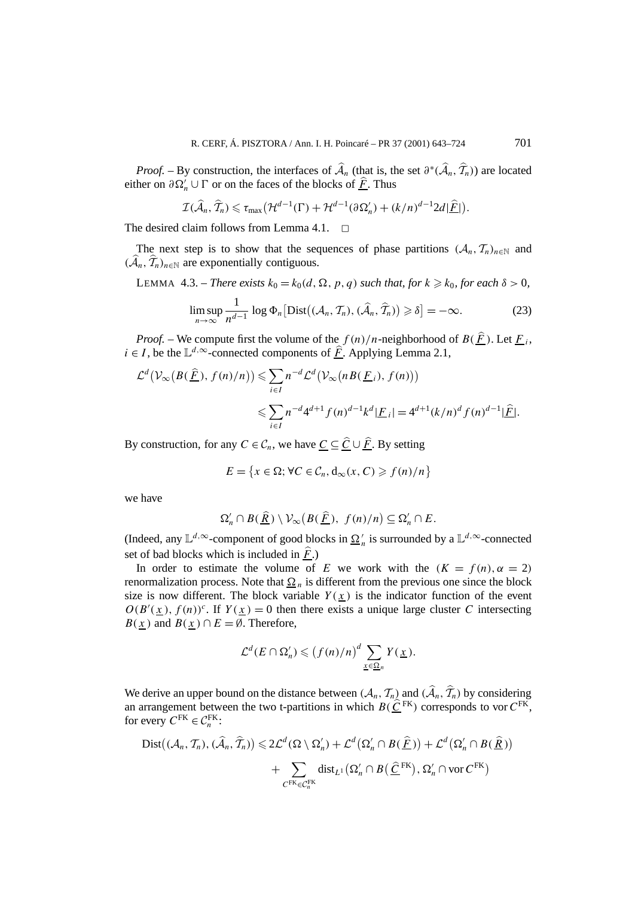*Proof.* – By construction, the interfaces of  $\hat{\mathcal{A}}_n$  (that is, the set  $\partial^*(\hat{\mathcal{A}}_n, \hat{\mathcal{T}}_n)$ ) are located either on  $\partial \Omega'_n \cup \Gamma$  or on the faces of the blocks of  $\underline{\hat{F}}$ . Thus

$$
\mathcal{I}(\widehat{\mathcal{A}}_n, \widehat{\mathcal{T}}_n) \leq \tau_{\max} \big(\mathcal{H}^{d-1}(\Gamma) + \mathcal{H}^{d-1}(\partial \Omega'_n) + (k/n)^{d-1} 2d|\widehat{\underline{F}}|\big).
$$

The desired claim follows from Lemma 4.1.  $\Box$ 

The next step is to show that the sequences of phase partitions  $(A_n, \mathcal{T}_n)_{n \in \mathbb{N}}$  and  $(\mathcal{A}_n, \mathcal{T}_n)_{n \in \mathbb{N}}$  are exponentially contiguous.

# LEMMA 4.3. – *There exists*  $k_0 = k_0(d, \Omega, p, q)$  *such that, for*  $k \geq k_0$ *, for each*  $\delta > 0$ *,* lim sup *n*→∞  $\frac{1}{n^{d-1}} \log \Phi_n \left[ \text{Dist}((\mathcal{A}_n, \mathcal{T}_n), (\hat{\mathcal{A}}_n, \hat{\mathcal{T}}_n)) \ge \delta \right] = -\infty.$  (23)

*Proof.* – We compute first the volume of the  $f(n)/n$ -neighborhood of  $B(\hat{F})$ . Let  $F_i$ , *i* ∈ *I*, be the  $\mathbb{L}^{d,\infty}$ -connected components of  $\widehat{F}$ . Applying Lemma 2.1,

$$
\mathcal{L}^d\left(\mathcal{V}_{\infty}\left(B(\widehat{E}), f(n)/n\right)\right) \leq \sum_{i \in I} n^{-d} \mathcal{L}^d\left(\mathcal{V}_{\infty}\left(nB(E_i), f(n)\right)\right)
$$
  

$$
\leq \sum_{i \in I} n^{-d} 4^{d+1} f(n)^{d-1} k^d |E_i| = 4^{d+1} (k/n)^d f(n)^{d-1} |\widehat{E}|.
$$

By construction, for any  $C \in \mathcal{C}_n$ , we have  $C \subseteq \widehat{C} \cup \widehat{F}$ . By setting

$$
E = \{x \in \Omega; \forall C \in C_n, d_{\infty}(x, C) \geq f(n)/n\}
$$

we have

$$
\Omega'_n \cap B(\widehat{\underline{R}}) \setminus \mathcal{V}_{\infty}(B(\widehat{\underline{F}}), f(n)/n) \subseteq \Omega'_n \cap E.
$$

(Indeed, any  $\mathbb{L}^{d,\infty}$ -component of good blocks in  $\underline{\Omega}'_n$  is surrounded by a  $\mathbb{L}^{d,\infty}$ -connected set of bad blocks which is included in *F*.)

In order to estimate the volume of *E* we work with the  $(K = f(n), \alpha = 2)$ renormalization process. Note that  $\Omega_n$  is different from the previous one since the block size is now different. The block variable  $Y(x)$  is the indicator function of the event  $O(B'(\underline{x}), f(n))^c$ . If  $Y(\underline{x}) = 0$  then there exists a unique large cluster *C* intersecting *B(x)* and *B(x)*  $\cap$  *E* =  $\emptyset$ . Therefore,

$$
\mathcal{L}^d(E \cap \Omega'_n) \leqslant (f(n)/n)^d \sum_{\underline{x} \in \underline{\Omega}_n} Y(\underline{x}).
$$

We derive an upper bound on the distance between  $(A_n, \mathcal{T}_n)$  and  $(\mathcal{A}_n, \hat{\mathcal{T}}_n)$  by considering an arrangement between the two t-partitions in which  $B(\hat{C}^{FK})$  corresponds to vor  $C^{FK}$ , for every  $C^{FK} \in C_n^{FK}$ :

$$
\begin{split} \text{Dist}\big((\mathcal{A}_n, \mathcal{T}_n), (\widehat{\mathcal{A}}_n, \widehat{\mathcal{T}}_n)\big) &\leqslant 2\mathcal{L}^d(\Omega \setminus \Omega_n') + \mathcal{L}^d\big(\Omega_n' \cap B(\widehat{\underline{F}})\big) + \mathcal{L}^d\big(\Omega_n' \cap B(\widehat{\underline{R}})\big) \\ &+ \sum_{C^{FK} \in \mathcal{C}_n^{FK}} \text{dist}_{L^1}\big(\Omega_n' \cap B\big(\widehat{\underline{C}}^{FK}\big), \Omega_n' \cap \text{vor } C^{FK}\big) \end{split}
$$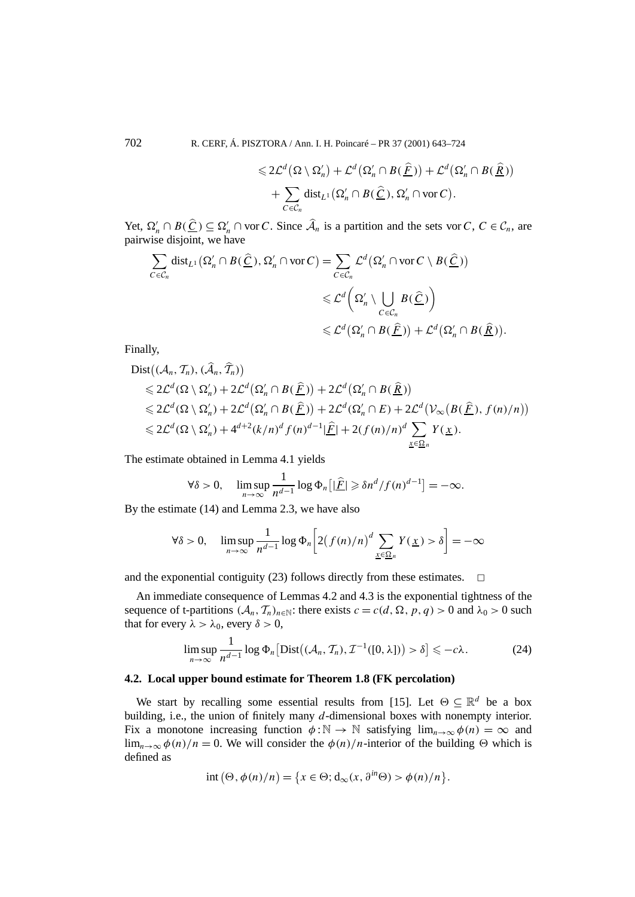702 R. CERF, Á. PISZTORA / Ann. I. H. Poincaré – PR 37 (2001) 643–724

$$
\leq 2\mathcal{L}^{d}(\Omega \setminus \Omega'_{n}) + \mathcal{L}^{d}(\Omega'_{n} \cap B(\widehat{F})) + \mathcal{L}^{d}(\Omega'_{n} \cap B(\widehat{R}))
$$
  
+ 
$$
\sum_{C \in C_{n}} \text{dist}_{L^{1}}(\Omega'_{n} \cap B(\widehat{C}), \Omega'_{n} \cap \text{vor } C).
$$

Yet,  $\Omega'_n \cap B(\hat{C}) \subseteq \Omega'_n \cap \text{vor } C$ . Since  $\hat{\mathcal{A}}_n$  is a partition and the sets vor  $C, C \in \mathcal{C}_n$ , are pairwise disjoint, we have

$$
\sum_{C \in \mathcal{C}_n} \text{dist}_{L^1}(\Omega'_n \cap B(\hat{\underline{C}}), \Omega'_n \cap \text{vor } C) = \sum_{C \in \mathcal{C}_n} \mathcal{L}^d(\Omega'_n \cap \text{vor } C \setminus B(\hat{\underline{C}}))
$$
  

$$
\leq \mathcal{L}^d\left(\Omega'_n \setminus \bigcup_{C \in \mathcal{C}_n} B(\hat{\underline{C}})\right)
$$
  

$$
\leq \mathcal{L}^d\left(\Omega'_n \cap B(\hat{\underline{F}})\right) + \mathcal{L}^d(\Omega'_n \cap B(\hat{\underline{R}})).
$$

Finally,

$$
\begin{split}\n\text{Dist}\big((\mathcal{A}_n, \mathcal{T}_n), (\widehat{\mathcal{A}}_n, \widehat{\mathcal{T}}_n)\big) \\
&\leq 2\mathcal{L}^d(\Omega \setminus \Omega'_n) + 2\mathcal{L}^d(\Omega'_n \cap B(\widehat{E})) + 2\mathcal{L}^d(\Omega'_n \cap B(\widehat{E})) \\
&\leq 2\mathcal{L}^d(\Omega \setminus \Omega'_n) + 2\mathcal{L}^d(\Omega'_n \cap B(\widehat{E})) + 2\mathcal{L}^d(\Omega'_n \cap E) + 2\mathcal{L}^d(\mathcal{V}_\infty(B(\widehat{E}), f(n)/n)) \\
&\leq 2\mathcal{L}^d(\Omega \setminus \Omega'_n) + 4^{d+2}(k/n)^d f(n)^{d-1}|\widehat{E}| + 2(f(n)/n)^d \sum_{\underline{x} \in \Omega_n} Y(\underline{x}).\n\end{split}
$$

The estimate obtained in Lemma 4.1 yields

$$
\forall \delta > 0, \quad \limsup_{n \to \infty} \frac{1}{n^{d-1}} \log \Phi_n\left[|\widehat{F}| \geq \delta n^d / f(n)^{d-1}\right] = -\infty.
$$

By the estimate (14) and Lemma 2.3, we have also

$$
\forall \delta > 0, \quad \limsup_{n \to \infty} \frac{1}{n^{d-1}} \log \Phi_n \left[ 2 \big( f(n)/n \big)^d \sum_{\underline{x} \in \underline{\Omega}_n} Y(\underline{x}) > \delta \right] = -\infty
$$

and the exponential contiguity (23) follows directly from these estimates.  $\Box$ 

An immediate consequence of Lemmas 4.2 and 4.3 is the exponential tightness of the sequence of t-partitions  $(A_n, T_n)_{n \in \mathbb{N}}$ : there exists  $c = c(d, \Omega, p, q) > 0$  and  $\lambda_0 > 0$  such that for every  $\lambda > \lambda_0$ , every  $\delta > 0$ ,

$$
\limsup_{n\to\infty}\frac{1}{n^{d-1}}\log\Phi_n\big[\text{Dist}\big((\mathcal{A}_n,\mathcal{T}_n),\mathcal{I}^{-1}([0,\lambda])\big)>\delta\big]\leqslant-c\lambda.\tag{24}
$$

# **4.2. Local upper bound estimate for Theorem 1.8 (FK percolation)**

We start by recalling some essential results from [15]. Let  $\Theta \subseteq \mathbb{R}^d$  be a box building, i.e., the union of finitely many *d*-dimensional boxes with nonempty interior. Fix a monotone increasing function  $\phi : \mathbb{N} \to \mathbb{N}$  satisfying  $\lim_{n \to \infty} \phi(n) = \infty$  and  $\lim_{n\to\infty} \phi(n)/n = 0$ . We will consider the  $\phi(n)/n$ -interior of the building  $\Theta$  which is defined as

$$
int (\Theta, \phi(n)/n) = \{x \in \Theta; d_{\infty}(x, \partial^{in} \Theta) > \phi(n)/n\}.
$$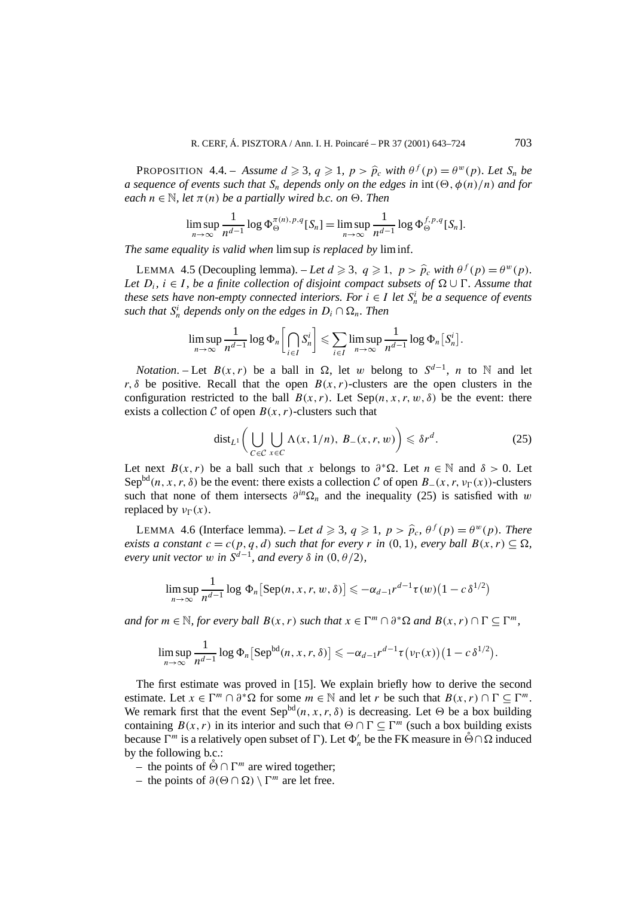**PROPOSITION** 4.4. – *Assume*  $d \geq 3$ ,  $q \geq 1$ ,  $p > \hat{p}_c$  *with*  $\theta^f(p) = \theta^w(p)$ *. Let*  $S_n$  *be a sequence of events such that*  $S_n$  *depends only on the edges in*  $int(\Theta, \phi(n)/n)$  *and for each*  $n \in \mathbb{N}$ , let  $\pi(n)$  *be a partially wired b.c. on*  $\Theta$ *. Then* 

$$
\limsup_{n\to\infty}\frac{1}{n^{d-1}}\log \Phi_{\Theta}^{\pi(n),p,q}[S_n]=\limsup_{n\to\infty}\frac{1}{n^{d-1}}\log \Phi_{\Theta}^{f,p,q}[S_n].
$$

*The same equality is valid when* lim sup *is replaced by* lim inf*.*

LEMMA 4.5 (Decoupling lemma). – *Let*  $d \ge 3$ ,  $q \ge 1$ ,  $p > \hat{p}_c$  *with*  $\theta^f(p) = \theta^w(p)$ . *Let*  $D_i$ ,  $i \in I$ , *be a finite collection of disjoint compact subsets of*  $\Omega \cup \Gamma$ . Assume that *these sets have non-empty connected interiors. For*  $i \in I$  *let*  $S_n^i$  *be a sequence of events such that*  $S_n^i$  *depends only on the edges in*  $D_i \cap \Omega_n$ *. Then* 

$$
\limsup_{n\to\infty}\frac{1}{n^{d-1}}\log\Phi_n\bigg[\bigcap_{i\in I}S_n^i\bigg]\leqslant \sum_{i\in I}\limsup_{n\to\infty}\frac{1}{n^{d-1}}\log\Phi_n\big[S_n^i\big].
$$

*Notation*. – Let *B(x, r)* be a ball in  $\Omega$ , let *w* belong to  $S^{d-1}$ , *n* to N and let *r*,  $\delta$  be positive. Recall that the open *B(x, r)*-clusters are the open clusters in the configuration restricted to the ball  $B(x, r)$ . Let  $\text{Sep}(n, x, r, w, \delta)$  be the event: there exists a collection  $C$  of open  $B(x, r)$ -clusters such that

$$
\text{dist}_{L^{1}}\bigg(\bigcup_{C\in\mathcal{C}}\bigcup_{x\in C}\Lambda(x,1/n),\ B_{-}(x,r,w)\bigg)\leqslant\delta r^{d}.\tag{25}
$$

Let next *B*(*x, r*) be a ball such that *x* belongs to  $\partial^* \Omega$ . Let  $n \in \mathbb{N}$  and  $\delta > 0$ . Let Sep<sup>bd</sup>(n, x, r,  $\delta$ ) be the event: there exists a collection C of open *B*<sub>−</sub>(x, r, v<sub>Γ</sub>(x))-clusters such that none of them intersects  $\partial^{in}\Omega_n$  and the inequality (25) is satisfied with *w* replaced by  $v_{\Gamma}(x)$ .

LEMMA 4.6 (Interface lemma). – *Let*  $d \ge 3$ ,  $q \ge 1$ ,  $p > \hat{p}_c$ ,  $\theta^f(p) = \theta^w(p)$ *. There exists a constant*  $c = c(p, q, d)$  *such that for every r in* (0, 1)*, every ball*  $B(x, r) \subset \Omega$ *, every unit vector w in*  $S^{d-1}$ *, and every*  $\delta$  *in*  $(0, \theta/2)$ *,* 

$$
\limsup_{n\to\infty}\frac{1}{n^{d-1}}\log \Phi_n\big[\operatorname{Sep}(n,x,r,w,\delta)\big]\leqslant -\alpha_{d-1}r^{d-1}\tau(w)\big(1-c\delta^{1/2}\big)
$$

*and for*  $m \in \mathbb{N}$ *, for every ball*  $B(x, r)$  *such that*  $x \in \Gamma^m \cap \partial^* \Omega$  *and*  $B(x, r) \cap \Gamma \subseteq \Gamma^m$ *,* 

$$
\limsup_{n\to\infty}\frac{1}{n^{d-1}}\log\Phi_n\big[\mathrm{Sep}^{\mathrm{bd}}(n,x,r,\delta)\big]\leqslant -\alpha_{d-1}r^{d-1}\tau\big(\nu_{\Gamma}(x)\big)\big(1-c\,\delta^{1/2}\big).
$$

The first estimate was proved in [15]. We explain briefly how to derive the second estimate. Let  $x \in \Gamma^m \cap \partial^* \Omega$  for some  $m \in \mathbb{N}$  and let *r* be such that  $B(x, r) \cap \Gamma \subseteq \Gamma^m$ . We remark first that the event Sep<sup>bd</sup> $(n, x, r, \delta)$  is decreasing. Let  $\Theta$  be a box building containing  $B(x, r)$  in its interior and such that  $\Theta \cap \Gamma \subseteq \Gamma^m$  (such a box building exists because  $\Gamma^m$  is a relatively open subset of  $\Gamma$ ). Let  $\Phi'_n$  be the FK measure in  $\hat{\Theta} \cap \Omega$  induced by the following b.c.:

- the points of  $\hat{\Theta} \cap \Gamma^m$  are wired together;
- the points of  $\partial(\Theta \cap \Omega) \setminus \Gamma^m$  are let free.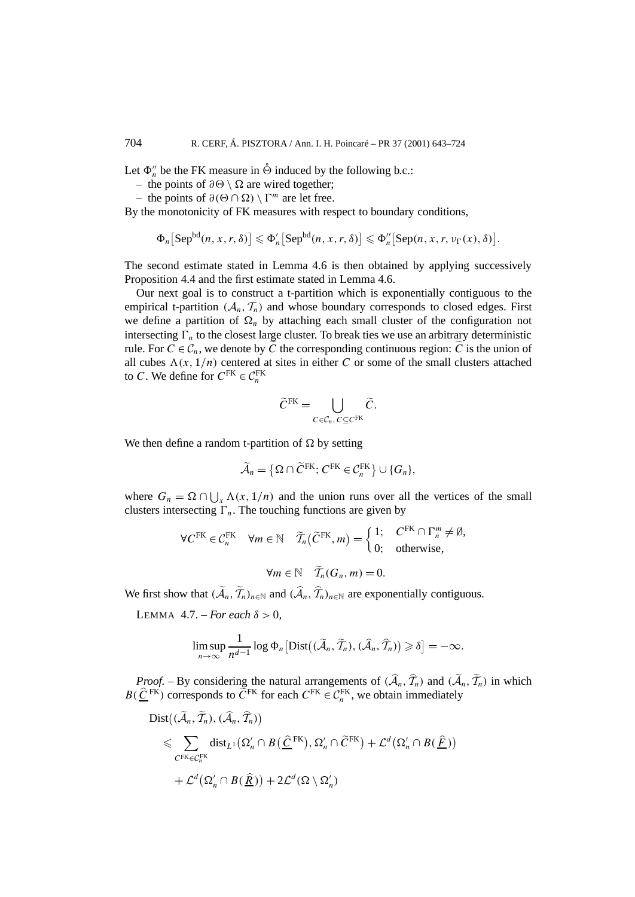Let  $\Phi_n''$  be the FK measure in  $\hat{\Theta}$  induced by the following b.c.:

- the points of  $∂Θ$  \  $Ω$  are wired together;
- the points of  $\partial(\Theta \cap Ω) \setminus \Gamma^m$  are let free.

By the monotonicity of FK measures with respect to boundary conditions,

$$
\Phi_n\big[\mathsf{Sep}^{\mathrm{bd}}(n,x,r,\delta)\big]\leqslant \Phi_n'\big[\mathsf{Sep}^{\mathrm{bd}}(n,x,r,\delta)\big]\leqslant \Phi_n''\big[\mathsf{Sep}(n,x,r,\nu_{\Gamma}(x),\delta)\big].
$$

The second estimate stated in Lemma 4.6 is then obtained by applying successively Proposition 4.4 and the first estimate stated in Lemma 4.6.

Our next goal is to construct a t-partition which is exponentially contiguous to the empirical t-partition  $(A_n, T_n)$  and whose boundary corresponds to closed edges. First we define a partition of  $\Omega_n$  by attaching each small cluster of the configuration not intersecting  $\Gamma_n$  to the closest large cluster. To break ties we use an arbitrary deterministic rule. For  $C \in \mathcal{C}_n$ , we denote by  $\widetilde{C}$  the corresponding continuous region:  $\widetilde{C}$  is the union of all cubes  $\Lambda(x, 1/n)$  centered at sites in either *C* or some of the small clusters attached to *C*. We define for  $C^{FK} \in C_n^{FK}$ 

$$
\widetilde{C}^{\text{FK}} = \bigcup_{C \in \mathcal{C}_n, \ C \subseteq C^{\text{FK}}} \widetilde{C}.
$$

We then define a random t-partition of  $\Omega$  by setting

$$
\widetilde{\mathcal{A}}_n = \{ \Omega \cap \widetilde{C}^{\text{FK}}; C^{\text{FK}} \in \mathcal{C}_n^{\text{FK}} \} \cup \{ G_n \},
$$

where  $G_n = \Omega \cap \bigcup_x \Lambda(x, 1/n)$  and the union runs over all the vertices of the small clusters intersecting  $\Gamma_n$ . The touching functions are given by

$$
\forall C^{FK} \in C_n^{FK} \quad \forall m \in \mathbb{N} \quad \widetilde{T}_n(\widetilde{C}^{FK}, m) = \begin{cases} 1; & C^{FK} \cap \Gamma_n^m \neq \emptyset, \\ 0; & \text{otherwise,} \end{cases}
$$

 $\forall m \in \mathbb{N}$   $\widetilde{\mathcal{T}}_n(G_n, m) = 0$ .

We first show that  $(\widetilde{\mathcal{A}}_n, \widetilde{\mathcal{T}}_n)_{n \in \mathbb{N}}$  and  $(\widehat{\mathcal{A}}_n, \widehat{\mathcal{T}}_n)_{n \in \mathbb{N}}$  are exponentially contiguous.

LEMMA  $4.7.$  – *For each*  $\delta > 0$ ,

$$
\limsup_{n\to\infty}\frac{1}{n^{d-1}}\log\Phi_n\big[\text{Dist}\big((\widetilde{\mathcal{A}}_n, \widetilde{\mathcal{T}}_n), (\widehat{\mathcal{A}}_n, \widehat{\mathcal{T}}_n)\big)\geq \delta\big]=-\infty.
$$

*Proof.* – By considering the natural arrangements of  $(\widehat{A}_n, \widehat{T}_n)$  and  $(\widetilde{A}_n, \widetilde{T}_n)$  in which *B*( $\hat{\mathcal{C}}^{\text{FK}}$ ) corresponds to  $\tilde{C}^{\text{FK}}$  for each  $C^{\text{FK}} \in C_n^{\text{FK}}$ , we obtain immediately

$$
\begin{split} &\text{Dist}\big((\widetilde{\mathcal{A}}_n, \widetilde{\mathcal{I}}_n), (\widehat{\mathcal{A}}_n, \widehat{\mathcal{I}}_n)\big) \\ &\leqslant \sum_{C^{FK} \in \mathcal{C}_n^{FK}} \text{dist}_{L^1}(\Omega'_n \cap B\left(\widehat{\underline{C}}^{FK}\right), \Omega'_n \cap \widetilde{C}^{FK}\right) + \mathcal{L}^d(\Omega'_n \cap B(\widehat{\underline{F}})) \\ &\quad + \mathcal{L}^d(\Omega'_n \cap B(\widehat{\underline{R}})) + 2\mathcal{L}^d(\Omega \setminus \Omega'_n) \end{split}
$$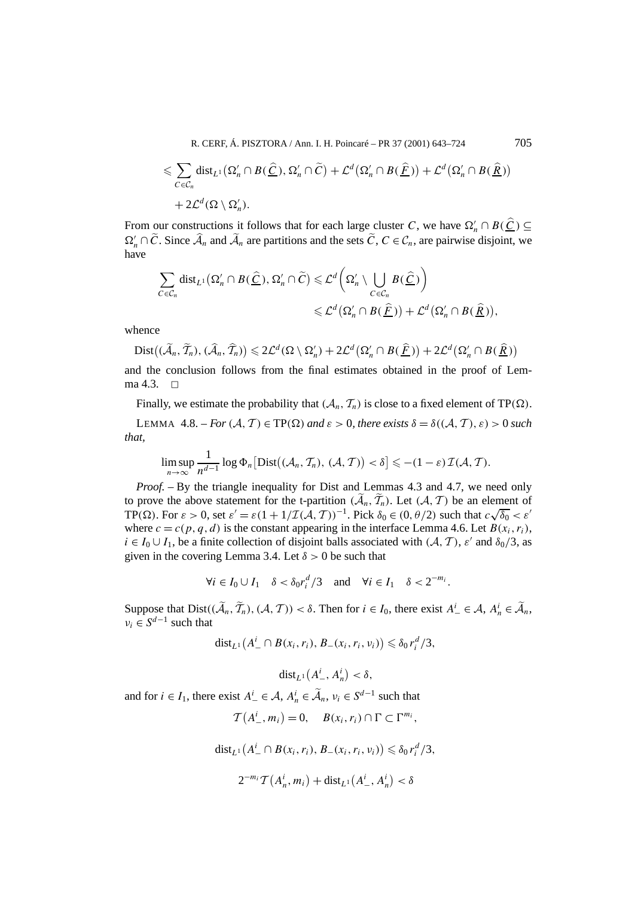R. CERF, Á. PISZTORA / Ann. I. H. Poincaré – PR 37 (2001) 643–724 705

$$
\leqslant \sum_{C \in \mathcal{C}_n} \text{dist}_{L^1}(\Omega'_n \cap B(\widehat{\underline{C}}), \Omega'_n \cap \widetilde{C}) + \mathcal{L}^d(\Omega'_n \cap B(\widehat{\underline{F}})) + \mathcal{L}^d(\Omega'_n \cap B(\widehat{\underline{R}}))
$$
  
+ 2 $\mathcal{L}^d(\Omega \setminus \Omega'_n)$ .

From our constructions it follows that for each large cluster *C*, we have  $\Omega'_n \cap B(\hat{C}) \subseteq$  $\Omega'_n$  ∩  $\tilde{C}$ . Since  $\hat{\mathcal{A}}_n$  and  $\tilde{\mathcal{A}}_n$  are partitions and the sets  $\tilde{C}$ ,  $C \in \mathcal{C}_n$ , are pairwise disjoint, we have

$$
\sum_{C \in \mathcal{C}_n} \text{dist}_{L^1}(\Omega'_n \cap B(\widehat{\underline{C}}), \Omega'_n \cap \widetilde{C}) \leqslant \mathcal{L}^d \bigg(\Omega'_n \setminus \bigcup_{C \in \mathcal{C}_n} B(\widehat{\underline{C}})\bigg) \leqslant \mathcal{L}^d(\Omega'_n \cap B(\widehat{\underline{F}})) + \mathcal{L}^d(\Omega'_n \cap B(\widehat{\underline{R}})),
$$

whence

$$
Dist((\widetilde{\mathcal{A}}_n, \widetilde{\mathcal{I}}_n), (\widehat{\mathcal{A}}_n, \widehat{\mathcal{I}}_n)) \leq 2\mathcal{L}^d(\Omega \setminus \Omega'_n) + 2\mathcal{L}^d(\Omega'_n \cap B(\widehat{\underline{F}})) + 2\mathcal{L}^d(\Omega'_n \cap B(\widehat{\underline{R}}))
$$

and the conclusion follows from the final estimates obtained in the proof of Lem $ma\ 4.3.\ \Box$ 

Finally, we estimate the probability that  $(A_n, \mathcal{T}_n)$  is close to a fixed element of TP( $\Omega$ ).

LEMMA 4.8. – *For*  $(A, T) \in TP(\Omega)$  *and*  $\varepsilon > 0$ *, there exists*  $\delta = \delta((A, T), \varepsilon) > 0$  *such that,*

$$
\limsup_{n\to\infty}\frac{1}{n^{d-1}}\log\Phi_n\big[\text{Dist}\big((\mathcal{A}_n,\mathcal{T}_n), (\mathcal{A},\mathcal{T})\big)<\delta\big]\leqslant -(1-\varepsilon)\,\mathcal{I}(\mathcal{A},\mathcal{T}).
$$

*Proof. –* By the triangle inequality for Dist and Lemmas 4.3 and 4.7, we need only to prove the above statement for the t-partition  $(\widetilde{A}_n, \widetilde{T}_n)$ . Let  $(A, \mathcal{T})$  be an element of TP(Ω). For  $ε > 0$ , set  $ε' = ε(1 + 1/*I*(*A*, *T*))<sup>-1</sup>$ . Pick  $δ<sub>0</sub> ∈ (0, θ/2)$  such that  $c<sub>√</sub>δ<sub>0</sub> < ε'$ where  $c = c(p, q, d)$  is the constant appearing in the interface Lemma 4.6. Let  $B(x_i, r_i)$ ,  $i \in I_0 \cup I_1$ , be a finite collection of disjoint balls associated with  $(A, \mathcal{T})$ , *ε'* and  $\delta_0/3$ , as given in the covering Lemma 3.4. Let  $\delta > 0$  be such that

$$
\forall i \in I_0 \cup I_1 \quad \delta < \delta_0 r_i^d / 3 \quad \text{and} \quad \forall i \in I_1 \quad \delta < 2^{-m_i}.
$$

Suppose that  $Dist((\tilde{\mathcal{A}}_n, \tilde{\mathcal{T}}_n), (\mathcal{A}, \mathcal{T})) < \delta$ . Then for  $i \in I_0$ , there exist  $A^i_- \in \mathcal{A}, A^i_n \in \tilde{\mathcal{A}}_n$ ,  $v_i \in S^{d-1}$  such that

$$
\mathrm{dist}_{L^1}\big(A^i_-\cap B(x_i,r_i),B_-(x_i,r_i,\nu_i)\big)\leqslant \delta_0\,r_i^d/3,
$$

 $dist_{L^1}(A^i_-, A^i_n) < \delta,$ 

and for  $i \in I_1$ , there exist  $A^i_-\in \mathcal{A}$ ,  $A^i_n \in \widetilde{\mathcal{A}}_n$ ,  $v_i \in S^{d-1}$  such that

$$
\mathcal{T}(A^i_-, m_i) = 0, \quad B(x_i, r_i) \cap \Gamma \subset \Gamma^{m_i},
$$

$$
\text{dist}_{L^1}\big(A^i_-\cap B(x_i,r_i),\,B_-(x_i,r_i,\nu_i)\big)\leq \delta_0\,r_i^d/3,
$$
\n
$$
2^{-m_i}\mathcal{T}\big(A^i_n,m_i\big)+\text{dist}_{L^1}\big(A^i_-,A^i_n\big)<\delta
$$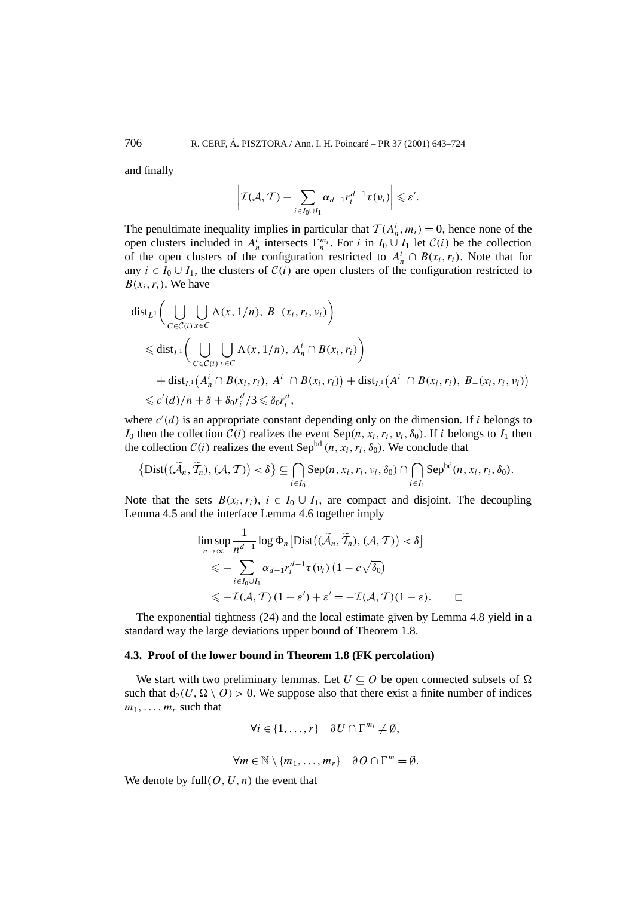and finally

$$
\left|\mathcal{I}(\mathcal{A},\mathcal{T})-\sum_{i\in I_0\cup I_1}\alpha_{d-1}r_i^{d-1}\tau(v_i)\right|\leqslant \varepsilon'.
$$

The penultimate inequality implies in particular that  $T(A_n^i, m_i) = 0$ , hence none of the open clusters included in  $A_n^i$  intersects  $\Gamma_n^{m_i}$ . For *i* in  $I_0 \cup I_1$  let  $C(i)$  be the collection of the open clusters of the configuration restricted to  $A_n^i \cap B(x_i, r_i)$ . Note that for any  $i \in I_0 \cup I_1$ , the clusters of  $C(i)$  are open clusters of the configuration restricted to  $B(x_i, r_i)$ . We have

$$
\begin{split}\n\text{dist}_{L^1}\bigg( & \bigcup_{C \in \mathcal{C}(i)} \bigcup_{x \in C} \Lambda(x, 1/n), \ B_{-}(x_i, r_i, v_i)\bigg) \\
&\leq \text{dist}_{L^1}\bigg(\bigcup_{C \in \mathcal{C}(i)} \bigcup_{x \in C} \Lambda(x, 1/n), \ A_n^i \cap B(x_i, r_i)\bigg) \\
&+ \text{dist}_{L^1}\big(A_n^i \cap B(x_i, r_i), \ A_-^i \cap B(x_i, r_i)\big) + \text{dist}_{L^1}\big(A_-^i \cap B(x_i, r_i), \ B_{-}(x_i, r_i, v_i)\big) \\
&\leq c'(d)/n + \delta + \delta_0 r_i^d/3 \leq \delta_0 r_i^d,\n\end{split}
$$

where  $c'(d)$  is an appropriate constant depending only on the dimension. If  $i$  belongs to *I*<sub>0</sub> then the collection  $C(i)$  realizes the event Sep $(n, x_i, r_i, v_i, \delta_0)$ . If *i* belongs to *I*<sub>1</sub> then the collection  $C(i)$  realizes the event Sep<sup>bd</sup>  $(n, x_i, r_i, \delta_0)$ . We conclude that

$$
\{\mathrm{Dist}((\widetilde{\mathcal{A}}_n, \widetilde{T}_n), (\mathcal{A}, \mathcal{T})) < \delta\} \subseteq \bigcap_{i \in I_0} \mathrm{Sep}(n, x_i, r_i, v_i, \delta_0) \cap \bigcap_{i \in I_1} \mathrm{Sep}^{\mathrm{bd}}(n, x_i, r_i, \delta_0).
$$

Note that the sets  $B(x_i, r_i)$ ,  $i \in I_0 \cup I_1$ , are compact and disjoint. The decoupling Lemma 4.5 and the interface Lemma 4.6 together imply

$$
\limsup_{n \to \infty} \frac{1}{n^{d-1}} \log \Phi_n \left[ \text{Dist}((\tilde{\mathcal{A}}_n, \tilde{\mathcal{T}}_n), (\mathcal{A}, \mathcal{T}) \right] < \delta]
$$
\n
$$
\leqslant - \sum_{i \in I_0 \cup I_1} \alpha_{d-1} r_i^{d-1} \tau(\nu_i) \left( 1 - c \sqrt{\delta_0} \right)
$$
\n
$$
\leqslant -\mathcal{I}(\mathcal{A}, \mathcal{T}) \left( 1 - \varepsilon' \right) + \varepsilon' = -\mathcal{I}(\mathcal{A}, \mathcal{T}) \left( 1 - \varepsilon \right). \qquad \Box
$$

The exponential tightness (24) and the local estimate given by Lemma 4.8 yield in a standard way the large deviations upper bound of Theorem 1.8.

## **4.3. Proof of the lower bound in Theorem 1.8 (FK percolation)**

We start with two preliminary lemmas. Let  $U \subseteq O$  be open connected subsets of  $\Omega$ such that  $d_2(U, \Omega \setminus O) > 0$ . We suppose also that there exist a finite number of indices  $m_1, \ldots, m_r$  such that

$$
\forall i \in \{1, \ldots, r\} \quad \partial U \cap \Gamma^{m_i} \neq \emptyset,
$$

$$
\forall m \in \mathbb{N} \setminus \{m_1, \ldots, m_r\} \quad \partial O \cap \Gamma^m = \emptyset.
$$

We denote by full $(O, U, n)$  the event that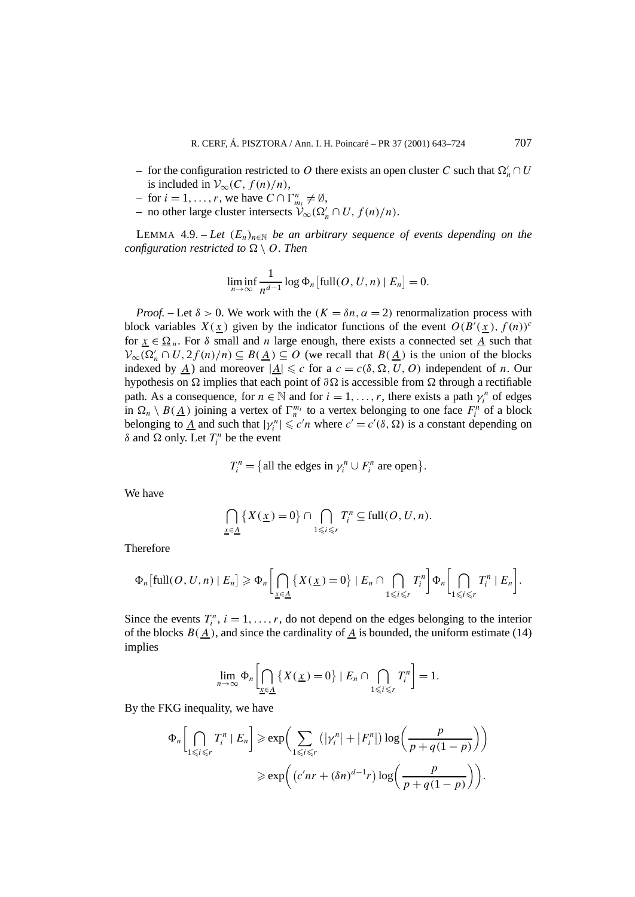- $\sim$  for the configuration restricted to *O* there exists an open cluster *C* such that  $\Omega'_n \cap U$ is included in  $\mathcal{V}_{\infty}(C, f(n)/n)$ ,
- $-$  for  $i = 1, ..., r$ , we have  $C \cap \Gamma_{m_i}^n \neq \emptyset$ ,
- $-$  no other large cluster intersects  $ν^/_{\infty}(\Omega'_n \cap U, f(n)/n)$ .

LEMMA 4.9. – Let  $(E_n)_{n \in \mathbb{N}}$  be an arbitrary sequence of events depending on the *configuration restricted to*  $\Omega \setminus O$ *. Then* 

$$
\liminf_{n \to \infty} \frac{1}{n^{d-1}} \log \Phi_n \left[ \text{full}(O, U, n) \mid E_n \right] = 0.
$$

*Proof.* – Let  $\delta > 0$ . We work with the  $(K = \delta n, \alpha = 2)$  renormalization process with block variables  $X(\underline{x})$  given by the indicator functions of the event  $O(B'(\underline{x}), f(n))^c$ for  $x \in \Omega$ <sub>n</sub>. For  $\delta$  small and *n* large enough, there exists a connected set  $\underline{A}$  such that  $\mathcal{V}_{\infty}(\Omega_n' \cap U, 2f(n)/n) \subseteq B(\underline{A}) \subseteq O$  (we recall that  $B(\underline{A})$  is the union of the blocks indexed by <u>A</u>) and moreover  $|\underline{A}| \leq c$  for a  $c = c(\delta, \Omega, U, O)$  independent of *n*. Our hypothesis on  $\Omega$  implies that each point of  $\partial\Omega$  is accessible from  $\Omega$  through a rectifiable path. As a consequence, for  $n \in \mathbb{N}$  and for  $i = 1, ..., r$ , there exists a path  $\gamma_i^n$  of edges in  $\Omega_n \setminus B(\underline{A})$  joining a vertex of  $\Gamma_n^{m_i}$  to a vertex belonging to one face  $F_i^n$  of a block belonging to <u>A</u> and such that  $|\gamma_i^n| \leq c'n$  where  $c' = c'(\delta, \Omega)$  is a constant depending on *δ* and  $Ω$  only. Let  $T_i^n$  be the event

$$
T_i^n = \{ \text{all the edges in } \gamma_i^n \cup F_i^n \text{ are open} \}.
$$

We have

$$
\bigcap_{\underline{x}\in \underline{A}} \left\{ X(\underline{x}) = 0 \right\} \cap \bigcap_{1 \leq i \leq r} T_i^n \subseteq \text{full}(O, U, n).
$$

Therefore

$$
\Phi_n\left[\text{full}(O,U,n) \mid E_n\right] \geqslant \Phi_n\left[\bigcap_{\underline{x} \in \underline{A}}\left\{X(\underline{x})=0\right\} \mid E_n \cap \bigcap_{1 \leqslant i \leqslant r} T_i^n\right] \Phi_n\left[\bigcap_{1 \leqslant i \leqslant r} T_i^n \mid E_n\right].
$$

Since the events  $T_i^n$ ,  $i = 1, ..., r$ , do not depend on the edges belonging to the interior of the blocks  $B(\underline{A})$ , and since the cardinality of  $\underline{A}$  is bounded, the uniform estimate (14) implies

$$
\lim_{n\to\infty}\Phi_n\bigg[\bigcap_{\underline{x}\in\underline{A}}\left\{X(\underline{x})=0\right\}\mid E_n\cap\bigcap_{1\leqslant i\leqslant r}T_i^n\bigg]=1.
$$

By the FKG inequality, we have

$$
\Phi_n\bigg[\bigcap_{1\leq i\leq r} T_i^n \mid E_n\bigg] \geq \exp\bigg(\sum_{1\leq i\leq r} (|\gamma_i^n| + |F_i^n|) \log\bigg(\frac{p}{p+q(1-p)}\bigg)\bigg)
$$

$$
\geq \exp\bigg((c'nr + (\delta n)^{d-1}r) \log\bigg(\frac{p}{p+q(1-p)}\bigg)\bigg).
$$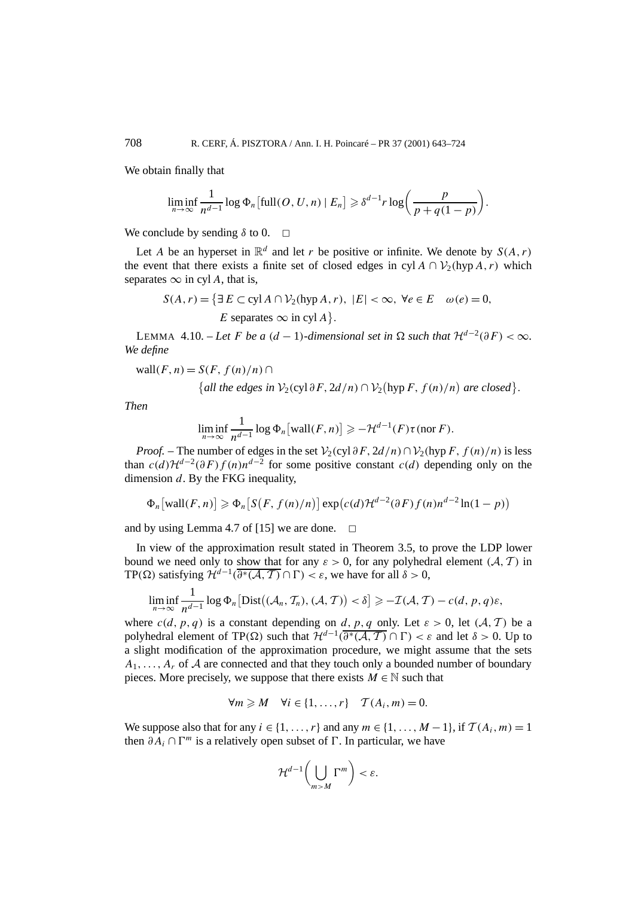We obtain finally that

$$
\liminf_{n \to \infty} \frac{1}{n^{d-1}} \log \Phi_n \left[ \text{full}(O, U, n) \mid E_n \right] \geq \delta^{d-1} r \log \left( \frac{p}{p + q(1 - p)} \right)
$$

*.*

We conclude by sending  $\delta$  to 0.  $\Box$ 

Let *A* be an hyperset in  $\mathbb{R}^d$  and let *r* be positive or infinite. We denote by  $S(A, r)$ the event that there exists a finite set of closed edges in cyl  $A \cap V_2$ (hyp $A, r$ ) which separates  $\infty$  in cyl A, that is,

$$
S(A, r) = \{ \exists E \subset \text{cyl } A \cap \mathcal{V}_2(\text{hyp } A, r), \ |E| < \infty, \ \forall e \in E \quad \omega(e) = 0, \}
$$
\n
$$
E \text{ separates } \infty \text{ in } \text{cyl } A \}.
$$

LEMMA 4.10. – *Let F be a* (*d* − 1)*-dimensional set in*  $Ω$  *such that*  $H^{d-2}(\partial F) < ∞$ . *We define*

$$
\text{wall}(F, n) = S(F, f(n)/n) \cap
$$
  

$$
\{all \text{ the edges in } \mathcal{V}_2(\text{cyl } \partial F, 2d/n) \cap \mathcal{V}_2(\text{hyp } F, f(n)/n) \text{ are closed}\}.
$$

*Then*

$$
\liminf_{n\to\infty}\frac{1}{n^{d-1}}\log\Phi_n\big[\text{wall}(F,n)\big]\geqslant-\mathcal{H}^{d-1}(F)\tau(\text{nor }F).
$$

*Proof.* – The number of edges in the set  $\mathcal{V}_2$ (cyl  $\partial F$ ,  $2d/n$ )  $\cap \mathcal{V}_2$ (hyp *F*,  $f(n)/n$ ) is less than  $c(d) \mathcal{H}^{d-2}(\partial F) f(n)n^{d-2}$  for some positive constant  $c(d)$  depending only on the dimension *d*. By the FKG inequality,

$$
\Phi_n\big[\text{wall}(F,n)\big] \geqslant \Phi_n\big[S\big(F,\,f(n)/n\big)\big]\exp\big(c(d)\mathcal{H}^{d-2}(\partial F)f(n)n^{d-2}\ln(1-p)\big)
$$

and by using Lemma 4.7 of [15] we are done.  $\Box$ 

In view of the approximation result stated in Theorem 3.5, to prove the LDP lower bound we need only to show that for any  $\varepsilon > 0$ , for any polyhedral element  $(A, \mathcal{T})$  in TP( $\Omega$ ) satisfying  $\mathcal{H}^{d-1}(\overline{\partial^*(\mathcal{A}, \mathcal{T})} \cap \Gamma) < \varepsilon$ , we have for all  $\delta > 0$ ,

$$
\liminf_{n\to\infty}\frac{1}{n^{d-1}}\log\Phi_n\big[\text{Dist}\big((\mathcal{A}_n,\mathcal{T}_n),(\mathcal{A},\mathcal{T})\big)<\delta\big]\geq -\mathcal{I}(\mathcal{A},\mathcal{T})-c(d,p,q)\varepsilon,
$$

where  $c(d, p, q)$  is a constant depending on *d, p, q* only. Let  $\varepsilon > 0$ , let  $(A, \mathcal{T})$  be a polyhedral element of TP( $\Omega$ ) such that  $\mathcal{H}^{d-1}(\overline{\partial^*(\mathcal{A}, \mathcal{T})} \cap \Gamma) < \varepsilon$  and let  $\delta > 0$ . Up to a slight modification of the approximation procedure, we might assume that the sets  $A_1, \ldots, A_r$  of A are connected and that they touch only a bounded number of boundary pieces. More precisely, we suppose that there exists  $M \in \mathbb{N}$  such that

$$
\forall m \geqslant M \quad \forall i \in \{1, \ldots, r\} \quad \mathcal{T}(A_i, m) = 0.
$$

We suppose also that for any  $i \in \{1, \ldots, r\}$  and any  $m \in \{1, \ldots, M-1\}$ , if  $\mathcal{T}(A_i, m) = 1$ then  $\partial \overline{A}_i \cap \Gamma^m$  is a relatively open subset of  $\Gamma$ . In particular, we have

$$
\mathcal{H}^{d-1}\bigg(\bigcup_{m>M}\Gamma^m\bigg)<\varepsilon.
$$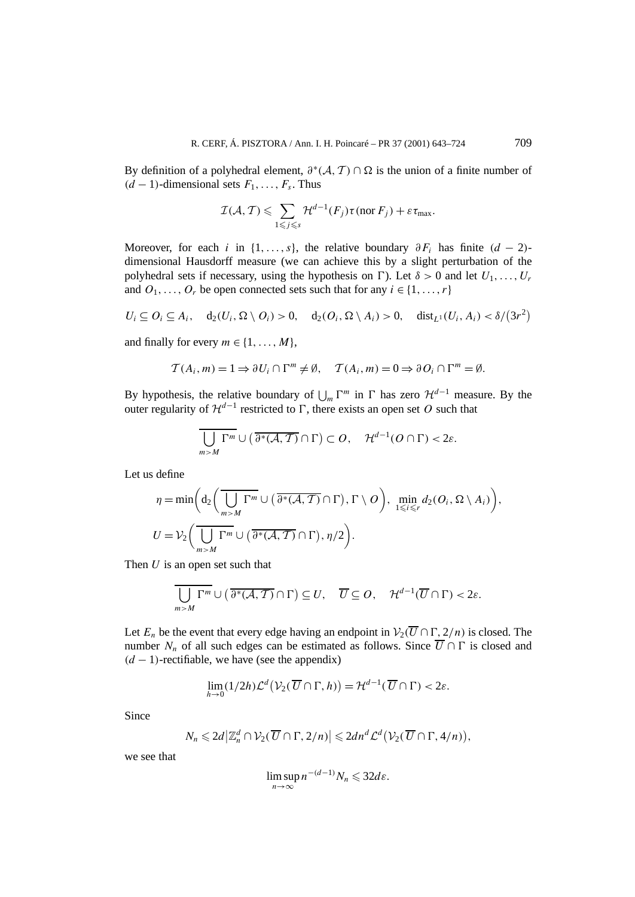By definition of a polyhedral element,  $\partial^*(A, \mathcal{T}) \cap \Omega$  is the union of a finite number of  $(d-1)$ -dimensional sets  $F_1, \ldots, F_s$ . Thus

$$
\mathcal{I}(\mathcal{A},\mathcal{T}) \leqslant \sum_{1 \leqslant j \leqslant s} \mathcal{H}^{d-1}(F_j) \tau(\text{nor } F_j) + \varepsilon \tau_{\text{max}}.
$$

Moreover, for each *i* in  $\{1, \ldots, s\}$ , the relative boundary  $\partial F_i$  has finite  $(d - 2)$ dimensional Hausdorff measure (we can achieve this by a slight perturbation of the polyhedral sets if necessary, using the hypothesis on  $\Gamma$ ). Let  $\delta > 0$  and let  $U_1, \ldots, U_r$ and  $O_1, \ldots, O_r$  be open connected sets such that for any  $i \in \{1, \ldots, r\}$ 

$$
U_i \subseteq O_i \subseteq A_i, \quad d_2(U_i, \Omega \setminus O_i) > 0, \quad d_2(O_i, \Omega \setminus A_i) > 0, \quad dist_{L^1}(U_i, A_i) < \delta/(3r^2)
$$

and finally for every  $m \in \{1, ..., M\}$ ,

$$
\mathcal{T}(A_i,m) = 1 \Rightarrow \partial U_i \cap \Gamma^m \neq \emptyset, \quad \mathcal{T}(A_i,m) = 0 \Rightarrow \partial O_i \cap \Gamma^m = \emptyset.
$$

By hypothesis, the relative boundary of  $\bigcup_m \Gamma^m$  in  $\Gamma$  has zero  $\mathcal{H}^{d-1}$  measure. By the outer regularity of  $\mathcal{H}^{d-1}$  restricted to  $\Gamma$ , there exists an open set O such that

$$
\overline{\bigcup_{m>M}\Gamma^m}\cup\left(\overline{\partial^*(\mathcal{A},\mathcal{T})}\cap\Gamma\right)\subset O,\quad \mathcal{H}^{d-1}(O\cap\Gamma)<2\varepsilon.
$$

Let us define

$$
\eta = \min\left(d_2\left(\overline{\bigcup_{m>M}\Gamma^m} \cup (\overline{\partial^*(\mathcal{A}, \mathcal{T})} \cap \Gamma), \Gamma \setminus O\right), \min_{1 \leq i \leq r} d_2(O_i, \Omega \setminus A_i)\right),
$$
  

$$
U = \mathcal{V}_2\left(\overline{\bigcup_{m>M}\Gamma^m} \cup (\overline{\partial^*(\mathcal{A}, \mathcal{T})} \cap \Gamma), \eta/2\right).
$$

Then *U* is an open set such that

$$
\overline{\bigcup_{m>M}\Gamma^m} \cup (\overline{\partial^*(\mathcal{A}, \mathcal{T})} \cap \Gamma) \subseteq U, \quad \overline{U} \subseteq O, \quad \mathcal{H}^{d-1}(\overline{U} \cap \Gamma) < 2\varepsilon.
$$

Let  $E_n$  be the event that every edge having an endpoint in  $\mathcal{V}_2(\overline{U} \cap \Gamma, 2/n)$  is closed. The number *N<sub>n</sub>* of all such edges can be estimated as follows. Since  $\overline{U} \cap \Gamma$  is closed and  $(d-1)$ -rectifiable, we have (see the appendix)

$$
\lim_{h\to 0} (1/2h)\mathcal{L}^d\big(\mathcal{V}_2(\overline{U}\cap\Gamma,h)\big)=\mathcal{H}^{d-1}(\overline{U}\cap\Gamma)<2\varepsilon.
$$

Since

$$
N_n \leq 2d \big|\mathbb{Z}_n^d \cap \mathcal{V}_2(\overline{U} \cap \Gamma, 2/n)\big| \leq 2dn^d \mathcal{L}^d\big(\mathcal{V}_2(\overline{U} \cap \Gamma, 4/n)\big),
$$

we see that

$$
\limsup_{n\to\infty} n^{-(d-1)}N_n \leqslant 32d\varepsilon.
$$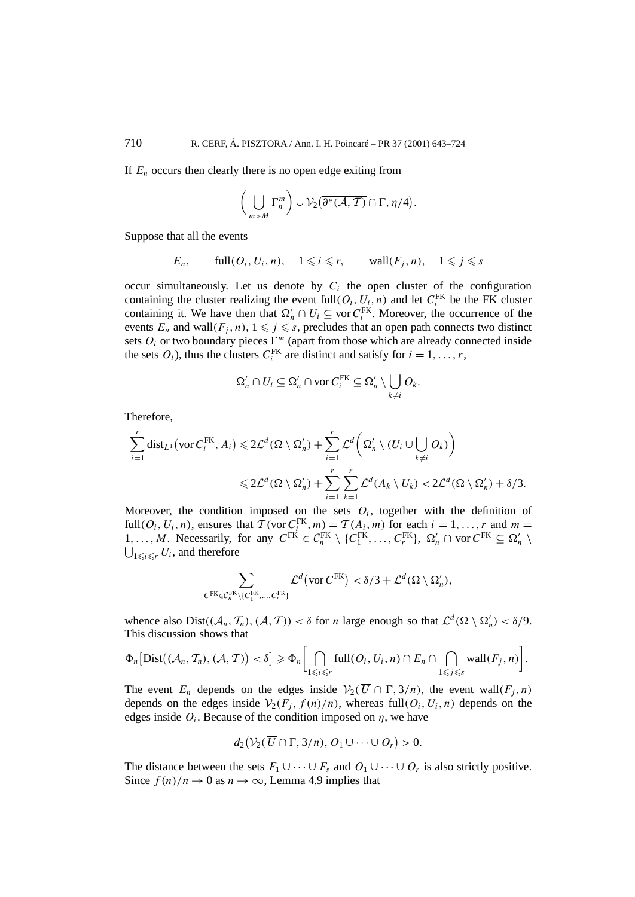If  $E_n$  occurs then clearly there is no open edge exiting from

$$
\left(\bigcup_{m>M}\Gamma_n^m\right)\cup\mathcal{V}_2(\overline{\partial^*(\mathcal{A},\mathcal{T})}\cap\Gamma,\eta/4).
$$

Suppose that all the events

$$
E_n, \qquad \text{full}(O_i, U_i, n), \quad 1 \leqslant i \leqslant r, \qquad \text{wall}(F_j, n), \quad 1 \leqslant j \leqslant s
$$

occur simultaneously. Let us denote by  $C_i$  the open cluster of the configuration containing the cluster realizing the event full $(O_i, U_i, n)$  and let  $C_i^{FK}$  be the FK cluster containing it. We have then that  $\Omega'_n \cap U_i \subseteq \text{vor } C_i^{FK}$ . Moreover, the occurrence of the events  $E_n$  and wall $(F_j, n)$ ,  $1 \leq j \leq s$ , precludes that an open path connects two distinct sets  $O_i$  or two boundary pieces  $\Gamma^m$  (apart from those which are already connected inside the sets  $O_i$ ), thus the clusters  $C_i^{FK}$  are distinct and satisfy for  $i = 1, ..., r$ ,

$$
\Omega'_n \cap U_i \subseteq \Omega'_n \cap \text{vor } C_i^{\text{FK}} \subseteq \Omega'_n \setminus \bigcup_{k \neq i} O_k.
$$

Therefore,

$$
\sum_{i=1}^r \text{dist}_{L^1}(\text{vor } C_i^{FK}, A_i) \leq 2\mathcal{L}^d(\Omega \setminus \Omega'_n) + \sum_{i=1}^r \mathcal{L}^d\bigg(\Omega'_n \setminus (U_i \cup \bigcup_{k \neq i} O_k)\bigg)
$$
  

$$
\leq 2\mathcal{L}^d(\Omega \setminus \Omega'_n) + \sum_{i=1}^r \sum_{k=1}^r \mathcal{L}^d(A_k \setminus U_k) < 2\mathcal{L}^d(\Omega \setminus \Omega'_n) + \delta/3.
$$

Moreover, the condition imposed on the sets  $O_i$ , together with the definition of full $(O_i, U_i, n)$ , ensures that  $\mathcal{T}(\text{vor } C_i^{FK}, m) = \mathcal{T}(A_i, m)$  for each  $i = 1, \ldots, r$  and  $m =$ 1,..., *M*. Necessarily, for any  $C^{FK} \in C_n^{FK} \setminus \{C_1^{FK}, \ldots, C_r^{FK}\}, \Omega'_n \cap \text{vor } C^{FK} \subseteq \Omega'_n \setminus \{C_1^{FK}, \ldots, C_r^{FK}\}$  $\bigcup_{1 \leq i \leq r} U_i$ , and therefore

$$
\sum_{C^{FK} \in C_n^{FK} \setminus \{C_1^{FK},...,C_r^{FK}\}} \mathcal{L}^d(\text{vor } C^{FK}) < \delta/3 + \mathcal{L}^d(\Omega \setminus \Omega'_n),
$$

whence also  $Dist((\mathcal{A}_n, \mathcal{T}_n), (\mathcal{A}, \mathcal{T})) < \delta$  for *n* large enough so that  $\mathcal{L}^d(\Omega \setminus \Omega'_n) < \delta/9$ . This discussion shows that

$$
\Phi_n\big[\text{Dist}\big((\mathcal{A}_n, \mathcal{T}_n), (\mathcal{A}, \mathcal{T})\big) < \delta\big] \geqslant \Phi_n\bigg[\bigcap_{1 \leqslant i \leqslant r} \text{full}(O_i, U_i, n) \cap E_n \cap \bigcap_{1 \leqslant j \leqslant s} \text{wall}(F_j, n)\bigg].
$$

The event  $E_n$  depends on the edges inside  $\mathcal{V}_2(\overline{U} \cap \Gamma, 3/n)$ , the event wall $(F_i, n)$ depends on the edges inside  $V_2(F_i, f(n)/n)$ , whereas full $(O_i, U_i, n)$  depends on the edges inside  $O_i$ . Because of the condition imposed on  $\eta$ , we have

$$
d_2(\mathcal{V}_2(\overline{U}\cap\Gamma,3/n), O_1\cup\cdots\cup O_r)>0.
$$

The distance between the sets  $F_1 \cup \cdots \cup F_s$  and  $O_1 \cup \cdots \cup O_r$  is also strictly positive. Since  $f(n)/n \to 0$  as  $n \to \infty$ , Lemma 4.9 implies that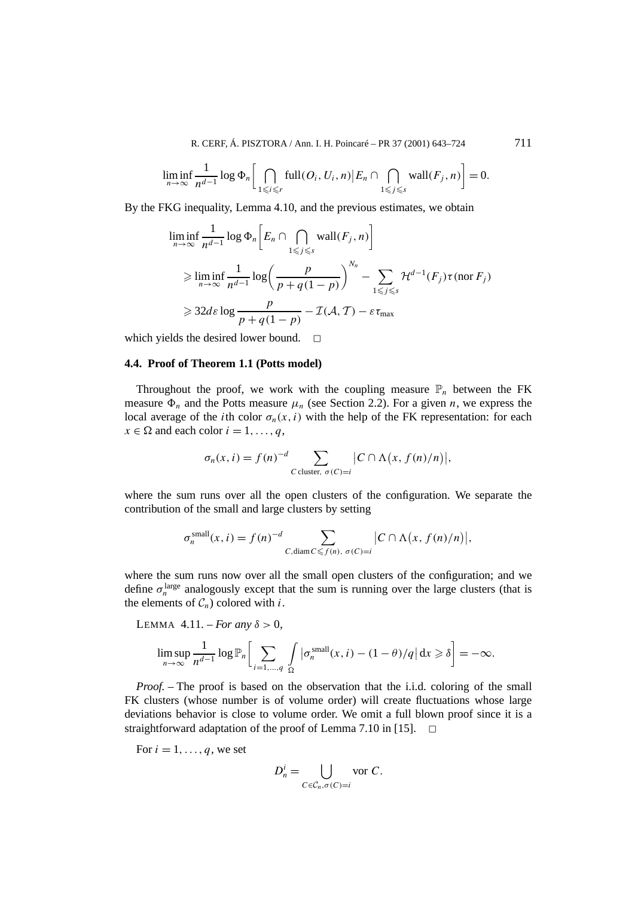R. CERF, Á. PISZTORA / Ann. I. H. Poincaré – PR 37 (2001) 643–724 711

$$
\liminf_{n\to\infty}\frac{1}{n^{d-1}}\log\Phi_n\bigg[\bigcap_{1\leq i\leq r} \text{full}(O_i, U_i, n)\big|E_n\cap\bigcap_{1\leq j\leq s}\text{wall}(F_j, n)\bigg]=0.
$$

By the FKG inequality, Lemma 4.10, and the previous estimates, we obtain

$$
\liminf_{n \to \infty} \frac{1}{n^{d-1}} \log \Phi_n \left[ E_n \cap \bigcap_{1 \le j \le s} \text{wall}(F_j, n) \right]
$$
\n
$$
\ge \liminf_{n \to \infty} \frac{1}{n^{d-1}} \log \left( \frac{p}{p + q(1 - p)} \right)^{N_n} - \sum_{1 \le j \le s} \mathcal{H}^{d-1}(F_j) \tau \left( \text{nor } F_j \right)
$$
\n
$$
\ge 32d\varepsilon \log \frac{p}{p + q(1 - p)} - \mathcal{I}(\mathcal{A}, \mathcal{T}) - \varepsilon \tau_{\text{max}}
$$

which yields the desired lower bound.  $\Box$ 

#### **4.4. Proof of Theorem 1.1 (Potts model)**

Throughout the proof, we work with the coupling measure  $\mathbb{P}_n$  between the FK measure  $\Phi_n$  and the Potts measure  $\mu_n$  (see Section 2.2). For a given *n*, we express the local average of the *i*th color  $\sigma_n(x, i)$  with the help of the FK representation: for each  $x \in \Omega$  and each color  $i = 1, \ldots, q$ ,

$$
\sigma_n(x, i) = f(n)^{-d} \sum_{C \text{ cluster}, \sigma(C)=i} |C \cap \Lambda(x, f(n)/n)|,
$$

where the sum runs over all the open clusters of the configuration. We separate the contribution of the small and large clusters by setting

$$
\sigma_n^{\text{small}}(x, i) = f(n)^{-d} \sum_{C, \text{diam } C \leqslant f(n), \sigma(C) = i} |C \cap \Lambda(x, f(n)/n)|,
$$

where the sum runs now over all the small open clusters of the configuration; and we define  $\sigma_n^{\text{large}}$  analogously except that the sum is running over the large clusters (that is the elements of  $C_n$ ) colored with *i*.

LEMMA 4.11. – *For any*  $δ > 0$ ,

$$
\limsup_{n\to\infty}\frac{1}{n^{d-1}}\log\mathbb{P}_n\bigg[\sum_{i=1,\dots,q}\int_{\Omega}\bigg|\sigma_n^{\text{small}}(x,i)-(1-\theta)/q\big|\,dx\geq \delta\bigg]=-\infty.
$$

*Proof. –* The proof is based on the observation that the i.i.d. coloring of the small FK clusters (whose number is of volume order) will create fluctuations whose large deviations behavior is close to volume order. We omit a full blown proof since it is a straightforward adaptation of the proof of Lemma 7.10 in [15].  $\Box$ 

For  $i = 1, \ldots, q$ , we set

$$
D_n^i = \bigcup_{C \in \mathcal{C}_n, \sigma(C) = i} \text{vor } C.
$$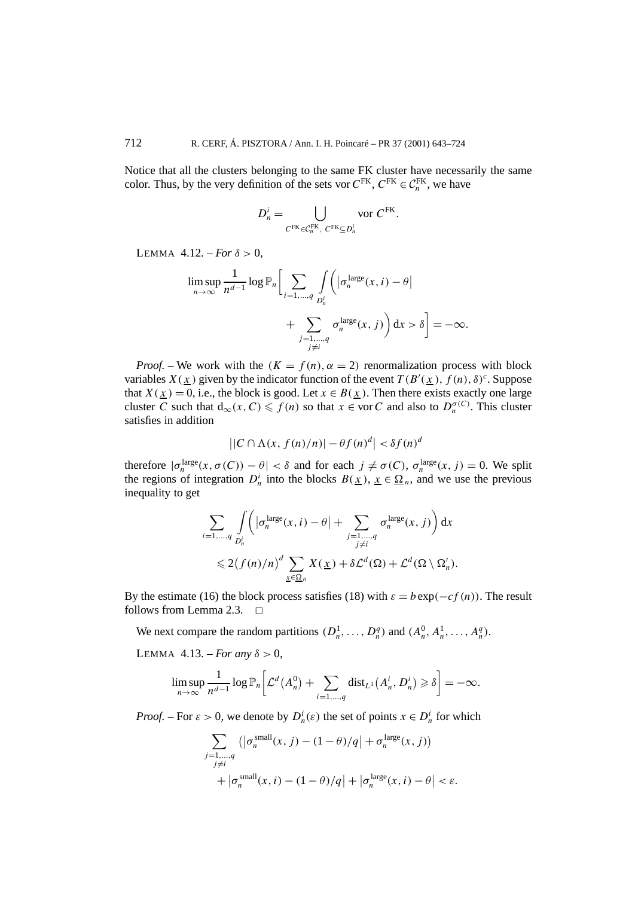Notice that all the clusters belonging to the same FK cluster have necessarily the same color. Thus, by the very definition of the sets vor  $C^{FK}$ ,  $C^{FK} \in C_n^{FK}$ , we have

$$
D_n^i = \bigcup_{C^{FK} \in C_n^{FK}, C^{FK} \subseteq D_n^i} \text{vor } C^{FK}.
$$

LEMMA  $4.12 - For \delta > 0$ ,

$$
\limsup_{n \to \infty} \frac{1}{n^{d-1}} \log \mathbb{P}_n \bigg[ \sum_{i=1,\dots,q} \int_{D_n^i} \left( |\sigma_n^{\text{large}}(x,i) - \theta| + \sum_{\substack{j=1,\dots,q \\ j \neq i}} \sigma_n^{\text{large}}(x,j) \right) dx > \delta \bigg] = -\infty.
$$

*Proof.* – We work with the  $(K = f(n), \alpha = 2)$  renormalization process with block variables  $X(\underline{x})$  given by the indicator function of the event  $T(B'(\underline{x}), f(n), \delta)^c$ . Suppose that  $X(\underline{x}) = 0$ , i.e., the block is good. Let  $x \in B(\underline{x})$ . Then there exists exactly one large cluster *C* such that  $d_{\infty}(x, C) \leq f(n)$  so that  $x \in \text{vor } C$  and also to  $D_n^{\sigma(C)}$ . This cluster satisfies in addition

$$
\left| |C \cap \Lambda(x, f(n)/n)| - \theta f(n)^d \right| < \delta f(n)^d
$$

therefore  $|\sigma_n^{\text{large}}(x, \sigma(C)) - \theta| < \delta$  and for each  $j \neq \sigma(C)$ ,  $\sigma_n^{\text{large}}(x, j) = 0$ . We split the regions of integration  $D_n^i$  into the blocks  $B(\underline{x})$ ,  $\underline{x} \in \underline{\Omega}_n$ , and we use the previous inequality to get

$$
\sum_{i=1,\dots,q} \int_{D_n^i} \left( |\sigma_n^{\text{large}}(x,i) - \theta| + \sum_{\substack{j=1,\dots,q \\ j \neq i}} \sigma_n^{\text{large}}(x,j) \right) dx
$$
  
\$\leq 2(f(n)/n)^d \sum\_{\underline{x} \in \underline{\Omega}\_n} X(\underline{x}) + \delta \mathcal{L}^d(\Omega) + \mathcal{L}^d(\Omega \setminus \Omega'\_n)\$.

By the estimate (16) the block process satisfies (18) with  $\varepsilon = b \exp(-cf(n))$ . The result follows from Lemma 2.3.  $\Box$ 

We next compare the random partitions  $(D_n^1, \ldots, D_n^q)$  and  $(A_n^0, A_n^1, \ldots, A_n^q)$ .

LEMMA 4.13. – *For any*  $δ > 0$ ,

$$
\limsup_{n\to\infty}\frac{1}{n^{d-1}}\log\mathbb{P}_n\bigg[\mathcal{L}^d(A_n^0)+\sum_{i=1,\dots,q}\text{dist}_{L^1}(A_n^i,D_n^i)\geq \delta\bigg]=-\infty.
$$

*Proof.* – For  $\varepsilon > 0$ , we denote by  $D_n^i(\varepsilon)$  the set of points  $x \in D_n^i$  for which

$$
\sum_{\substack{j=1,\dots,q\\j\neq i}} \left( |\sigma_n^{\text{small}}(x,j) - (1-\theta)/q| + \sigma_n^{\text{large}}(x,j) \right)
$$
  
+ 
$$
|\sigma_n^{\text{small}}(x,i) - (1-\theta)/q| + |\sigma_n^{\text{large}}(x,i) - \theta| < \varepsilon.
$$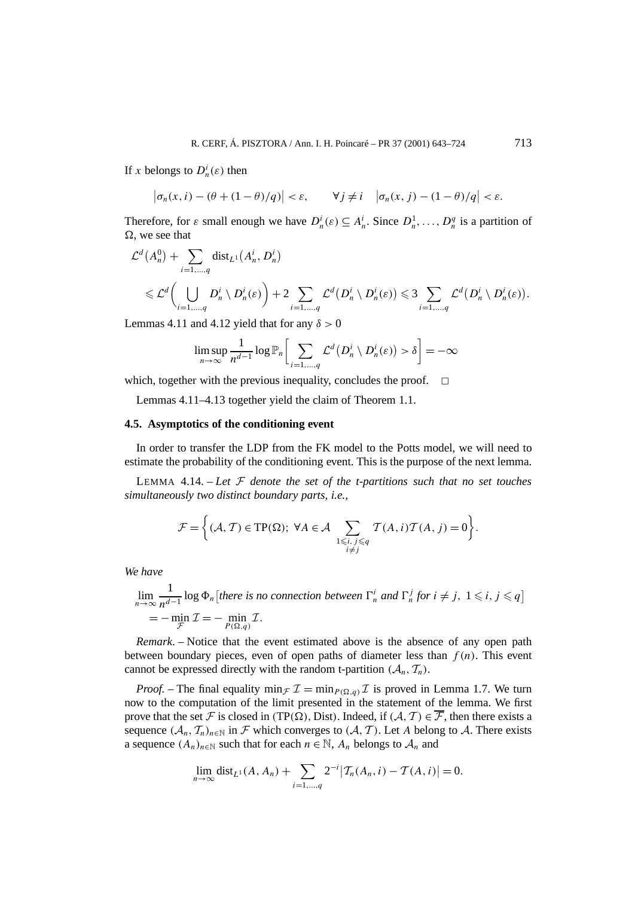If *x* belongs to  $D_n^i(\varepsilon)$  then

$$
\left|\sigma_n(x,i) - (\theta + (1-\theta)/q)\right| < \varepsilon, \qquad \forall j \neq i \quad \left|\sigma_n(x,j) - (1-\theta)/q\right| < \varepsilon.
$$

Therefore, for  $\varepsilon$  small enough we have  $D_n^i(\varepsilon) \subseteq A_n^i$ . Since  $D_n^1, \ldots, D_n^q$  is a partition of  $\Omega$ , we see that

$$
\mathcal{L}^{d}(A_{n}^{0}) + \sum_{i=1,\dots,q} \text{dist}_{L^{1}}(A_{n}^{i}, D_{n}^{i})
$$
\n
$$
\leq \mathcal{L}^{d}\left(\bigcup_{i=1,\dots,q} D_{n}^{i} \setminus D_{n}^{i}(\varepsilon)\right) + 2 \sum_{i=1,\dots,q} \mathcal{L}^{d}(D_{n}^{i} \setminus D_{n}^{i}(\varepsilon)) \leq \frac{3}{i} \sum_{i=1,\dots,q} \mathcal{L}^{d}(D_{n}^{i} \setminus D_{n}^{i}(\varepsilon)).
$$

Lemmas 4.11 and 4.12 yield that for any  $\delta > 0$ 

$$
\limsup_{n\to\infty}\frac{1}{n^{d-1}}\log\mathbb{P}_n\bigg[\sum_{i=1,\dots,q}\mathcal{L}^d(D_n^i\setminus D_n^i(\varepsilon))>\delta\bigg]=-\infty
$$

which, together with the previous inequality, concludes the proof.  $\Box$ 

Lemmas 4.11–4.13 together yield the claim of Theorem 1.1.

## **4.5. Asymptotics of the conditioning event**

In order to transfer the LDP from the FK model to the Potts model, we will need to estimate the probability of the conditioning event. This is the purpose of the next lemma.

LEMMA 4.14.  $-$  *Let*  $F$  *denote the set of the t-partitions such that no set touches simultaneously two distinct boundary parts, i.e.,*

$$
\mathcal{F} = \Big\{ (\mathcal{A}, \mathcal{T}) \in \text{TP}(\Omega); \ \forall A \in \mathcal{A} \sum_{\substack{1 \le i, j \le q \\ i \ne j}} \mathcal{T}(A, i) \mathcal{T}(A, j) = 0 \Big\}.
$$

*We have*

$$
\lim_{n \to \infty} \frac{1}{n^{d-1}} \log \Phi_n \left[ \text{there is no connection between } \Gamma_n^i \text{ and } \Gamma_n^j \text{ for } i \neq j, \ 1 \leq i, j \leq q \right]
$$
\n
$$
= - \min_{\mathcal{F}} \mathcal{I} = - \min_{P(\Omega, q)} \mathcal{I}.
$$

*Remark*. – Notice that the event estimated above is the absence of any open path between boundary pieces, even of open paths of diameter less than *f (n)*. This event cannot be expressed directly with the random t-partition  $(A_n, \mathcal{T}_n)$ .

*Proof.* – The final equality min<sub>F</sub>  $\mathcal{I} = \min_{P(\Omega,q)} \mathcal{I}$  is proved in Lemma 1.7. We turn now to the computation of the limit presented in the statement of the lemma. We first prove that the set F is closed in *(TP(* $\Omega$ *)*, Dist*)*. Indeed, if  $(A, \mathcal{T}) \in \overline{\mathcal{F}}$ , then there exists a sequence  $(A_n, \mathcal{T}_n)_{n \in \mathbb{N}}$  in  $\mathcal F$  which converges to  $(A, \mathcal T)$ . Let A belong to A. There exists a sequence  $(A_n)_{n \in \mathbb{N}}$  such that for each  $n \in \mathbb{N}$ ,  $A_n$  belongs to  $A_n$  and

$$
\lim_{n \to \infty} \text{dist}_{L^1}(A, A_n) + \sum_{i=1,\dots,q} 2^{-i} \left| \mathcal{T}_n(A_n, i) - \mathcal{T}(A, i) \right| = 0.
$$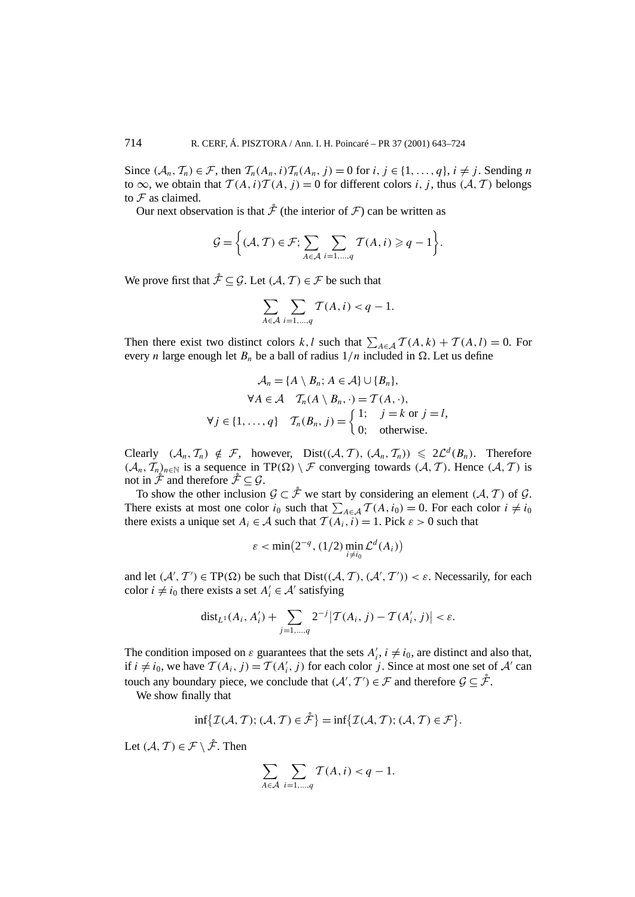Since  $(A_n, \mathcal{T}_n) \in \mathcal{F}$ , then  $\mathcal{T}_n(A_n, i) \mathcal{T}_n(A_n, j) = 0$  for  $i, j \in \{1, ..., q\}$ ,  $i \neq j$ . Sending *n* to ∞, we obtain that  $T(A, i)T(A, j) = 0$  for different colors *i*, *j*, thus  $(A, T)$  belongs to  $F$  as claimed.

Our next observation is that  $\mathcal{\hat{F}}$  (the interior of  $\mathcal{F}$ ) can be written as

$$
\mathcal{G} = \left\{ (\mathcal{A}, \mathcal{T}) \in \mathcal{F}; \sum_{A \in \mathcal{A}} \sum_{i=1,\dots,q} \mathcal{T}(A, i) \geqslant q - 1 \right\}.
$$

We prove first that  $\mathcal{F} \subset \mathcal{G}$ . Let  $(\mathcal{A}, \mathcal{T}) \in \mathcal{F}$  be such that

$$
\sum_{A \in \mathcal{A}} \sum_{i=1,\dots,q} \mathcal{T}(A,i) < q-1.
$$

Then there exist two distinct colors *k*, *l* such that  $\sum_{A \in \mathcal{A}} T(A, k) + T(A, l) = 0$ . For every *n* large enough let  $B_n$  be a ball of radius  $1/n$  included in  $\Omega$ . Let us define

$$
\mathcal{A}_n = \{A \setminus B_n; A \in \mathcal{A}\} \cup \{B_n\},
$$
  
\n
$$
\forall A \in \mathcal{A} \quad \mathcal{T}_n(A \setminus B_n, \cdot) = \mathcal{T}(A, \cdot),
$$
  
\n
$$
\forall j \in \{1, ..., q\} \quad \mathcal{T}_n(B_n, j) = \begin{cases} 1; & j = k \text{ or } j = l, \\ 0; & \text{otherwise.} \end{cases}
$$

Clearly  $(A_n, \mathcal{T}_n) \notin \mathcal{F}$ , however, Dist $((\mathcal{A}, \mathcal{T}), (\mathcal{A}_n, \mathcal{T}_n)) \leq 2\mathcal{L}^d(B_n)$ . Therefore  $(A_n, \mathcal{T}_n)_{n \in \mathbb{N}}$  is a sequence in TP( $\Omega$ ) \  $\mathcal F$  converging towards  $(A, \mathcal T)$ . Hence  $(A, \mathcal T)$  is not in  $\mathring{\mathcal{F}}$  and therefore  $\mathring{\mathcal{F}} \subset \mathcal{G}$ .

To show the other inclusion  $\mathcal{G} \subset \mathcal{F}$  we start by considering an element  $(\mathcal{A}, \mathcal{T})$  of  $\mathcal{G}$ . There exists at most one color  $i_0$  such that  $\sum_{A \in \mathcal{A}} T(A, i_0) = 0$ . For each color  $i \neq i_0$ there exists a unique set  $A_i \in \mathcal{A}$  such that  $\mathcal{T}(A_i, i) = 1$ . Pick  $\varepsilon > 0$  such that

$$
\varepsilon < \min\left(2^{-q}, (1/2) \min_{i \neq i_0} \mathcal{L}^d(A_i)\right)
$$

and let  $(A', T') \in TP(\Omega)$  be such that  $Dist((A, T), (A', T')) < \varepsilon$ . Necessarily, for each color  $i \neq i_0$  there exists a set  $A'_i \in \mathcal{A}'$  satisfying

dist<sub>L</sub><sub>1</sub>(A<sub>i</sub>, A'<sub>i</sub>) + 
$$
\sum_{j=1,\dots,q}
$$
 2<sup>-j</sup>| $\mathcal{T}(A_i, j) - \mathcal{T}(A'_i, j)$ | <  $\varepsilon$ .

The condition imposed on  $\varepsilon$  guarantees that the sets  $A'_{i}$ ,  $i \neq i_0$ , are distinct and also that, if  $i \neq i_0$ , we have  $\mathcal{T}(A_i, j) = \mathcal{T}(A'_i, j)$  for each color *j*. Since at most one set of A' can touch any boundary piece, we conclude that  $(A', T') \in \mathcal{F}$  and therefore  $\mathcal{G} \subseteq \mathcal{F}$ .

We show finally that

$$
\inf \{ \mathcal{I}(\mathcal{A}, \mathcal{T}); (\mathcal{A}, \mathcal{T}) \in \mathring{\mathcal{F}} \} = \inf \{ \mathcal{I}(\mathcal{A}, \mathcal{T}); (\mathcal{A}, \mathcal{T}) \in \mathcal{F} \}.
$$

Let  $(A, \mathcal{T}) \in \mathcal{F} \setminus \mathring{\mathcal{F}}$ . Then

$$
\sum_{A \in \mathcal{A}} \sum_{i=1,\dots,q} \mathcal{T}(A,i) < q-1.
$$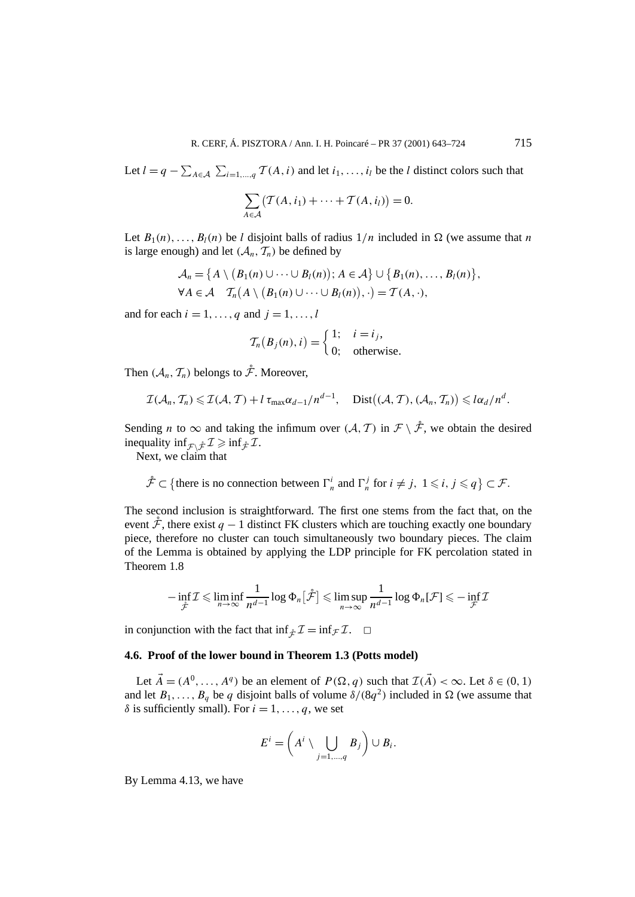Let  $l = q - \sum_{A \in \mathcal{A}} \sum_{i=1,\dots,q} \mathcal{T}(A, i)$  and let  $i_1, \dots, i_l$  be the *l* distinct colors such that

$$
\sum_{A\in\mathcal{A}}\bigl(\mathcal{T}(A,i_1)+\cdots+\mathcal{T}(A,i_l)\bigr)=0.
$$

Let  $B_1(n), \ldots, B_l(n)$  be *l* disjoint balls of radius  $1/n$  included in  $\Omega$  (we assume that *n* is large enough) and let  $(A_n, T_n)$  be defined by

$$
\mathcal{A}_n = \{ A \setminus (B_1(n) \cup \cdots \cup B_l(n)); A \in \mathcal{A} \} \cup \{ B_1(n), \ldots, B_l(n) \},
$$
  

$$
\forall A \in \mathcal{A} \quad \mathcal{T}_n(A \setminus (B_1(n) \cup \cdots \cup B_l(n)), \cdot) = \mathcal{T}(A, \cdot),
$$

and for each  $i = 1, \ldots, q$  and  $j = 1, \ldots, l$ 

$$
\mathcal{T}_n(B_j(n), i) = \begin{cases} 1; & i = i_j, \\ 0; & \text{otherwise.} \end{cases}
$$

Then  $(A_n, T_n)$  belongs to  $\mathcal{F}$ . Moreover,

$$
\mathcal{I}(\mathcal{A}_n, \mathcal{T}_n) \leq \mathcal{I}(\mathcal{A}, \mathcal{T}) + l \tau_{\max} \alpha_{d-1} / n^{d-1}, \quad \text{Dist}((\mathcal{A}, \mathcal{T}), (\mathcal{A}_n, \mathcal{T}_n)) \leq l \alpha_d / n^d.
$$

Sending *n* to  $\infty$  and taking the infimum over  $(A, \mathcal{T})$  in  $\mathcal{F} \setminus \mathring{\mathcal{F}}$ , we obtain the desired inequality inf<sub> $\mathcal{F} \geq \inf_{\hat{\mathcal{F}}} \mathcal{I}$ .</sub>

Next, we claim that

$$
\mathring{\mathcal{F}} \subset \{ \text{there is no connection between } \Gamma_n^i \text{ and } \Gamma_n^j \text{ for } i \neq j, 1 \leq i, j \leq q \} \subset \mathcal{F}.
$$

The second inclusion is straightforward. The first one stems from the fact that, on the event  $\hat{\mathcal{F}}$ , there exist *q* − 1 distinct FK clusters which are touching exactly one boundary piece, therefore no cluster can touch simultaneously two boundary pieces. The claim of the Lemma is obtained by applying the LDP principle for FK percolation stated in Theorem 1.8

$$
-\inf_{\hat{\mathcal{F}}} \mathcal{I} \leqslant \liminf_{n \to \infty} \frac{1}{n^{d-1}} \log \Phi_n[\hat{\mathcal{F}}] \leqslant \limsup_{n \to \infty} \frac{1}{n^{d-1}} \log \Phi_n[\mathcal{F}] \leqslant -\inf_{\mathcal{F}} \mathcal{I}
$$

in conjunction with the fact that  $\inf_{\hat{\mathcal{F}}} \mathcal{I} = \inf_{\mathcal{F}} \mathcal{I}$ .  $\Box$ 

# **4.6. Proof of the lower bound in Theorem 1.3 (Potts model)**

Let  $\vec{A} = (A^0, \ldots, A^q)$  be an element of  $P(\Omega, q)$  such that  $\mathcal{I}(\vec{A}) < \infty$ . Let  $\delta \in (0, 1)$ and let  $B_1, \ldots, B_q$  be *q* disjoint balls of volume  $\delta/(8q^2)$  included in  $\Omega$  (we assume that  $δ$  is sufficiently small). For  $i = 1, ..., q$ , we set

$$
E^i = \left(A^i \setminus \bigcup_{j=1,\dots,q} B_j\right) \cup B_i.
$$

By Lemma 4.13, we have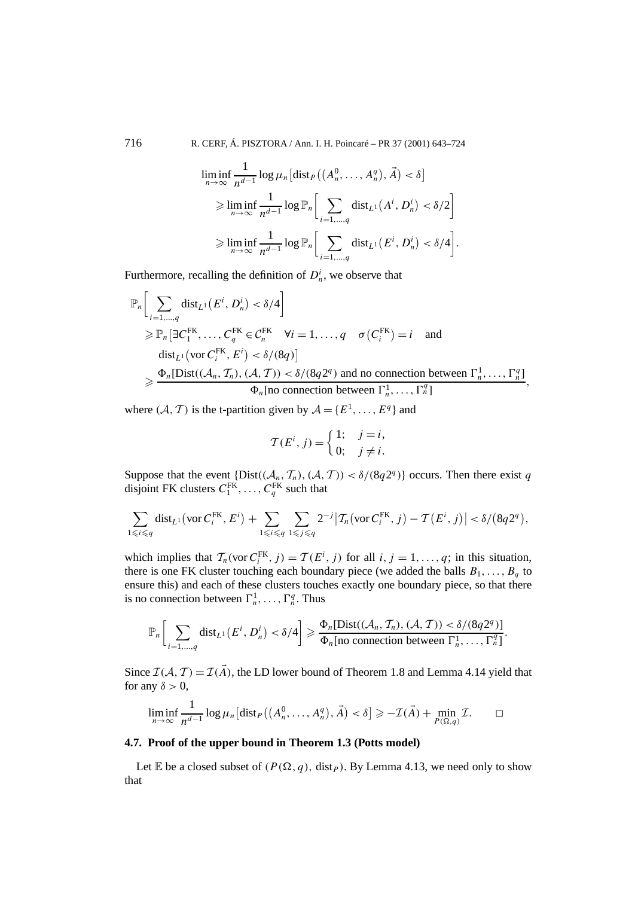716 R. CERF, Á. PISZTORA / Ann. I. H. Poincaré – PR 37 (2001) 643–724

$$
\liminf_{n \to \infty} \frac{1}{n^{d-1}} \log \mu_n \left[ \text{dist}_P \left( \left( A_n^0, \dots, A_n^q \right), \vec{A} \right) < \delta \right]
$$
\n
$$
\geq \liminf_{n \to \infty} \frac{1}{n^{d-1}} \log \mathbb{P}_n \left[ \sum_{i=1,\dots,q} \text{dist}_{L^1} \left( A^i, D_n^i \right) < \delta/2 \right]
$$
\n
$$
\geq \liminf_{n \to \infty} \frac{1}{n^{d-1}} \log \mathbb{P}_n \left[ \sum_{i=1,\dots,q} \text{dist}_{L^1} \left( E^i, D_n^i \right) < \delta/4 \right].
$$

Furthermore, recalling the definition of  $D_n^i$ , we observe that

$$
\mathbb{P}_n\Big[\sum_{i=1,\ldots,q} \text{dist}_{L^1}(E^i, D_n^i) < \delta/4\Big] \n\geq \mathbb{P}_n\big[\exists C_1^{\text{FK}},\ldots,C_q^{\text{FK}} \in \mathcal{C}_n^{\text{FK}} \quad \forall i=1,\ldots,q \quad \sigma(C_i^{\text{FK}}) = i \quad \text{and} \n\text{dist}_{L^1}(\text{vor } C_i^{\text{FK}}, E^i) < \delta/(8q)\big] \n\geq \frac{\Phi_n[\text{Dist}((\mathcal{A}_n, \mathcal{T}_n), (\mathcal{A}, \mathcal{T})) < \delta/(8q2^q) \text{ and no connection between } \Gamma_n^1,\ldots,\Gamma_n^q]}{\Phi_n[\text{no connection between } \Gamma_n^1,\ldots,\Gamma_n^q]},
$$

where  $(A, \mathcal{T})$  is the t-partition given by  $\mathcal{A} = \{E^1, \dots, E^q\}$  and

$$
\mathcal{T}(E^i, j) = \begin{cases} 1; & j = i, \\ 0; & j \neq i. \end{cases}
$$

Suppose that the event  $\{Dist((\mathcal{A}_n, \mathcal{T}_n), (\mathcal{A}, \mathcal{T})) < \delta/(8q2^q)\}\)$  occurs. Then there exist *q* disjoint FK clusters  $C_1^{\text{FK}}, \ldots, C_q^{\text{FK}}$  such that

$$
\sum_{1\leqslant i\leqslant q}\textnormal{dist}_{L^1}\big(\textnormal{vor}\,C^{\textnormal{FK}}_i,E^i\big)+\sum_{1\leqslant i\leqslant q}\sum_{1\leqslant j\leqslant q}2^{-j}\big|\mathcal{T}_n\big(\textnormal{vor}\,C^{\textnormal{FK}}_i,j\big)-\mathcal{T}\big(E^i,j\big)\big|<\delta/\big(8q2^q\big),
$$

which implies that  $\mathcal{T}_n(\text{vor } C_i^{\text{FK}}, j) = \mathcal{T}(E^i, j)$  for all  $i, j = 1, ..., q$ ; in this situation, there is one FK cluster touching each boundary piece (we added the balls  $B_1, \ldots, B_q$  to ensure this) and each of these clusters touches exactly one boundary piece, so that there is no connection between  $\Gamma_n^1, \ldots, \Gamma_n^q$ . Thus

$$
\mathbb{P}_n\bigg[\sum_{i=1,\dots,q} \text{dist}_{L^1}\big(E^i, D_n^i\big)<\delta/4\bigg] \geqslant \frac{\Phi_n[\text{Dist}((\mathcal{A}_n, \mathcal{T}_n), (\mathcal{A}, \mathcal{T})) < \delta/(8q2^q)]}{\Phi_n[\text{no connection between } \Gamma_n^1, \dots, \Gamma_n^q]}.
$$

Since  $\mathcal{I}(\mathcal{A}, \mathcal{T}) = \mathcal{I}(\mathcal{A})$ , the LD lower bound of Theorem 1.8 and Lemma 4.14 yield that for any  $\delta > 0$ ,

$$
\liminf_{n\to\infty}\frac{1}{n^{d-1}}\log\mu_n\big[\operatorname{dist}_P\big((A_n^0,\ldots,A_n^q),\vec{A}\big)<\delta\big]\geq -\mathcal{I}(\vec{A})+\min_{P(\Omega,q)}\mathcal{I}.\qquad\Box
$$

## **4.7. Proof of the upper bound in Theorem 1.3 (Potts model)**

Let E be a closed subset of  $(P(\Omega, q), \text{dist}_P)$ . By Lemma 4.13, we need only to show that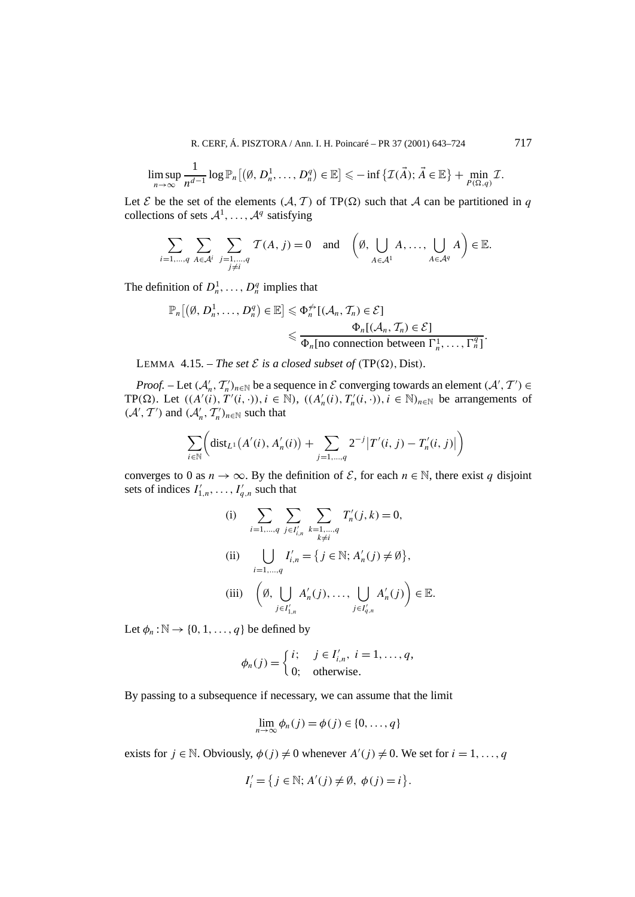R. CERF, Á. PISZTORA / Ann. I. H. Poincaré – PR 37 (2001) 643–724 717

$$
\limsup_{n\to\infty}\frac{1}{n^{d-1}}\log\mathbb{P}_n\big[(\emptyset, D_n^1,\ldots, D_n^q)\in\mathbb{E}\big]\leqslant-\inf\big\{\mathcal{I}(\vec{A}); \vec{A}\in\mathbb{E}\big\}+\min_{P(\Omega,q)}\mathcal{I}.
$$

Let  $\mathcal E$  be the set of the elements  $(\mathcal A, \mathcal T)$  of TP $(\Omega)$  such that  $\mathcal A$  can be partitioned in *q* collections of sets  $A^1, \ldots, A^q$  satisfying

$$
\sum_{i=1,\ldots,q} \sum_{A \in \mathcal{A}^i} \sum_{\substack{j=1,\ldots,q \\ j \neq i}} \mathcal{T}(A,j) = 0 \text{ and } \left(\emptyset, \bigcup_{A \in \mathcal{A}^1} A, \ldots, \bigcup_{A \in \mathcal{A}^q} A\right) \in \mathbb{E}.
$$

The definition of  $D_n^1, \ldots, D_n^q$  implies that

$$
\mathbb{P}_n[(\emptyset, D_n^1, \dots, D_n^q) \in \mathbb{E}] \leq \Phi_n^{p+1}[(\mathcal{A}_n, \mathcal{T}_n) \in \mathcal{E}]
$$
  

$$
\leq \frac{\Phi_n[(\mathcal{A}_n, \mathcal{T}_n) \in \mathcal{E}]}{\Phi_n[\text{no connection between } \Gamma_n^1, \dots, \Gamma_n^q]}.
$$

LEMMA 4.15. – *The set*  $\mathcal E$  *is a closed subset of*  $(TP(\Omega), Dist)$ *.* 

*Proof.* – Let  $(A'_n, T'_n)_{n \in \mathbb{N}}$  be a sequence in  $\mathcal E$  converging towards an element  $(A', T') \in$ TP( $\Omega$ ). Let  $((A'(i), T'(i, \cdot)), i \in \mathbb{N})$ ,  $((A'_n(i), T'_n(i, \cdot)), i \in \mathbb{N})_{n \in \mathbb{N}}$  be arrangements of  $(A', T')$  and  $(A'_n, T'_n)_{n \in \mathbb{N}}$  such that

$$
\sum_{i \in \mathbb{N}} \bigg( \text{dist}_{L^1}\big(A'(i), A'_n(i)\big) + \sum_{j=1,\dots,q} 2^{-j} \big| T'(i,j) - T'_n(i,j) \big| \bigg)
$$

converges to 0 as  $n \to \infty$ . By the definition of  $\mathcal{E}$ , for each  $n \in \mathbb{N}$ , there exist *q* disjoint sets of indices  $I'_{1,n}, \ldots, I'_{q,n}$  such that

(i) 
$$
\sum_{i=1,\dots,q} \sum_{j \in I'_{i,n}} \sum_{\substack{k=1,\dots,q \\ k \neq i}} T'_n(j,k) = 0,
$$
  
\n(ii) 
$$
\bigcup_{i=1,\dots,q} I'_{i,n} = \{ j \in \mathbb{N}; A'_n(j) \neq \emptyset \},
$$
  
\n(iii) 
$$
\left( \emptyset, \bigcup_{j \in I'_{i,n}} A'_n(j), \dots, \bigcup_{j \in I'_{q,n}} A'_n(j) \right) \in \mathbb{E}.
$$

Let  $\phi_n : \mathbb{N} \to \{0, 1, \ldots, q\}$  be defined by

$$
\phi_n(j) = \begin{cases} i; & j \in I'_{i,n}, i = 1, \dots, q, \\ 0; & \text{otherwise.} \end{cases}
$$

By passing to a subsequence if necessary, we can assume that the limit

$$
\lim_{n\to\infty}\phi_n(j)=\phi(j)\in\{0,\ldots,q\}
$$

exists for  $j \in \mathbb{N}$ . Obviously,  $\phi(j) \neq 0$  whenever  $A'(j) \neq 0$ . We set for  $i = 1, ..., q$ 

$$
I'_i = \{ j \in \mathbb{N}; A'(j) \neq \emptyset, \phi(j) = i \}.
$$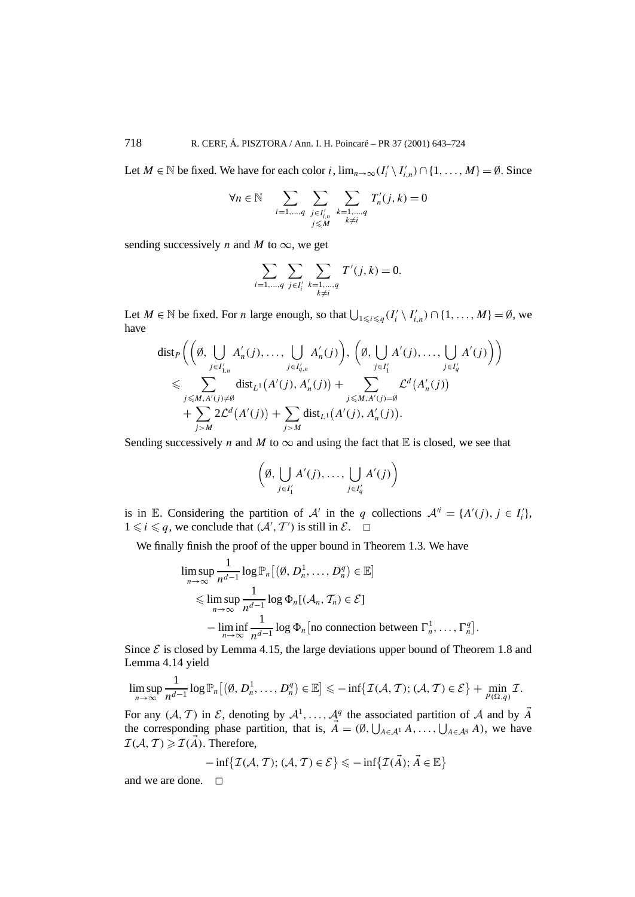Let  $M \in \mathbb{N}$  be fixed. We have for each color *i*,  $\lim_{n\to\infty} (I'_i \setminus I'_{i,n}) \cap \{1, \ldots, M\} = \emptyset$ . Since

$$
\forall n \in \mathbb{N} \quad \sum_{i=1,\dots,q} \sum_{\substack{j \in I'_{i,n} \\ j \leq M}} \sum_{\substack{k=1,\dots,q \\ k \neq i}} T'_n(j,k) = 0
$$

sending successively *n* and *M* to  $\infty$ , we get

$$
\sum_{i=1,\dots,q} \sum_{j \in I'_i} \sum_{\substack{k=1,\dots,q \\ k \neq i}} T'(j,k) = 0.
$$

Let  $M \in \mathbb{N}$  be fixed. For *n* large enough, so that  $\bigcup_{1 \leq i \leq q} (I'_i \setminus I'_{i,n}) \cap \{1, \ldots, M\} = \emptyset$ , we have

$$
\text{dist}_P\Big(\Big(\emptyset, \bigcup_{j\in I'_{1,n}} A'_n(j),\ldots, \bigcup_{j\in I'_{q,n}} A'_n(j)\Big), \Big(\emptyset, \bigcup_{j\in I'_1} A'(j),\ldots, \bigcup_{j\in I'_q} A'(j)\Big)\Big)
$$
\n
$$
\leqslant \sum_{\substack{j\leqslant M, A'(j)\neq \emptyset \\ j\leqslant M}} \text{dist}_{L^1}\big(A'(j), A'_n(j)\big) + \sum_{\substack{j\leqslant M, A'(j)=\emptyset \\ j>M}} \mathcal{L}^d\big(A'_n(j)\big)
$$
\n
$$
+ \sum_{j>M} 2\mathcal{L}^d\big(A'(j)\big) + \sum_{j>M} \text{dist}_{L^1}\big(A'(j), A'_n(j)\big).
$$

Sending successively *n* and *M* to  $\infty$  and using the fact that  $\mathbb E$  is closed, we see that

$$
\left(\emptyset, \bigcup_{j\in I'_1} A'(j), \ldots, \bigcup_{j\in I'_q} A'(j)\right)
$$

is in E. Considering the partition of A' in the *q* collections  $A^{i} = \{A'(j), j \in I'_i\}$ ,  $1 \leq i \leq q$ , we conclude that  $(A', T')$  is still in  $\mathcal{E}$ .  $\Box$ 

We finally finish the proof of the upper bound in Theorem 1.3. We have

$$
\limsup_{n \to \infty} \frac{1}{n^{d-1}} \log \mathbb{P}_n[(\emptyset, D_n^1, \dots, D_n^q) \in \mathbb{E}]
$$
  
\n
$$
\leq \limsup_{n \to \infty} \frac{1}{n^{d-1}} \log \Phi_n[(\mathcal{A}_n, \mathcal{T}_n) \in \mathcal{E}]
$$
  
\n
$$
- \liminf_{n \to \infty} \frac{1}{n^{d-1}} \log \Phi_n[\text{no connection between } \Gamma_n^1, \dots, \Gamma_n^q].
$$

Since  $\mathcal E$  is closed by Lemma 4.15, the large deviations upper bound of Theorem 1.8 and Lemma 4.14 yield

$$
\limsup_{n\to\infty}\frac{1}{n^{d-1}}\log\mathbb{P}_n\big[(\emptyset, D_n^1,\ldots, D_n^q)\in\mathbb{E}\big]\leq -\inf\{\mathcal{I}(\mathcal{A}, \mathcal{T}); (\mathcal{A}, \mathcal{T})\in\mathcal{E}\}+\min_{P(\Omega,q)}\mathcal{I}.
$$

For any  $(A, \mathcal{T})$  in  $\mathcal{E}$ , denoting by  $\mathcal{A}^1, \ldots, \mathcal{A}^q$  the associated partition of  $\mathcal{A}$  and by  $\vec{A}$ the corresponding phase partition, that is,  $\vec{A} = (\emptyset, \bigcup_{A \in \mathcal{A}^1} A, \dots, \bigcup_{A \in \mathcal{A}^q} A)$ , we have  $\mathcal{I}(\mathcal{A}, \mathcal{T}) \geqslant \mathcal{I}(\vec{A})$ . Therefore,

$$
-\inf\{\mathcal{I}(\mathcal{A},\mathcal{T});(\mathcal{A},\mathcal{T})\in\mathcal{E}\}\leq -\inf\{\mathcal{I}(\vec{A});\vec{A}\in\mathbb{E}\}\
$$

and we are done.  $\Box$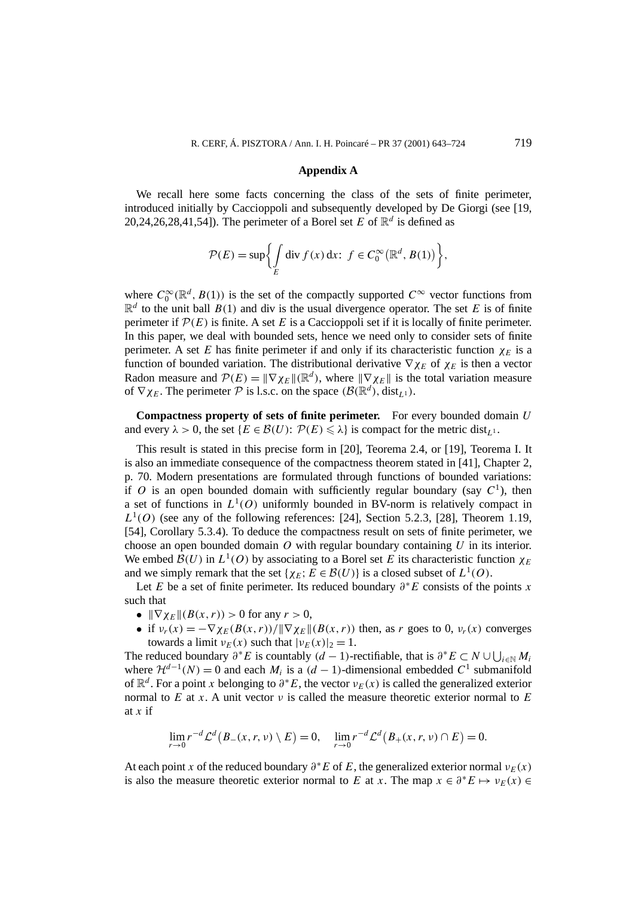## **Appendix A**

We recall here some facts concerning the class of the sets of finite perimeter, introduced initially by Caccioppoli and subsequently developed by De Giorgi (see [19, 20,24,26,28,41,54]). The perimeter of a Borel set *E* of  $\mathbb{R}^d$  is defined as

$$
\mathcal{P}(E) = \sup \biggl\{ \int\limits_E \text{div } f(x) \, \text{d}x \colon f \in C_0^{\infty}(\mathbb{R}^d, B(1)) \biggr\},
$$

where  $C_0^{\infty}(\mathbb{R}^d, B(1))$  is the set of the compactly supported  $C^{\infty}$  vector functions from  $\mathbb{R}^d$  to the unit ball  $B(1)$  and div is the usual divergence operator. The set *E* is of finite perimeter if  $\mathcal{P}(E)$  is finite. A set E is a Caccioppoli set if it is locally of finite perimeter. In this paper, we deal with bounded sets, hence we need only to consider sets of finite perimeter. A set *E* has finite perimeter if and only if its characteristic function  $\chi_E$  is a function of bounded variation. The distributional derivative  $\nabla \chi_E$  of  $\chi_E$  is then a vector Radon measure and  $\mathcal{P}(E) = ||\nabla \chi_E|| (\mathbb{R}^d)$ , where  $||\nabla \chi_E||$  is the total variation measure of  $\nabla \chi_E$ . The perimeter  $\mathcal P$  is l.s.c. on the space  $(\mathcal B(\mathbb R^d), \text{dist}_{L^1})$ .

**Compactness property of sets of finite perimeter.** For every bounded domain *U* and every  $\lambda > 0$ , the set  $\{E \in \mathcal{B}(U) : \mathcal{P}(E) \le \lambda\}$  is compact for the metric dist<sub>L<sup>1</sup></sub>.

This result is stated in this precise form in [20], Teorema 2.4, or [19], Teorema I. It is also an immediate consequence of the compactness theorem stated in [41], Chapter 2, p. 70. Modern presentations are formulated through functions of bounded variations: if *O* is an open bounded domain with sufficiently regular boundary (say  $C^1$ ), then a set of functions in  $L^1(0)$  uniformly bounded in BV-norm is relatively compact in  $L^1(O)$  (see any of the following references: [24], Section 5.2.3, [28], Theorem 1.19, [54], Corollary 5*.*3*.*4). To deduce the compactness result on sets of finite perimeter, we choose an open bounded domain *O* with regular boundary containing *U* in its interior. We embed  $\mathcal{B}(U)$  in  $L^1(O)$  by associating to a Borel set *E* its characteristic function  $\chi_F$ and we simply remark that the set  $\{\chi_E: E \in \mathcal{B}(U)\}\$ is a closed subset of  $L^1(O)$ .

Let *E* be a set of finite perimeter. Its reduced boundary *∂*<sup>∗</sup>*E* consists of the points *x* such that

•  $\|\nabla \chi_E\| (B(x, r)) > 0$  for any  $r > 0$ ,

• if  $v_r(x) = -\nabla \chi_E(B(x, r))/\|\nabla \chi_E\|(B(x, r))$  then, as *r* goes to 0,  $v_r(x)$  converges towards a limit  $v_E(x)$  such that  $|v_E(x)|_2 = 1$ .

The reduced boundary  $\partial^* E$  is countably  $(d-1)$ -rectifiable, that is  $\partial^* E \subset N \cup \bigcup_{i \in \mathbb{N}} M_i$ where  $\mathcal{H}^{d-1}(N) = 0$  and each  $M_i$  is a  $(d-1)$ -dimensional embedded  $C^1$  submanifold of  $\mathbb{R}^d$ . For a point *x* belonging to  $\partial^* E$ , the vector  $\nu_E(x)$  is called the generalized exterior normal to *E* at *x*. A unit vector  $\nu$  is called the measure theoretic exterior normal to *E* at *x* if

$$
\lim_{r \to 0} r^{-d} \mathcal{L}^d (B_-(x, r, v) \setminus E) = 0, \quad \lim_{r \to 0} r^{-d} \mathcal{L}^d (B_+(x, r, v) \cap E) = 0.
$$

At each point *x* of the reduced boundary  $\partial^* E$  of *E*, the generalized exterior normal  $v_E(x)$ is also the measure theoretic exterior normal to *E* at *x*. The map  $x \in \partial^* E \mapsto \nu_E(x) \in$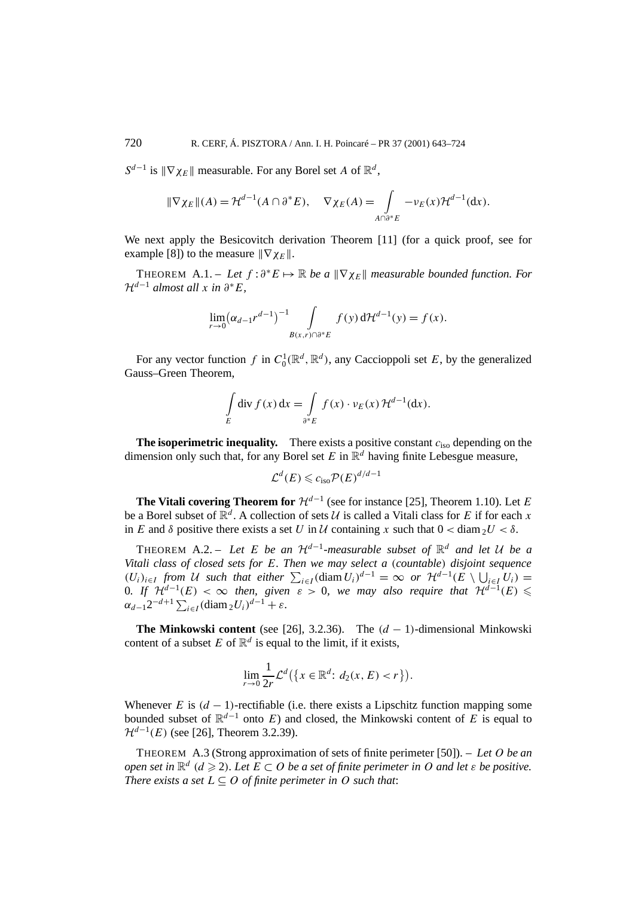$S^{d-1}$  is  $\|\nabla \chi_E\|$  measurable. For any Borel set *A* of  $\mathbb{R}^d$ ,

$$
\|\nabla \chi_E\|(A) = \mathcal{H}^{d-1}(A \cap \partial^* E), \quad \nabla \chi_E(A) = \int_{A \cap \partial^* E} -\nu_E(x) \mathcal{H}^{d-1}(\mathrm{d} x).
$$

We next apply the Besicovitch derivation Theorem [11] (for a quick proof, see for example [8]) to the measure  $\|\nabla \chi_E\|$ .

THEOREM A.1. – Let  $f : \partial^* E \mapsto \mathbb{R}$  be a  $\|\nabla \chi_E\|$  measurable bounded function. For  $\mathcal{H}^{d-1}$  *almost all x in*  $\partial^* E$ ,

$$
\lim_{r \to 0} (\alpha_{d-1} r^{d-1})^{-1} \int_{B(x,r) \cap \partial^* E} f(y) d\mathcal{H}^{d-1}(y) = f(x).
$$

For any vector function  $f$  in  $C_0^1(\mathbb{R}^d, \mathbb{R}^d)$ , any Caccioppoli set  $E$ , by the generalized Gauss–Green Theorem,

$$
\int\limits_E \operatorname{div} f(x) \, \mathrm{d}x = \int\limits_{\partial^* E} f(x) \cdot \nu_E(x) \, \mathcal{H}^{d-1}(\mathrm{d}x).
$$

**The isoperimetric inequality.** There exists a positive constant  $c_{\text{iso}}$  depending on the dimension only such that, for any Borel set  $E$  in  $\mathbb{R}^d$  having finite Lebesgue measure,

$$
\mathcal{L}^d(E) \leqslant c_{\text{iso}} \mathcal{P}(E)^{d/d-1}
$$

**The Vitali covering Theorem for**  $\mathcal{H}^{d-1}$  (see for instance [25], Theorem 1.10). Let *E* be a Borel subset of  $\mathbb{R}^d$ . A collection of sets U is called a Vitali class for E if for each x in *E* and  $\delta$  positive there exists a set *U* in *U* containing *x* such that  $0 < \text{diam}_2 U < \delta$ .

THEOREM A.2. – Let E be an  $\mathcal{H}^{d-1}$ -measurable subset of  $\mathbb{R}^d$  and let U be a *Vitali class of closed sets for E. Then we may select a (countable) disjoint sequence*  $(U_i)_{i \in I}$  *from*  $U$  *such that either*  $\sum_{i \in I} (\text{diam } U_i)^{d-1} = \infty$  *or*  $\mathcal{H}^{d-1}(E \setminus \bigcup_{i \in I} U_i) =$ 0*.* If  $\mathcal{H}^{d-1}(E) < \infty$  then, given  $\varepsilon > 0$ , we may also require that  $\mathcal{H}^{d-1}(E) \leq$  $\alpha_{d-1} 2^{-d+1} \sum_{i \in I} (\text{diam}_2 U_i)^{d-1} + \varepsilon.$ 

**The Minkowski content** (see [26], 3.2.36). The  $(d-1)$ -dimensional Minkowski content of a subset  $E$  of  $\mathbb{R}^d$  is equal to the limit, if it exists,

$$
\lim_{r\to 0}\frac{1}{2r}\mathcal{L}^d\big(\big\{x\in\mathbb{R}^d\colon d_2(x,E)
$$

Whenever *E* is  $(d - 1)$ -rectifiable (i.e. there exists a Lipschitz function mapping some bounded subset of  $\mathbb{R}^{d-1}$  onto *E*) and closed, the Minkowski content of *E* is equal to *H*<sup>d−1</sup>(*E*) (see [26], Theorem 3.2.39).

THEOREM A.3 (Strong approximation of sets of finite perimeter [50]). – *Let O be an open set in*  $\mathbb{R}^d$  ( $d \ge 2$ ). Let  $E \subset O$  *be a set of finite perimeter in O and let*  $\varepsilon$  *be positive. There exists a set*  $L \subseteq O$  *of finite perimeter in O such that:*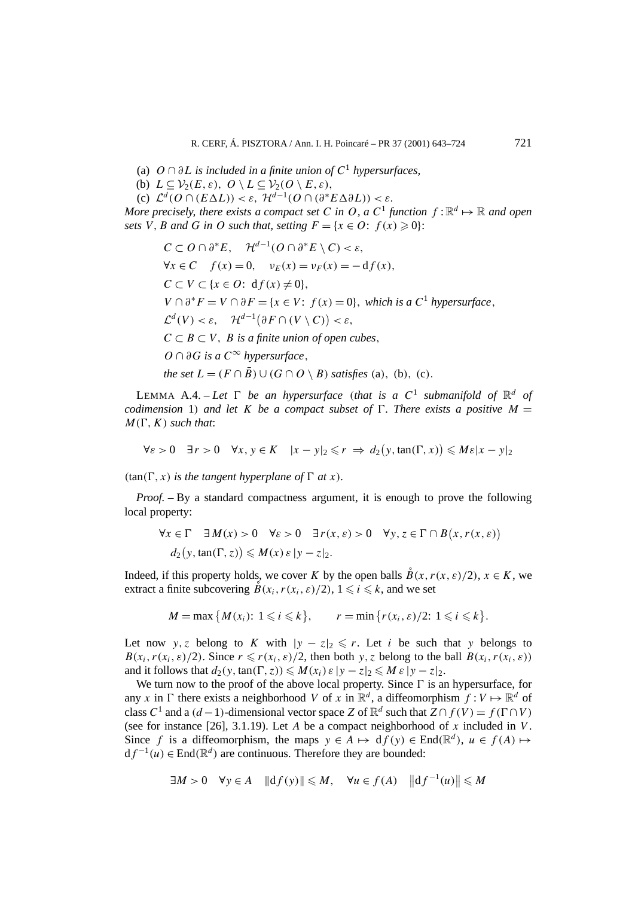- (a) *O* ∩ *∂L is included in a finite union of C*<sup>1</sup> *hypersurfaces,*
- (b)  $L \subset \mathcal{V}_2(E, \varepsilon), O \setminus L \subset \mathcal{V}_2(O \setminus E, \varepsilon),$
- (c)  $\mathcal{L}^d$  ( $O \cap (E \Delta L)$ ) <  $\varepsilon$ ,  $\mathcal{H}^{d-1}$  ( $O \cap (\partial^* E \Delta \partial L)$ ) <  $\varepsilon$ .

*More precisely, there exists a compact set C in O*, *a C*<sup>1</sup> *function*  $f : \mathbb{R}^d \mapsto \mathbb{R}$  *and open sets V*, *B* and *G* in *O such that, setting*  $F = \{x \in O : f(x) \ge 0\}$ :

$$
C \subset O \cap \partial^* E, \quad \mathcal{H}^{d-1}(O \cap \partial^* E \setminus C) < \varepsilon,
$$
\n
$$
\forall x \in C \quad f(x) = 0, \quad \nu_E(x) = \nu_F(x) = -df(x),
$$
\n
$$
C \subset V \subset \{x \in O : df(x) \neq 0\},
$$
\n
$$
V \cap \partial^* F = V \cap \partial F = \{x \in V : f(x) = 0\}, \text{ which is a } C^1 \text{ hypersurface,}
$$
\n
$$
\mathcal{L}^d(V) < \varepsilon, \quad \mathcal{H}^{d-1}(\partial F \cap (V \setminus C)) < \varepsilon,
$$
\n
$$
C \subset B \subset V, \text{ B is a finite union of open cubes,}
$$
\n
$$
O \cap \partial G \text{ is a } C^\infty \text{ hypersurface,}
$$
\n
$$
\text{the set } L = (F \cap \overline{B}) \cup (G \cap O \setminus B) \text{ satisfies (a), (b), (c).}
$$

LEMMA A.4. – Let  $\Gamma$  be an hypersurface (that is a  $C^1$  submanifold of  $\mathbb{R}^d$  of *codimension* 1*) and let K be a compact subset of*  $\Gamma$ *. There exists a positive*  $M =$  $M(\Gamma, K)$  *such that*:

$$
\forall \varepsilon > 0 \quad \exists r > 0 \quad \forall x, y \in K \quad |x - y|_2 \leq r \implies d_2(y, \tan(\Gamma, x)) \leq M\varepsilon |x - y|_2
$$

 $(tan(\Gamma, x))$  *is the tangent hyperplane of*  $\Gamma$  *at x).* 

*Proof.* – By a standard compactness argument, it is enough to prove the following local property:

$$
\forall x \in \Gamma \quad \exists M(x) > 0 \quad \forall \varepsilon > 0 \quad \exists r(x, \varepsilon) > 0 \quad \forall y, z \in \Gamma \cap B(x, r(x, \varepsilon))
$$
\n
$$
d_2(y, \tan(\Gamma, z)) \leq M(x) \varepsilon \, |y - z|_2.
$$

Indeed, if this property holds, we cover *K* by the open balls  $\overset{\circ}{B}(x, r(x, \varepsilon)/2)$ ,  $x \in K$ , we extract a finite subcovering  $\mathring{B}(x_i, r(x_i, \varepsilon)/2)$ ,  $1 \leq i \leq k$ , and we set

$$
M = \max\big\{M(x_i): 1 \leq i \leq k\big\}, \qquad r = \min\big\{r(x_i, \varepsilon)/2: 1 \leq i \leq k\big\}.
$$

Let now *y*, *z* belong to *K* with  $|y - z|_2 \le r$ . Let *i* be such that *y* belongs to  $B(x_i, r(x_i, \varepsilon)/2)$ . Since  $r \le r(x_i, \varepsilon)/2$ , then both *y*, *z* belong to the ball  $B(x_i, r(x_i, \varepsilon))$ and it follows that  $d_2(y, \tan(\Gamma, z)) \le M(x_i) \varepsilon |y - z|_2 \le M \varepsilon |y - z|_2$ .

We turn now to the proof of the above local property. Since  $\Gamma$  is an hypersurface, for any *x* in  $\Gamma$  there exists a neighborhood *V* of *x* in  $\mathbb{R}^d$ , a diffeomorphism  $f: V \mapsto \mathbb{R}^d$  of class *C*<sup>1</sup> and a  $(d-1)$ -dimensional vector space *Z* of  $\mathbb{R}^d$  such that  $Z \cap f(V) = f(\Gamma \cap V)$ (see for instance [26], 3*.*1*.*19). Let *A* be a compact neighborhood of *x* included in *V* . Since *f* is a diffeomorphism, the maps  $y \in A \mapsto df(y) \in End(\mathbb{R}^d)$ ,  $u \in f(A) \mapsto$  $df^{-1}(u) \in$  End $(\mathbb{R}^d)$  are continuous. Therefore they are bounded: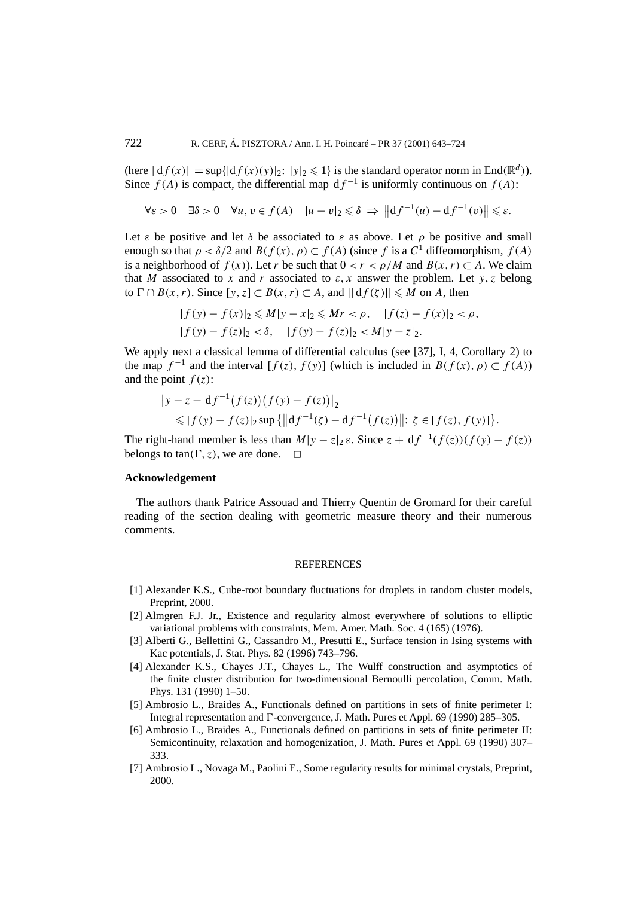(here  $||df(x)|| = \sup{(|df(x)(y)|_2: |y|_2 \leq 1}$  is the standard operator norm in End $(\mathbb{R}^d)$ ). Since  $f(A)$  is compact, the differential map  $df^{-1}$  is uniformly continuous on  $f(A)$ :

$$
\forall \varepsilon > 0 \quad \exists \delta > 0 \quad \forall u, v \in f(A) \quad |u - v|_2 \leq \delta \Rightarrow ||df^{-1}(u) - df^{-1}(v)|| \leq \varepsilon.
$$

Let  $\varepsilon$  be positive and let  $\delta$  be associated to  $\varepsilon$  as above. Let  $\rho$  be positive and small enough so that  $\rho < \delta/2$  and  $B(f(x), \rho) \subset f(A)$  (since f is a  $C^1$  diffeomorphism,  $f(A)$ ) is a neighborhood of  $f(x)$ ). Let *r* be such that  $0 < r < \rho/M$  and  $B(x, r) \subset A$ . We claim that *M* associated to *x* and *r* associated to  $\varepsilon$ , *x* answer the problem. Let *y*, *z* belong to  $\Gamma \cap B(x, r)$ . Since  $[y, z] \subset B(x, r) \subset A$ , and  $||df(\zeta)|| \le M$  on *A*, then

$$
|f(y) - f(x)|_2 \le M|y - x|_2 \le Mr < \rho, \quad |f(z) - f(x)|_2 < \rho, \\
|f(y) - f(z)|_2 < \delta, \quad |f(y) - f(z)|_2 < M|y - z|_2.
$$

We apply next a classical lemma of differential calculus (see [37], I, 4, Corollary 2) to the map  $f^{-1}$  and the interval  $[f(z), f(y)]$  (which is included in  $B(f(x), \rho) \subset f(A)$ ) and the point  $f(z)$ :

$$
\begin{aligned} \left| y - z - df^{-1}(f(z))(f(y) - f(z)) \right|_2 \\ &\leqslant |f(y) - f(z)|_2 \sup \left\{ \left\| df^{-1}(\zeta) - df^{-1}(f(z)) \right\| : \zeta \in [f(z), f(y)] \right\}. \end{aligned}
$$

The right-hand member is less than  $M|y - z|_2 \varepsilon$ . Since  $z + df^{-1}(f(z))(f(y) - f(z))$ belongs to tan $(\Gamma, z)$ , we are done.  $\square$ 

#### **Acknowledgement**

The authors thank Patrice Assouad and Thierry Quentin de Gromard for their careful reading of the section dealing with geometric measure theory and their numerous comments.

#### **REFERENCES**

- [1] Alexander K.S., Cube-root boundary fluctuations for droplets in random cluster models, Preprint, 2000.
- [2] Almgren F.J. Jr., Existence and regularity almost everywhere of solutions to elliptic variational problems with constraints, Mem. Amer. Math. Soc. 4 (165) (1976).
- [3] Alberti G., Bellettini G., Cassandro M., Presutti E., Surface tension in Ising systems with Kac potentials, J. Stat. Phys. 82 (1996) 743–796.
- [4] Alexander K.S., Chayes J.T., Chayes L., The Wulff construction and asymptotics of the finite cluster distribution for two-dimensional Bernoulli percolation, Comm. Math. Phys. 131 (1990) 1–50.
- [5] Ambrosio L., Braides A., Functionals defined on partitions in sets of finite perimeter I: Integral representation and  $\Gamma$ -convergence, J. Math. Pures et Appl. 69 (1990) 285–305.
- [6] Ambrosio L., Braides A., Functionals defined on partitions in sets of finite perimeter II: Semicontinuity, relaxation and homogenization, J. Math. Pures et Appl. 69 (1990) 307– 333.
- [7] Ambrosio L., Novaga M., Paolini E., Some regularity results for minimal crystals, Preprint, 2000.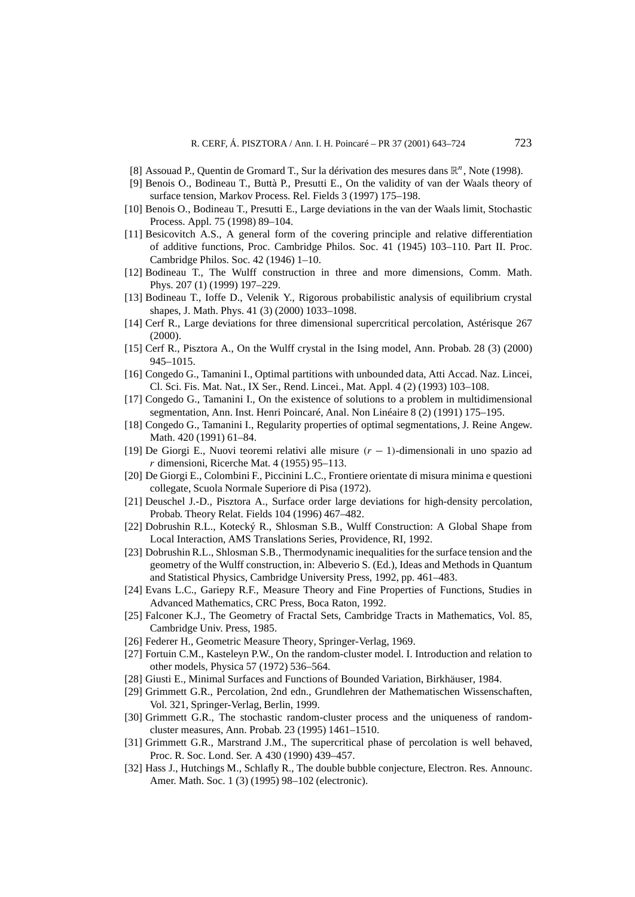- [8] Assouad P., Quentin de Gromard T., Sur la dérivation des mesures dans R*n*, Note (1998).
- [9] Benois O., Bodineau T., Buttà P., Presutti E., On the validity of van der Waals theory of surface tension, Markov Process. Rel. Fields 3 (1997) 175–198.
- [10] Benois O., Bodineau T., Presutti E., Large deviations in the van der Waals limit, Stochastic Process. Appl. 75 (1998) 89–104.
- [11] Besicovitch A.S., A general form of the covering principle and relative differentiation of additive functions, Proc. Cambridge Philos. Soc. 41 (1945) 103–110. Part II. Proc. Cambridge Philos. Soc. 42 (1946) 1–10.
- [12] Bodineau T., The Wulff construction in three and more dimensions, Comm. Math. Phys. 207 (1) (1999) 197–229.
- [13] Bodineau T., Ioffe D., Velenik Y., Rigorous probabilistic analysis of equilibrium crystal shapes, J. Math. Phys. 41 (3) (2000) 1033–1098.
- [14] Cerf R., Large deviations for three dimensional supercritical percolation, Astérisque 267 (2000).
- [15] Cerf R., Pisztora A., On the Wulff crystal in the Ising model, Ann. Probab. 28 (3) (2000) 945–1015.
- [16] Congedo G., Tamanini I., Optimal partitions with unbounded data, Atti Accad. Naz. Lincei, Cl. Sci. Fis. Mat. Nat., IX Ser., Rend. Lincei., Mat. Appl. 4 (2) (1993) 103–108.
- [17] Congedo G., Tamanini I., On the existence of solutions to a problem in multidimensional segmentation, Ann. Inst. Henri Poincaré, Anal. Non Linéaire 8 (2) (1991) 175–195.
- [18] Congedo G., Tamanini I., Regularity properties of optimal segmentations, J. Reine Angew. Math. 420 (1991) 61–84.
- [19] De Giorgi E., Nuovi teoremi relativi alle misure *(r* − 1*)*-dimensionali in uno spazio ad *r* dimensioni, Ricerche Mat. 4 (1955) 95–113.
- [20] De Giorgi E., Colombini F., Piccinini L.C., Frontiere orientate di misura minima e questioni collegate, Scuola Normale Superiore di Pisa (1972).
- [21] Deuschel J.-D., Pisztora A., Surface order large deviations for high-density percolation, Probab. Theory Relat. Fields 104 (1996) 467–482.
- [22] Dobrushin R.L., Kotecký R., Shlosman S.B., Wulff Construction: A Global Shape from Local Interaction, AMS Translations Series, Providence, RI, 1992.
- [23] Dobrushin R.L., Shlosman S.B., Thermodynamic inequalities for the surface tension and the geometry of the Wulff construction, in: Albeverio S. (Ed.), Ideas and Methods in Quantum and Statistical Physics, Cambridge University Press, 1992, pp. 461–483.
- [24] Evans L.C., Gariepy R.F., Measure Theory and Fine Properties of Functions, Studies in Advanced Mathematics, CRC Press, Boca Raton, 1992.
- [25] Falconer K.J., The Geometry of Fractal Sets, Cambridge Tracts in Mathematics, Vol. 85, Cambridge Univ. Press, 1985.
- [26] Federer H., Geometric Measure Theory, Springer-Verlag, 1969.
- [27] Fortuin C.M., Kasteleyn P.W., On the random-cluster model. I. Introduction and relation to other models, Physica 57 (1972) 536–564.
- [28] Giusti E., Minimal Surfaces and Functions of Bounded Variation, Birkhäuser, 1984.
- [29] Grimmett G.R., Percolation, 2nd edn., Grundlehren der Mathematischen Wissenschaften, Vol. 321, Springer-Verlag, Berlin, 1999.
- [30] Grimmett G.R., The stochastic random-cluster process and the uniqueness of randomcluster measures, Ann. Probab. 23 (1995) 1461–1510.
- [31] Grimmett G.R., Marstrand J.M., The supercritical phase of percolation is well behaved, Proc. R. Soc. Lond. Ser. A 430 (1990) 439–457.
- [32] Hass J., Hutchings M., Schlafly R., The double bubble conjecture, Electron. Res. Announc. Amer. Math. Soc. 1 (3) (1995) 98–102 (electronic).